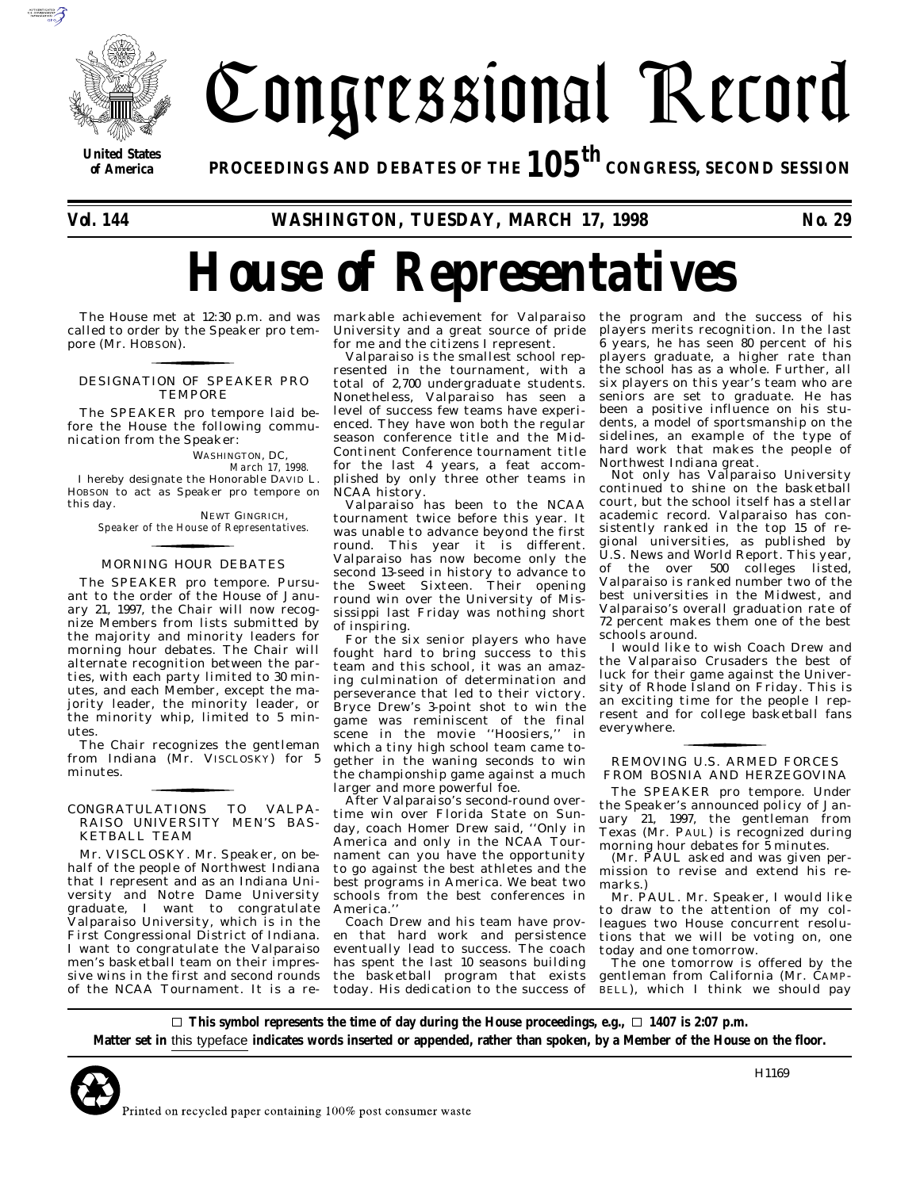

# Congressional Record

**United States**

*of* **America PROCEEDINGS AND DEBATES OF THE** *105th* **CONGRESS, SECOND SESSION**

*Vol. 144* **WASHINGTON, TUESDAY, MARCH 17, 1998** *No. 29*

## *House of Representatives*

The House met at 12:30 p.m. and was called to order by the Speaker pro tempore (Mr. HOBSON).

#### DESIGNATION OF SPEAKER PRO TEMPORE

The SPEAKER pro tempore laid before the House the following communication from the Speaker:

WASHINGTON, DC,

*March 17, 1998.* I hereby designate the Honorable DAVID L. HOBSON to act as Speaker pro tempore on this day.

NEWT GINGRICH, *Speaker of the House of Representatives.*

#### MORNING HOUR DEBATES for the control of the control of

The SPEAKER pro tempore. Pursuant to the order of the House of January 21, 1997, the Chair will now recognize Members from lists submitted by the majority and minority leaders for morning hour debates. The Chair will alternate recognition between the parties, with each party limited to 30 minutes, and each Member, except the majority leader, the minority leader, or the minority whip, limited to 5 minutes.

The Chair recognizes the gentleman from Indiana (Mr. VISCLOSKY) for 5 minutes.

#### CONGRATULATIONS TO VALPA-RAISO UNIVERSITY MEN'S BAS-KETBALL TEAM

for the control of the control of

Mr. VISCLOSKY. Mr. Speaker, on behalf of the people of Northwest Indiana that I represent and as an Indiana University and Notre Dame University graduate, I want to congratulate Valparaiso University, which is in the First Congressional District of Indiana. I want to congratulate the Valparaiso men's basketball team on their impressive wins in the first and second rounds of the NCAA Tournament. It is a remarkable achievement for Valparaiso University and a great source of pride for me and the citizens I represent.

Valparaiso is the smallest school represented in the tournament, with a total of 2,700 undergraduate students. Nonetheless, Valparaiso has seen a level of success few teams have experienced. They have won both the regular season conference title and the Mid-Continent Conference tournament title for the last 4 years, a feat accomplished by only three other teams in NCAA history.

Valparaiso has been to the NCAA tournament twice before this year. It was unable to advance beyond the first round. This year it is different. Valparaiso has now become only the second 13-seed in history to advance to the Sweet Sixteen. Their opening round win over the University of Mississippi last Friday was nothing short of inspiring.

For the six senior players who have fought hard to bring success to this team and this school, it was an amazing culmination of determination and perseverance that led to their victory. Bryce Drew's 3-point shot to win the game was reminiscent of the final scene in the movie ''Hoosiers,'' in which a tiny high school team came together in the waning seconds to win the championship game against a much larger and more powerful foe.

After Valparaiso's second-round overtime win over Florida State on Sunday, coach Homer Drew said, ''Only in America and only in the NCAA Tournament can you have the opportunity to go against the best athletes and the best programs in America. We beat two schools from the best conferences in America.''

Coach Drew and his team have proven that hard work and persistence eventually lead to success. The coach has spent the last 10 seasons building the basketball program that exists today. His dedication to the success of the program and the success of his players merits recognition. In the last 6 years, he has seen 80 percent of his players graduate, a higher rate than the school has as a whole. Further, all six players on this year's team who are seniors are set to graduate. He has been a positive influence on his students, a model of sportsmanship on the sidelines, an example of the type of hard work that makes the people of Northwest Indiana great.

Not only has Valparaiso University continued to shine on the basketball court, but the school itself has a stellar academic record. Valparaiso has consistently ranked in the top 15 of regional universities, as published by U.S. News and World Report. This year, of the over 500 colleges listed, Valparaiso is ranked number two of the best universities in the Midwest, and Valparaiso's overall graduation rate of 72 percent makes them one of the best schools around.

I would like to wish Coach Drew and the Valparaiso Crusaders the best of luck for their game against the University of Rhode Island on Friday. This is an exciting time for the people I represent and for college basketball fans everywhere.

#### FROM BOSNIA AND HERZEGOVINA REMOVING U.S. ARMED FORCES for the control of the control of

The SPEAKER pro tempore. Under the Speaker's announced policy of January 21, 1997, the gentleman from Texas (Mr. PAUL) is recognized during morning hour debates for 5 minutes.

(Mr. PAUL asked and was given permission to revise and extend his remarks.)

Mr. PAUL. Mr. Speaker, I would like to draw to the attention of my colleagues two House concurrent resolutions that we will be voting on, one today and one tomorrow.

The one tomorrow is offered by the gentleman from California (Mr. CAMP-BELL), which I think we should pay

 $\Box$  **This symbol represents the time of day during the House proceedings, e.g.,**  $\Box$  **1407 is 2:07 p.m. Matter set in** this typeface **indicates words inserted or appended, rather than spoken, by a Member of the House on the floor.**

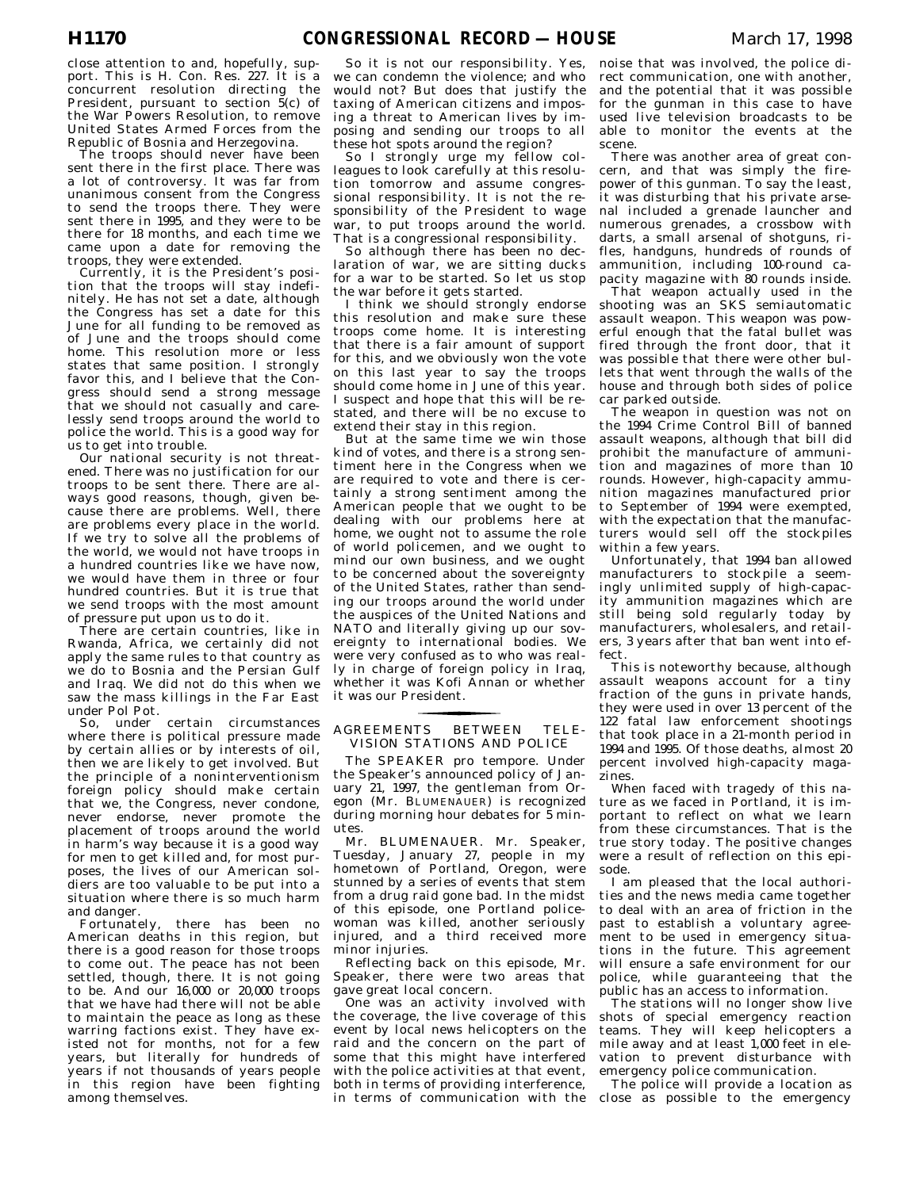close attention to and, hopefully, support. This is H. Con. Res. 227. It is a concurrent resolution directing the President, pursuant to section  $\tilde{5}(c)$  of the War Powers Resolution, to remove United States Armed Forces from the Republic of Bosnia and Herzegovina.

The troops should never have been sent there in the first place. There was a lot of controversy. It was far from unanimous consent from the Congress to send the troops there. They were sent there in 1995, and they were to be there for 18 months, and each time we came upon a date for removing the troops, they were extended.

Currently, it is the President's position that the troops will stay indefinitely. He has not set a date, although the Congress has set a date for this June for all funding to be removed as of June and the troops should come home. This resolution more or less states that same position. I strongly favor this, and I believe that the Congress should send a strong message that we should not casually and carelessly send troops around the world to police the world. This is a good way for us to get into trouble.

Our national security is not threatened. There was no justification for our troops to be sent there. There are always good reasons, though, given because there are problems. Well, there are problems every place in the world. If we try to solve all the problems of the world, we would not have troops in a hundred countries like we have now, we would have them in three or four hundred countries. But it is true that we send troops with the most amount of pressure put upon us to do it.

There are certain countries, like in Rwanda, Africa, we certainly did not apply the same rules to that country as we do to Bosnia and the Persian Gulf and Iraq. We did not do this when we saw the mass killings in the Far East under Pol Pot.

So, under certain circumstances where there is political pressure made by certain allies or by interests of oil, then we are likely to get involved. But the principle of a noninterventionism foreign policy should make certain that we, the Congress, never condone, never endorse, never promote the placement of troops around the world in harm's way because it is a good way for men to get killed and, for most purposes, the lives of our American soldiers are too valuable to be put into a situation where there is so much harm and danger.

Fortunately, there has been no American deaths in this region, but there is a good reason for those troops to come out. The peace has not been settled, though, there. It is not going to be. And our 16,000 or 20,000 troops that we have had there will not be able to maintain the peace as long as these warring factions exist. They have existed not for months, not for a few years, but literally for hundreds of years if not thousands of years people in this region have been fighting among themselves.

So it is not our responsibility. Yes, we can condemn the violence; and who would not? But does that justify the taxing of American citizens and imposing a threat to American lives by imposing and sending our troops to all these hot spots around the region?

So I strongly urge my fellow colleagues to look carefully at this resolution tomorrow and assume congressional responsibility. It is not the responsibility of the President to wage war, to put troops around the world. That is a congressional responsibility.

So although there has been no declaration of war, we are sitting ducks for a war to be started. So let us stop the war before it gets started.

I think we should strongly endorse this resolution and make sure these troops come home. It is interesting that there is a fair amount of support for this, and we obviously won the vote on this last year to say the troops should come home in June of this year. I suspect and hope that this will be restated, and there will be no excuse to extend their stay in this region.

But at the same time we win those kind of votes, and there is a strong sentiment here in the Congress when we are required to vote and there is certainly a strong sentiment among the American people that we ought to be dealing with our problems here at home, we ought not to assume the role of world policemen, and we ought to mind our own business, and we ought to be concerned about the sovereignty of the United States, rather than sending our troops around the world under the auspices of the United Nations and NATO and literally giving up our sovereignty to international bodies. We were very confused as to who was really in charge of foreign policy in Iraq, whether it was Kofi Annan or whether it was our President.

#### AGREEMENTS BETWEEN TELE-VISION STATIONS AND POLICE for the control of the control of

The SPEAKER pro tempore. Under the Speaker's announced policy of January 21, 1997, the gentleman from Oregon (Mr. BLUMENAUER) is recognized during morning hour debates for  $\overline{5}$  minutes.

Mr. BLUMENAUER. Mr. Speaker, Tuesday, January 27, people in my hometown of Portland, Oregon, were stunned by a series of events that stem from a drug raid gone bad. In the midst of this episode, one Portland policewoman was killed, another seriously injured, and a third received more minor injuries.

Reflecting back on this episode, Mr. Speaker, there were two areas that gave great local concern.

One was an activity involved with the coverage, the live coverage of this event by local news helicopters on the raid and the concern on the part of some that this might have interfered with the police activities at that event, both in terms of providing interference, in terms of communication with the

noise that was involved, the police direct communication, one with another, and the potential that it was possible for the gunman in this case to have used live television broadcasts to be able to monitor the events at the scene.

There was another area of great concern, and that was simply the firepower of this gunman. To say the least, it was disturbing that his private arsenal included a grenade launcher and numerous grenades, a crossbow with darts, a small arsenal of shotguns, rifles, handguns, hundreds of rounds of ammunition, including 100-round capacity magazine with 80 rounds inside.

That weapon actually used in the shooting was an SKS semiautomatic assault weapon. This weapon was powerful enough that the fatal bullet was fired through the front door, that it was possible that there were other bullets that went through the walls of the house and through both sides of police car parked outside.

The weapon in question was not on the 1994 Crime Control Bill of banned assault weapons, although that bill did prohibit the manufacture of ammunition and magazines of more than 10 rounds. However, high-capacity ammunition magazines manufactured prior to September of 1994 were exempted, with the expectation that the manufacturers would sell off the stockpiles within a few years.

Unfortunately, that 1994 ban allowed manufacturers to stockpile a seemingly unlimited supply of high-capacity ammunition magazines which are still being sold regularly today by manufacturers, wholesalers, and retailers, 3 years after that ban went into effect.

This is noteworthy because, although assault weapons account for a tiny fraction of the guns in private hands, they were used in over 13 percent of the 122 fatal law enforcement shootings that took place in a 21-month period in 1994 and 1995. Of those deaths, almost 20 percent involved high-capacity magazines.

When faced with tragedy of this nature as we faced in Portland, it is important to reflect on what we learn from these circumstances. That is the true story today. The positive changes were a result of reflection on this episode.

I am pleased that the local authorities and the news media came together to deal with an area of friction in the past to establish a voluntary agreement to be used in emergency situations in the future. This agreement will ensure a safe environment for our police, while guaranteeing that the public has an access to information.

The stations will no longer show live shots of special emergency reaction teams. They will keep helicopters a mile away and at least 1,000 feet in elevation to prevent disturbance with emergency police communication.

The police will provide a location as close as possible to the emergency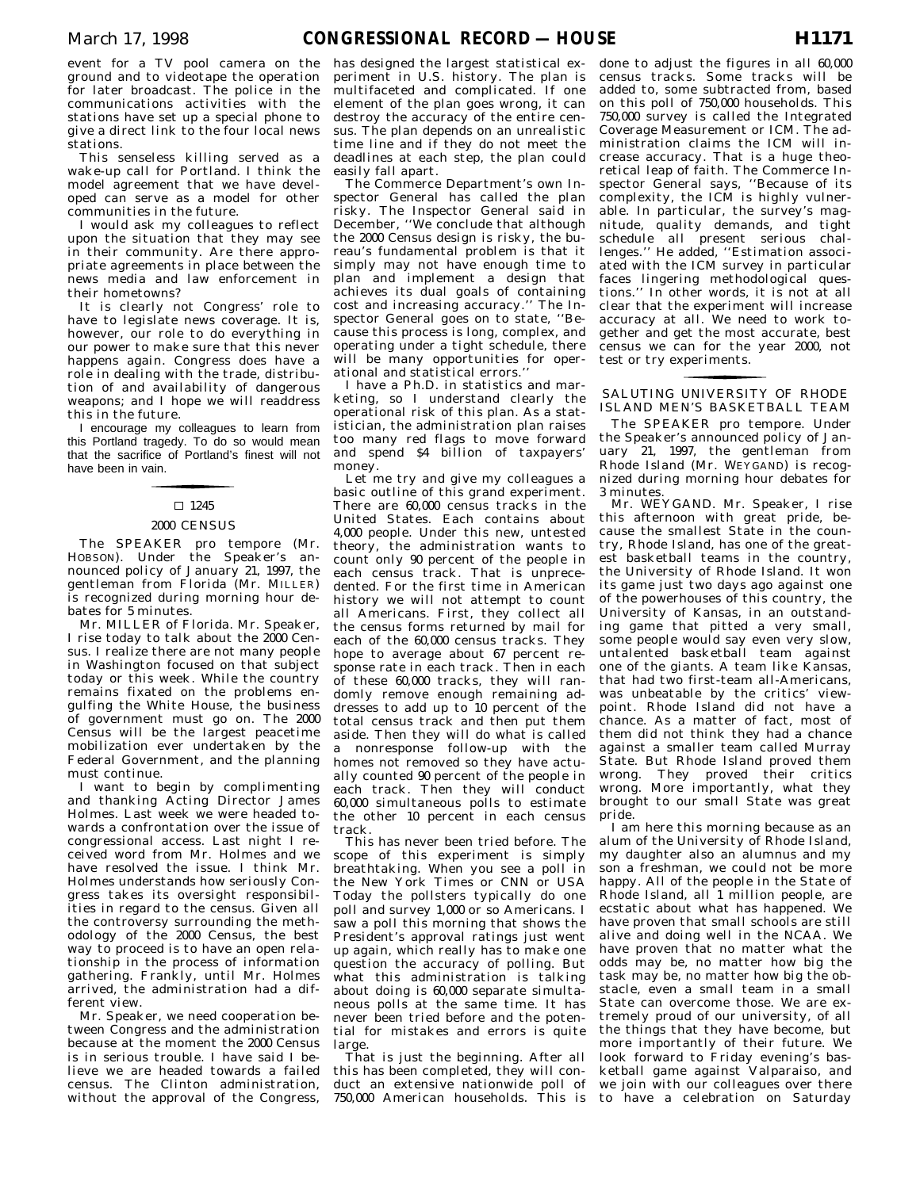event for a TV pool camera on the ground and to videotape the operation for later broadcast. The police in the communications activities with the stations have set up a special phone to give a direct link to the four local news stations.

This senseless killing served as a wake-up call for Portland. I think the model agreement that we have developed can serve as a model for other communities in the future.

I would ask my colleagues to reflect upon the situation that they may see in their community. Are there appropriate agreements in place between the news media and law enforcement in their hometowns?

It is clearly not Congress' role to have to legislate news coverage. It is, however, our role to do everything in our power to make sure that this never happens again. Congress does have a role in dealing with the trade, distribution of and availability of dangerous weapons; and I hope we will readdress this in the future.

I encourage my colleagues to learn from this Portland tragedy. To do so would mean that the sacrifice of Portland's finest will not have been in vain.

#### $\Box$  1245

#### 2000 CENSUS

The SPEAKER pro tempore (Mr. HOBSON). Under the Speaker's announced policy of January 21, 1997, the gentleman from Florida (Mr. MILLER) is recognized during morning hour debates for 5 minutes.

Mr. MILLER of Florida. Mr. Speaker, I rise today to talk about the 2000 Census. I realize there are not many people in Washington focused on that subject today or this week. While the country remains fixated on the problems engulfing the White House, the business of government must go on. The 2000 Census will be the largest peacetime mobilization ever undertaken by the Federal Government, and the planning must continue.

I want to begin by complimenting and thanking Acting Director James Holmes. Last week we were headed towards a confrontation over the issue of congressional access. Last night I received word from Mr. Holmes and we have resolved the issue. I think Mr. Holmes understands how seriously Congress takes its oversight responsibilities in regard to the census. Given all the controversy surrounding the methodology of the 2000 Census, the best way to proceed is to have an open relationship in the process of information gathering. Frankly, until Mr. Holmes arrived, the administration had a different view.

Mr. Speaker, we need cooperation between Congress and the administration because at the moment the 2000 Census is in serious trouble. I have said I believe we are headed towards a failed census. The Clinton administration, without the approval of the Congress,

has designed the largest statistical experiment in U.S. history. The plan is multifaceted and complicated. If one element of the plan goes wrong, it can destroy the accuracy of the entire census. The plan depends on an unrealistic time line and if they do not meet the deadlines at each step, the plan could easily fall apart.

The Commerce Department's own Inspector General has called the plan risky. The Inspector General said in December, ''We conclude that although the 2000 Census design is risky, the bureau's fundamental problem is that it simply may not have enough time to plan and implement a design that achieves its dual goals of containing cost and increasing accuracy.'' The Inspector General goes on to state, ''Because this process is long, complex, and operating under a tight schedule, there will be many opportunities for operational and statistical errors.''

I have a Ph.D. in statistics and marketing, so I understand clearly the operational risk of this plan. As a statistician, the administration plan raises too many red flags to move forward and spend \$4 billion of taxpayers' money.

Let me try and give my colleagues a basic outline of this grand experiment. There are 60,000 census tracks in the United States. Each contains about 4,000 people. Under this new, untested theory, the administration wants to count only 90 percent of the people in each census track. That is unprecedented. For the first time in American history we will not attempt to count all Americans. First, they collect all the census forms returned by mail for each of the 60,000 census tracks. They hope to average about 67 percent response rate in each track. Then in each of these 60,000 tracks, they will randomly remove enough remaining addresses to add up to 10 percent of the total census track and then put them aside. Then they will do what is called a nonresponse follow-up with the homes not removed so they have actually counted 90 percent of the people in each track. Then they will conduct 60,000 simultaneous polls to estimate the other 10 percent in each census track.

This has never been tried before. The scope of this experiment is simply breathtaking. When you see a poll in the New York Times or CNN or USA Today the pollsters typically do one poll and survey 1,000 or so Americans. I saw a poll this morning that shows the President's approval ratings just went up again, which really has to make one question the accuracy of polling. But what this administration is talking about doing is 60,000 separate simultaneous polls at the same time. It has never been tried before and the potential for mistakes and errors is quite large.

That is just the beginning. After all this has been completed, they will conduct an extensive nationwide poll of 750,000 American households. This is

done to adjust the figures in all 60,000 census tracks. Some tracks will be added to, some subtracted from, based on this poll of 750,000 households. This 750,000 survey is called the Integrated Coverage Measurement or ICM. The administration claims the ICM will increase accuracy. That is a huge theoretical leap of faith. The Commerce Inspector General says, ''Because of its complexity, the ICM is highly vulnerable. In particular, the survey's magnitude, quality demands, and tight schedule all present serious challenges.'' He added, ''Estimation associated with the ICM survey in particular faces lingering methodological questions.'' In other words, it is not at all clear that the experiment will increase accuracy at all. We need to work together and get the most accurate, best census we can for the year 2000, not test or try experiments.

ISLAND MEN'S BASKETBALL TEAM SALUTING UNIVERSITY OF RHODE for the control of the control of

The SPEAKER pro tempore. Under the Speaker's announced policy of January 21, 1997, the gentleman from Rhode Island (Mr. WEYGAND) is recognized during morning hour debates for 3 minutes.

Mr. WEYGAND. Mr. Speaker, I rise this afternoon with great pride, because the smallest State in the country, Rhode Island, has one of the greatest basketball teams in the country, the University of Rhode Island. It won its game just two days ago against one of the powerhouses of this country, the University of Kansas, in an outstanding game that pitted a very small, some people would say even very slow, untalented basketball team against one of the giants. A team like Kansas, that had two first-team all-Americans, was unbeatable by the critics' viewpoint. Rhode Island did not have a chance. As a matter of fact, most of them did not think they had a chance against a smaller team called Murray State. But Rhode Island proved them wrong. They proved their critics wrong. More importantly, what they brought to our small State was great pride.

I am here this morning because as an alum of the University of Rhode Island, my daughter also an alumnus and my son a freshman, we could not be more happy. All of the people in the State of Rhode Island, all 1 million people, are ecstatic about what has happened. We have proven that small schools are still alive and doing well in the NCAA. We have proven that no matter what the odds may be, no matter how big the task may be, no matter how big the obstacle, even a small team in a small State can overcome those. We are extremely proud of our university, of all the things that they have become, but more importantly of their future. We look forward to Friday evening's basketball game against Valparaiso, and we join with our colleagues over there to have a celebration on Saturday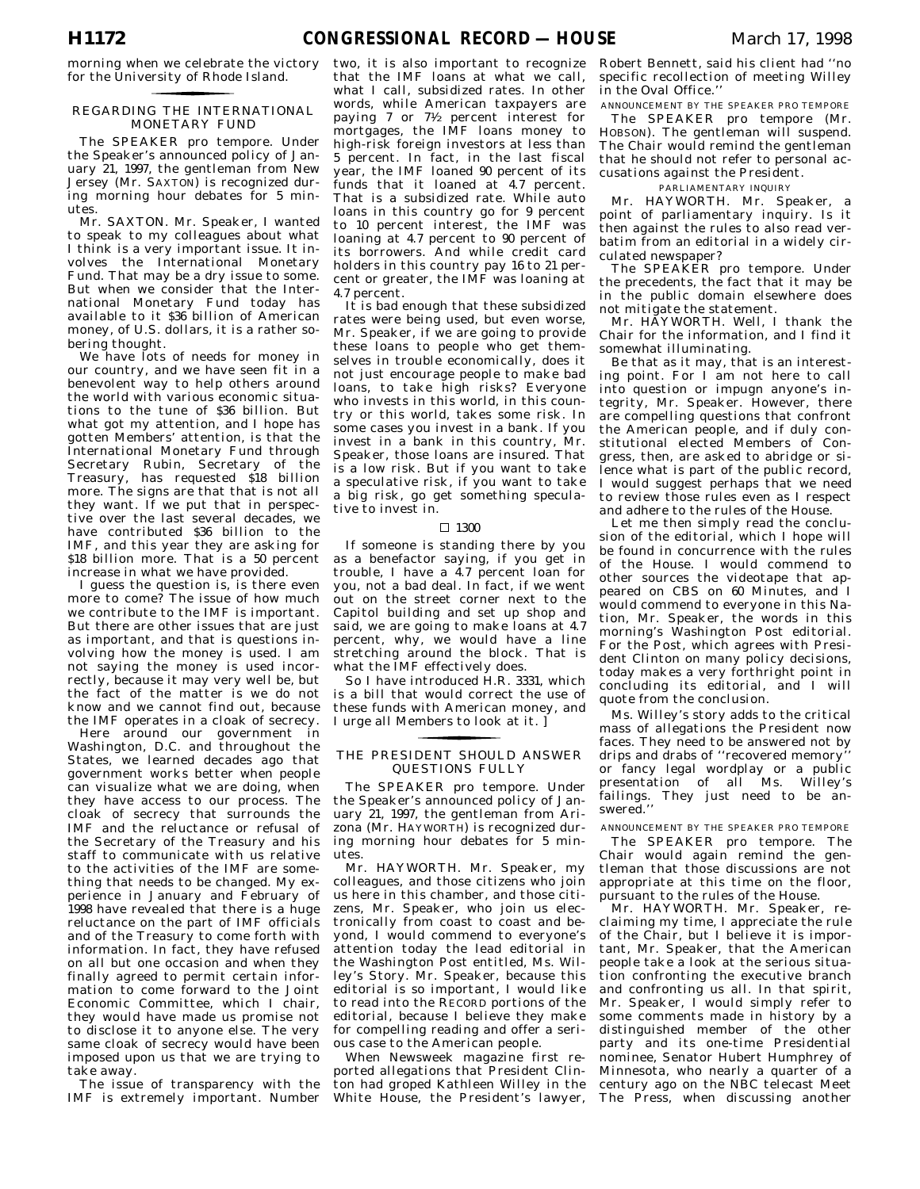morning when we celebrate the victory for the University of Rhode Island. for the control of the control of

#### REGARDING THE INTERNATIONAL MONETARY FUND

The SPEAKER pro tempore. Under the Speaker's announced policy of January 21, 1997, the gentleman from New Jersey (Mr. SAXTON) is recognized during morning hour debates for 5 minutes.

Mr. SAXTON. Mr. Speaker, I wanted to speak to my colleagues about what I think is a very important issue. It involves the International Monetary Fund. That may be a dry issue to some. But when we consider that the International Monetary Fund today has available to it \$36 billion of American money, of U.S. dollars, it is a rather sobering thought.

We have lots of needs for money in our country, and we have seen fit in a benevolent way to help others around the world with various economic situations to the tune of \$36 billion. But what got my attention, and I hope has gotten Members' attention, is that the International Monetary Fund through Secretary Rubin, Secretary of the Treasury, has requested \$18 billion more. The signs are that that is not all they want. If we put that in perspective over the last several decades, we have contributed \$36 billion to the IMF, and this year they are asking for \$18 billion more. That is a 50 percent increase in what we have provided.

I guess the question is, is there even more to come? The issue of how much we contribute to the IMF is important. But there are other issues that are just as important, and that is questions involving how the money is used. I am not saying the money is used incorrectly, because it may very well be, but the fact of the matter is we do not know and we cannot find out, because the IMF operates in a cloak of secrecy.

Here around our government in Washington, D.C. and throughout the States, we learned decades ago that government works better when people can visualize what we are doing, when they have access to our process. The cloak of secrecy that surrounds the IMF and the reluctance or refusal of the Secretary of the Treasury and his staff to communicate with us relative to the activities of the IMF are something that needs to be changed. My experience in January and February of 1998 have revealed that there is a huge reluctance on the part of IMF officials and of the Treasury to come forth with information. In fact, they have refused on all but one occasion and when they finally agreed to permit certain information to come forward to the Joint Economic Committee, which I chair, they would have made us promise not to disclose it to anyone else. The very same cloak of secrecy would have been imposed upon us that we are trying to take away.

The issue of transparency with the IMF is extremely important. Number

two, it is also important to recognize that the IMF loans at what we call, what I call, subsidized rates. In other words, while American taxpayers are paying 7 or 71⁄2 percent interest for mortgages, the IMF loans money to high-risk foreign investors at less than 5 percent. In fact, in the last fiscal year, the IMF loaned 90 percent of its funds that it loaned at 4.7 percent. That is a subsidized rate. While auto loans in this country go for 9 percent to 10 percent interest, the IMF was loaning at 4.7 percent to 90 percent of its borrowers. And while credit card holders in this country pay 16 to 21 percent or greater, the IMF was loaning at 4.7 percent.

It is bad enough that these subsidized rates were being used, but even worse, Mr. Speaker, if we are going to provide these loans to people who get themselves in trouble economically, does it not just encourage people to make bad loans, to take high risks? Everyone who invests in this world, in this country or this world, takes some risk. In some cases you invest in a bank. If you invest in a bank in this country, Mr. Speaker, those loans are insured. That is a low risk. But if you want to take a speculative risk, if you want to take a big risk, go get something speculative to invest in.

#### $\Box$  1300

If someone is standing there by you as a benefactor saying, if you get in trouble, I have a 4.7 percent loan for you, not a bad deal. In fact, if we went out on the street corner next to the Capitol building and set up shop and said, we are going to make loans at 4.7 percent, why, we would have a line stretching around the block. That is what the IMF effectively does.

So I have introduced H.R. 3331, which is a bill that would correct the use of these funds with American money, and I urge all Members to look at it.  $\check{I}$ 

#### THE PRESIDENT SHOULD ANSWER QUESTIONS FULLY for the control of the control of

The SPEAKER pro tempore. Under the Speaker's announced policy of January 21, 1997, the gentleman from Arizona (Mr. HAYWORTH) is recognized during morning hour debates for 5 minutes.

Mr. HAYWORTH. Mr. Speaker, my colleagues, and those citizens who join us here in this chamber, and those citizens, Mr. Speaker, who join us electronically from coast to coast and beyond, I would commend to everyone's attention today the lead editorial in the Washington Post entitled, Ms. Willey's Story. Mr. Speaker, because this editorial is so important, I would like to read into the RECORD portions of the editorial, because I believe they make for compelling reading and offer a serious case to the American people.

When Newsweek magazine first reported allegations that President Clinton had groped Kathleen Willey in the White House, the President's lawyer, Robert Bennett, said his client had ''no specific recollection of meeting Willey in the Oval Office.''

ANNOUNCEMENT BY THE SPEAKER PRO TEMPORE The SPEAKER pro tempore (Mr. HOBSON). The gentleman will suspend. The Chair would remind the gentleman that he should not refer to personal accusations against the President.

PARLIAMENTARY INQUIRY

Mr. HAYWORTH. Mr. Speaker, a point of parliamentary inquiry. Is it then against the rules to also read verbatim from an editorial in a widely circulated newspaper?

The SPEAKER pro tempore. Under the precedents, the fact that it may be in the public domain elsewhere does not mitigate the statement.

Mr. HAYWORTH. Well, I thank the Chair for the information, and I find it somewhat illuminating.

Be that as it may, that is an interesting point. For I am not here to call into question or impugn anyone's integrity, Mr. Speaker. However, there are compelling questions that confront the American people, and if duly constitutional elected Members of Congress, then, are asked to abridge or silence what is part of the public record, I would suggest perhaps that we need to review those rules even as I respect and adhere to the rules of the House.

Let me then simply read the conclusion of the editorial, which I hope will be found in concurrence with the rules of the House. I would commend to other sources the videotape that appeared on CBS on 60 Minutes, and I would commend to everyone in this Nation, Mr. Speaker, the words in this morning's Washington Post editorial. For the Post, which agrees with President Clinton on many policy decisions, today makes a very forthright point in concluding its editorial, and I will quote from the conclusion.

Ms. Willey's story adds to the critical mass of allegations the President now faces. They need to be answered not by drips and drabs of ''recovered memory'' or fancy legal wordplay or a public presentation of all Ms. Willey's failings. They just need to be answered.''

ANNOUNCEMENT BY THE SPEAKER PRO TEMPORE

The SPEAKER pro tempore. The Chair would again remind the gentleman that those discussions are not appropriate at this time on the floor, pursuant to the rules of the House.

Mr. HAYWORTH. Mr. Speaker, reclaiming my time, I appreciate the rule of the Chair, but I believe it is important, Mr. Speaker, that the American people take a look at the serious situation confronting the executive branch and confronting us all. In that spirit, Mr. Speaker, I would simply refer to some comments made in history by a distinguished member of the other party and its one-time Presidential nominee, Senator Hubert Humphrey of Minnesota, who nearly a quarter of a century ago on the NBC telecast Meet The Press, when discussing another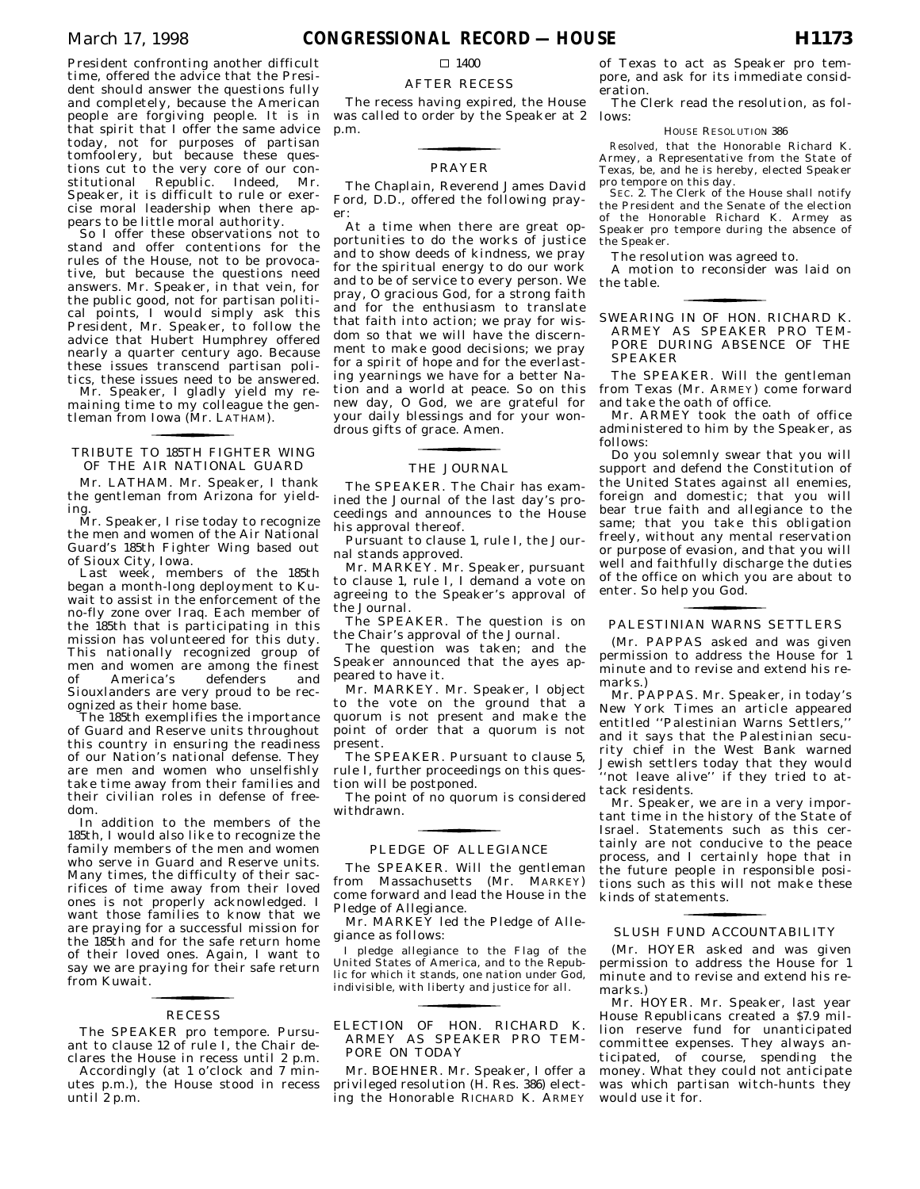President confronting another difficult time, offered the advice that the President should answer the questions fully and completely, because the American people are forgiving people. It is in that spirit that I offer the same advice today, not for purposes of partisan tomfoolery, but because these questions cut to the very core of our constitutional Republic. Indeed, Mr. Speaker, it is difficult to rule or exercise moral leadership when there appears to be little moral authority.

So I offer these observations not to stand and offer contentions for the rules of the House, not to be provocative, but because the questions need answers. Mr. Speaker, in that vein, for the public good, not for partisan political points, I would simply ask this President, Mr. Speaker, to follow the advice that Hubert Humphrey offered nearly a quarter century ago. Because these issues transcend partisan politics, these issues need to be answered. Mr. Speaker, I gladly yield my remaining time to my colleague the gen-

tleman from Iowa (Mr. LATHAM).

#### TRIBUTE TO 185TH FIGHTER WING OF THE AIR NATIONAL GUARD

Mr. LATHAM. Mr. Speaker, I thank the gentleman from Arizona for yielding.

Mr. Speaker, I rise today to recognize the men and women of the Air National Guard's 185th Fighter Wing based out of Sioux City, Iowa.

Last week, members of the 185th began a month-long deployment to Kuwait to assist in the enforcement of the no-fly zone over Iraq. Each member of the 185th that is participating in this mission has volunteered for this duty. This nationally recognized group of men and women are among the finest of America's defenders and Siouxlanders are very proud to be recognized as their home base.

The 185th exemplifies the importance of Guard and Reserve units throughout this country in ensuring the readiness of our Nation's national defense. They are men and women who unselfishly take time away from their families and their civilian roles in defense of freedom.

In addition to the members of the 185th, I would also like to recognize the family members of the men and women who serve in Guard and Reserve units. Many times, the difficulty of their sacrifices of time away from their loved ones is not properly acknowledged. I want those families to know that we are praying for a successful mission for the 185th and for the safe return home of their loved ones. Again, I want to say we are praying for their safe return from Kuwait.

#### for the contract of the contract of RECESS

The SPEAKER pro tempore. Pursuant to clause 12 of rule I, the Chair declares the House in recess until 2 p.m.

Accordingly (at 1 o'clock and 7 minutes p.m.), the House stood in recess until 2 p.m.

#### $\Box$  1400

#### AFTER RECESS

The recess having expired, the House was called to order by the Speaker at 2 p.m.

#### for the control of the control of PRAYER

The Chaplain, Reverend James David Ford, D.D., offered the following prayer:

At a time when there are great opportunities to do the works of justice and to show deeds of kindness, we pray for the spiritual energy to do our work and to be of service to every person. We pray, O gracious God, for a strong faith and for the enthusiasm to translate that faith into action; we pray for wisdom so that we will have the discernment to make good decisions; we pray for a spirit of hope and for the everlasting yearnings we have for a better Nation and a world at peace. So on this new day, O God, we are grateful for your daily blessings and for your wondrous gifts of grace. Amen.

#### THE JOURNAL for the control of the control of

The SPEAKER. The Chair has examined the Journal of the last day's proceedings and announces to the House his approval thereof.

Pursuant to clause 1, rule I, the Journal stands approved.

Mr. MARKEY. Mr. Speaker, pursuant to clause 1, rule I, I demand a vote on agreeing to the Speaker's approval of the Journal.

The SPEAKER. The question is on the Chair's approval of the Journal.

The question was taken; and the Speaker announced that the ayes appeared to have it.

Mr. MARKEY. Mr. Speaker, I object to the vote on the ground that a quorum is not present and make the point of order that a quorum is not present.

The SPEAKER. Pursuant to clause 5, rule I, further proceedings on this question will be postponed.

The point of no quorum is considered withdrawn.

#### PLEDGE OF ALLEGIANCE for the contract of the contract of

The SPEAKER. Will the gentleman from Massachusetts (Mr. MARKEY) come forward and lead the House in the Pledge of Allegiance.

Mr. MARKEY led the Pledge of Allegiance as follows:

I pledge allegiance to the Flag of the United States of America, and to the Republic for which it stands, one nation under God, indivisible, with liberty and justice for all.

#### ELECTION OF HON. RICHARD K. ARMEY AS SPEAKER PRO TEM-PORE ON TODAY

for the state of the state of the

Mr. BOEHNER. Mr. Speaker, I offer a privileged resolution (H. Res. 386) electing the Honorable RICHARD K. ARMEY of Texas to act as Speaker pro tempore, and ask for its immediate consideration.

The Clerk read the resolution, as follows:

#### HOUSE RESOLUTION 386

*Resolved,* that the Honorable Richard K. Armey, a Representative from the State of Texas, be, and he is hereby, elected Speaker pro tempore on this day.

SEC. 2. The Clerk of the House shall notify the President and the Senate of the election of the Honorable Richard K. Armey as Speaker pro tempore during the absence of the Speaker.

The resolution was agreed to.

A motion to reconsider was laid on the table. for the control of the control of

SWEARING IN OF HON. RICHARD K. ARMEY AS SPEAKER PRO TEM-PORE DURING ABSENCE OF THE SPEAKER

The SPEAKER. Will the gentleman from Texas (Mr. ARMEY) come forward and take the oath of office.

Mr. ARMEY took the oath of office administered to him by the Speaker, as follows:

Do you solemnly swear that you will support and defend the Constitution of the United States against all enemies, foreign and domestic; that you will bear true faith and allegiance to the same; that you take this obligation freely, without any mental reservation or purpose of evasion, and that you will well and faithfully discharge the duties of the office on which you are about to enter. So help you God.

#### PALESTINIAN WARNS SETTLERS for the control of the control of

(Mr. PAPPAS asked and was given permission to address the House for 1 minute and to revise and extend his remarks.)

Mr. PAPPAS. Mr. Speaker, in today's New York Times an article appeared entitled ''Palestinian Warns Settlers,'' and it says that the Palestinian security chief in the West Bank warned Jewish settlers today that they would "not leave alive" if they tried to attack residents.

Mr. Speaker, we are in a very important time in the history of the State of Israel. Statements such as this certainly are not conducive to the peace process, and I certainly hope that in the future people in responsible positions such as this will not make these kinds of statements.

#### SLUSH FUND ACCOUNTABILITY for the control of the control of

(Mr. HOYER asked and was given permission to address the House for 1 minute and to revise and extend his remarks.)

Mr. HOYER. Mr. Speaker, last year House Republicans created a \$7.9 million reserve fund for unanticipated committee expenses. They always anticipated, of course, spending the money. What they could not anticipate was which partisan witch-hunts they would use it for.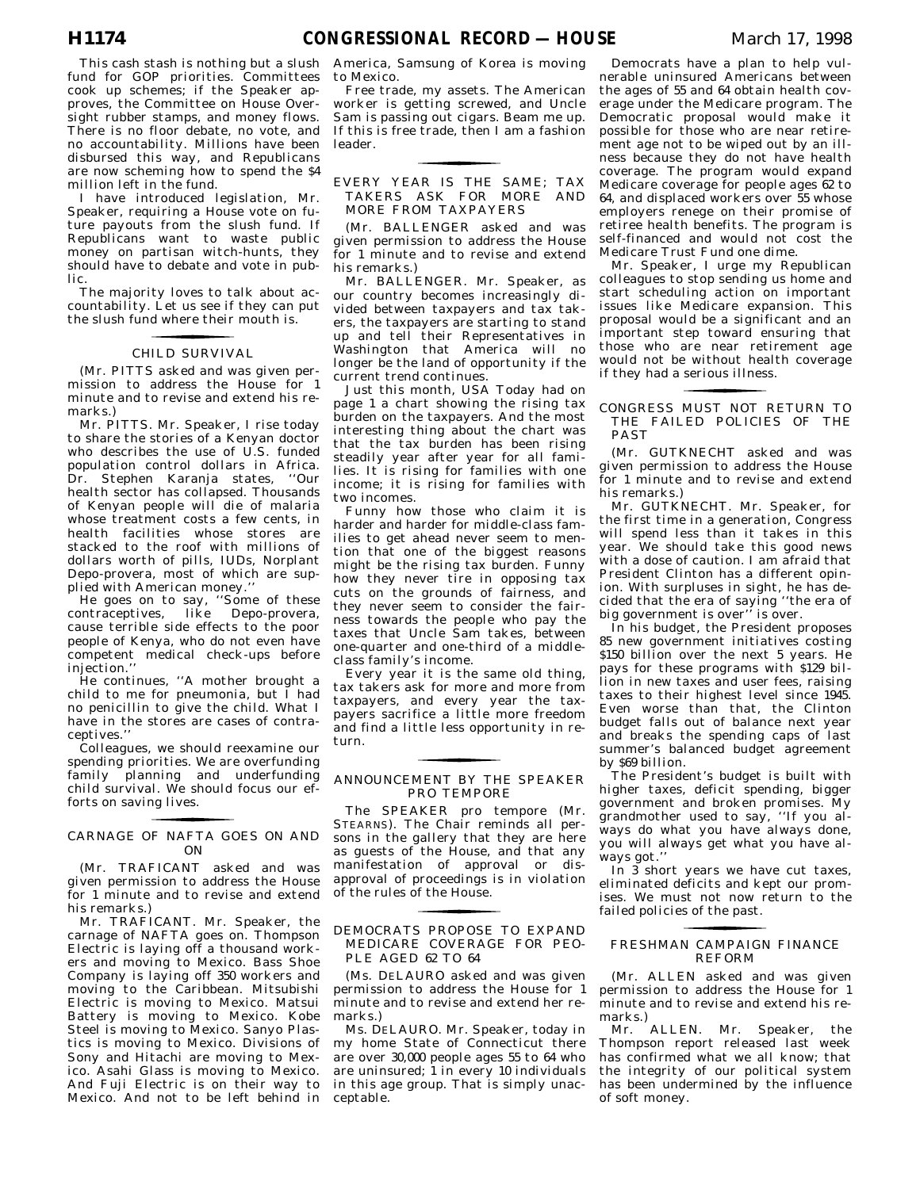This cash stash is nothing but a slush fund for GOP priorities. Committees cook up schemes; if the Speaker approves, the Committee on House Oversight rubber stamps, and money flows. There is no floor debate, no vote, and no accountability. Millions have been disbursed this way, and Republicans are now scheming how to spend the \$4 million left in the fund.

I have introduced legislation, Mr. Speaker, requiring a House vote on future payouts from the slush fund. If Republicans want to waste public money on partisan witch-hunts, they should have to debate and vote in public.

The majority loves to talk about accountability. Let us see if they can put the slush fund where their mouth is.

#### CHILD SURVIVAL for the control of the control of

(Mr. PITTS asked and was given permission to address the House for 1 minute and to revise and extend his remarks.)

Mr. PITTS. Mr. Speaker, I rise today to share the stories of a Kenyan doctor who describes the use of U.S. funded population control dollars in Africa. Dr. Stephen Karanja states, ''Our health sector has collapsed. Thousands of Kenyan people will die of malaria whose treatment costs a few cents, in health facilities whose stores are stacked to the roof with millions of dollars worth of pills, IUDs, Norplant Depo-provera, most of which are supplied with American money.''

He goes on to say, ''Some of these contraceptives, like Depo-provera, cause terrible side effects to the poor people of Kenya, who do not even have competent medical check-ups before injection.''

He continues, ''A mother brought a child to me for pneumonia, but  $\widetilde{I}$  had no penicillin to give the child. What I have in the stores are cases of contraceptives.''

Colleagues, we should reexamine our spending priorities. We are overfunding family planning and underfunding child survival. We should focus our efforts on saving lives.

#### CARNAGE OF NAFTA GOES ON AND for the control of the control of ON

(Mr. TRAFICANT asked and was given permission to address the House for 1 minute and to revise and extend his remarks.)

Mr. TRAFICANT. Mr. Speaker, the carnage of NAFTA goes on. Thompson Electric is laying off a thousand workers and moving to Mexico. Bass Shoe Company is laying off 350 workers and moving to the Caribbean. Mitsubishi Electric is moving to Mexico. Matsui Battery is moving to Mexico. Kobe Steel is moving to Mexico. Sanyo Plastics is moving to Mexico. Divisions of Sony and Hitachi are moving to Mexico. Asahi Glass is moving to Mexico. And Fuji Electric is on their way to Mexico. And not to be left behind in

America, Samsung of Korea is moving to Mexico.

Free trade, my assets. The American worker is getting screwed, and Uncle Sam is passing out cigars. Beam me up. If this is free trade, then I am a fashion leader.

EVERY YEAR IS THE SAME; TAX TAKERS ASK FOR MORE AND MORE FROM TAXPAYERS

for the control of the control of

(Mr. BALLENGER asked and was given permission to address the House for 1 minute and to revise and extend his remarks.)

Mr. BALLENGER. Mr. Speaker, as our country becomes increasingly divided between taxpayers and tax takers, the taxpayers are starting to stand up and tell their Representatives in Washington that America will no longer be the land of opportunity if the current trend continues.

Just this month, USA Today had on page 1 a chart showing the rising tax burden on the taxpayers. And the most interesting thing about the chart was that the tax burden has been rising steadily year after year for all families. It is rising for families with one income; it is rising for families with two incomes.

Funny how those who claim it is harder and harder for middle-class families to get ahead never seem to mention that one of the biggest reasons might be the rising tax burden. Funny how they never tire in opposing tax cuts on the grounds of fairness, and they never seem to consider the fairness towards the people who pay the taxes that Uncle Sam takes, between one-quarter and one-third of a middleclass family's income.

Every year it is the same old thing, tax takers ask for more and more from taxpayers, and every year the taxpayers sacrifice a little more freedom and find a little less opportunity in return.

#### ANNOUNCEMENT BY THE SPEAKER PRO TEMPORE for the control of the control of

The SPEAKER pro tempore (Mr. STEARNS). The Chair reminds all persons in the gallery that they are here as guests of the House, and that any manifestation of approval or disapproval of proceedings is in violation of the rules of the House.

#### DEMOCRATS PROPOSE TO EXPAND MEDICARE COVERAGE FOR PEO-PLE AGED 62 TO 64

for the control of the control of

(Ms. DELAURO asked and was given permission to address the House for 1 minute and to revise and extend her remarks.)

Ms. DELAURO. Mr. Speaker, today in my home State of Connecticut there are over 30,000 people ages 55 to 64 who are uninsured;  $\hat{1}$  in every 10 individuals in this age group. That is simply unacceptable.

Democrats have a plan to help vulnerable uninsured Americans between the ages of 55 and 64 obtain health coverage under the Medicare program. The Democratic proposal would make it possible for those who are near retirement age not to be wiped out by an illness because they do not have health coverage. The program would expand Medicare coverage for people ages 62 to 64, and displaced workers over 55 whose employers renege on their promise of retiree health benefits. The program is self-financed and would not cost the Medicare Trust Fund one dime.

Mr. Speaker, I urge my Republican colleagues to stop sending us home and start scheduling action on important issues like Medicare expansion. This proposal would be a significant and an important step toward ensuring that those who are near retirement age would not be without health coverage if they had a serious illness.

#### CONGRESS MUST NOT RETURN TO THE FAILED POLICIES OF THE PAST

for the contract of the contract of

(Mr. GUTKNECHT asked and was given permission to address the House for 1 minute and to revise and extend his remarks.)

Mr. GUTKNECHT. Mr. Speaker, for the first time in a generation, Congress will spend less than it takes in this year. We should take this good news with a dose of caution. I am afraid that President Clinton has a different opinion. With surpluses in sight, he has decided that the era of saying ''the era of big government is over'<sup>5</sup> is over.

In his budget, the President proposes 85 new government initiatives costing \$150 billion over the next 5 years. He pays for these programs with \$129 billion in new taxes and user fees, raising taxes to their highest level since 1945. Even worse than that, the Clinton budget falls out of balance next year and breaks the spending caps of last summer's balanced budget agreement by \$69 billion.

The President's budget is built with higher taxes, deficit spending, bigger government and broken promises. My grandmother used to say, ''If you always do what you have always done, you will always get what you have always got.''

In 3 short years we have cut taxes, eliminated deficits and kept our promises. We must not now return to the failed policies of the past.

#### FRESHMAN CAMPAIGN FINANCE for the control of the control of REFORM

(Mr. ALLEN asked and was given permission to address the House for 1 minute and to revise and extend his remarks.)

Mr. ALLEN. Mr. Speaker, the Thompson report released last week has confirmed what we all know; that the integrity of our political system has been undermined by the influence of soft money.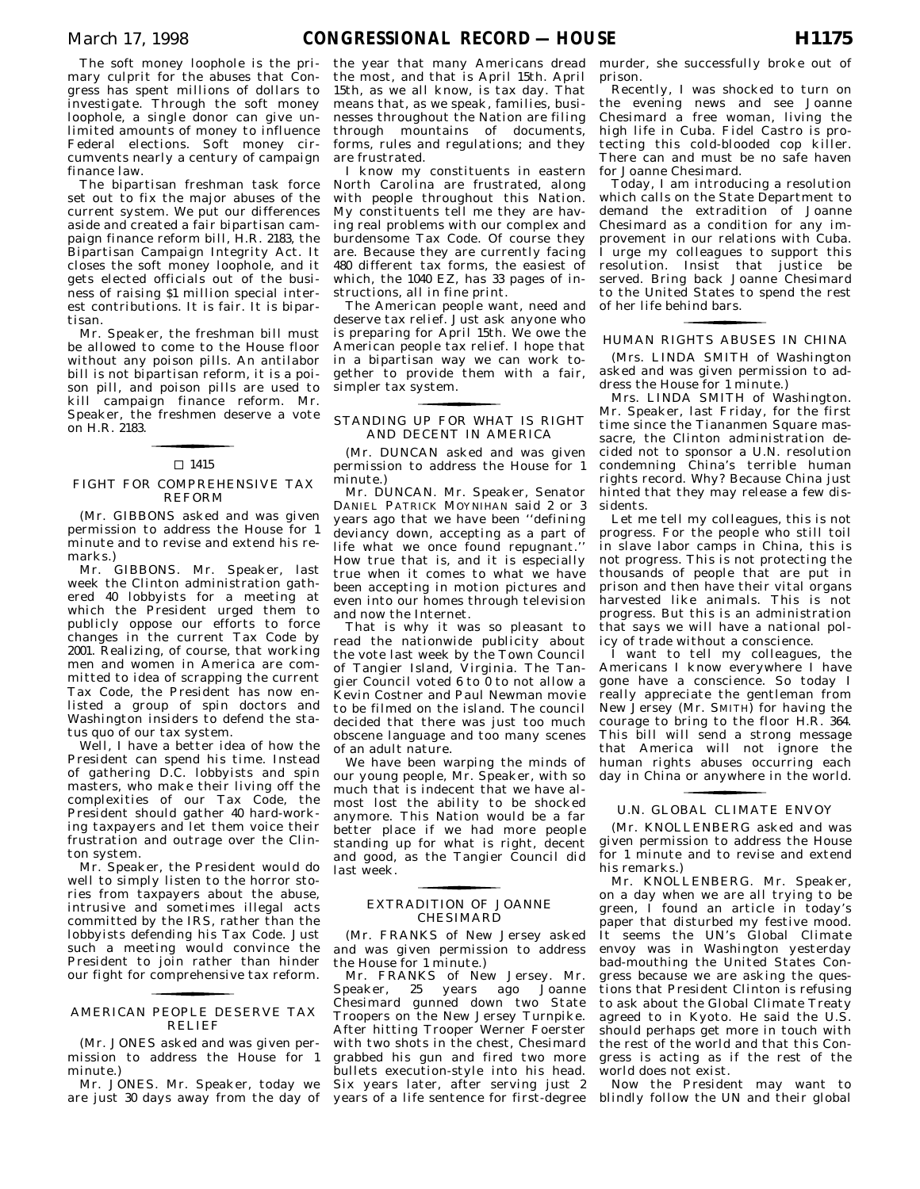The soft money loophole is the primary culprit for the abuses that Congress has spent millions of dollars to investigate. Through the soft money loophole, a single donor can give unlimited amounts of money to influence Federal elections. Soft money circumvents nearly a century of campaign finance law.

The bipartisan freshman task force set out to fix the major abuses of the current system. We put our differences aside and created a fair bipartisan campaign finance reform bill, H.R. 2183, the Bipartisan Campaign Integrity Act. It closes the soft money loophole, and it gets elected officials out of the business of raising \$1 million special interest contributions. It is fair. It is bipartisan.

Mr. Speaker, the freshman bill must be allowed to come to the House floor without any poison pills. An antilabor bill is not bipartisan reform, it is a poison pill, and poison pills are used to kill campaign finance reform. Mr. Speaker, the freshmen deserve a vote on H.R. 2183.

#### $\Box$  1415

#### FIGHT FOR COMPREHENSIVE TAX REFORM

(Mr. GIBBONS asked and was given permission to address the House for 1 minute and to revise and extend his remarks.)

Mr. GIBBONS. Mr. Speaker, last week the Clinton administration gathered 40 lobbyists for a meeting at which the President urged them to publicly oppose our efforts to force changes in the current Tax Code by 2001. Realizing, of course, that working men and women in America are committed to idea of scrapping the current Tax Code, the President has now enlisted a group of spin doctors and Washington insiders to defend the status quo of our tax system.

Well, I have a better idea of how the President can spend his time. Instead of gathering D.C. lobbyists and spin masters, who make their living off the complexities of our Tax Code, the President should gather 40 hard-working taxpayers and let them voice their frustration and outrage over the Clinton system.

Mr. Speaker, the President would do well to simply listen to the horror stories from taxpayers about the abuse, intrusive and sometimes illegal acts committed by the IRS, rather than the lobbyists defending his Tax Code. Just such a meeting would convince the President to join rather than hinder our fight for comprehensive tax reform.

#### AMERICAN PEOPLE DESERVE TAX for the contract of the contract of RELIEF

(Mr. JONES asked and was given permission to address the House for 1 minute.)

Mr. JONES. Mr. Speaker, today we are just 30 days away from the day of

the year that many Americans dread the most, and that is April 15th. April 15th, as we all know, is tax day. That means that, as we speak, families, businesses throughout the Nation are filing through mountains of documents, forms, rules and regulations; and they are frustrated.

I know my constituents in eastern North Carolina are frustrated, along with people throughout this Nation. My constituents tell me they are having real problems with our complex and burdensome Tax Code. Of course they are. Because they are currently facing 480 different tax forms, the easiest of which, the 1040 EZ, has 33 pages of instructions, all in fine print.

The American people want, need and deserve tax relief. Just ask anyone who is preparing for April 15th. We owe the American people tax relief. I hope that in a bipartisan way we can work together to provide them with a fair, simpler tax system.

#### STANDING UP FOR WHAT IS RIGHT AND DECENT IN AMERICA for the control of the control of

(Mr. DUNCAN asked and was given permission to address the House for 1 minute.)

Mr. DUNCAN. Mr. Speaker, Senator DANIEL PATRICK MOYNIHAN said 2 or 3 years ago that we have been ''defining deviancy down, accepting as a part of life what we once found repugnant.'' How true that is, and it is especially true when it comes to what we have been accepting in motion pictures and even into our homes through television and now the Internet.

That is why it was so pleasant to read the nationwide publicity about the vote last week by the Town Council of Tangier Island, Virginia. The Tangier Council voted 6 to 0 to not allow a Kevin Costner and Paul Newman movie to be filmed on the island. The council decided that there was just too much obscene language and too many scenes of an adult nature.

We have been warping the minds of our young people, Mr. Speaker, with so much that is indecent that we have almost lost the ability to be shocked anymore. This Nation would be a far better place if we had more people standing up for what is right, decent and good, as the Tangier Council did last week.

#### EXTRADITION OF JOANNE CHESIMARD for the control of the control of

(Mr. FRANKS of New Jersey asked and was given permission to address the House for 1 minute.)

Mr. FRANKS of New Jersey. Mr. Speaker, 25 years ago Joanne Chesimard gunned down two State Troopers on the New Jersey Turnpike. After hitting Trooper Werner Foerster with two shots in the chest, Chesimard grabbed his gun and fired two more bullets execution-style into his head. Six years later, after serving just 2 years of a life sentence for first-degree

murder, she successfully broke out of prison.

Recently, I was shocked to turn on the evening news and see Joanne Chesimard a free woman, living the high life in Cuba. Fidel Castro is protecting this cold-blooded cop killer. There can and must be no safe haven for Joanne Chesimard.

Today, I am introducing a resolution which calls on the State Department to demand the extradition of Joanne Chesimard as a condition for any improvement in our relations with Cuba. I urge my colleagues to support this resolution. Insist that justice be served. Bring back Joanne Chesimard to the United States to spend the rest of her life behind bars.

#### HUMAN RIGHTS ABUSES IN CHINA for the control of the control of

(Mrs. LINDA SMITH of Washington asked and was given permission to address the House for 1 minute.)

Mrs. LINDA SMITH of Washington. Mr. Speaker, last Friday, for the first time since the Tiananmen Square massacre, the Clinton administration decided not to sponsor a U.N. resolution condemning China's terrible human rights record. Why? Because China just hinted that they may release a few dissidents.

Let me tell my colleagues, this is not progress. For the people who still toil in slave labor camps in China, this is not progress. This is not protecting the thousands of people that are put in prison and then have their vital organs harvested like animals. This is not progress. But this is an administration that says we will have a national policy of trade without a conscience.

I want to tell my colleagues, the Americans I know everywhere I have gone have a conscience. So today I really appreciate the gentleman from New Jersey (Mr. SMITH) for having the courage to bring to the floor H.R. 364. This bill will send a strong message that America will not ignore the human rights abuses occurring each day in China or anywhere in the world.

#### U.N. GLOBAL CLIMATE ENVOY for the control of the control of

(Mr. KNOLLENBERG asked and was given permission to address the House for 1 minute and to revise and extend his remarks.)

Mr. KNOLLENBERG. Mr. Speaker, on a day when we are all trying to be green, I found an article in today's paper that disturbed my festive mood. It seems the UN's Global Climate envoy was in Washington yesterday bad-mouthing the United States Congress because we are asking the questions that President Clinton is refusing to ask about the Global Climate Treaty agreed to in Kyoto. He said the U.S. should perhaps get more in touch with the rest of the world and that this Congress is acting as if the rest of the world does not exist.

Now the President may want to blindly follow the UN and their global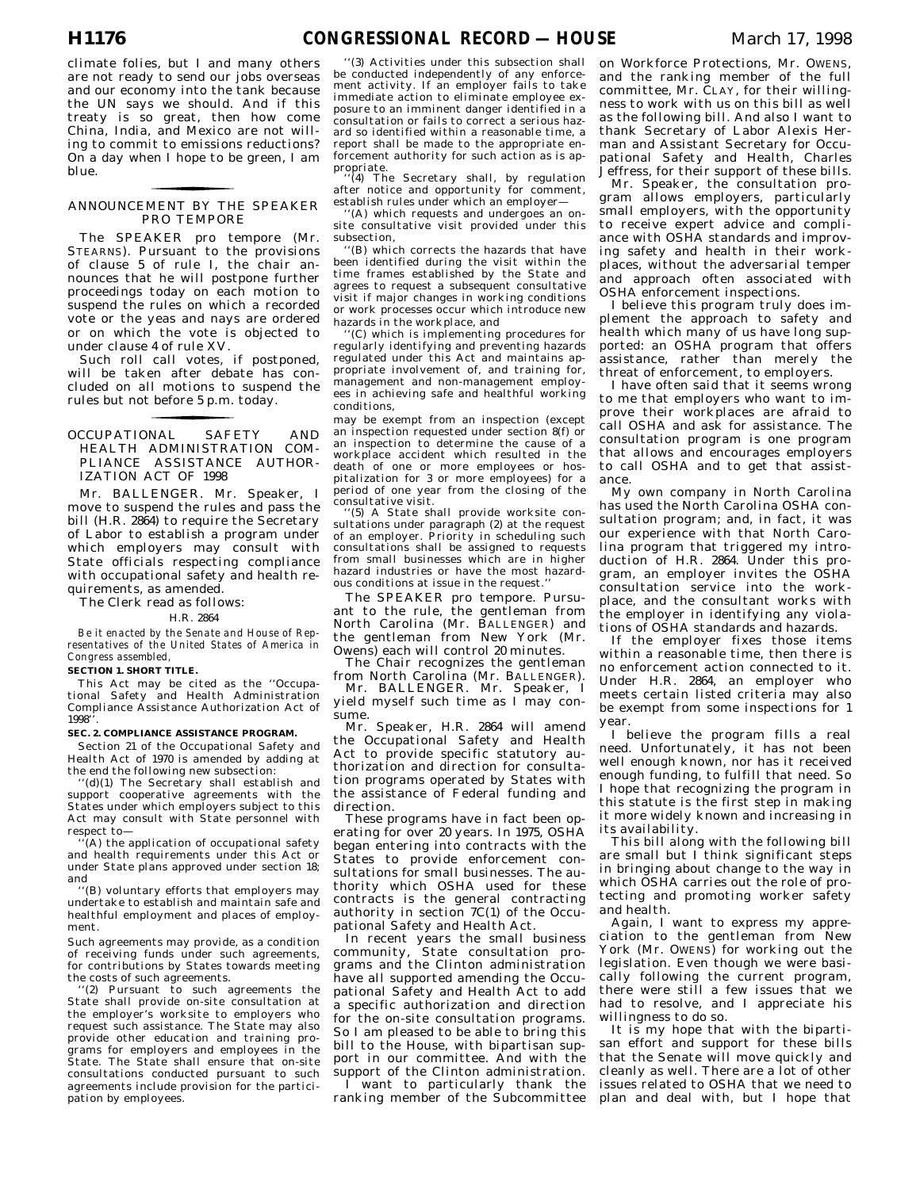climate folies, but I and many others are not ready to send our jobs overseas and our economy into the tank because the UN says we should. And if this treaty is so great, then how come China, India, and Mexico are not willing to commit to emissions reductions? On a day when I hope to be green, I am blue.

#### ANNOUNCEMENT BY THE SPEAKER PRO TEMPORE for the control of the control of

The SPEAKER pro tempore (Mr. STEARNS). Pursuant to the provisions of clause 5 of rule I, the chair announces that he will postpone further proceedings today on each motion to suspend the rules on which a recorded vote or the yeas and nays are ordered or on which the vote is objected to under clause 4 of rule XV.

Such roll call votes, if postponed, will be taken after debate has concluded on all motions to suspend the rules but not before 5 p.m. today.

for the contract of the contract of

#### OCCUPATIONAL SAFETY AND HEALTH ADMINISTRATION COM-PLIANCE ASSISTANCE AUTHOR-IZATION ACT OF 1998

Mr. BALLENGER. Mr. Speaker, I move to suspend the rules and pass the bill (H.R. 2864) to require the Secretary of Labor to establish a program under which employers may consult with State officials respecting compliance with occupational safety and health requirements, as amended.

#### The Clerk read as follows:

#### H.R. 2864

*Be it enacted by the Senate and House of Representatives of the United States of America in Congress assembled,*

#### **SECTION 1. SHORT TITLE.**

This Act may be cited as the ''Occupational Safety and Health Administration Compliance Assistance Authorization Act of 1998''.

#### **SEC. 2. COMPLIANCE ASSISTANCE PROGRAM.**

Section 21 of the Occupational Safety and Health Act of 1970 is amended by adding at the end the following new subsection:

'(d)(1) The Secretary shall establish and support cooperative agreements with the States under which employers subject to this Act may consult with State personnel with respect to—

''(A) the application of occupational safety and health requirements under this Act or under State plans approved under section 18; and

''(B) voluntary efforts that employers may undertake to establish and maintain safe and healthful employment and places of employment.

Such agreements may provide, as a condition of receiving funds under such agreements, for contributions by States towards meeting the costs of such agreements.

''(2) Pursuant to such agreements the State shall provide on-site consultation at the employer's worksite to employers who request such assistance. The State may also provide other education and training programs for employers and employees in the State. The State shall ensure that on-site consultations conducted pursuant to such agreements include provision for the participation by employees.

(3) Activities under this subsection shall be conducted independently of any enforcement activity. If an employer fails to take immediate action to eliminate employee exposure to an imminent danger identified in a consultation or fails to correct a serious hazard so identified within a reasonable time, a report shall be made to the appropriate enforcement authority for such action as is appropriate.

''(4) The Secretary shall, by regulation after notice and opportunity for comment, establish rules under which an employer—

''(A) which requests and undergoes an onsite consultative visit provided under this subsection,

''(B) which corrects the hazards that have been identified during the visit within the time frames established by the State and agrees to request a subsequent consultative visit if major changes in working conditions or work processes occur which introduce new hazards in the workplace, and

''(C) which is implementing procedures for regularly identifying and preventing hazards regulated under this Act and maintains appropriate involvement of, and training for, management and non-management employees in achieving safe and healthful working conditions,

may be exempt from an inspection (except an inspection requested under section 8(f) or an inspection to determine the cause of a workplace accident which resulted in the death of one or more employees or hospitalization for 3 or more employees) for a period of one year from the closing of the consultative visit.

(5) A State shall provide worksite consultations under paragraph (2) at the request of an employer. Priority in scheduling such consultations shall be assigned to requests from small businesses which are in higher hazard industries or have the most hazardous conditions at issue in the request.

The SPEAKER pro tempore. Pursuant to the rule, the gentleman from North Carolina (Mr. BALLENGER) and the gentleman from New York (Mr. Owens) each will control 20 minutes.

The Chair recognizes the gentleman from North Carolina (Mr. BALLENGER).

Mr. BALLENGER. Mr. Speaker, I yield myself such time as I may consume.

Mr. Speaker, H.R. 2864 will amend the Occupational Safety and Health Act to provide specific statutory authorization and direction for consultation programs operated by States with the assistance of Federal funding and direction.

These programs have in fact been operating for over 20 years. In 1975, OSHA began entering into contracts with the States to provide enforcement consultations for small businesses. The authority which OSHA used for these contracts is the general contracting authority in section 7C(1) of the Occupational Safety and Health Act.

In recent years the small business community, State consultation programs and the Clinton administration have all supported amending the Occupational Safety and Health Act to add a specific authorization and direction for the on-site consultation programs. So I am pleased to be able to bring this bill to the House, with bipartisan support in our committee. And with the support of the Clinton administration.

want to particularly thank the ranking member of the Subcommittee on Workforce Protections, Mr. OWENS, and the ranking member of the full committee, Mr. CLAY, for their willingness to work with us on this bill as well as the following bill. And also I want to thank Secretary of Labor Alexis Herman and Assistant Secretary for Occupational Safety and Health, Charles Jeffress, for their support of these bills.

Mr. Speaker, the consultation program allows employers, particularly small employers, with the opportunity to receive expert advice and compliance with OSHA standards and improving safety and health in their workplaces, without the adversarial temper and approach often associated with OSHA enforcement inspections.

I believe this program truly does implement the approach to safety and health which many of us have long supported: an OSHA program that offers assistance, rather than merely the threat of enforcement, to employers.

I have often said that it seems wrong to me that employers who want to improve their workplaces are afraid to call OSHA and ask for assistance. The consultation program is one program that allows and encourages employers to call OSHA and to get that assistance.

My own company in North Carolina has used the North Carolina OSHA consultation program; and, in fact, it was our experience with that North Carolina program that triggered my introduction of H.R. 2864. Under this program, an employer invites the OSHA consultation service into the workplace, and the consultant works with the employer in identifying any violations of OSHA standards and hazards.

If the employer fixes those items within a reasonable time, then there is no enforcement action connected to it. Under H.R. 2864, an employer who meets certain listed criteria may also be exempt from some inspections for 1 year.

I believe the program fills a real need. Unfortunately, it has not been well enough known, nor has it received enough funding, to fulfill that need. So I hope that recognizing the program in this statute is the first step in making it more widely known and increasing in its availability.

This bill along with the following bill are small but I think significant steps in bringing about change to the way in which OSHA carries out the role of protecting and promoting worker safety and health.

Again, I want to express my appreciation to the gentleman from New York (Mr. OWENS) for working out the legislation. Even though we were basically following the current program, there were still a few issues that we had to resolve, and I appreciate his willingness to do so.

It is my hope that with the bipartisan effort and support for these bills that the Senate will move quickly and cleanly as well. There are a lot of other issues related to OSHA that we need to plan and deal with, but I hope that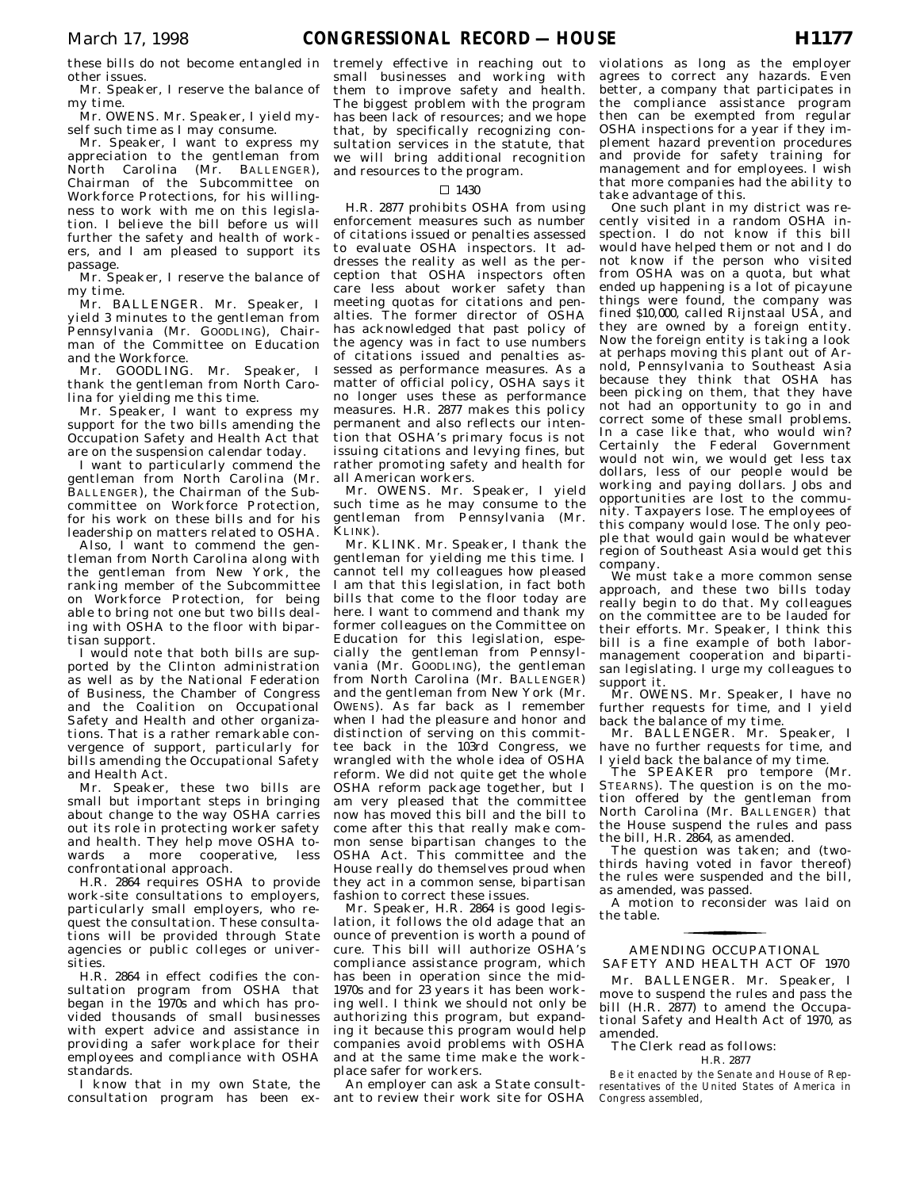Mr. Speaker, I reserve the balance of my time.

Mr. OWENS. Mr. Speaker, I yield myself such time as I may consume.

Mr. Speaker, I want to express my appreciation to the gentleman from North Carolina (Mr. BALLENGER), Chairman of the Subcommittee on Workforce Protections, for his willingness to work with me on this legislation. I believe the bill before us will further the safety and health of workers, and I am pleased to support its passage.

Mr. Speaker, I reserve the balance of my time.

Mr. BALLENGER. Mr. Speaker, I yield 3 minutes to the gentleman from Pennsylvania (Mr. GOODLING), Chairman of the Committee on Education and the Workforce.

Mr. GOODLING. Mr. Speaker, I thank the gentleman from North Carolina for yielding me this time.

Mr. Speaker, I want to express my support for the two bills amending the Occupation Safety and Health Act that are on the suspension calendar today.

I want to particularly commend the gentleman from North Carolina (Mr. BALLENGER), the Chairman of the Subcommittee on Workforce Protection, for his work on these bills and for his leadership on matters related to OSHA.

Also, I want to commend the gentleman from North Carolina along with the gentleman from New York, the ranking member of the Subcommittee on Workforce Protection, for being able to bring not one but two bills dealing with OSHA to the floor with bipartisan support.

I would note that both bills are supported by the Clinton administration as well as by the National Federation of Business, the Chamber of Congress and the Coalition on Occupational Safety and Health and other organizations. That is a rather remarkable convergence of support, particularly for bills amending the Occupational Safety and Health Act.

Mr. Speaker, these two bills are small but important steps in bringing about change to the way OSHA carries out its role in protecting worker safety and health. They help move OSHA towards a more cooperative, less confrontational approach.

H.R. 2864 requires OSHA to provide work-site consultations to employers, particularly small employers, who request the consultation. These consultations will be provided through State agencies or public colleges or universities.

H.R. 2864 in effect codifies the consultation program from OSHA that began in the 1970s and which has provided thousands of small businesses with expert advice and assistance in providing a safer workplace for their employees and compliance with OSHA standards.

I know that in my own State, the consultation program has been extremely effective in reaching out to small businesses and working with them to improve safety and health. The biggest problem with the program has been lack of resources; and we hope that, by specifically recognizing consultation services in the statute, that we will bring additional recognition and resources to the program.

#### $\Box$  1430

H.R. 2877 prohibits OSHA from using enforcement measures such as number of citations issued or penalties assessed to evaluate OSHA inspectors. It addresses the reality as well as the perception that OSHA inspectors often care less about worker safety than meeting quotas for citations and penalties. The former director of OSHA has acknowledged that past policy of the agency was in fact to use numbers of citations issued and penalties assessed as performance measures. As a matter of official policy, OSHA says it no longer uses these as performance measures. H.R. 2877 makes this policy permanent and also reflects our intention that OSHA's primary focus is not issuing citations and levying fines, but rather promoting safety and health for all American workers.

Mr. OWENS. Mr. Speaker, I yield such time as he may consume to the gentleman from Pennsylvania (Mr. KLINK).

Mr. KLINK. Mr. Speaker, I thank the gentleman for yielding me this time. I cannot tell my colleagues how pleased I am that this legislation, in fact both bills that come to the floor today are here. I want to commend and thank my former colleagues on the Committee on Education for this legislation, especially the gentleman from Pennsylvania (Mr. GOODLING), the gentleman from North Carolina (Mr. BALLENGER) and the gentleman from New York (Mr. OWENS). As far back as I remember when I had the pleasure and honor and distinction of serving on this committee back in the 103rd Congress, we wrangled with the whole idea of OSHA reform. We did not quite get the whole OSHA reform package together, but I am very pleased that the committee now has moved this bill and the bill to come after this that really make common sense bipartisan changes to the OSHA Act. This committee and the House really do themselves proud when they act in a common sense, bipartisan fashion to correct these issues.

Mr. Speaker, H.R. 2864 is good legislation, it follows the old adage that an ounce of prevention is worth a pound of cure. This bill will authorize OSHA's compliance assistance program, which has been in operation since the mid-1970s and for 23 years it has been working well. I think we should not only be authorizing this program, but expanding it because this program would help companies avoid problems with OSHA and at the same time make the workplace safer for workers.

An employer can ask a State consultant to review their work site for OSHA violations as long as the employer agrees to correct any hazards. Even better, a company that participates in the compliance assistance program then can be exempted from regular OSHA inspections for a year if they implement hazard prevention procedures and provide for safety training for management and for employees. I wish that more companies had the ability to take advantage of this.

One such plant in my district was recently visited in a random OSHA inspection. I do not know if this bill would have helped them or not and I do not know if the person who visited from OSHA was on a quota, but what ended up happening is a lot of picayune things were found, the company was fined \$10,000, called Rijnstaal USA, and they are owned by a foreign entity. Now the foreign entity is taking a look at perhaps moving this plant out of Arnold, Pennsylvania to Southeast Asia because they think that OSHA has been picking on them, that they have not had an opportunity to go in and correct some of these small problems. In a case like that, who would win? Certainly the Federal Government would not win, we would get less tax dollars, less of our people would be working and paying dollars. Jobs and opportunities are lost to the community. Taxpayers lose. The employees of this company would lose. The only people that would gain would be whatever region of Southeast Asia would get this company.

We must take a more common sense approach, and these two bills today really begin to do that. My colleagues on the committee are to be lauded for their efforts. Mr. Speaker, I think this bill is a fine example of both labormanagement cooperation and bipartisan legislating. I urge my colleagues to support it.

Mr. OWENS. Mr. Speaker, I have no further requests for time, and I yield back the balance of my time.

Mr. BALLENGER. Mr. Speaker, I have no further requests for time, and I yield back the balance of my time.

The SPEAKER pro tempore (Mr. STEARNS). The question is on the motion offered by the gentleman from North Carolina (Mr. BALLENGER) that the House suspend the rules and pass the bill, H.R. 2864, as amended.

The question was taken; and (twothirds having voted in favor thereof) the rules were suspended and the bill, as amended, was passed.

A motion to reconsider was laid on the table. for the control of the control of

#### AMENDING OCCUPATIONAL

SAFETY AND HEALTH ACT OF 1970 Mr. BALLENGER. Mr. Speaker, I

move to suspend the rules and pass the bill (H.R. 2877) to amend the Occupational Safety and Health Act of 1970, as amended.

The Clerk read as follows:

H.R. 2877

*Be it enacted by the Senate and House of Representatives of the United States of America in Congress assembled,*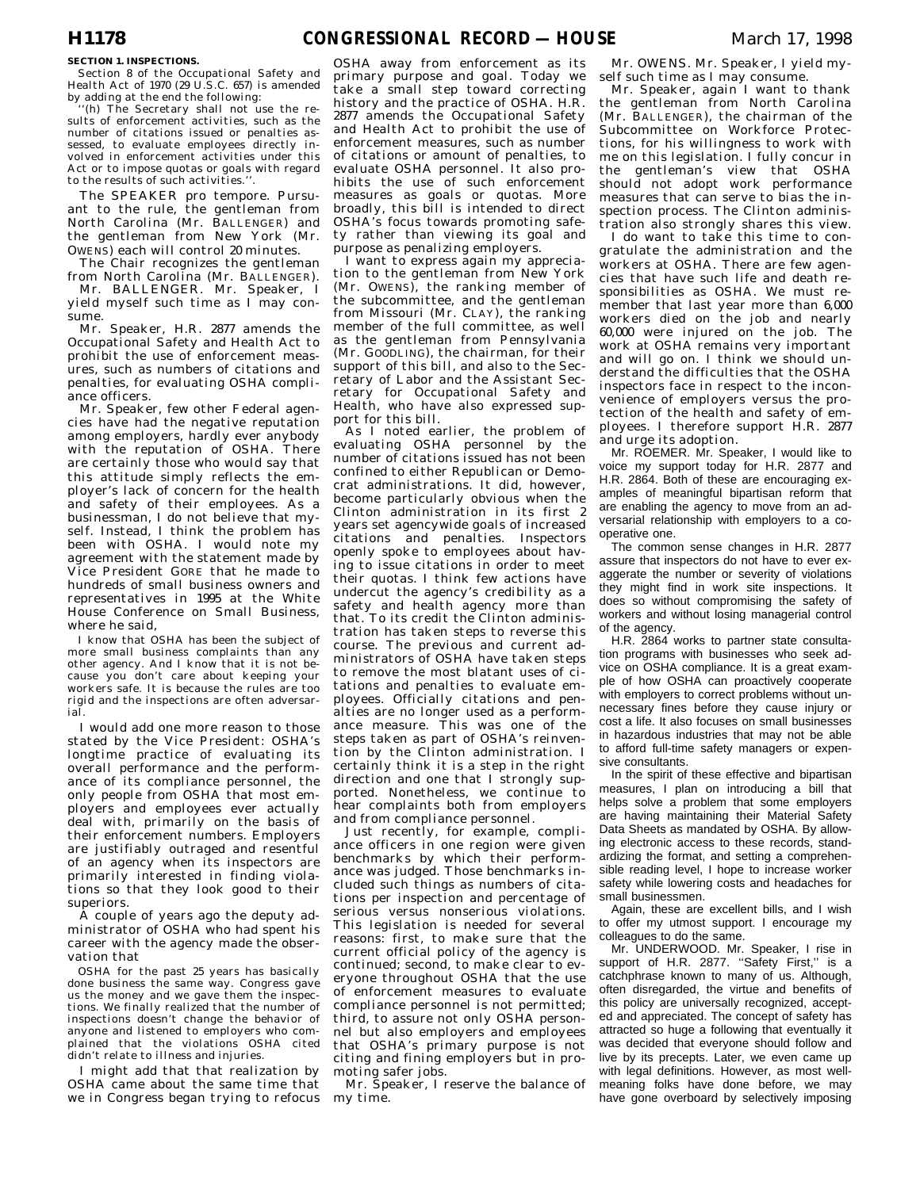#### **SECTION 1. INSPECTIONS.**

Section 8 of the Occupational Safety and Health Act of 1970 (29 U.S.C. 657) is amended by adding at the end the following:

(h) The Secretary shall not use the results of enforcement activities, such as the number of citations issued or penalties assessed, to evaluate employees directly involved in enforcement activities under this Act or to impose quotas or goals with regard to the results of such activities."

The SPEAKER pro tempore. Pursuant to the rule, the gentleman from North Carolina (Mr. BALLENGER) and the gentleman from New York (Mr. OWENS) each will control 20 minutes.

The Chair recognizes the gentleman from North Carolina (Mr. BALLENGER). Mr. BALLENGER. Mr. Speaker, I

yield myself such time as I may consume.

Mr. Speaker, H.R. 2877 amends the Occupational Safety and Health Act to prohibit the use of enforcement measures, such as numbers of citations and penalties, for evaluating OSHA compliance officers.

Mr. Speaker, few other Federal agencies have had the negative reputation among employers, hardly ever anybody with the reputation of OSHA. There are certainly those who would say that this attitude simply reflects the employer's lack of concern for the health and safety of their employees. As a businessman, I do not believe that myself. Instead, I think the problem has been with OSHA. I would note my agreement with the statement made by Vice President GORE that he made to hundreds of small business owners and representatives in 1995 at the White House Conference on Small Business, where he said,

I know that OSHA has been the subject of more small business complaints than any other agency. And I know that it is not because you don't care about keeping your workers safe. It is because the rules are too rigid and the inspections are often adversarial.

I would add one more reason to those stated by the Vice President: OSHA's longtime practice of evaluating its overall performance and the performance of its compliance personnel, the only people from OSHA that most employers and employees ever actually deal with, primarily on the basis of their enforcement numbers. Employers are justifiably outraged and resentful of an agency when its inspectors are primarily interested in finding violations so that they look good to their superiors.

A couple of years ago the deputy administrator of OSHA who had spent his career with the agency made the observation that

OSHA for the past 25 years has basically done business the same way. Congress gave us the money and we gave them the inspections. We finally realized that the number of inspections doesn't change the behavior of anyone and listened to employers who complained that the violations OSHA cited didn't relate to illness and injuries.

I might add that that realization by OSHA came about the same time that we in Congress began trying to refocus

OSHA away from enforcement as its primary purpose and goal. Today we take a small step toward correcting history and the practice of OSHA. H.R. 2877 amends the Occupational Safety and Health Act to prohibit the use of enforcement measures, such as number of citations or amount of penalties, to evaluate OSHA personnel. It also prohibits the use of such enforcement measures as goals or quotas. More broadly, this bill is intended to direct OSHA's focus towards promoting safety rather than viewing its goal and purpose as penalizing employers.

I want to express again my appreciation to the gentleman from New York (Mr. OWENS), the ranking member of the subcommittee, and the gentleman from Missouri (Mr. CLAY), the ranking member of the full committee, as well as the gentleman from Pennsylvania (Mr. GOODLING), the chairman, for their support of this bill, and also to the Secretary of Labor and the Assistant Secretary for Occupational Safety and Health, who have also expressed support for this bill.

As I noted earlier, the problem of evaluating OSHA personnel by the number of citations issued has not been confined to either Republican or Democrat administrations. It did, however, become particularly obvious when the Clinton administration in its first 2 years set agencywide goals of increased citations and penalties. Inspectors openly spoke to employees about having to issue citations in order to meet their quotas. I think few actions have undercut the agency's credibility as a safety and health agency more than that. To its credit the Clinton administration has taken steps to reverse this course. The previous and current administrators of OSHA have taken steps to remove the most blatant uses of citations and penalties to evaluate employees. Officially citations and penalties are no longer used as a performance measure. This was one of the steps taken as part of OSHA's reinvention by the Clinton administration. I certainly think it is a step in the right direction and one that I strongly supported. Nonetheless, we continue to hear complaints both from employers and from compliance personnel.

Just recently, for example, compliance officers in one region were given benchmarks by which their performance was judged. Those benchmarks included such things as numbers of citations per inspection and percentage of serious versus nonserious violations. This legislation is needed for several reasons: first, to make sure that the current official policy of the agency is continued; second, to make clear to everyone throughout OSHA that the use of enforcement measures to evaluate compliance personnel is not permitted; third, to assure not only OSHA personnel but also employers and employees that OSHA's primary purpose is not citing and fining employers but in promoting safer jobs.

Mr. Speaker, I reserve the balance of my time.

Mr. OWENS. Mr. Speaker, I yield myself such time as I may consume.

Mr. Speaker, again I want to thank the gentleman from North Carolina (Mr. BALLENGER), the chairman of the Subcommittee on Workforce Protections, for his willingness to work with me on this legislation. I fully concur in the gentleman's view that OSHA should not adopt work performance measures that can serve to bias the inspection process. The Clinton administration also strongly shares this view.

I do want to take this time to congratulate the administration and the workers at OSHA. There are few agencies that have such life and death responsibilities as OSHA. We must remember that last year more than 6,000 workers died on the job and nearly 60,000 were injured on the job. The work at OSHA remains very important and will go on. I think we should understand the difficulties that the OSHA inspectors face in respect to the inconvenience of employers versus the protection of the health and safety of employees. I therefore support H.R. 2877 and urge its adoption.

Mr. ROEMER. Mr. Speaker, I would like to voice my support today for H.R. 2877 and H.R. 2864. Both of these are encouraging examples of meaningful bipartisan reform that are enabling the agency to move from an adversarial relationship with employers to a cooperative one.

The common sense changes in H.R. 2877 assure that inspectors do not have to ever exaggerate the number or severity of violations they might find in work site inspections. It does so without compromising the safety of workers and without losing managerial control of the agency.

H.R. 2864 works to partner state consultation programs with businesses who seek advice on OSHA compliance. It is a great example of how OSHA can proactively cooperate with employers to correct problems without unnecessary fines before they cause injury or cost a life. It also focuses on small businesses in hazardous industries that may not be able to afford full-time safety managers or expensive consultants.

In the spirit of these effective and bipartisan measures, I plan on introducing a bill that helps solve a problem that some employers are having maintaining their Material Safety Data Sheets as mandated by OSHA. By allowing electronic access to these records, standardizing the format, and setting a comprehensible reading level, I hope to increase worker safety while lowering costs and headaches for small businessmen.

Again, these are excellent bills, and I wish to offer my utmost support. I encourage my colleagues to do the same.

Mr. UNDERWOOD. Mr. Speaker, I rise in support of H.R. 2877. "Safety First," is a catchphrase known to many of us. Although, often disregarded, the virtue and benefits of this policy are universally recognized, accepted and appreciated. The concept of safety has attracted so huge a following that eventually it was decided that everyone should follow and live by its precepts. Later, we even came up with legal definitions. However, as most wellmeaning folks have done before, we may have gone overboard by selectively imposing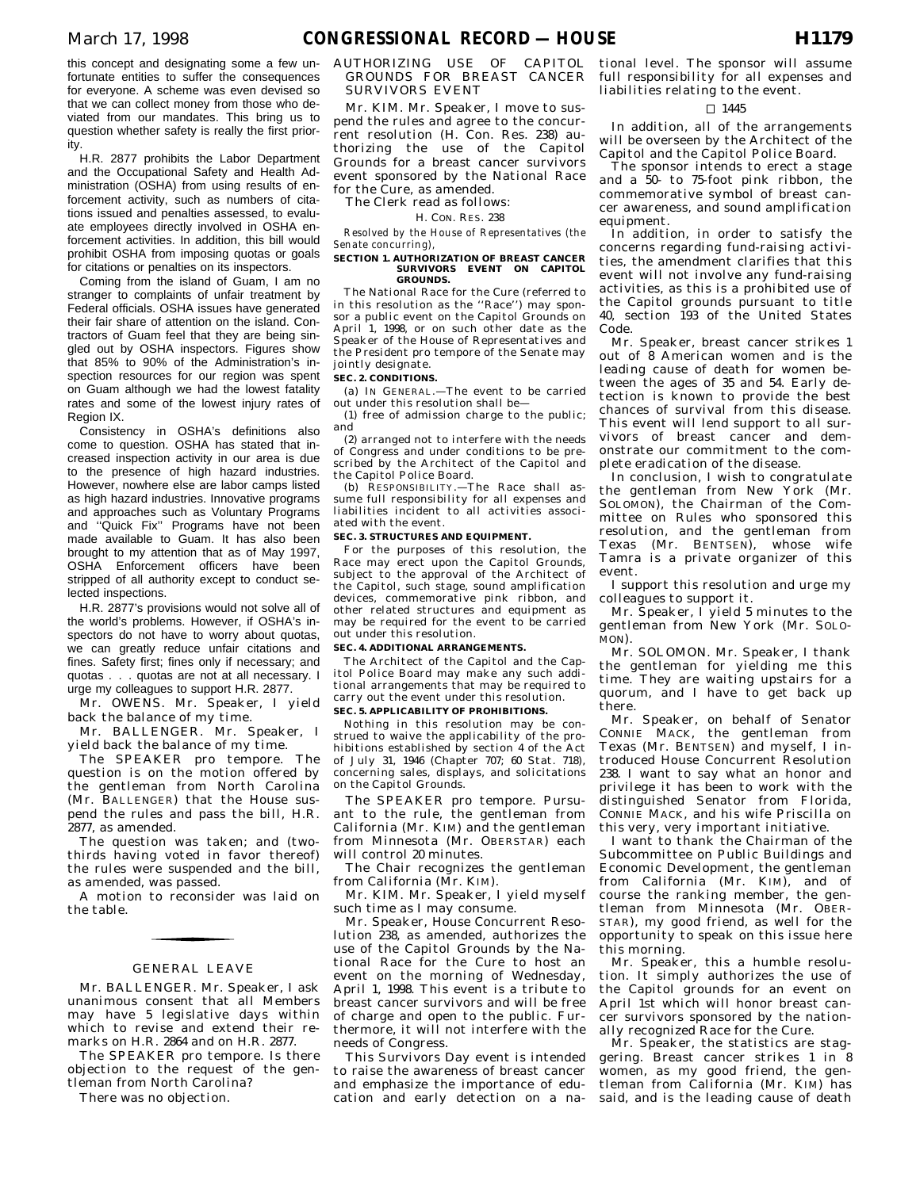this concept and designating some a few unfortunate entities to suffer the consequences for everyone. A scheme was even devised so that we can collect money from those who deviated from our mandates. This bring us to question whether safety is really the first priority.

H.R. 2877 prohibits the Labor Department and the Occupational Safety and Health Administration (OSHA) from using results of enforcement activity, such as numbers of citations issued and penalties assessed, to evaluate employees directly involved in OSHA enforcement activities. In addition, this bill would prohibit OSHA from imposing quotas or goals for citations or penalties on its inspectors.

Coming from the island of Guam, I am no stranger to complaints of unfair treatment by Federal officials. OSHA issues have generated their fair share of attention on the island. Contractors of Guam feel that they are being singled out by OSHA inspectors. Figures show that 85% to 90% of the Administration's inspection resources for our region was spent on Guam although we had the lowest fatality rates and some of the lowest injury rates of Region IX.

Consistency in OSHA's definitions also come to question. OSHA has stated that increased inspection activity in our area is due to the presence of high hazard industries. However, nowhere else are labor camps listed as high hazard industries. Innovative programs and approaches such as Voluntary Programs and ''Quick Fix'' Programs have not been made available to Guam. It has also been brought to my attention that as of May 1997, OSHA Enforcement officers have been stripped of all authority except to conduct selected inspections.

H.R. 2877's provisions would not solve all of the world's problems. However, if OSHA's inspectors do not have to worry about quotas, we can greatly reduce unfair citations and fines. Safety first; fines only if necessary; and quotas . . . quotas are not at all necessary. I urge my colleagues to support H.R. 2877.

Mr. OWENS. Mr. Speaker, I yield back the balance of my time.

Mr. BALLENGER. Mr. Speaker, I yield back the balance of my time.

The SPEAKER pro tempore. The question is on the motion offered by the gentleman from North Carolina (Mr. BALLENGER) that the House suspend the rules and pass the bill, H.R. 2877, as amended.

The question was taken; and (twothirds having voted in favor thereof) the rules were suspended and the bill, as amended, was passed.

A motion to reconsider was laid on the table.

for the control of the control of

#### GENERAL LEAVE

Mr. BALLENGER. Mr. Speaker, I ask unanimous consent that all Members may have 5 legislative days within which to revise and extend their remarks on H.R. 2864 and on H.R. 2877.

The SPEAKER pro tempore. Is there objection to the request of the gentleman from North Carolina?

There was no objection.

#### AUTHORIZING USE OF CAPITOL GROUNDS FOR BREAST CANCER SURVIVORS EVENT

Mr. KIM. Mr. Speaker, I move to suspend the rules and agree to the concurrent resolution (H. Con. Res. 238) authorizing the use of the Capitol Grounds for a breast cancer survivors event sponsored by the National Race for the Cure, as amended.

The Clerk read as follows:

H. CON. RES. 238

*Resolved by the House of Representatives (the Senate concurring),*

#### **SECTION 1. AUTHORIZATION OF BREAST CANCER SURVIVORS EVENT ON CAPITOL GROUNDS.**

The National Race for the Cure (referred to in this resolution as the ''Race'') may sponsor a public event on the Capitol Grounds on April 1, 1998, or on such other date as the Speaker of the House of Representatives and the President pro tempore of the Senate may jointly designate.

#### **SEC. 2. CONDITIONS.**

(a) IN GENERAL.—The event to be carried out under this resolution shall be—

(1) free of admission charge to the public; and

(2) arranged not to interfere with the needs of Congress and under conditions to be prescribed by the Architect of the Capitol and the Capitol Police Board.

(b) RESPONSIBILITY.—The Race shall assume full responsibility for all expenses and liabilities incident to all activities associated with the event.

#### **SEC. 3. STRUCTURES AND EQUIPMENT.**

For the purposes of this resolution, the Race may erect upon the Capitol Grounds, subject to the approval of the Architect of the Capitol, such stage, sound amplification devices, commemorative pink ribbon, and other related structures and equipment as may be required for the event to be carried out under this resolution.

#### **SEC. 4. ADDITIONAL ARRANGEMENTS.**

The Architect of the Capitol and the Capitol Police Board may make any such additional arrangements that may be required to carry out the event under this resolution. **SEC. 5. APPLICABILITY OF PROHIBITIONS.**

Nothing in this resolution may be construed to waive the applicability of the prohibitions established by section 4 of the Act of July 31, 1946 (Chapter 707; 60 Stat. 718), concerning sales, displays, and solicitations on the Capitol Grounds.

The SPEAKER pro tempore. Pursuant to the rule, the gentleman from California (Mr. KIM) and the gentleman from Minnesota (Mr. OBERSTAR) each will control 20 minutes.

The Chair recognizes the gentleman from California (Mr. KIM).

Mr. KIM. Mr. Speaker, I yield myself such time as I may consume.

Mr. Speaker, House Concurrent Resolution 238, as amended, authorizes the use of the Capitol Grounds by the National Race for the Cure to host an event on the morning of Wednesday, April 1, 1998. This event is a tribute to breast cancer survivors and will be free of charge and open to the public. Furthermore, it will not interfere with the needs of Congress.

This Survivors Day event is intended to raise the awareness of breast cancer and emphasize the importance of education and early detection on a national level. The sponsor will assume full responsibility for all expenses and liabilities relating to the event.

#### $\Box$  1445

In addition, all of the arrangements will be overseen by the Architect of the Capitol and the Capitol Police Board.

The sponsor intends to erect a stage and a 50- to 75-foot pink ribbon, the commemorative symbol of breast cancer awareness, and sound amplification equipment.

In addition, in order to satisfy the concerns regarding fund-raising activities, the amendment clarifies that this event will not involve any fund-raising activities, as this is a prohibited use of the Capitol grounds pursuant to title 40, section 193 of the United States Code.

Mr. Speaker, breast cancer strikes 1 out of 8 American women and is the leading cause of death for women between the ages of 35 and 54. Early detection is known to provide the best chances of survival from this disease. This event will lend support to all survivors of breast cancer and demonstrate our commitment to the complete eradication of the disease.

In conclusion, I wish to congratulate the gentleman from New York (Mr. SOLOMON), the Chairman of the Committee on Rules who sponsored this resolution, and the gentleman from Texas (Mr. BENTSEN), whose wife Tamra is a private organizer of this event.

I support this resolution and urge my colleagues to support it.

Mr. Speaker, I yield 5 minutes to the gentleman from New York (Mr. SOLO-MON).

Mr. SOLOMON. Mr. Speaker, I thank the gentleman for yielding me this time. They are waiting upstairs for a quorum, and I have to get back up there.

Mr. Speaker, on behalf of Senator CONNIE MACK, the gentleman from Texas (Mr. BENTSEN) and myself, I introduced House Concurrent Resolution 238. I want to say what an honor and privilege it has been to work with the distinguished Senator from Florida, CONNIE MACK, and his wife Priscilla on this very, very important initiative.

I want to thank the Chairman of the Subcommittee on Public Buildings and Economic Development, the gentleman from California (Mr. KIM), and of course the ranking member, the gentleman from Minnesota (Mr. OBER-STAR), my good friend, as well for the opportunity to speak on this issue here this morning.

Mr. Speaker, this a humble resolution. It simply authorizes the use of the Capitol grounds for an event on April 1st which will honor breast cancer survivors sponsored by the nationally recognized Race for the Cure.

Mr. Speaker, the statistics are staggering. Breast cancer strikes 1 in 8 women, as my good friend, the gentleman from California (Mr. KIM) has said, and is the leading cause of death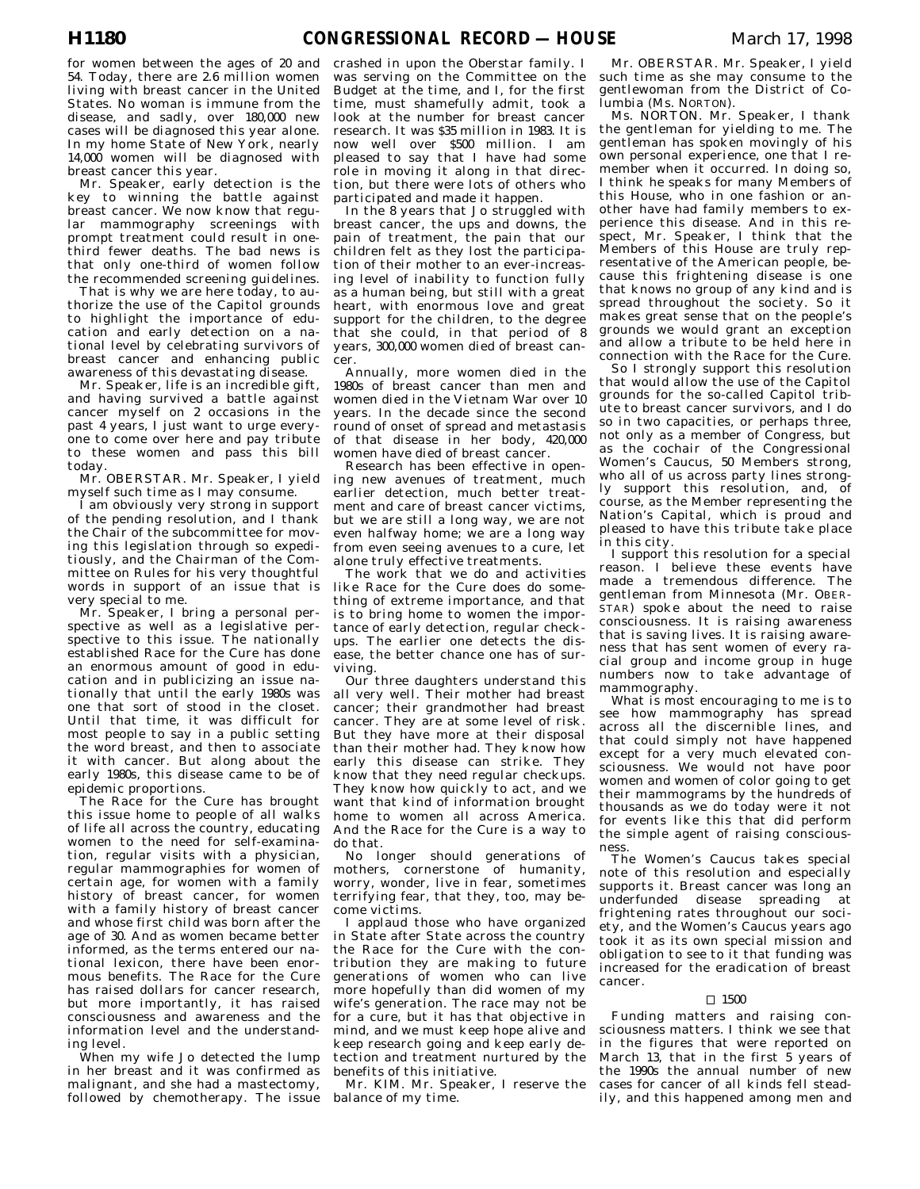for women between the ages of 20 and 54. Today, there are 2.6 million women living with breast cancer in the United States. No woman is immune from the disease, and sadly, over 180,000 new cases will be diagnosed this year alone. In my home State of New York, nearly 14,000 women will be diagnosed with breast cancer this year.

Mr. Speaker, early detection is the key to winning the battle against breast cancer. We now know that regular mammography screenings with prompt treatment could result in onethird fewer deaths. The bad news is that only one-third of women follow the recommended screening guidelines.

That is why we are here today, to authorize the use of the Capitol grounds to highlight the importance of education and early detection on a national level by celebrating survivors of breast cancer and enhancing public awareness of this devastating disease.

Mr. Speaker, life is an incredible gift, and having survived a battle against cancer myself on 2 occasions in the past 4 years, I just want to urge everyone to come over here and pay tribute to these women and pass this bill today.

Mr. OBERSTAR. Mr. Speaker, I yield myself such time as I may consume.

I am obviously very strong in support of the pending resolution, and I thank the Chair of the subcommittee for moving this legislation through so expeditiously, and the Chairman of the Committee on Rules for his very thoughtful words in support of an issue that is very special to me.

Mr. Speaker, I bring a personal perspective as well as a legislative perspective to this issue. The nationally established Race for the Cure has done an enormous amount of good in education and in publicizing an issue nationally that until the early 1980s was one that sort of stood in the closet. Until that time, it was difficult for most people to say in a public setting the word breast, and then to associate it with cancer. But along about the early 1980s, this disease came to be of epidemic proportions.

The Race for the Cure has brought this issue home to people of all walks of life all across the country, educating women to the need for self-examination, regular visits with a physician, regular mammographies for women of certain age, for women with a family history of breast cancer, for women with a family history of breast cancer and whose first child was born after the age of 30. And as women became better informed, as the terms entered our national lexicon, there have been enormous benefits. The Race for the Cure has raised dollars for cancer research, but more importantly, it has raised consciousness and awareness and the information level and the understanding level.

When my wife Jo detected the lump in her breast and it was confirmed as malignant, and she had a mastectomy, followed by chemotherapy. The issue

crashed in upon the Oberstar family. I was serving on the Committee on the Budget at the time, and I, for the first time, must shamefully admit, took a look at the number for breast cancer research. It was \$35 million in 1983. It is now well over \$500 million. I am pleased to say that I have had some role in moving it along in that direction, but there were lots of others who participated and made it happen.

In the 8 years that Jo struggled with breast cancer, the ups and downs, the pain of treatment, the pain that our children felt as they lost the participation of their mother to an ever-increasing level of inability to function fully as a human being, but still with a great heart, with enormous love and great support for the children, to the degree that she could, in that period of 8 years, 300,000 women died of breast cancer.

Annually, more women died in the 1980s of breast cancer than men and women died in the Vietnam War over 10 years. In the decade since the second round of onset of spread and metastasis of that disease in her body, 420,000 women have died of breast cancer.

Research has been effective in opening new avenues of treatment, much earlier detection, much better treatment and care of breast cancer victims, but we are still a long way, we are not even halfway home; we are a long way from even seeing avenues to a cure, let alone truly effective treatments.

The work that we do and activities like Race for the Cure does do something of extreme importance, and that is to bring home to women the importance of early detection, regular checkups. The earlier one detects the disease, the better chance one has of surviving.

Our three daughters understand this all very well. Their mother had breast cancer; their grandmother had breast cancer. They are at some level of risk. But they have more at their disposal than their mother had. They know how early this disease can strike. They know that they need regular checkups. They know how quickly to act, and we want that kind of information brought home to women all across America. And the Race for the Cure is a way to do that.

No longer should generations of mothers, cornerstone of humanity, worry, wonder, live in fear, sometimes terrifying fear, that they, too, may become victims.

I applaud those who have organized in State after State across the country the Race for the Cure with the contribution they are making to future generations of women who can live more hopefully than did women of my wife's generation. The race may not be for a cure, but it has that objective in mind, and we must keep hope alive and keep research going and keep early detection and treatment nurtured by the benefits of this initiative.

Mr. KIM. Mr. Speaker, I reserve the balance of my time.

Mr. OBERSTAR. Mr. Speaker, I yield such time as she may consume to the gentlewoman from the District of Columbia (Ms. NORTON).

Ms. NORTON. Mr. Speaker, I thank the gentleman for yielding to me. The gentleman has spoken movingly of his own personal experience, one that I remember when it occurred. In doing so, I think he speaks for many Members of this House, who in one fashion or another have had family members to experience this disease. And in this respect, Mr. Speaker, I think that the Members of this House are truly representative of the American people, because this frightening disease is one that knows no group of any kind and is spread throughout the society. So it makes great sense that on the people's grounds we would grant an exception and allow a tribute to be held here in connection with the Race for the Cure.

So I strongly support this resolution that would allow the use of the Capitol grounds for the so-called Capitol tribute to breast cancer survivors, and I do so in two capacities, or perhaps three, not only as a member of Congress, but as the cochair of the Congressional Women's Caucus, 50 Members strong, who all of us across party lines strongly support this resolution, and, of course, as the Member representing the Nation's Capital, which is proud and pleased to have this tribute take place in this city.

I support this resolution for a special reason. I believe these events have made a tremendous difference. The gentleman from Minnesota (Mr. OBER-STAR) spoke about the need to raise consciousness. It is raising awareness that is saving lives. It is raising awareness that has sent women of every racial group and income group in huge numbers now to take advantage of mammography.

What is most encouraging to me is to see how mammography has spread across all the discernible lines, and that could simply not have happened except for a very much elevated consciousness. We would not have poor women and women of color going to get their mammograms by the hundreds of thousands as we do today were it not for events like this that did perform the simple agent of raising consciousness.

The Women's Caucus takes special note of this resolution and especially supports it. Breast cancer was long an underfunded disease spreading at frightening rates throughout our society, and the Women's Caucus years ago took it as its own special mission and obligation to see to it that funding was increased for the eradication of breast cancer.

#### $\square$  1500

Funding matters and raising consciousness matters. I think we see that in the figures that were reported on March 13, that in the first 5 years of the 1990s the annual number of new cases for cancer of all kinds fell steadily, and this happened among men and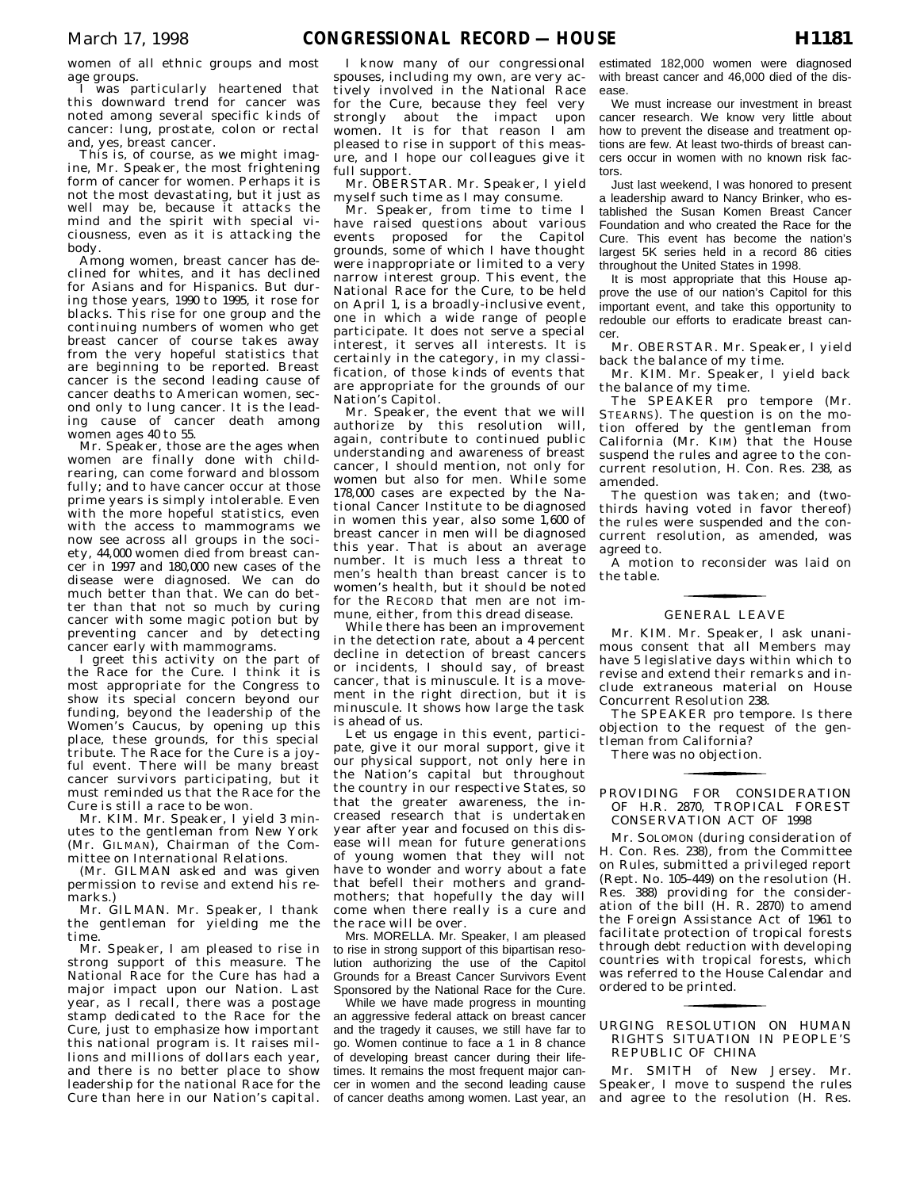women of all ethnic groups and most age groups.

I was particularly heartened that this downward trend for cancer was noted among several specific kinds of cancer: lung, prostate, colon or rectal and, yes, breast cancer.

This is, of course, as we might imagine, Mr. Speaker, the most frightening form of cancer for women. Perhaps it is not the most devastating, but it just as well may be, because it attacks the mind and the spirit with special viciousness, even as it is attacking the body.

Among women, breast cancer has declined for whites, and it has declined for Asians and for Hispanics. But during those years, 1990 to 1995, it rose for blacks. This rise for one group and the continuing numbers of women who get breast cancer of course takes away from the very hopeful statistics that are beginning to be reported. Breast cancer is the second leading cause of cancer deaths to American women, second only to lung cancer. It is the leading cause of cancer death among women ages 40 to 55.

Mr. Speaker, those are the ages when women are finally done with childrearing, can come forward and blossom fully; and to have cancer occur at those prime years is simply intolerable. Even with the more hopeful statistics, even with the access to mammograms we now see across all groups in the society, 44,000 women died from breast cancer in 1997 and 180,000 new cases of the disease were diagnosed. We can do much better than that. We can do better than that not so much by curing cancer with some magic potion but by preventing cancer and by detecting cancer early with mammograms.

I greet this activity on the part of the Race for the Cure. I think it is most appropriate for the Congress to show its special concern beyond our funding, beyond the leadership of the Women's Caucus, by opening up this place, these grounds, for this special tribute. The Race for the Cure is a joyful event. There will be many breast cancer survivors participating, but it must reminded us that the Race for the Cure is still a race to be won.

Mr. KIM. Mr. Speaker, I yield 3 minutes to the gentleman from New York (Mr. GILMAN), Chairman of the Committee on International Relations.

(Mr. GILMAN asked and was given permission to revise and extend his remarks.)

Mr. GILMAN. Mr. Speaker, I thank the gentleman for yielding me the time.

Mr. Speaker, I am pleased to rise in strong support of this measure. The National Race for the Cure has had a major impact upon our Nation. Last year, as I recall, there was a postage stamp dedicated to the Race for the Cure, just to emphasize how important this national program is. It raises millions and millions of dollars each year, and there is no better place to show leadership for the national Race for the Cure than here in our Nation's capital.

I know many of our congressional spouses, including my own, are very actively involved in the National Race for the Cure, because they feel very strongly about the impact upon women. It is for that reason I am pleased to rise in support of this measure, and I hope our colleagues give it full support.

Mr. OBERSTAR. Mr. Speaker, I yield myself such time as I may consume.

Mr. Speaker, from time to time I have raised questions about various events proposed for the Capitol grounds, some of which I have thought were inappropriate or limited to a very narrow interest group. This event, the National Race for the Cure, to be held on April 1, is a broadly-inclusive event, one in which a wide range of people participate. It does not serve a special interest, it serves all interests. It is certainly in the category, in my classification, of those kinds of events that are appropriate for the grounds of our Nation's Capitol.

Mr. Speaker, the event that we will authorize by this resolution will, again, contribute to continued public understanding and awareness of breast cancer, I should mention, not only for women but also for men. While some 178,000 cases are expected by the National Cancer Institute to be diagnosed in women this year, also some 1,600 of breast cancer in men will be diagnosed this year. That is about an average number. It is much less a threat to men's health than breast cancer is to women's health, but it should be noted for the RECORD that men are not immune, either, from this dread disease.

While there has been an improvement in the detection rate, about a 4 percent decline in detection of breast cancers or incidents, I should say, of breast cancer, that is minuscule. It is a movement in the right direction, but it is minuscule. It shows how large the task is ahead of us.

Let us engage in this event, participate, give it our moral support, give it our physical support, not only here in the Nation's capital but throughout the country in our respective States, so that the greater awareness, the increased research that is undertaken year after year and focused on this disease will mean for future generations of young women that they will not have to wonder and worry about a fate that befell their mothers and grandmothers; that hopefully the day will come when there really is a cure and the race will be over.

Mrs. MORELLA. Mr. Speaker, I am pleased to rise in strong support of this bipartisan resolution authorizing the use of the Capitol Grounds for a Breast Cancer Survivors Event Sponsored by the National Race for the Cure.

While we have made progress in mounting an aggressive federal attack on breast cancer and the tragedy it causes, we still have far to go. Women continue to face a 1 in 8 chance of developing breast cancer during their lifetimes. It remains the most frequent major cancer in women and the second leading cause of cancer deaths among women. Last year, an

estimated 182,000 women were diagnosed with breast cancer and 46,000 died of the disease.

We must increase our investment in breast cancer research. We know very little about how to prevent the disease and treatment options are few. At least two-thirds of breast cancers occur in women with no known risk factors.

Just last weekend, I was honored to present a leadership award to Nancy Brinker, who established the Susan Komen Breast Cancer Foundation and who created the Race for the Cure. This event has become the nation's largest 5K series held in a record 86 cities throughout the United States in 1998.

It is most appropriate that this House approve the use of our nation's Capitol for this important event, and take this opportunity to redouble our efforts to eradicate breast cancer.

Mr. OBERSTAR. Mr. Speaker, I yield back the balance of my time.

Mr. KIM. Mr. Speaker, I yield back the balance of my time.

The SPEAKER pro tempore (Mr. STEARNS). The question is on the motion offered by the gentleman from California (Mr. KIM) that the House suspend the rules and agree to the concurrent resolution, H. Con. Res. 238, as amended.

The question was taken; and (twothirds having voted in favor thereof) the rules were suspended and the concurrent resolution, as amended, was agreed to.

A motion to reconsider was laid on the table.

#### GENERAL LEAVE for the control of the control of

Mr. KIM. Mr. Speaker, I ask unanimous consent that all Members may have 5 legislative days within which to revise and extend their remarks and include extraneous material on House Concurrent Resolution 238.

The SPEAKER pro tempore. Is there objection to the request of the gentleman from California?

for the control of the control of

There was no objection.

PROVIDING FOR CONSIDERATION OF H.R. 2870, TROPICAL FOREST CONSERVATION ACT OF 1998

Mr. SOLOMON (during consideration of H. Con. Res. 238), from the Committee on Rules, submitted a privileged report (Rept. No. 105–449) on the resolution (H. Res. 388) providing for the consideration of the bill (H. R. 2870) to amend the Foreign Assistance Act of 1961 to facilitate protection of tropical forests through debt reduction with developing countries with tropical forests, which was referred to the House Calendar and ordered to be printed.

#### URGING RESOLUTION ON HUMAN RIGHTS SITUATION IN PEOPLE'S REPUBLIC OF CHINA

for the control of the control of

Mr. SMITH of New Jersey. Mr. Speaker, I move to suspend the rules and agree to the resolution (H. Res.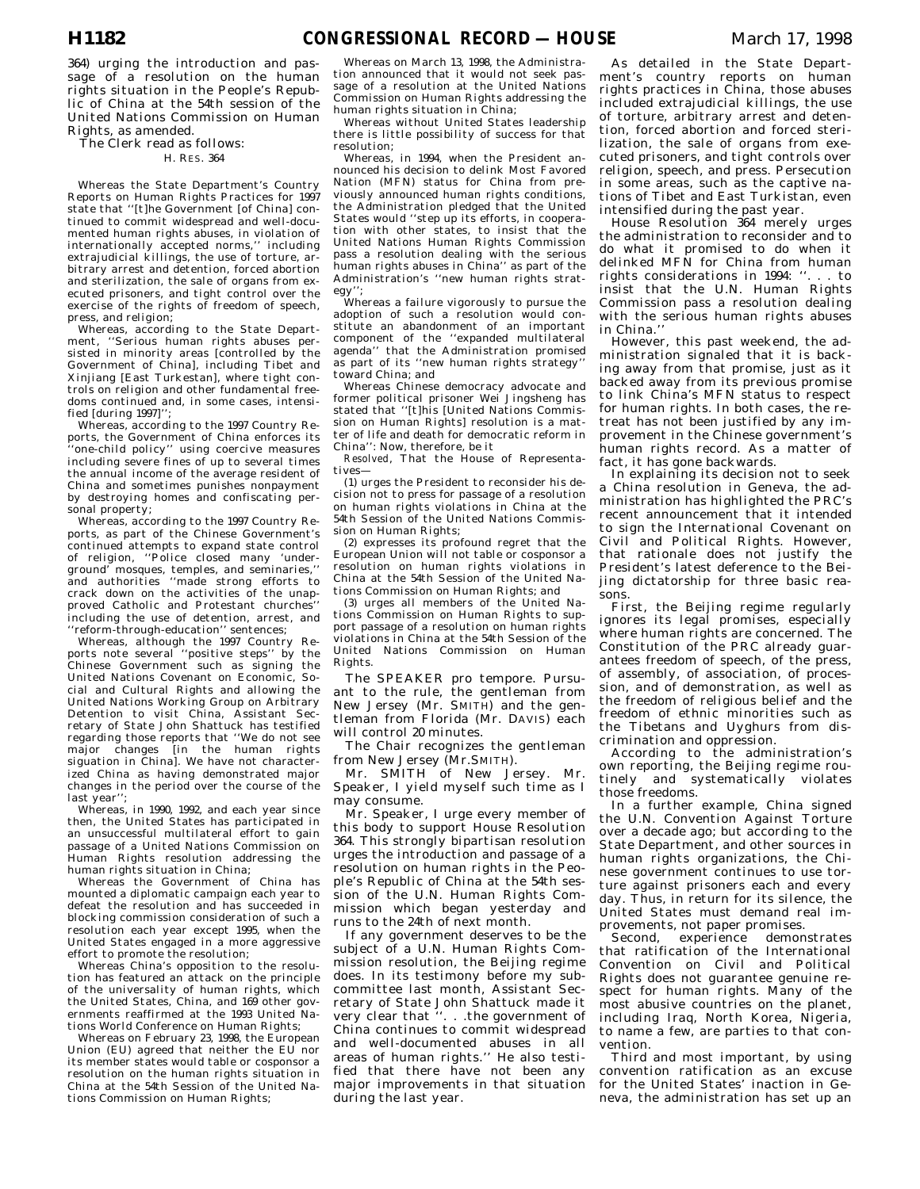364) urging the introduction and passage of a resolution on the human rights situation in the People's Republic of China at the 54th session of the United Nations Commission on Human Rights, as amended.

The Clerk read as follows:

#### H. RES. 364

Whereas the State Department's Country Reports on Human Rights Practices for 1997 state that ''[t]he Government [of China] continued to commit widespread and well-documented human rights abuses, in violation of internationally accepted norms,'' including extrajudicial killings, the use of torture, arbitrary arrest and detention, forced abortion and sterilization, the sale of organs from executed prisoners, and tight control over the exercise of the rights of freedom of speech, press, and religion;

Whereas, according to the State Department, ''Serious human rights abuses persisted in minority areas [controlled by the Government of China], including Tibet and Xinjiang [East Turkestan], where tight controls on religion and other fundamental freedoms continued and, in some cases, intensified [during 1997]'';

Whereas, according to the 1997 Country Reports, the Government of China enforces its 'one-child policy'' using coercive measures including severe fines of up to several times the annual income of the average resident of China and sometimes punishes nonpayment by destroying homes and confiscating personal property;

Whereas, according to the 1997 Country Reports, as part of the Chinese Government's continued attempts to expand state control of religion, ''Police closed many 'underground' mosques, temples, and seminaries,'' and authorities ''made strong efforts to crack down on the activities of the unapproved Catholic and Protestant churches including the use of detention, arrest, and ''reform-through-education'' sentences;

Whereas, although the 1997 Country Reports note several ''positive steps'' by the Chinese Government such as signing the United Nations Covenant on Economic, Social and Cultural Rights and allowing the United Nations Working Group on Arbitrary Detention to visit China, Assistant Secretary of State John Shattuck has testified regarding those reports that ''We do not see major changes [in the human rights siguation in China]. We have not characterized China as having demonstrated major changes in the period over the course of the last year";

Whereas, in 1990, 1992, and each year since then, the United States has participated in an unsuccessful multilateral effort to gain passage of a United Nations Commission on Human Rights resolution addressing the human rights situation in China;

Whereas the Government of China has mounted a diplomatic campaign each year to defeat the resolution and has succeeded in blocking commission consideration of such a resolution each year except 1995, when the United States engaged in a more aggressive effort to promote the resolution;

Whereas China's opposition to the resolution has featured an attack on the principle of the universality of human rights, which the United States, China, and 169 other governments reaffirmed at the 1993 United Nations World Conference on Human Rights;

Whereas on February 23, 1998, the European Union (EU) agreed that neither the EU nor its member states would table or cosponsor a resolution on the human rights situation in China at the 54th Session of the United Nations Commission on Human Rights;

Whereas on March 13, 1998, the Administration announced that it would not seek passage of a resolution at the United Nations Commission on Human Rights addressing the human rights situation in China;

Whereas without United States leadership there is little possibility of success for that resolution;

Whereas, in 1994, when the President announced his decision to delink Most Favored Nation (MFN) status for China from previously announced human rights conditions, the Administration pledged that the United States would ''step up its efforts, in cooperation with other states, to insist that the United Nations Human Rights Commission pass a resolution dealing with the serious human rights abuses in China'' as part of the Administration's ''new human rights strategy'';

Whereas a failure vigorously to pursue the adoption of such a resolution would constitute an abandonment of an important component of the ''expanded multilateral agenda'' that the Administration promised as part of its ''new human rights strategy'' toward China; and

Whereas Chinese democracy advocate and former political prisoner Wei Jingsheng has stated that ''[t]his [United Nations Commission on Human Rights] resolution is a matter of life and death for democratic reform in China'': Now, therefore, be it

*Resolved*, That the House of Representatives—

(1) urges the President to reconsider his decision not to press for passage of a resolution on human rights violations in China at the 54th Session of the United Nations Commission on Human Rights;

(2) expresses its profound regret that the European Union will not table or cosponsor a resolution on human rights violations in China at the 54th Session of the United Nations Commission on Human Rights; and

(3) urges all members of the United Nations Commission on Human Rights to support passage of a resolution on human rights violations in China at the 54th Session of the United Nations Commission on Human Rights.

The SPEAKER pro tempore. Pursuant to the rule, the gentleman from New Jersey (Mr. SMITH) and the gentleman from Florida (Mr. DAVIS) each will control 20 minutes.

The Chair recognizes the gentleman from New Jersey (Mr.SMITH).

Mr. SMITH of New Jersey. Mr. Speaker, I yield myself such time as I may consume.

Mr. Speaker, I urge every member of this body to support House Resolution 364. This strongly bipartisan resolution urges the introduction and passage of a resolution on human rights in the People's Republic of China at the 54th session of the U.N. Human Rights Commission which began yesterday and runs to the 24th of next month.

If any government deserves to be the subject of a U.N. Human Rights Commission resolution, the Beijing regime does. In its testimony before my subcommittee last month, Assistant Secretary of State John Shattuck made it very clear that ''. . .the government of China continues to commit widespread and well-documented abuses in all areas of human rights.'' He also testified that there have not been any major improvements in that situation during the last year.

As detailed in the State Department's country reports on human rights practices in China, those abuses included extrajudicial killings, the use of torture, arbitrary arrest and detention, forced abortion and forced sterilization, the sale of organs from executed prisoners, and tight controls over religion, speech, and press. Persecution in some areas, such as the captive nations of Tibet and East Turkistan, even intensified during the past year.

House Resolution 364 merely urges the administration to reconsider and to do what it promised to do when it delinked MFN for China from human rights considerations in 1994: ''. . . to insist that the U.N. Human Rights Commission pass a resolution dealing with the serious human rights abuses in China.''

However, this past weekend, the administration signaled that it is backing away from that promise, just as it backed away from its previous promise to link China's MFN status to respect for human rights. In both cases, the retreat has not been justified by any improvement in the Chinese government's human rights record. As a matter of fact, it has gone backwards.

In explaining its decision not to seek a China resolution in Geneva, the administration has highlighted the PRC's recent announcement that it intended to sign the International Covenant on Civil and Political Rights. However, that rationale does not justify the President's latest deference to the Beijing dictatorship for three basic reasons.

First, the Beijing regime regularly ignores its legal promises, especially where human rights are concerned. The Constitution of the PRC already guarantees freedom of speech, of the press, of assembly, of association, of procession, and of demonstration, as well as the freedom of religious belief and the freedom of ethnic minorities such as the Tibetans and Uyghurs from discrimination and oppression.

According to the administration's own reporting, the Beijing regime routinely and systematically violates those freedoms.

In a further example, China signed the U.N. Convention Against Torture over a decade ago; but according to the State Department, and other sources in human rights organizations, the Chinese government continues to use torture against prisoners each and every day. Thus, in return for its silence, the United States must demand real improvements, not paper promises.

Second, experience demonstrates that ratification of the International Convention on Civil and Political Rights does not guarantee genuine respect for human rights. Many of the most abusive countries on the planet, including Iraq, North Korea, Nigeria, to name a few, are parties to that convention.

Third and most important, by using convention ratification as an excuse for the United States' inaction in Geneva, the administration has set up an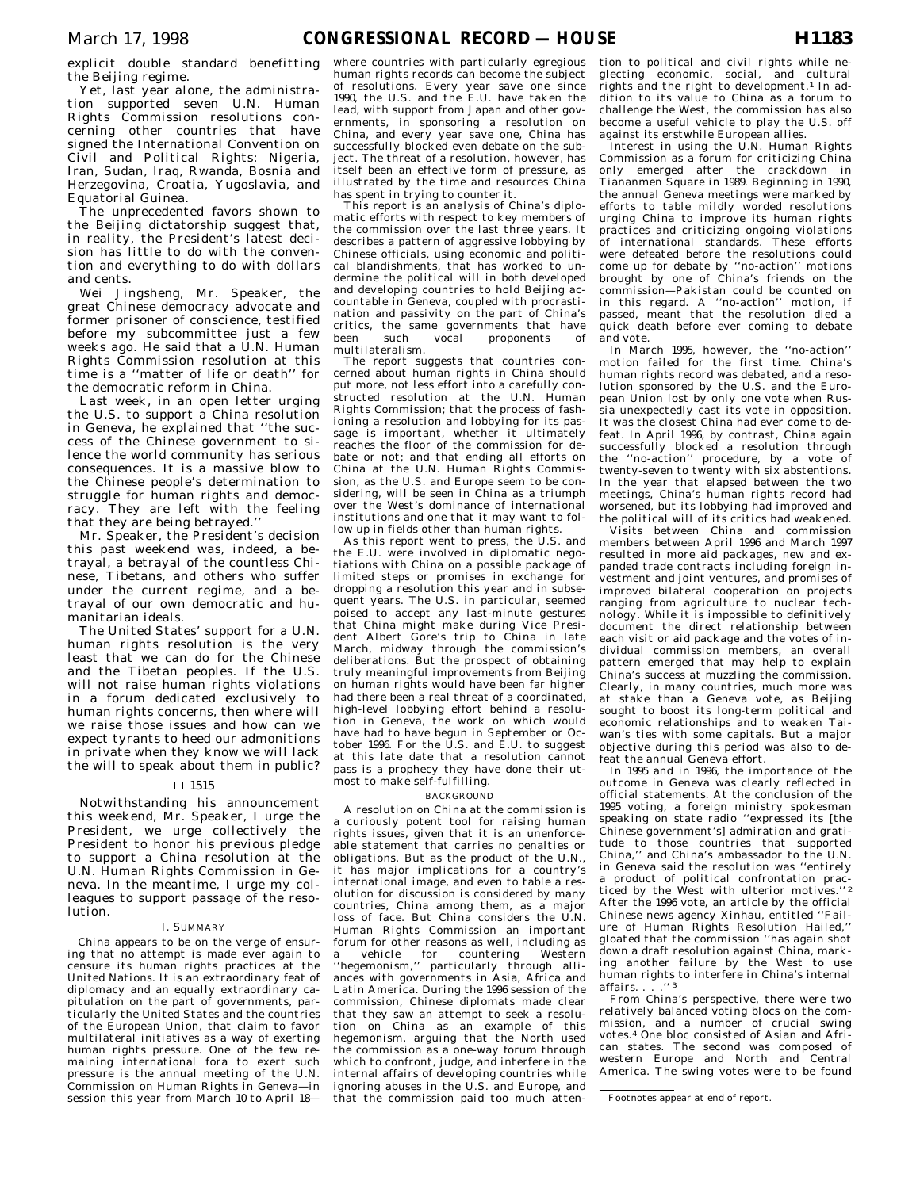explicit double standard benefitting the Beijing regime.

Yet, last year alone, the administration supported seven U.N. Human Rights Commission resolutions concerning other countries that have signed the International Convention on Civil and Political Rights: Nigeria, Iran, Sudan, Iraq, Rwanda, Bosnia and Herzegovina, Croatia, Yugoslavia, and Equatorial Guinea.

The unprecedented favors shown to the Beijing dictatorship suggest that, in reality, the President's latest decision has little to do with the convention and everything to do with dollars and cents.

Wei Jingsheng, Mr. Speaker, the great Chinese democracy advocate and former prisoner of conscience, testified before my subcommittee just a few weeks ago. He said that a U.N. Human Rights Commission resolution at this time is a ''matter of life or death'' for the democratic reform in China.

Last week, in an open letter urging the U.S. to support a China resolution in Geneva, he explained that ''the success of the Chinese government to silence the world community has serious consequences. It is a massive blow to the Chinese people's determination to struggle for human rights and democracy. They are left with the feeling that they are being betrayed.''

Mr. Speaker, the President's decision this past weekend was, indeed, a betrayal, a betrayal of the countless Chinese, Tibetans, and others who suffer under the current regime, and a betrayal of our own democratic and humanitarian ideals.

The United States' support for a U.N. human rights resolution is the very least that we can do for the Chinese and the Tibetan peoples. If the U.S. will not raise human rights violations in a forum dedicated exclusively to human rights concerns, then where will we raise those issues and how can we expect tyrants to heed our admonitions in private when they know we will lack the will to speak about them in public?

#### $\Box$  1515

Notwithstanding his announcement this weekend, Mr. Speaker, I urge the President, we urge collectively the President to honor his previous pledge to support a China resolution at the U.N. Human Rights Commission in Geneva. In the meantime, I urge my colleagues to support passage of the resolution.

#### I. SUMMARY

China appears to be on the verge of ensuring that no attempt is made ever again to censure its human rights practices at the United Nations. It is an extraordinary feat of diplomacy and an equally extraordinary capitulation on the part of governments, particularly the United States and the countries of the European Union, that claim to favor multilateral initiatives as a way of exerting human rights pressure. One of the few remaining international fora to exert such pressure is the annual meeting of the U.N. Commission on Human Rights in Geneva—in session this year from March 10 to April 18—

where countries with particularly egregious human rights records can become the subject of resolutions. Every year save one since 1990, the U.S. and the E.U. have taken the lead, with support from Japan and other governments, in sponsoring a resolution on China, and every year save one, China has successfully blocked even debate on the subject. The threat of a resolution, however, has itself been an effective form of pressure, as illustrated by the time and resources China has spent in trying to counter it.

This report is an analysis of China's diplomatic efforts with respect to key members of the commission over the last three years. It describes a pattern of aggressive lobbying by Chinese officials, using economic and political blandishments, that has worked to undermine the political will in both developed and developing countries to hold Beijing accountable in Geneva, coupled with procrastination and passivity on the part of China's critics, the same governments that have been such vocal proponents of multilateralism.

The report suggests that countries concerned about human rights in China should put more, not less effort into a carefully constructed resolution at the U.N. Human Rights Commission; that the process of fashioning a resolution and lobbying for its passage is important, whether it ultimately reaches the floor of the commission for debate or not; and that ending all efforts on China at the U.N. Human Rights Commission, as the U.S. and Europe seem to be considering, will be seen in China as a triumph over the West's dominance of international institutions and one that it may want to follow up in fields other than human rights.

As this report went to press, the U.S. and the E.U. were involved in diplomatic negotiations with China on a possible package of limited steps or promises in exchange for dropping a resolution this year and in subsequent years. The U.S. in particular, seemed poised to accept any last-minute gestures that China might make during Vice President Albert Gore's trip to China in late March, midway through the commission's deliberations. But the prospect of obtaining truly meaningful improvements from Beijing on human rights would have been far higher had there been a real threat of a coordinated, high-level lobbying effort behind a resolution in Geneva, the work on which would have had to have begun in September or October 1996. For the U.S. and  $\dot{E}$ .U. to suggest at this late date that a resolution cannot pass is a prophecy they have done their utmost to make self-fulfilling.

#### BACKGROUND

A resolution on China at the commission is a curiously potent tool for raising human rights issues, given that it is an unenforceable statement that carries no penalties or obligations. But as the product of the U.N., it has major implications for a country's international image, and even to table a resolution for discussion is considered by many countries, China among them, as a major loss of face. But China considers the U.N. Human Rights Commission an important forum for other reasons as well, including as a vehicle for countering Western ''hegemonism,'' particularly through alliances with governments in Asia, Africa and Latin America. During the 1996 session of the commission, Chinese diplomats made clear that they saw an attempt to seek a resolution on China as an example of this hegemonism, arguing that the North used the commission as a one-way forum through which to confront, judge, and interfere in the internal affairs of developing countries while ignoring abuses in the U.S. and Europe, and that the commission paid too much attention to political and civil rights while neglecting economic, social, and cultural rights and the right to development.<sup>1</sup> In addition to its value to China as a forum to challenge the West, the commission has also become a useful vehicle to play the U.S. off against its erstwhile European allies.

Interest in using the U.N. Human Rights Commission as a forum for criticizing China only emerged after the crackdown in Tiananmen Square in 1989. Beginning in 1990, the annual Geneva meetings were marked by efforts to table mildly worded resolutions urging China to improve its human rights practices and criticizing ongoing violations of international standards. These efforts were defeated before the resolutions could come up for debate by ''no-action'' motions brought by one of China's friends on the commission—Pakistan could be counted on in this regard. A ''no-action'' motion, if passed, meant that the resolution died a quick death before ever coming to debate and vote.

In March 1995, however, the ''no-action'' motion failed for the first time. China's human rights record was debated, and a resolution sponsored by the U.S. and the European Union lost by only one vote when Russia unexpectedly cast its vote in opposition. It was the closest China had ever come to defeat. In April 1996, by contrast, China again successfully blocked a resolution through the ''no-action'' procedure, by a vote of twenty-seven to twenty with six abstentions. In the year that elapsed between the two meetings, China's human rights record had worsened, but its lobbying had improved and the political will of its critics had weakened.

Visits between China and commission members between April 1996 and March 1997 resulted in more aid packages, new and expanded trade contracts including foreign investment and joint ventures, and promises of improved bilateral cooperation on projects ranging from agriculture to nuclear technology. While it is impossible to definitively document the direct relationship between each visit or aid package and the votes of individual commission members, an overall pattern emerged that may help to explain China's success at muzzling the commission. Clearly, in many countries, much more was at stake than a Geneva vote, as Beijing sought to boost its long-term political and economic relationships and to weaken Taiwan's ties with some capitals. But a major objective during this period was also to defeat the annual Geneva effort.

In 1995 and in 1996, the importance of the outcome in Geneva was clearly reflected in official statements. At the conclusion of the 1995 voting, a foreign ministry spokesman speaking on state radio ''expressed its [the Chinese government's] admiration and gratitude to those countries that supported China,'' and China's ambassador to the U.N. in Geneva said the resolution was ''entirely a product of political confrontation practiced by the West with ulterior motives.'' 2 After the 1996 vote, an article by the official Chinese news agency Xinhau, entitled ''Failure of Human Rights Resolution Hailed,'' gloated that the commission ''has again shot down a draft resolution against China, marking another failure by the West to use human rights to interfere in China's internal affairs.  $\ldots$   $\ldots$   $\ldots$ 

From China's perspective, there were two relatively balanced voting blocs on the commission, and a number of crucial swing votes.4 One bloc consisted of Asian and African states. The second was composed of western Europe and North and Central America. The swing votes were to be found

Footnotes appear at end of report.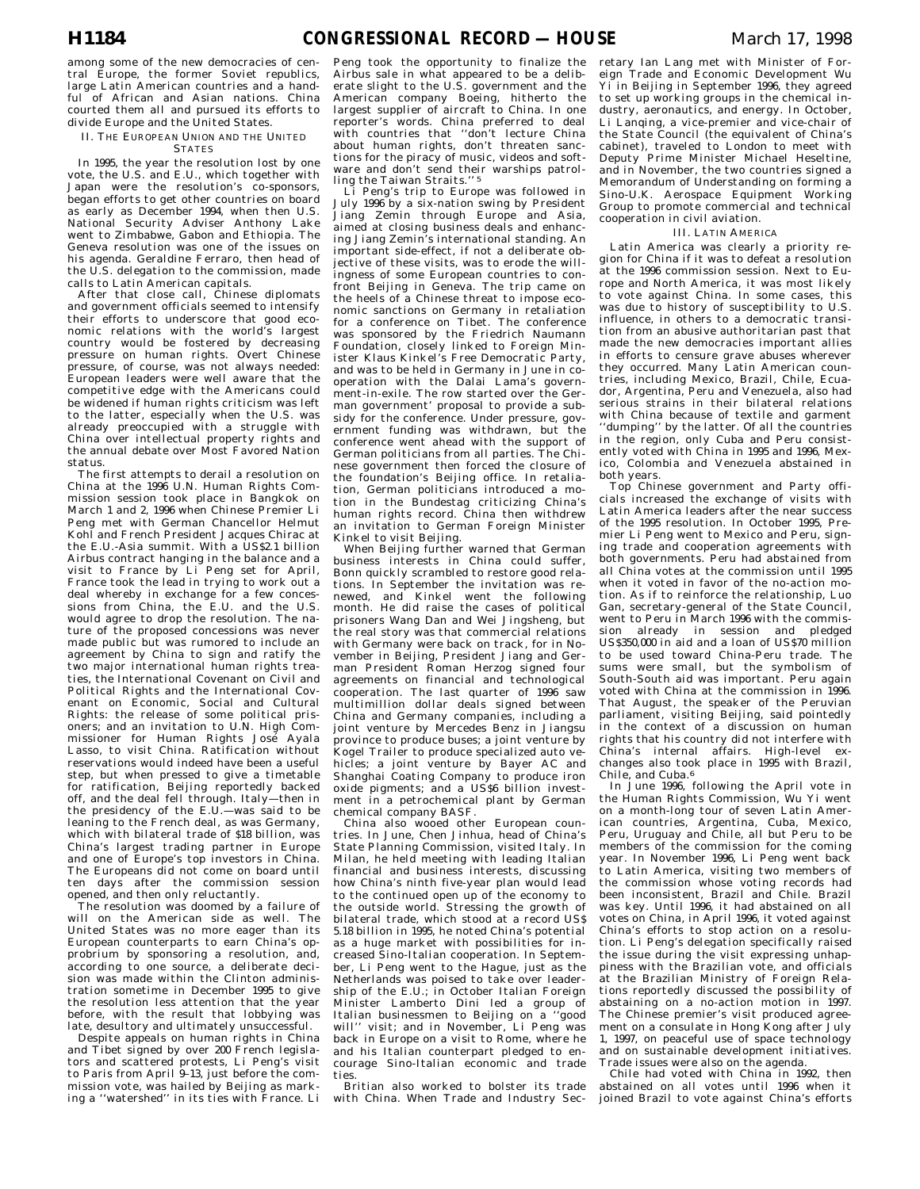among some of the new democracies of central Europe, the former Soviet republics, large Latin American countries and a handful of African and Asian nations. China courted them all and pursued its efforts to divide Europe and the United States.

II. THE EUROPEAN UNION AND THE UNITED

#### **STATES**

In 1995, the year the resolution lost by one vote, the U.S. and E.U., which together with Japan were the resolution's co-sponsors, began efforts to get other countries on board as early as December 1994, when then U.S. National Security Adviser Anthony Lake went to Zimbabwe, Gabon and Ethiopia. The Geneva resolution was one of the issues on his agenda. Geraldine Ferraro, then head of the U.S. delegation to the commission, made calls to Latin American capitals.

After that close call, Chinese diplomats and government officials seemed to intensify their efforts to underscore that good economic relations with the world's largest country would be fostered by decreasing pressure on human rights. Overt Chinese pressure, of course, was not always needed: European leaders were well aware that the competitive edge with the Americans could be widened if human rights criticism was left to the latter, especially when the U.S. was already preoccupied with a struggle with China over intellectual property rights and the annual debate over Most Favored Nation status.

The first attempts to derail a resolution on China at the 1996 U.N. Human Rights Commission session took place in Bangkok on March 1 and 2, 1996 when Chinese Premier Li Peng met with German Chancellor Helmut Kohl and French President Jacques Chirac at the E.U.-Asia summit. With a US\$2.1 billion Airbus contract hanging in the balance and a visit to France by Li Peng set for April, France took the lead in trying to work out a deal whereby in exchange for a few concessions from China, the E.U. and the U.S. would agree to drop the resolution. The nature of the proposed concessions was never made public but was rumored to include an agreement by China to sign and ratify the two major international human rights treaties, the International Covenant on Civil and Political Rights and the International Covenant on Economic, Social and Cultural Rights: the release of some political prisoners; and an invitation to U.N. High Commissioner for Human Rights José Ayala Lasso, to visit China. Ratification without reservations would indeed have been a useful step, but when pressed to give a timetable for ratification, Beijing reportedly backed off, and the deal fell through. Italy—then in the presidency of the E.U.—was said to be leaning to the French deal, as was Germany, which with bilateral trade of \$18 billion, was China's largest trading partner in Europe and one of Europe's top investors in China. The Europeans did not come on board until ten days after the commission session opened, and then only reluctantly.

The resolution was doomed by a failure of will on the American side as well. The United States was no more eager than its European counterparts to earn China's opprobrium by sponsoring a resolution, and, according to one source, a deliberate decision was made within the Clinton administration sometime in December 1995 to give the resolution less attention that the year before, with the result that lobbying was late, desultory and ultimately unsuccessful.

Despite appeals on human rights in China and Tibet signed by over 200 French legislators and scattered protests, Li Peng's visit to Paris from April 9–13, just before the commission vote, was hailed by Beijing as marking a ''watershed'' in its ties with France. Li

Peng took the opportunity to finalize the Airbus sale in what appeared to be a deliberate slight to the U.S. government and the American company Boeing, hitherto the largest supplier of aircraft to China. In one reporter's words. China preferred to deal with countries that ''don't lecture China about human rights, don't threaten sanctions for the piracy of music, videos and software and don't send their warships patrolling the Taiwan Straits.'' 5

Li Peng's trip to Europe was followed in July 1996 by a six-nation swing by President Jiang Zemin through Europe and Asia, aimed at closing business deals and enhancing Jiang Zemin's international standing. An important side-effect, if not a deliberate objective of these visits, was to erode the willingness of some European countries to confront Beijing in Geneva. The trip came on the heels of a Chinese threat to impose economic sanctions on Germany in retaliation for a conference on Tibet. The conference was sponsored by the Friedrich Naumann Foundation, closely linked to Foreign Minister Klaus Kinkel's Free Democratic Party, and was to be held in Germany in June in cooperation with the Dalai Lama's government-in-exile. The row started over the German government' proposal to provide a subsidy for the conference. Under pressure, government funding was withdrawn, but the conference went ahead with the support of German politicians from all parties. The Chinese government then forced the closure of the foundation's Beijing office. In retaliation, German politicians introduced a motion in the Bundestag criticizing China's human rights record. China then withdrew an invitation to German Foreign Minister Kinkel to visit Beijing.

When Beijing further warned that German business interests in China could suffer, Bonn quickly scrambled to restore good relations. In September the invitation was renewed, and Kinkel went the following month. He did raise the cases of political prisoners Wang Dan and Wei Jingsheng, but the real story was that commercial relations with Germany were back on track, for in November in Beijing, President Jiang and German President Roman Herzog signed four agreements on financial and technological cooperation. The last quarter of 1996 saw multimillion dollar deals signed between China and Germany companies, including a joint venture by Mercedes Benz in Jiangsu province to produce buses; a joint venture by Kogel Trailer to produce specialized auto vehicles; a joint venture by Bayer AC and Shanghai Coating Company to produce iron oxide pigments; and a US\$6 billion investment in a petrochemical plant by German chemical company BASF.

China also wooed other European countries. In June, Chen Jinhua, head of China's State Planning Commission, visited Italy. In Milan, he held meeting with leading Italian financial and business interests, discussing how China's ninth five-year plan would lead to the continued open up of the economy to the outside world. Stressing the growth of bilateral trade, which stood at a record US\$ 5.18 billion in 1995, he noted China's potential as a huge market with possibilities for increased Sino-Italian cooperation. In September, Li Peng went to the Hague, just as the Netherlands was poised to take over leadership of the E.U.; in October Italian Foreign Minister Lamberto Dini led a group of Italian businessmen to Beijing on a "good will'' visit; and in November, Li Peng was back in Europe on a visit to Rome, where he and his Italian counterpart pledged to encourage Sino-Italian economic and trade ties.

Britian also worked to bolster its trade with China. When Trade and Industry Sec-

retary Ian Lang met with Minister of Foreign Trade and Economic Development Wu Yi in Beijing in September 1996, they agreed to set up working groups in the chemical industry, aeronautics, and energy. In October, Li Lanqing, a vice-premier and vice-chair of the State Council (the equivalent of China's cabinet), traveled to London to meet with Deputy Prime Minister Michael Heseltine, and in November, the two countries signed a Memorandum of Understanding on forming a Sino-U.K. Aerospace Equipment Working Group to promote commercial and technical cooperation in civil aviation.

#### III. LATIN AMERICA

Latin America was clearly a priority region for China if it was to defeat a resolution at the 1996 commission session. Next to Europe and North America, it was most likely to vote against China. In some cases, this was due to history of susceptibility to U.S. influence, in others to a democratic transition from an abusive authoritarian past that made the new democracies important allies in efforts to censure grave abuses wherever they occurred. Many Latin American countries, including Mexico, Brazil, Chile, Ecuador, Argentina, Peru and Venezuela, also had serious strains in their bilateral relations with China because of textile and garment ''dumping'' by the latter. Of all the countries in the region, only Cuba and Peru consistently voted with China in 1995 and 1996, Mexico, Colombia and Venezuela abstained in both years.

Top Chinese government and Party officials increased the exchange of visits with Latin America leaders after the near success of the 1995 resolution. In October 1995, Premier Li Peng went to Mexico and Peru, signing trade and cooperation agreements with both governments. Peru had abstained from all China votes at the commission until 1995 when it voted in favor of the no-action motion. As if to reinforce the relationship, Luo Gan, secretary-general of the State Council, went to Peru in March 1996 with the commission already in session and pledged US\$350,000 in aid and a loan of US\$70 million to be used toward China-Peru trade. The sums were small, but the symbolism of South-South aid was important. Peru again voted with China at the commission in 1996. That August, the speaker of the Peruvian parliament, visiting Beijing, said pointedly in the context of a discussion on human rights that his country did not interfere with China's internal affairs. High-level exchanges also took place in 1995 with Brazil, Chile, and Cuba.<sup>6</sup>

In June 1996, following the April vote in the Human Rights Commission, Wu Yi went on a month-long tour of seven Latin American countries, Argentina, Cuba, Mexico, Peru, Uruguay and Chile, all but Peru to be members of the commission for the coming year. In November 1996, Li Peng went back to Latin America, visiting two members of the commission whose voting records had been inconsistent, Brazil and Chile. Brazil was key. Until 1996, it had abstained on all votes on China, in April 1996, it voted against China's efforts to stop action on a resolution. Li Peng's delegation specifically raised the issue during the visit expressing unhappiness with the Brazilian vote, and officials at the Brazilian Ministry of Foreign Relations reportedly discussed the possibility of abstaining on a no-action motion in 1997. The Chinese premier's visit produced agreement on a consulate in Hong Kong after July 1, 1997, on peaceful use of space technology and on sustainable development initiatives. Trade issues were also on the agenda.

Chile had voted with China in 1992, then abstained on all votes until 1996 when it joined Brazil to vote against China's efforts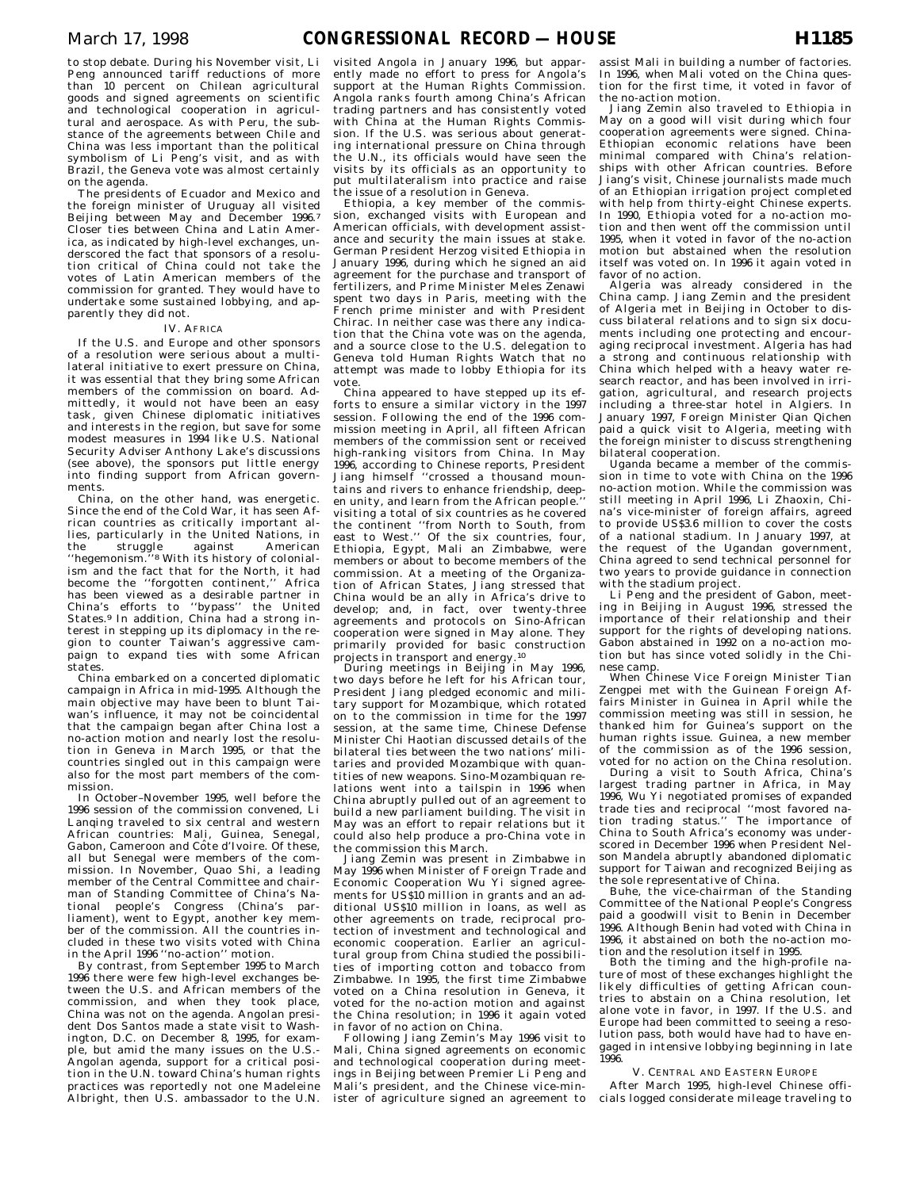to stop debate. During his November visit, Li Peng announced tariff reductions of more than 10 percent on Chilean agricultural goods and signed agreements on scientific and technological cooperation in agricultural and aerospace. As with Peru, the substance of the agreements between Chile and China was less important than the political symbolism of Li Peng's visit, and as with Brazil, the Geneva vote was almost certainly on the agenda.

The presidents of Ecuador and Mexico and the foreign minister of Uruguay all visited Beijing between May and December 1996.7 Closer ties between China and Latin America, as indicated by high-level exchanges, underscored the fact that sponsors of a resolution critical of China could not take the votes of Latin American members of the commission for granted. They would have to undertake some sustained lobbying, and apparently they did not.

#### IV. AFRICA

If the U.S. and Europe and other sponsors of a resolution were serious about a multilateral initiative to exert pressure on China, it was essential that they bring some African members of the commission on board. Admittedly, it would not have been an easy task, given Chinese diplomatic initiatives and interests in the region, but save for some modest measures in 1994 like U.S. National Security Adviser Anthony Lake's discussions (see above), the sponsors put little energy into finding support from African governments.

China, on the other hand, was energetic. Since the end of the Cold War, it has seen African countries as critically important allies, particularly in the United Nations, in struggle ''hegemonism.''8 With its history of colonialism and the fact that for the North, it had become the ''forgotten continent,'' Africa has been viewed as a desirable partner in China's efforts to ''bypass'' the United States.9 In addition, China had a strong interest in stepping up its diplomacy in the region to counter Taiwan's aggressive campaign to expand ties with some African states.

China embarked on a concerted diplomatic campaign in Africa in mid-1995. Although the main objective may have been to blunt Taiwan's influence, it may not be coincidental that the campaign began after China lost a no-action motion and nearly lost the resolution in Geneva in March 1995, or that the countries singled out in this campaign were also for the most part members of the commission.

In October–November 1995, well before the 1996 session of the commission convened, Li Lanqing traveled to six central and western African countries: Mali, Guinea, Senegal, Gabon, Cameroon and Côte d'Ivoire. Of these, all but Senegal were members of the commission. In November, Quao Shi, a leading member of the Central Committee and chairman of Standing Committee of China's National people's Congress (China's parliament), went to Egypt, another key member of the commission. All the countries included in these two visits voted with China in the April 1996 ''no-action'' motion.

By contrast, from September 1995 to March 1996 there were few high-level exchanges between the U.S. and African members of the commission, and when they took place, China was not on the agenda. Angolan president Dos Santos made a state visit to Washington, D.C. on December 8, 1995, for example, but amid the many issues on the U.S.- Angolan agenda, support for a critical position in the U.N. toward China's human rights practices was reportedly not one Madeleine Albright, then U.S. ambassador to the U.N.

visited Angola in January 1996, but apparently made no effort to press for Angola's support at the Human Rights Commission. Angola ranks fourth among China's African trading partners and has consistently voted with China at the Human Rights Commission. If the U.S. was serious about generating international pressure on China through the U.N., its officials would have seen the visits by its officials as an opportunity to put multilateralism into practice and raise the issue of a resolution in Geneva.

Ethiopia, a key member of the commission, exchanged visits with European and American officials, with development assistance and security the main issues at stake. German President Herzog visited Ethiopia in January 1996, during which he signed an aid agreement for the purchase and transport of fertilizers, and Prime Minister Meles Zenawi spent two days in Paris, meeting with the French prime minister and with President Chirac. In neither case was there any indication that the China vote was on the agenda, and a source close to the U.S. delegation to Geneva told Human Rights Watch that no attempt was made to lobby Ethiopia for its vote.

China appeared to have stepped up its efforts to ensure a similar victory in the 1997 session. Following the end of the 1996 commission meeting in April, all fifteen African members of the commission sent or received high-ranking visitors from China. In May 1996, according to Chinese reports, President Jiang himself ''crossed a thousand mountains and rivers to enhance friendship, deepen unity, and learn from the African people.'' visiting a total of six countries as he covered the continent ''from North to South, from east to West.'' Of the six countries, four, Ethiopia, Egypt, Mali an Zimbabwe, were members or about to become members of the commission. At a meeting of the Organization of African States, Jiang stressed that China would be an ally in Africa's drive to develop; and, in fact, over twenty-three agreements and protocols on Sino-African cooperation were signed in May alone. They primarily provided for basic construction projects in transport and energy.<sup>10</sup>

During meetings in Beijing in May 1996, two days before he left for his African tour, President Jiang pledged economic and military support for Mozambique, which rotated on to the commission in time for the 1997 session, at the same time, Chinese Defense Minister Chi Haotian discussed details of the bilateral ties between the two nations' militaries and provided Mozambique with quantities of new weapons. Sino-Mozambiquan relations went into a tailspin in 1996 when China abruptly pulled out of an agreement to build a new parliament building. The visit in May was an effort to repair relations but it could also help produce a pro-China vote in the commission this March.

Jiang Zemin was present in Zimbabwe in May 1996 when Minister of Foreign Trade and Economic Cooperation Wu Yi signed agreements for US\$10 million in grants and an additional US\$10 million in loans, as well as other agreements on trade, reciprocal protection of investment and technological and economic cooperation. Earlier an agricultural group from China studied the possibilities of importing cotton and tobacco from Zimbabwe. In 1995, the first time Zimbabwe voted on a China resolution in Geneva, it voted for the no-action motion and against the China resolution; in 1996 it again voted in favor of no action on China.

Following Jiang Zemin's May 1996 visit to Mali, China signed agreements on economic and technological cooperation during meetings in Beijing between Premier Li Peng and Mali's president, and the Chinese vice-minister of agriculture signed an agreement to

assist Mali in building a number of factories. In 1996, when Mali voted on the China question for the first time, it voted in favor of the no-action motion.

Jiang Zemin also traveled to Ethiopia in May on a good will visit during which four cooperation agreements were signed. China-Ethiopian economic relations have been minimal compared with China's relationships with other African countries. Before Jiang's visit, Chinese journalists made much of an Ethiopian irrigation project completed with help from thirty-eight Chinese experts. In 1990, Ethiopia voted for a no-action motion and then went off the commission until 1995, when it voted in favor of the no-action motion but abstained when the resolution itself was voted on. In 1996 it again voted in favor of no action.

Algeria was already considered in the China camp. Jiang Zemin and the president of Algeria met in Beijing in October to discuss bilateral relations and to sign six documents including one protecting and encouraging reciprocal investment. Algeria has had a strong and continuous relationship with China which helped with a heavy water research reactor, and has been involved in irrigation, agricultural, and research projects including a three-star hotel in Algiers. In January 1997, Foreign Minister Qian Qichen paid a quick visit to Algeria, meeting with the foreign minister to discuss strengthening bilateral cooperation.

Uganda became a member of the commission in time to vote with China on the 1996 no-action motion. While the commission was still meeting in April 1996, Li Zhaoxin, China's vice-minister of foreign affairs, agreed to provide US\$3.6 million to cover the costs of a national stadium. In January 1997, at the request of the Ugandan government, China agreed to send technical personnel for two years to provide guidance in connection with the stadium project.

Li Peng and the president of Gabon, meeting in Beijing in August 1996, stressed the importance of their relationship and their support for the rights of developing nations. Gabon abstained in 1992 on a no-action motion but has since voted solidly in the Chinese camp.

When Chinese Vice Foreign Minister Tian Zengpei met with the Guinean Foreign Affairs Minister in Guinea in April while the commission meeting was still in session, he thanked him for Guinea's support on the human rights issue. Guinea, a new member of the commission as of the 1996 session, voted for no action on the China resolution.

During a visit to South Africa, China's largest trading partner in Africa, in May 1996, Wu Yi negotiated promises of expanded trade ties and reciprocal ''most favored nation trading status.'' The importance of China to South Africa's economy was underscored in December 1996 when President Nelson Mandela abruptly abandoned diplomatic support for Taiwan and recognized Beijing as the sole representative of China.

Buhe, the vice-chairman of the Standing Committee of the National People's Congress paid a goodwill visit to Benin in December 1996. Although Benin had voted with China in 1996, it abstained on both the no-action motion and the resolution itself in 1995.

Both the timing and the high-profile nature of most of these exchanges highlight the likely difficulties of getting African countries to abstain on a China resolution, let alone vote in favor, in 1997. If the U.S. and Europe had been committed to seeing a resolution pass, both would have had to have engaged in intensive lobbying beginning in late 1996.

#### V. CENTRAL AND EASTERN EUROPE After March 1995, high-level Chinese officials logged considerate mileage traveling to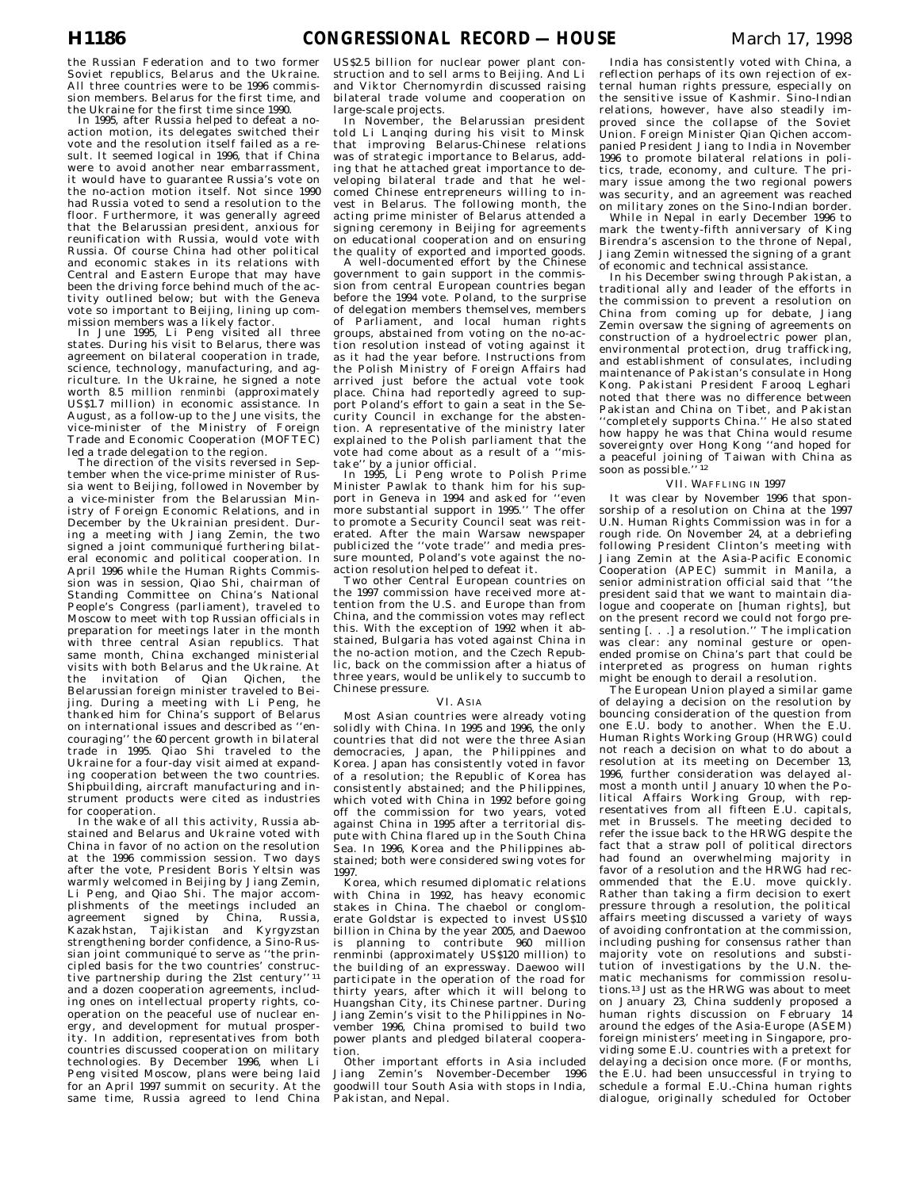the Russian Federation and to two former Soviet republics, Belarus and the Ukraine. All three countries were to be 1996 commission members. Belarus for the first time, and

the Ukraine for the first time since 1990. In 1995, after Russia helped to defeat a noaction motion, its delegates switched their vote and the resolution itself failed as a result. It seemed logical in 1996, that if China were to avoid another near embarrassment, it would have to guarantee Russia's vote on the no-action motion itself. Not since 1990 had Russia voted to send a resolution to the floor. Furthermore, it was generally agreed that the Belarussian president, anxious for reunification with Russia, would vote with Russia. Of course China had other political and economic stakes in its relations with Central and Eastern Europe that may have been the driving force behind much of the activity outlined below; but with the Geneva vote so important to Beijing, lining up com-mission members was a likely factor.

In June 1995, Li Peng visited all three states. During his visit to Belarus, there was agreement on bilateral cooperation in trade, science, technology, manufacturing, and ag-riculture. In the Ukraine, he signed a note worth 8.5 million *renminbi* (approximately US\$1.7 million) in economic assistance. In August, as a follow-up to the June visits, the vice-minister of the Ministry of Foreign Trade and Economic Cooperation (MOFTEC) led a trade delegation to the region.

The direction of the visits reversed in September when the vice-prime minister of Russia went to Beijing, followed in November by a vice-minister from the Belarussian Ministry of Foreign Economic Relations, and in December by the Ukrainian president. During a meeting with Jiang Zemin, the two signed a joint communique furthering bilateral economic and political cooperation. In April 1996 while the Human Rights Commission was in session, Qiao Shi, chairman of Standing Committee on China's National People's Congress (parliament), traveled to Moscow to meet with top Russian officials in preparation for meetings later in the month with three central Asian republics. That same month, China exchanged ministerial visits with both Belarus and the Ukraine. At the invitation of Qian Qichen, the Belarussian foreign minister traveled to Beijing. During a meeting with Li Peng, he thanked him for China's support of Belarus on international issues and described as ''encouraging'' the 60 percent growth in bilateral trade in 1995. Qiao Shi traveled to the Ukraine for a four-day visit aimed at expanding cooperation between the two countries. Shipbuilding, aircraft manufacturing and instrument products were cited as industries

for cooperation. In the wake of all this activity, Russia abstained and Belarus and Ukraine voted with China in favor of no action on the resolution at the 1996 commission session. Two days after the vote, President Boris Yeltsin was warmly welcomed in Beijing by Jiang Zemin, Li Peng, and Qiao Shi. The major accomplishments of the meetings included an agreement signed by China, Russia, Kazakhstan, Tajikistan and Kyrgyzstan strengthening border confidence, a Sino-Russian joint communiqué to serve as "the principled basis for the two countries' constructive partnership during the 21st century'' 11 and a dozen cooperation agreements, including ones on intellectual property rights, cooperation on the peaceful use of nuclear energy, and development for mutual prosperity. In addition, representatives from both countries discussed cooperation on military technologies. By December 1996, when Li Peng visited Moscow, plans were being laid for an April 1997 summit on security. At the same time, Russia agreed to lend China

US\$2.5 billion for nuclear power plant construction and to sell arms to Beijing. And Li and Viktor Chernomyrdin discussed raising bilateral trade volume and cooperation on large-scale projects.

In November, the Belarussian president told Li Lanqing during his visit to Minsk that improving Belarus-Chinese relations was of strategic importance to Belarus, adding that he attached great importance to developing bilateral trade and that he welcomed Chinese entrepreneurs willing to invest in Belarus. The following month, the acting prime minister of Belarus attended a signing ceremony in Beijing for agreements on educational cooperation and on ensuring the quality of exported and imported goods.

A well-documented effort by the Chinese government to gain support in the commission from central European countries began before the 1994 vote. Poland, to the surprise of delegation members themselves, members of Parliament, and local human rights groups, abstained from voting on the no-ac-tion resolution instead of voting against it as it had the year before. Instructions from the Polish Ministry of Foreign Affairs had arrived just before the actual vote took place. China had reportedly agreed to support Poland's effort to gain a seat in the Security Council in exchange for the abstention. A representative of the ministry later explained to the Polish parliament that the vote had come about as a result of a "mistake'' by a junior official.

In 1995, Li Peng wrote to Polish Prime Minister Pawlak to thank him for his support in Geneva in 1994 and asked for ''even more substantial support in 1995.'' The offer to promote a Security Council seat was reiterated. After the main Warsaw newspaper publicized the ''vote trade'' and media pressure mounted, Poland's vote against the noaction resolution helped to defeat it.

Two other Central European countries on the 1997 commission have received more attention from the U.S. and Europe than from China, and the commission votes may reflect this. With the exception of 1992 when it abstained, Bulgaria has voted against China in the no-action motion, and the Czech Republic, back on the commission after a hiatus of three years, would be unlikely to succumb to Chinese pressure.

#### VI. ASIA

Most Asian countries were already voting solidly with China. In 1995 and 1996, the only countries that did not were the three Asian democracies, Japan, the Philippines and Korea. Japan has consistently voted in favor of a resolution; the Republic of Korea has consistently abstained; and the Philippines, which voted with China in 1992 before going off the commission for two years, voted against China in 1995 after a territorial dispute with China flared up in the South China Sea. In 1996, Korea and the Philippines abstained; both were considered swing votes for 1997.

Korea, which resumed diplomatic relations with China in 1992, has heavy economic stakes in China. The chaebol or conglomerate Goldstar is expected to invest US\$10 billion in China by the year 2005, and Daewoo is planning to contribute 960 million renminbi (approximately US\$120 million) to the building of an expressway. Daewoo will participate in the operation of the road for thirty years, after which it will belong to Huangshan City, its Chinese partner. During Jiang Zemin's visit to the Philippines in November 1996, China promised to build two power plants and pledged bilateral cooperation.

Other important efforts in Asia included Jiang Zemin's November-December 1996 goodwill tour South Asia with stops in India, Pakistan, and Nepal.

India has consistently voted with China, a reflection perhaps of its own rejection of external human rights pressure, especially on the sensitive issue of Kashmir. Sino-Indian relations, however, have also steadily improved since the collapse of the Soviet Union. Foreign Minister Qian Qichen accompanied President Jiang to India in November 1996 to promote bilateral relations in politics, trade, economy, and culture. The primary issue among the two regional powers was security, and an agreement was reached on military zones on the Sino-Indian border.

While in Nepal in early December 1996 to mark the twenty-fifth anniversary of King Birendra's ascension to the throne of Nepal, Jiang Zemin witnessed the signing of a grant of economic and technical assistance.

In his December swing through Pakistan, a traditional ally and leader of the efforts in the commission to prevent a resolution on China from coming up for debate, Jiang Zemin oversaw the signing of agreements on construction of a hydroelectric power plan, environmental protection, drug trafficking, and establishment of consulates, including maintenance of Pakistan's consulate in Hong Kong. Pakistani President Farooq Leghari noted that there was no difference between Pakistan and China on Tibet, and Pakistan 'completely supports China." He also stated how happy he was that China would resume sovereignty over Hong Kong ''and hoped for a peaceful joining of Taiwan with China as<br>soon as possible  $i'12$ soon as possible.'

#### VII. WAFFLING IN 1997

It was clear by November 1996 that sponsorship of a resolution on China at the 1997 U.N. Human Rights Commission was in for a rough ride. On November 24, at a debriefing following President Clinton's meeting with Jiang Zemin at the Asia-Pacific Economic Cooperation (APEC) summit in Manila, a senior administration official said that ''the president said that we want to maintain dialogue and cooperate on [human rights], but on the present record we could not forgo presenting [. . .] a resolution.'' The implication was clear: any nominal gesture or openended promise on China's part that could be interpreted as progress on human rights might be enough to derail a resolution.

The European Union played a similar game of delaying a decision on the resolution by bouncing consideration of the question from one E.U. body to another. When the E.U. Human Rights Working Group (HRWG) could not reach a decision on what to do about a resolution at its meeting on December 13, 1996, further consideration was delayed almost a month until January 10 when the Political Affairs Working Group, with representatives from all fifteen E.U. capitals, met in Brussels. The meeting decided to refer the issue back to the HRWG despite the fact that a straw poll of political directors had found an overwhelming majority in favor of a resolution and the HRWG had recommended that the E.U. move quickly. Rather than taking a firm decision to exert pressure through a resolution, the political affairs meeting discussed a variety of ways of avoiding confrontation at the commission, including pushing for consensus rather than majority vote on resolutions and substitution of investigations by the U.N. thematic mechanisms for commission resolutions.13 Just as the HRWG was about to meet on January 23, China suddenly proposed a human rights discussion on February 14 around the edges of the Asia-Europe (ASEM) foreign ministers' meeting in Singapore, providing some E.U. countries with a pretext for delaying a decision once more. (For months, the E.U. had been unsuccessful in trying to schedule a formal E.U.-China human rights dialogue, originally scheduled for October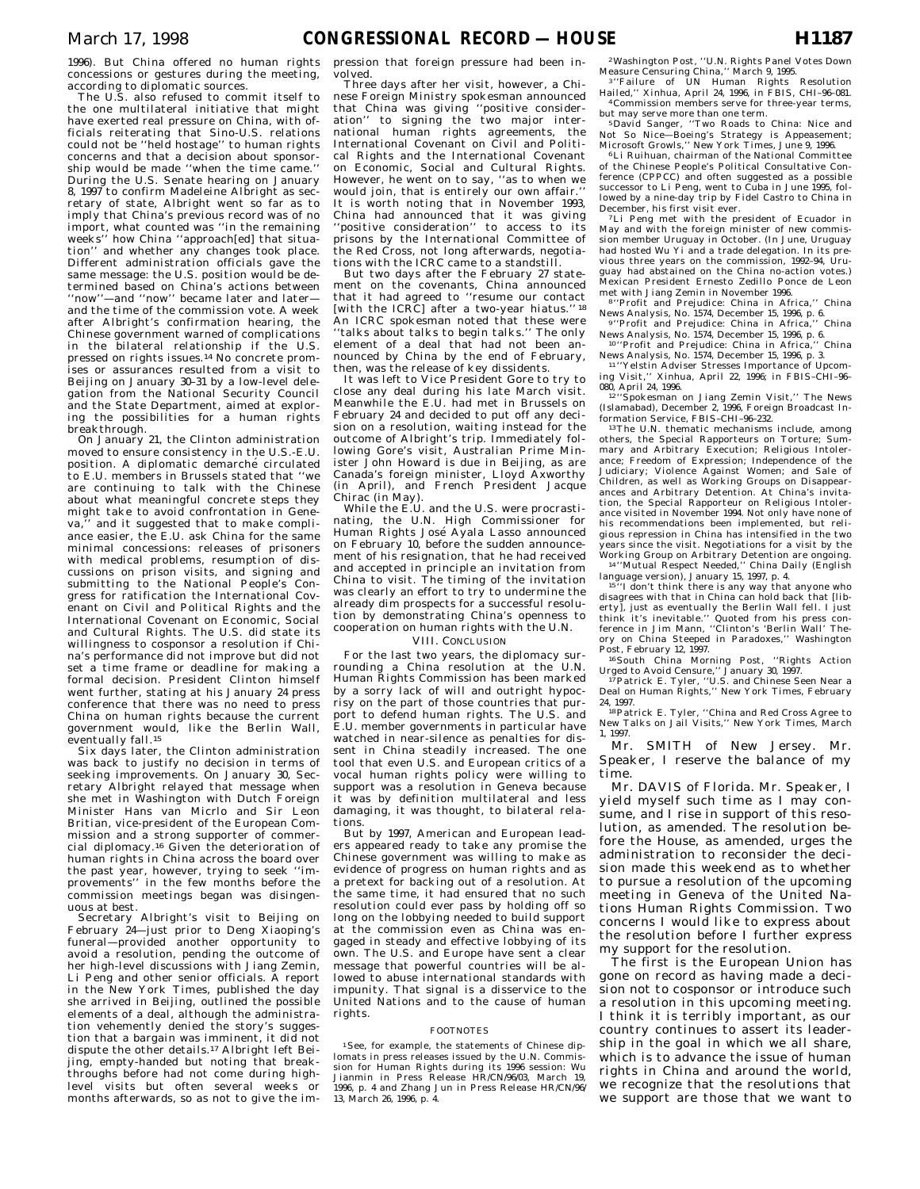1996). But China offered no human rights concessions or gestures during the meeting, according to diplomatic sources.

The U.S. also refused to commit itself to the one multilateral initiative that might have exerted real pressure on China, with officials reiterating that Sino-U.S. relations could not be ''held hostage'' to human rights concerns and that a decision about sponsorship would be made ''when the time came.'' During the U.S. Senate hearing on January 8, 1997 to confirm Madeleine Albright as secretary of state, Albright went so far as to imply that China's previous record was of no import, what counted was ''in the remaining weeks'' how China ''approach[ed] that situation'' and whether any changes took place. Different administration officials gave the same message: the U.S. position would be determined based on China's actions between ''now''—and ''now'' became later and later and the time of the commission vote. A week after Albright's confirmation hearing, the Chinese government warned of complications in the bilateral relationship if the U.S. pressed on rights issues.14 No concrete promises or assurances resulted from a visit to Beijing on January 30–31 by a low-level delegation from the National Security Council and the State Department, aimed at exploring the possibilities for a human rights breakthrough.

On January 21, the Clinton administration moved to ensure consistency in the U.S.-E.U. position. A diplomatic demarché circulated to E.U. members in Brussels stated that ''we are continuing to talk with the Chinese about what meaningful concrete steps they might take to avoid confrontation in Geneva,'' and it suggested that to make compliance easier, the E.U. ask China for the same minimal concessions: releases of prisoners with medical problems, resumption of discussions on prison visits, and signing and submitting to the National People's Congress for ratification the International Covenant on Civil and Political Rights and the International Covenant on Economic, Social and Cultural Rights. The U.S. did state its willingness to cosponsor a resolution if China's performance did not improve but did not set a time frame or deadline for making a formal decision. President Clinton himself went further, stating at his January 24 press conference that there was no need to press China on human rights because the current government would, like the Berlin Wall, eventually fall.<sup>15</sup>

Six days later, the Clinton administration was back to justify no decision in terms of seeking improvements. On January 30, Secretary Albright relayed that message when she met in Washington with Dutch Foreign Minister Hans van Micrlo and Sir Leon Britian, vice-president of the European Commission and a strong supporter of commercial diplomacy.16 Given the deterioration of human rights in China across the board over the past year, however, trying to seek ''improvements'' in the few months before the commission meetings began was disingenuous at best.

Secretary Albright's visit to Beijing on February 24—just prior to Deng Xiaoping's funeral—provided another opportunity to avoid a resolution, pending the outcome of her high-level discussions with Jiang Zemin, Li Peng and other senior officials. A report in the New York Times, published the day she arrived in Beijing, outlined the possible elements of a deal, although the administration vehemently denied the story's suggestion that a bargain was imminent, it did not dispute the other details.17 Albright left Beijing, empty-handed but noting that breakthroughs before had not come during highlevel visits but often several weeks or months afterwards, so as not to give the im-

pression that foreign pressure had been involved.

Three days after her visit, however, a Chinese Foreign Ministry spokesman announced that China was giving ''positive consider-ation'' to signing the two major inter-national human rights agreements, the International Covenant on Civil and Political Rights and the International Covenant on Economic, Social and Cultural Rights. However, he went on to say, ''as to when we would join, that is entirely our own affair.'' It is worth noting that in November 1993, China had announced that it was giving ''positive consideration'' to access to its prisons by the International Committee of the Red Cross, not long afterwards, negotiations with the ICRC came to a standstill.

But two days after the February 27 statement on the covenants, China announced that it had agreed to ''resume our contact [with the ICRC] after a two-year hiatus."<sup>18</sup> An ICRC spokesman noted that these were<br>"talks about talks to begin talks." The only talks about talks to begin talks." element of a deal that had not been announced by China by the end of February, then, was the release of key dissidents.

It was left to Vice President Gore to try to close any deal during his late March visit. Meanwhile the E.U. had met in Brussels on February 24 and decided to put off any decision on a resolution, waiting instead for the outcome of Albright's trip. Immediately following Gore's visit, Australian Prime Minister John Howard is due in Beijing, as are Canada's foreign minister, Lloyd Axworthy (in April), and French President Jacque

Chirac (in May). While the E.U. and the U.S. were procrastinating, the U.N. High Commissioner for Human Rights Jose´ Ayala Lasso announced on February 10, before the sudden announcement of his resignation, that he had received and accepted in principle an invitation from China to visit. The timing of the invitation was clearly an effort to try to undermine the already dim prospects for a successful resolution by demonstrating China's openness to cooperation on human rights with the U.N.

#### VIII. CONCLUSION

For the last two years, the diplomacy surrounding a China resolution at the U.N. Human Rights Commission has been marked by a sorry lack of will and outright hypocrisy on the part of those countries that purport to defend human rights. The U.S. and E.U. member governments in particular have watched in near-silence as penalties for dissent in China steadily increased. The one tool that even U.S. and European critics of a vocal human rights policy were willing to support was a resolution in Geneva because it was by definition multilateral and less damaging, it was thought, to bilateral relations.

But by 1997, American and European leaders appeared ready to take any promise the Chinese government was willing to make as evidence of progress on human rights and as a pretext for backing out of a resolution. At the same time, it had ensured that no such resolution could ever pass by holding off so long on the lobbying needed to build support at the commission even as China was engaged in steady and effective lobbying of its own. The U.S. and Europe have sent a clear message that powerful countries will be allowed to abuse international standards with impunity. That signal is a disservice to the United Nations and to the cause of human rights.

#### FOOTNOTES

1See, for example, the statements of Chinese diplomats in press releases issued by the U.N. Commission for Human Rights during its 1996 session: Wu Jianmin in Press Release HR/CN/96/03, March 1996, p. 4 and Zhang Jun in Press Release HR/CN/96/ 13, March 26, 1996, p. 4.

2Washington Post, ''U.N. Rights Panel Votes Down

Measure Censuring China,'' March 9, 1995.<br>- <sup>3 </sup>''Failure of UN Human Rights Resolution<br>Hailed,'' Xinhua, April 24, 1996, in FBIS, CHI-96-081. 4Commission members serve for three-year terms,

but may serve more than one term. 5 David Sanger, ''Two Roads to China: Nice and Not So Nice—Boeing's Strategy is Appeasement; Microsoft Growls,'' New York Times, June 9, 1996.

6Li Ruihuan, chairman of the National Committee of the Chinese People's Political Consultative Conference (CPPCC) and often suggested as a possible successor to Li Peng, went to Cuba in June 1995, followed by a nine-day trip by Fidel Castro to China in December, his first visit ever.

7Li Peng met with the president of Ecuador in May and with the foreign minister of new commission member Uruguay in October. (In June, Uruguay had hosted Wu Yi and a trade delegation. In its previous three years on the commission, 1992–94, Uruguay had abstained on the China no-action votes.) Mexican President Ernesto Zedillo Ponce de Leon met with Jiang Zemin in November 1996.

8 ''Profit and Prejudice: China in Africa,'' China News Analysis, No. 1574, December 15, 1996, p. 6.

9 ''Profit and Prejudice: China in Africa,'' China News Analysis, No. 1574, December 15, 1996, p. 6. 10 "Profit and Prejudice: China in Africa," China

News Analysis, No. 1574, December 15, 1996, p. 3.

11 ''Yelstin Adviser Stresses Importance of Upcom-ing Visit,'' Xinhua, April 22, 1996; in FBIS–CHI–96– 080, April 24, 1996.

12 ''Spokesman on Jiang Zemin Visit,'' The News (Islamabad), December 2, 1996, Foreign Broadcast Information Service, FBIS–CHI–96–232.

<sup>13</sup>The U.N. thematic mechanisms include, among others, the Special Rapporteurs on Torture; Summary and Arbitrary Execution; Religious Intolerance; Freedom of Expression; Independence of the Judiciary; Violence Against Women; and Sale of Children, as well as Working Groups on Disappearances and Arbitrary Detention. At China's invitation, the Special Rapporteur on Religious Intolerance visited in November 1994. Not only have none of his recommendations been implemented, but religious repression in China has intensified in the two years since the visit. Negotiations for a visit by the Working Group on Arbitrary Detention are ongoing.

14 ''Mutual Respect Needed,'' China Daily (English language version), January 15, 1997, p. 4.

'I don't think there is any way that anyone who disagrees with that in China can hold back that [liberty], just as eventually the Berlin Wall fell. I just think it's inevitable.'' Quoted from his press con-ference in Jim Mann, ''Clinton's 'Berlin Wall' Theory on China Steeped in Paradoxes,'' Washington Post, February 12, 1997.

16South China Morning Post, ''Rights Action Urged to Avoid Censure,'' January 30, 1997.

17Patrick E. Tyler, ''U.S. and Chinese Seen Near a Deal on Human Rights,'' New York Times, February 24, 1997.

<sup>18</sup> Patrick E. Tyler, ''China and Red Cross Agree to<br>New Talks on Jail Visits,'' New York Times, March 1, 1997.

Mr. SMITH of New Jersey. Mr. Speaker, I reserve the balance of my time.

Mr. DAVIS of Florida. Mr. Speaker, I yield myself such time as I may consume, and I rise in support of this resolution, as amended. The resolution before the House, as amended, urges the administration to reconsider the decision made this weekend as to whether to pursue a resolution of the upcoming meeting in Geneva of the United Nations Human Rights Commission. Two concerns I would like to express about the resolution before I further express my support for the resolution.

The first is the European Union has gone on record as having made a decision not to cosponsor or introduce such a resolution in this upcoming meeting. I think it is terribly important, as our country continues to assert its leadership in the goal in which we all share, which is to advance the issue of human rights in China and around the world, we recognize that the resolutions that we support are those that we want to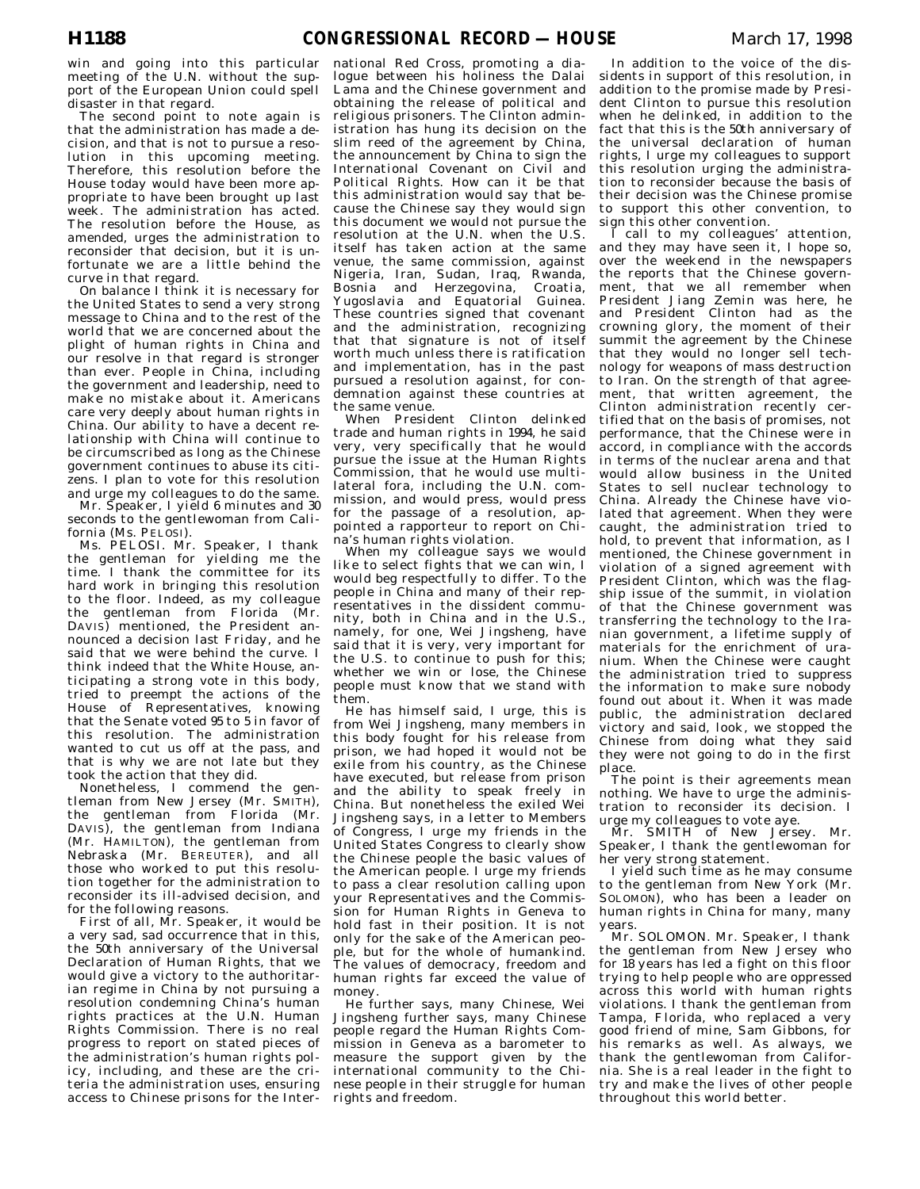win and going into this particular meeting of the U.N. without the support of the European Union could spell disaster in that regard.

The second point to note again is that the administration has made a decision, and that is not to pursue a resolution in this upcoming meeting. Therefore, this resolution before the House today would have been more appropriate to have been brought up last week. The administration has acted. The resolution before the House, as amended, urges the administration to reconsider that decision, but it is unfortunate we are a little behind the curve in that regard.

On balance I think it is necessary for the United States to send a very strong message to China and to the rest of the world that we are concerned about the plight of human rights in China and our resolve in that regard is stronger than ever. People in China, including the government and leadership, need to make no mistake about it. Americans care very deeply about human rights in China. Our ability to have a decent relationship with China will continue to be circumscribed as long as the Chinese government continues to abuse its citizens. I plan to vote for this resolution and urge my colleagues to do the same.

Mr. Speaker, I yield 6 minutes and 30 seconds to the gentlewoman from California (Ms. PELOSI).

Ms. PELOSI. Mr. Speaker, I thank the gentleman for yielding me the time. I thank the committee for its hard work in bringing this resolution to the floor. Indeed, as my colleague the gentleman from Florida (Mr. DAVIS) mentioned, the President announced a decision last Friday, and he said that we were behind the curve. I think indeed that the White House, anticipating a strong vote in this body, tried to preempt the actions of the House of Representatives, knowing that the Senate voted 95 to 5 in favor of this resolution. The administration wanted to cut us off at the pass, and that is why we are not late but they took the action that they did.

Nonetheless, I commend the gentleman from New Jersey (Mr. SMITH), the gentleman from Florida (Mr. DAVIS), the gentleman from Indiana (Mr. HAMILTON), the gentleman from Nebraska (Mr. BEREUTER), and all those who worked to put this resolution together for the administration to reconsider its ill-advised decision, and for the following reasons.

First of all, Mr. Speaker, it would be a very sad, sad occurrence that in this, the 50th anniversary of the Universal Declaration of Human Rights, that we would give a victory to the authoritarian regime in China by not pursuing a resolution condemning China's human rights practices at the U.N. Human Rights Commission. There is no real progress to report on stated pieces of the administration's human rights policy, including, and these are the criteria the administration uses, ensuring access to Chinese prisons for the Inter-

national Red Cross, promoting a dialogue between his holiness the Dalai Lama and the Chinese government and obtaining the release of political and religious prisoners. The Clinton administration has hung its decision on the slim reed of the agreement by China, the announcement by China to sign the International Covenant on Civil and Political Rights. How can it be that this administration would say that because the Chinese say they would sign this document we would not pursue the resolution at the U.N. when the U.S. itself has taken action at the same venue, the same commission, against Nigeria, Iran, Sudan, Iraq, Rwanda, Bosnia and Herzegovina, Yugoslavia and Equatorial Guinea. These countries signed that covenant and the administration, recognizing that that signature is not of itself worth much unless there is ratification and implementation, has in the past pursued a resolution against, for condemnation against these countries at the same venue.

When President Clinton delinked trade and human rights in 1994, he said very, very specifically that he would pursue the issue at the Human Rights Commission, that he would use multilateral fora, including the U.N. commission, and would press, would press for the passage of a resolution, appointed a rapporteur to report on China's human rights violation.

When my colleague says we would like to select fights that we can win, I would beg respectfully to differ. To the people in China and many of their representatives in the dissident community, both in China and in the U.S., namely, for one, Wei Jingsheng, have said that it is very, very important for the U.S. to continue to push for this; whether we win or lose, the Chinese people must know that we stand with them.

He has himself said, I urge, this is from Wei Jingsheng, many members in this body fought for his release from prison, we had hoped it would not be exile from his country, as the Chinese have executed, but release from prison and the ability to speak freely in China. But nonetheless the exiled Wei Jingsheng says, in a letter to Members of Congress, I urge my friends in the United States Congress to clearly show the Chinese people the basic values of the American people. I urge my friends to pass a clear resolution calling upon your Representatives and the Commission for Human Rights in Geneva to hold fast in their position. It is not only for the sake of the American people, but for the whole of humankind. The values of democracy, freedom and human rights far exceed the value of money.

He further says, many Chinese, Wei Jingsheng further says, many Chinese people regard the Human Rights Commission in Geneva as a barometer to measure the support given by the international community to the Chinese people in their struggle for human rights and freedom.

In addition to the voice of the dissidents in support of this resolution, in addition to the promise made by President Clinton to pursue this resolution when he delinked, in addition to the fact that this is the 50th anniversary of the universal declaration of human rights, I urge my colleagues to support this resolution urging the administration to reconsider because the basis of their decision was the Chinese promise to support this other convention, to sign this other convention.

I call to my colleagues' attention, and they may have seen it, I hope so, over the weekend in the newspapers the reports that the Chinese government, that we all remember when President Jiang Zemin was here, he and President Clinton had as the crowning glory, the moment of their summit the agreement by the Chinese that they would no longer sell technology for weapons of mass destruction to Iran. On the strength of that agreement, that written agreement, the Clinton administration recently certified that on the basis of promises, not performance, that the Chinese were in accord, in compliance with the accords in terms of the nuclear arena and that would allow business in the United States to sell nuclear technology to China. Already the Chinese have violated that agreement. When they were caught, the administration tried to hold, to prevent that information, as I mentioned, the Chinese government in violation of a signed agreement with President Clinton, which was the flagship issue of the summit, in violation of that the Chinese government was transferring the technology to the Iranian government, a lifetime supply of materials for the enrichment of uranium. When the Chinese were caught the administration tried to suppress the information to make sure nobody found out about it. When it was made public, the administration declared victory and said, look, we stopped the Chinese from doing what they said they were not going to do in the first place.

The point is their agreements mean nothing. We have to urge the administration to reconsider its decision. I urge my colleagues to vote aye.

Mr. SMITH of New Jersey. Mr. Speaker, I thank the gentlewoman for her very strong statement.

I yield such time as he may consume to the gentleman from New York (Mr. SOLOMON), who has been a leader on human rights in China for many, many years.

Mr. SOLOMON. Mr. Speaker, I thank the gentleman from New Jersey who for 18 years has led a fight on this floor trying to help people who are oppressed across this world with human rights violations. I thank the gentleman from Tampa, Florida, who replaced a very good friend of mine, Sam Gibbons, for his remarks as well. As always, we thank the gentlewoman from California. She is a real leader in the fight to try and make the lives of other people throughout this world better.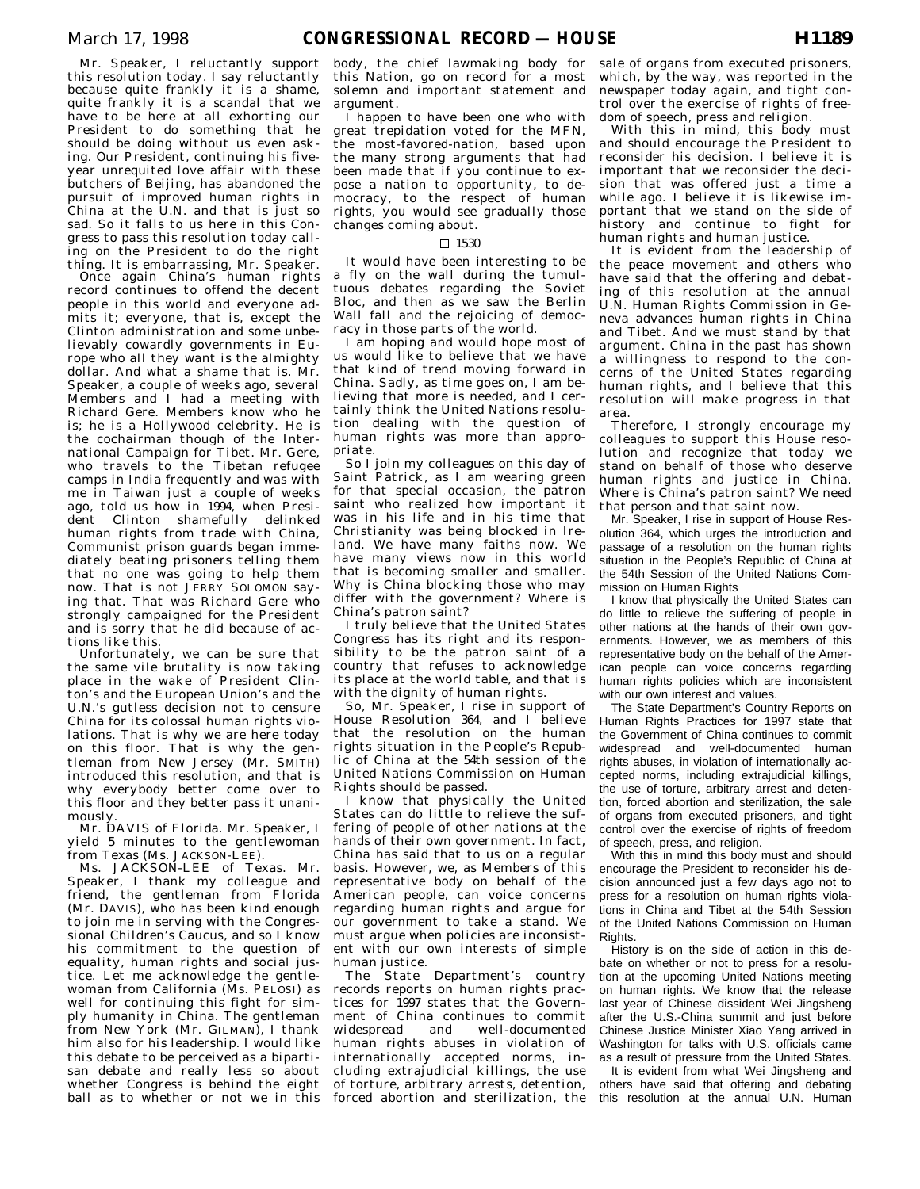Mr. Speaker, I reluctantly support this resolution today. I say reluctantly because quite frankly it is a shame, quite frankly it is a scandal that we have to be here at all exhorting our President to do something that he should be doing without us even asking. Our President, continuing his fiveyear unrequited love affair with these butchers of Beijing, has abandoned the pursuit of improved human rights in China at the U.N. and that is just so sad. So it falls to us here in this Congress to pass this resolution today calling on the President to do the right thing. It is embarrassing, Mr. Speaker.

Once again China's human rights record continues to offend the decent people in this world and everyone admits it; everyone, that is, except the Clinton administration and some unbelievably cowardly governments in Europe who all they want is the almighty dollar. And what a shame that is. Mr. Speaker, a couple of weeks ago, several Members and I had a meeting with Richard Gere. Members know who he is; he is a Hollywood celebrity. He is the cochairman though of the International Campaign for Tibet. Mr. Gere, who travels to the Tibetan refugee camps in India frequently and was with me in Taiwan just a couple of weeks ago, told us how in 1994, when President Clinton shamefully delinked human rights from trade with China, Communist prison guards began immediately beating prisoners telling them that no one was going to help them now. That is not JERRY SOLOMON saying that. That was Richard Gere who strongly campaigned for the President and is sorry that he did because of actions like this.

Unfortunately, we can be sure that the same vile brutality is now taking place in the wake of President Clinton's and the European Union's and the U.N.'s gutless decision not to censure China for its colossal human rights violations. That is why we are here today on this floor. That is why the gentleman from New Jersey (Mr. SMITH) introduced this resolution, and that is why everybody better come over to this floor and they better pass it unanimously.

Mr. DAVIS of Florida. Mr. Speaker, I yield 5 minutes to the gentlewoman from Texas (Ms. JACKSON-LEE).

Ms. JACKSON-LEE of Texas. Mr. Speaker, I thank my colleague and friend, the gentleman from Florida (Mr. DAVIS), who has been kind enough to join me in serving with the Congressional Children's Caucus, and so I know his commitment to the question of equality, human rights and social justice. Let me acknowledge the gentlewoman from California (Ms. PELOSI) as well for continuing this fight for simply humanity in China. The gentleman from New York (Mr. GILMAN), I thank him also for his leadership. I would like this debate to be perceived as a bipartisan debate and really less so about whether Congress is behind the eight ball as to whether or not we in this

body, the chief lawmaking body for this Nation, go on record for a most solemn and important statement and argument.

I happen to have been one who with great trepidation voted for the MFN, the most-favored-nation, based upon the many strong arguments that had been made that if you continue to expose a nation to opportunity, to democracy, to the respect of human rights, you would see gradually those changes coming about.

#### $\Box$  1530

It would have been interesting to be a fly on the wall during the tumultuous debates regarding the Soviet Bloc, and then as we saw the Berlin Wall fall and the rejoicing of democracy in those parts of the world.

I am hoping and would hope most of us would like to believe that we have that kind of trend moving forward in China. Sadly, as time goes on, I am believing that more is needed, and I certainly think the United Nations resolution dealing with the question of human rights was more than appropriate.

So I join my colleagues on this day of Saint Patrick, as I am wearing green for that special occasion, the patron saint who realized how important it was in his life and in his time that Christianity was being blocked in Ireland. We have many faiths now. We have many views now in this world that is becoming smaller and smaller. Why is China blocking those who may differ with the government? Where is China's patron saint?

I truly believe that the United States Congress has its right and its responsibility to be the patron saint of a country that refuses to acknowledge its place at the world table, and that is with the dignity of human rights.

So, Mr. Speaker, I rise in support of House Resolution 364, and I believe that the resolution on the human rights situation in the People's Republic of China at the 54th session of the United Nations Commission on Human Rights should be passed.

I know that physically the United States can do little to relieve the suffering of people of other nations at the hands of their own government. In fact, China has said that to us on a regular basis. However, we, as Members of this representative body on behalf of the American people, can voice concerns regarding human rights and argue for our government to take a stand. We must argue when policies are inconsistent with our own interests of simple human justice.

The State Department's country records reports on human rights practices for 1997 states that the Government of China continues to commit widespread and well-documented human rights abuses in violation of internationally accepted norms, including extrajudicial killings, the use of torture, arbitrary arrests, detention, forced abortion and sterilization, the

sale of organs from executed prisoners, which, by the way, was reported in the newspaper today again, and tight control over the exercise of rights of freedom of speech, press and religion.

With this in mind, this body must and should encourage the President to reconsider his decision. I believe it is important that we reconsider the decision that was offered just a time a while ago. I believe it is likewise important that we stand on the side of history and continue to fight for human rights and human justice.

It is evident from the leadership of the peace movement and others who have said that the offering and debating of this resolution at the annual U.N. Human Rights Commission in Geneva advances human rights in China and Tibet. And we must stand by that argument. China in the past has shown a willingness to respond to the concerns of the United States regarding human rights, and I believe that this resolution will make progress in that area.

Therefore, I strongly encourage my colleagues to support this House resolution and recognize that today we stand on behalf of those who deserve human rights and justice in China. Where is China's patron saint? We need that person and that saint now.

Mr. Speaker, I rise in support of House Resolution 364, which urges the introduction and passage of a resolution on the human rights situation in the People's Republic of China at the 54th Session of the United Nations Commission on Human Rights

I know that physically the United States can do little to relieve the suffering of people in other nations at the hands of their own governments. However, we as members of this representative body on the behalf of the American people can voice concerns regarding human rights policies which are inconsistent with our own interest and values.

The State Department's Country Reports on Human Rights Practices for 1997 state that the Government of China continues to commit widespread and well-documented human rights abuses, in violation of internationally accepted norms, including extrajudicial killings, the use of torture, arbitrary arrest and detention, forced abortion and sterilization, the sale of organs from executed prisoners, and tight control over the exercise of rights of freedom of speech, press, and religion.

With this in mind this body must and should encourage the President to reconsider his decision announced just a few days ago not to press for a resolution on human rights violations in China and Tibet at the 54th Session of the United Nations Commission on Human Rights.

History is on the side of action in this debate on whether or not to press for a resolution at the upcoming United Nations meeting on human rights. We know that the release last year of Chinese dissident Wei Jingsheng after the U.S.-China summit and just before Chinese Justice Minister Xiao Yang arrived in Washington for talks with U.S. officials came as a result of pressure from the United States.

It is evident from what Wei Jingsheng and others have said that offering and debating this resolution at the annual U.N. Human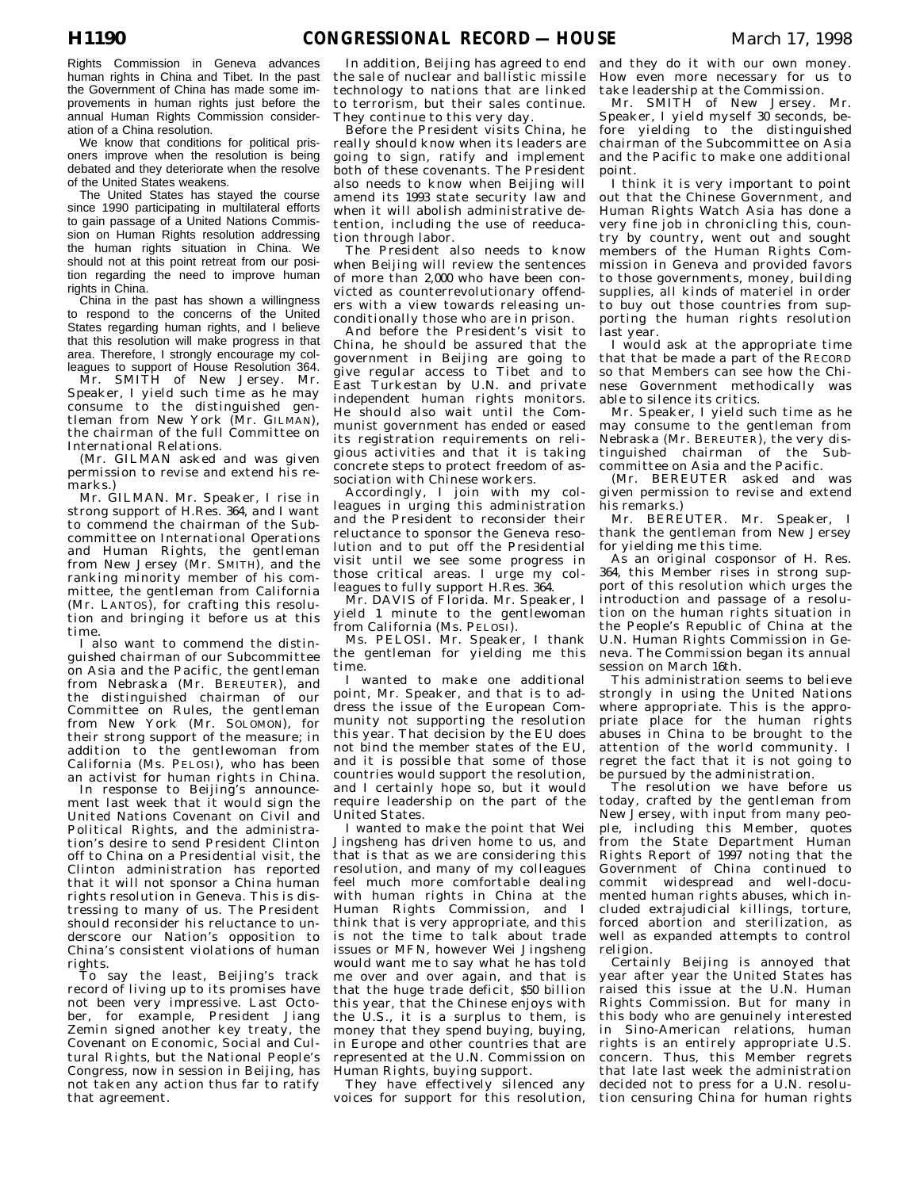Rights Commission in Geneva advances human rights in China and Tibet. In the past the Government of China has made some improvements in human rights just before the annual Human Rights Commission consideration of a China resolution.

We know that conditions for political prisoners improve when the resolution is being debated and they deteriorate when the resolve of the United States weakens.

The United States has stayed the course since 1990 participating in multilateral efforts to gain passage of a United Nations Commission on Human Rights resolution addressing the human rights situation in China. We should not at this point retreat from our position regarding the need to improve human rights in China.

China in the past has shown a willingness to respond to the concerns of the United States regarding human rights, and I believe that this resolution will make progress in that area. Therefore, I strongly encourage my colleagues to support of House Resolution 364.

Mr. SMITH of New Jersey. Mr. Speaker, I yield such time as he may consume to the distinguished gentleman from New York (Mr. GILMAN), the chairman of the full Committee on International Relations.

(Mr. GILMAN asked and was given permission to revise and extend his remarks.)

Mr. GILMAN. Mr. Speaker, I rise in strong support of H.Res. 364, and I want to commend the chairman of the Subcommittee on International Operations and Human Rights, the gentleman from New Jersey (Mr. SMITH), and the ranking minority member of his committee, the gentleman from California (Mr. LANTOS), for crafting this resolution and bringing it before us at this time.

I also want to commend the distinguished chairman of our Subcommittee on Asia and the Pacific, the gentleman from Nebraska (Mr. BEREUTER), and the distinguished chairman of our Committee on Rules, the gentleman from New York (Mr. SOLOMON), for their strong support of the measure; in addition to the gentlewoman from California (Ms. PELOSI), who has been an activist for human rights in China.

In response to Beijing's announcement last week that it would sign the United Nations Covenant on Civil and Political Rights, and the administration's desire to send President Clinton off to China on a Presidential visit, the Clinton administration has reported that it will not sponsor a China human rights resolution in Geneva. This is distressing to many of us. The President should reconsider his reluctance to underscore our Nation's opposition to China's consistent violations of human rights.

To say the least, Beijing's track record of living up to its promises have not been very impressive. Last October, for example, President Jiang Zemin signed another key treaty, the Covenant on Economic, Social and Cultural Rights, but the National People's Congress, now in session in Beijing, has not taken any action thus far to ratify that agreement.

In addition, Beijing has agreed to end the sale of nuclear and ballistic missile technology to nations that are linked to terrorism, but their sales continue. They continue to this very day.

Before the President visits China, he really should know when its leaders are going to sign, ratify and implement both of these covenants. The President also needs to know when Beijing will amend its 1993 state security law and when it will abolish administrative detention, including the use of reeducation through labor.

The President also needs to know when Beijing will review the sentences of more than 2,000 who have been convicted as counterrevolutionary offenders with a view towards releasing unconditionally those who are in prison.

And before the President's visit to China, he should be assured that the government in Beijing are going to give regular access to Tibet and to East Turkestan by U.N. and private independent human rights monitors. He should also wait until the Communist government has ended or eased its registration requirements on religious activities and that it is taking concrete steps to protect freedom of association with Chinese workers.

Accordingly, I join with my colleagues in urging this administration and the President to reconsider their reluctance to sponsor the Geneva resolution and to put off the Presidential visit until we see some progress in those critical areas. I urge my colleagues to fully support H.Res. 364.

Mr. DAVIS of Florida. Mr. Speaker, I yield 1 minute to the gentlewoman from California (Ms. PELOSI).

Ms. PELOSI. Mr. Speaker, I thank the gentleman for yielding me this time.

I wanted to make one additional point, Mr. Speaker, and that is to address the issue of the European Community not supporting the resolution this year. That decision by the EU does not bind the member states of the EU, and it is possible that some of those countries would support the resolution, and I certainly hope so, but it would require leadership on the part of the United States.

I wanted to make the point that Wei Jingsheng has driven home to us, and that is that as we are considering this resolution, and many of my colleagues feel much more comfortable dealing with human rights in China at the Human Rights<sup> C</sup>ommission, and I think that is very appropriate, and this is not the time to talk about trade issues or MFN, however Wei Jingsheng would want me to say what he has told me over and over again, and that is that the huge trade deficit, \$50 billion this year, that the Chinese enjoys with the U.S., it is a surplus to them, is money that they spend buying, buying, in Europe and other countries that are represented at the U.N. Commission on Human Rights, buying support.

They have effectively silenced any voices for support for this resolution,

and they do it with our own money. How even more necessary for us to take leadership at the Commission.

Mr. SMITH of New Jersey. Mr. Speaker, I yield myself 30 seconds, before yielding to the distinguished chairman of the Subcommittee on Asia and the Pacific to make one additional point.

I think it is very important to point out that the Chinese Government, and Human Rights Watch Asia has done a very fine job in chronicling this, country by country, went out and sought members of the Human Rights Commission in Geneva and provided favors to those governments, money, building supplies, all kinds of materiel in order to buy out those countries from supporting the human rights resolution last year.

I would ask at the appropriate time that that be made a part of the RECORD so that Members can see how the Chinese Government methodically was able to silence its critics.

Mr. Speaker, I yield such time as he may consume to the gentleman from Nebraska (Mr. BEREUTER), the very distinguished chairman of the Subcommittee on Asia and the Pacific.

(Mr. BEREUTER asked and was given permission to revise and extend his remarks.)

Mr. BEREUTER. Mr. Speaker, I thank the gentleman from New Jersey for yielding me this time.

As an original cosponsor of H. Res. 364, this Member rises in strong support of this resolution which urges the introduction and passage of a resolution on the human rights situation in the People's Republic of China at the U.N. Human Rights Commission in Geneva. The Commission began its annual session on March 16th.

This administration seems to believe strongly in using the United Nations where appropriate. This is the appropriate place for the human rights abuses in China to be brought to the attention of the world community. I regret the fact that it is not going to be pursued by the administration.

The resolution we have before us today, crafted by the gentleman from New Jersey, with input from many people, including this Member, quotes from the State Department Human Rights Report of 1997 noting that the Government of China continued to commit widespread and well-documented human rights abuses, which included extrajudicial killings, torture, forced abortion and sterilization, as well as expanded attempts to control religion.

Certainly Beijing is annoyed that year after year the United States has raised this issue at the U.N. Human Rights Commission. But for many in this body who are genuinely interested in Sino-American relations, human rights is an entirely appropriate U.S. concern. Thus, this Member regrets that late last week the administration decided not to press for a U.N. resolution censuring China for human rights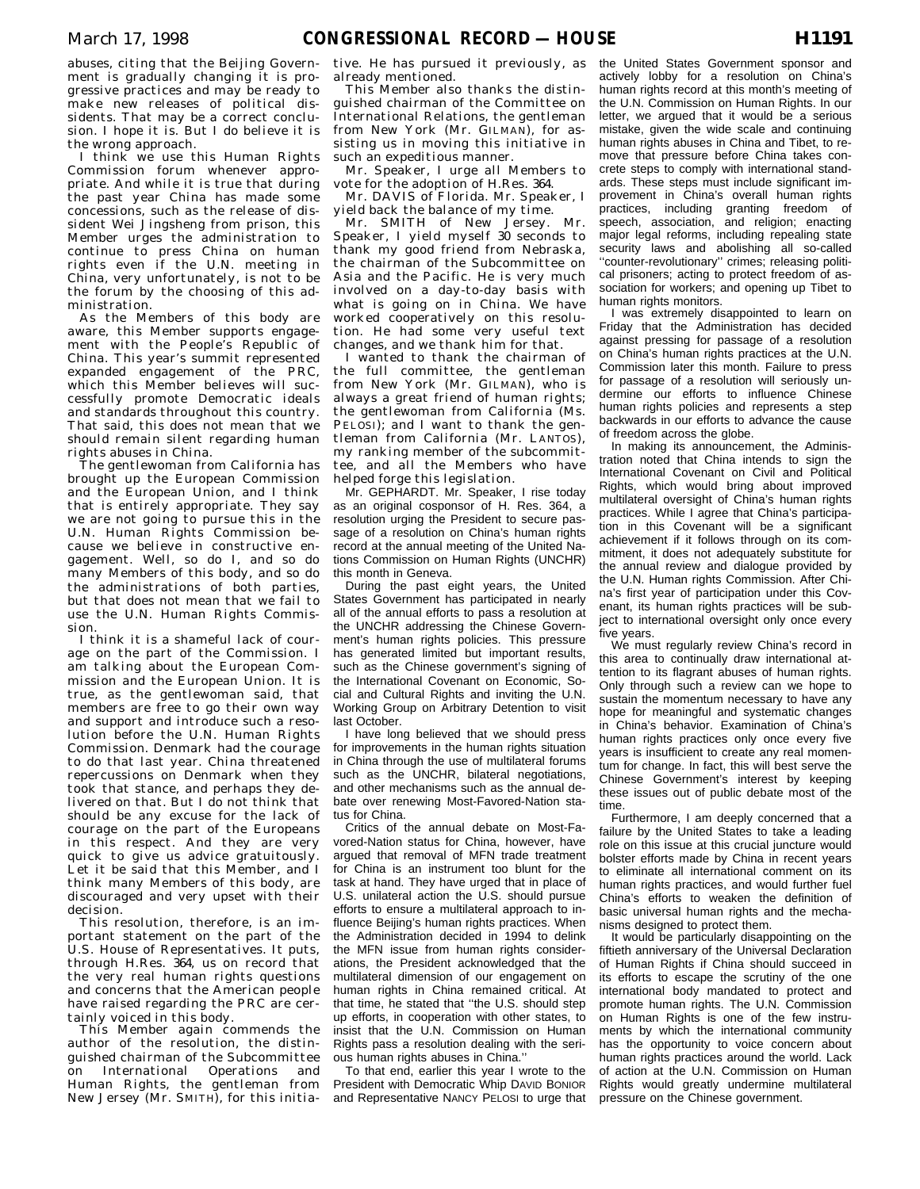abuses, citing that the Beijing Government is gradually changing it is progressive practices and may be ready to make new releases of political dissidents. That may be a correct conclusion. I hope it is. But I do believe it is the wrong approach.

I think we use this Human Rights Commission forum whenever appropriate. And while it is true that during the past year China has made some concessions, such as the release of dissident Wei Jingsheng from prison, this Member urges the administration to continue to press China on human rights even if the U.N. meeting in China, very unfortunately, is not to be the forum by the choosing of this administration.

As the Members of this body are aware, this Member supports engagement with the People's Republic of China. This year's summit represented expanded engagement of the PRC, which this Member believes will successfully promote Democratic ideals and standards throughout this country. That said, this does not mean that we should remain silent regarding human rights abuses in China.

The gentlewoman from California has brought up the European Commission and the European Union, and I think that is entirely appropriate. They say we are not going to pursue this in the U.N. Human Rights Commission because we believe in constructive engagement. Well, so do I, and so do many Members of this body, and so do the administrations of both parties, but that does not mean that we fail to use the U.N. Human Rights Commission.

I think it is a shameful lack of courage on the part of the Commission. I am talking about the European Commission and the European Union. It is true, as the gentlewoman said, that members are free to go their own way and support and introduce such a resolution before the U.N. Human Rights Commission. Denmark had the courage to do that last year. China threatened repercussions on Denmark when they took that stance, and perhaps they delivered on that. But I do not think that should be any excuse for the lack of courage on the part of the Europeans in this respect. And they are very quick to give us advice gratuitously. Let it be said that this Member, and I think many Members of this body, are discouraged and very upset with their decision.

This resolution, therefore, is an important statement on the part of the U.S. House of Representatives. It puts, through H.Res.  $364$ , us on record that the very real human rights questions and concerns that the American people have raised regarding the PRC are certainly voiced in this body.

This Member again commends the author of the resolution, the distinguished chairman of the Subcommittee on International Operations and Human Rights, the gentleman from New Jersey (Mr. SMITH), for this initia-

tive. He has pursued it previously, as already mentioned.

This Member also thanks the distinguished chairman of the Committee on International Relations, the gentleman from New York (Mr. GILMAN), for assisting us in moving this initiative in such an expeditious manner.

Mr. Speaker, I urge all Members to vote for the adoption of H.Res. 364.

Mr. DAVIS of Florida. Mr. Speaker, I yield back the balance of my time.

Mr. SMITH of New Jersey. Mr. Speaker, I yield myself 30 seconds to thank my good friend from Nebraska, the chairman of the Subcommittee on Asia and the Pacific. He is very much involved on a day-to-day basis with what is going on in China. We have worked cooperatively on this resolution. He had some very useful text changes, and we thank him for that.

I wanted to thank the chairman of the full committee, the gentleman from New York (Mr. GILMAN), who is always a great friend of human rights; the gentlewoman from California (Ms. PELOSI); and I want to thank the gentleman from California (Mr. LANTOS), my ranking member of the subcommittee, and all the Members who have helped forge this legislation.

Mr. GEPHARDT. Mr. Speaker, I rise today as an original cosponsor of H. Res. 364, a resolution urging the President to secure passage of a resolution on China's human rights record at the annual meeting of the United Nations Commission on Human Rights (UNCHR) this month in Geneva.

During the past eight years, the United States Government has participated in nearly all of the annual efforts to pass a resolution at the UNCHR addressing the Chinese Government's human rights policies. This pressure has generated limited but important results, such as the Chinese government's signing of the International Covenant on Economic, Social and Cultural Rights and inviting the U.N. Working Group on Arbitrary Detention to visit last October.

I have long believed that we should press for improvements in the human rights situation in China through the use of multilateral forums such as the UNCHR, bilateral negotiations, and other mechanisms such as the annual debate over renewing Most-Favored-Nation status for China.

Critics of the annual debate on Most-Favored-Nation status for China, however, have argued that removal of MFN trade treatment for China is an instrument too blunt for the task at hand. They have urged that in place of U.S. unilateral action the U.S. should pursue efforts to ensure a multilateral approach to influence Beijing's human rights practices. When the Administration decided in 1994 to delink the MFN issue from human rights considerations, the President acknowledged that the multilateral dimension of our engagement on human rights in China remained critical. At that time, he stated that ''the U.S. should step up efforts, in cooperation with other states, to insist that the U.N. Commission on Human Rights pass a resolution dealing with the serious human rights abuses in China.''

To that end, earlier this year I wrote to the President with Democratic Whip DAVID BONIOR and Representative NANCY PELOSI to urge that

the United States Government sponsor and actively lobby for a resolution on China's human rights record at this month's meeting of the U.N. Commission on Human Rights. In our letter, we argued that it would be a serious mistake, given the wide scale and continuing human rights abuses in China and Tibet, to remove that pressure before China takes concrete steps to comply with international standards. These steps must include significant improvement in China's overall human rights practices, including granting freedom of speech, association, and religion; enacting major legal reforms, including repealing state security laws and abolishing all so-called ''counter-revolutionary'' crimes; releasing political prisoners; acting to protect freedom of association for workers; and opening up Tibet to human rights monitors.

I was extremely disappointed to learn on Friday that the Administration has decided against pressing for passage of a resolution on China's human rights practices at the U.N. Commission later this month. Failure to press for passage of a resolution will seriously undermine our efforts to influence Chinese human rights policies and represents a step backwards in our efforts to advance the cause of freedom across the globe.

In making its announcement, the Administration noted that China intends to sign the International Covenant on Civil and Political Rights, which would bring about improved multilateral oversight of China's human rights practices. While I agree that China's participation in this Covenant will be a significant achievement if it follows through on its commitment, it does not adequately substitute for the annual review and dialogue provided by the U.N. Human rights Commission. After China's first year of participation under this Covenant, its human rights practices will be subject to international oversight only once every five years.

We must regularly review China's record in this area to continually draw international attention to its flagrant abuses of human rights. Only through such a review can we hope to sustain the momentum necessary to have any hope for meaningful and systematic changes in China's behavior. Examination of China's human rights practices only once every five years is insufficient to create any real momentum for change. In fact, this will best serve the Chinese Government's interest by keeping these issues out of public debate most of the time.

Furthermore, I am deeply concerned that a failure by the United States to take a leading role on this issue at this crucial juncture would bolster efforts made by China in recent years to eliminate all international comment on its human rights practices, and would further fuel China's efforts to weaken the definition of basic universal human rights and the mechanisms designed to protect them.

It would be particularly disappointing on the fiftieth anniversary of the Universal Declaration of Human Rights if China should succeed in its efforts to escape the scrutiny of the one international body mandated to protect and promote human rights. The U.N. Commission on Human Rights is one of the few instruments by which the international community has the opportunity to voice concern about human rights practices around the world. Lack of action at the U.N. Commission on Human Rights would greatly undermine multilateral pressure on the Chinese government.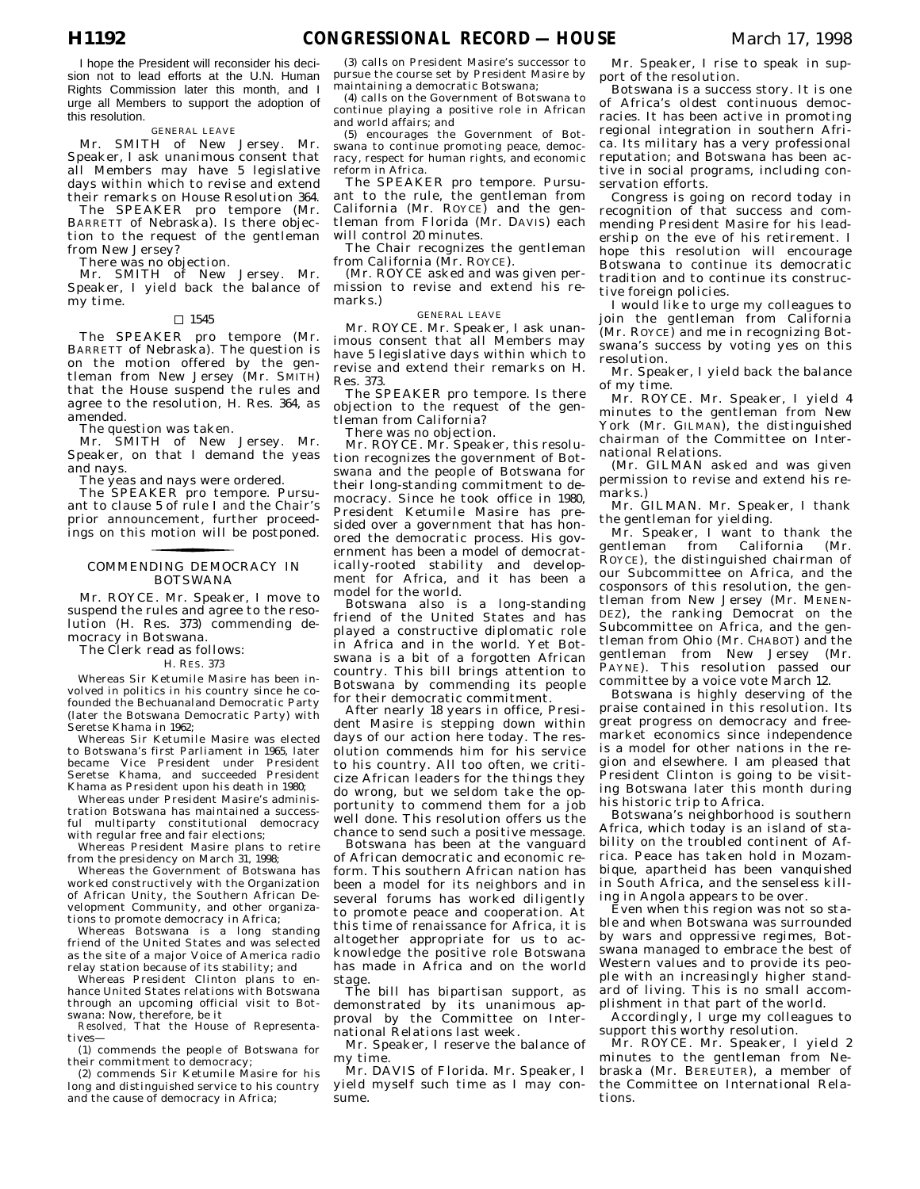I hope the President will reconsider his decision not to lead efforts at the U.N. Human Rights Commission later this month, and I urge all Members to support the adoption of this resolution.

#### GENERAL LEAVE

Mr. SMITH of New Jersey. Mr. Speaker, I ask unanimous consent that all Members may have 5 legislative days within which to revise and extend their remarks on House Resolution 364.

The SPEAKER pro tempore (Mr. BARRETT of Nebraska). Is there objection to the request of the gentleman from New Jersey?

There was no objection.

Mr. SMITH of New Jersey. Mr. Speaker, I yield back the balance of my time.

#### $\square$  1545

The SPEAKER pro tempore (Mr. BARRETT of Nebraska). The question is on the motion offered by the gentleman from New Jersey (Mr. SMITH) that the House suspend the rules and agree to the resolution, H. Res. 364, as amended.

The question was taken.

Mr. SMITH of New Jersey. Mr. Speaker, on that I demand the yeas and nays.

The yeas and nays were ordered.

The SPEAKER pro tempore. Pursuant to clause 5 of rule I and the Chair's prior announcement, further proceedings on this motion will be postponed.

#### COMMENDING DEMOCRACY IN for the control of the control of BOTSWANA

Mr. ROYCE. Mr. Speaker, I move to suspend the rules and agree to the resolution (H. Res. 373) commending democracy in Botswana.

The Clerk read as follows:

H. RES. 373 Whereas Sir Ketumile Masire has been in-

volved in politics in his country since he cofounded the Bechuanaland Democratic Party (later the Botswana Democratic Party) with Seretse Khama in 1962;

Whereas Sir Ketumile Masire was elected to Botswana's first Parliament in 1965, later became Vice President under President Seretse Khama, and succeeded President Khama as President upon his death in 1980;

Whereas under President Masire's administration Botswana has maintained a successful multiparty constitutional democracy with regular free and fair elections;

Whereas President Masire plans to retire from the presidency on March 31, 1998;

Whereas the Government of Botswana has worked constructively with the Organization of African Unity, the Southern African Development Community, and other organizations to promote democracy in Africa;

Whereas Botswana is a long standing friend of the United States and was selected as the site of a major Voice of America radio relay station because of its stability; and

Whereas President Clinton plans to enhance United States relations with Botswana through an upcoming official visit to Botswana: Now, therefore, be it

*Resolved,* That the House of Representatives—

(1) commends the people of Botswana for their commitment to democracy;

(2) commends Sir Ketumile Masire for his long and distinguished service to his country and the cause of democracy in Africa;

(3) calls on President Masire's successor to pursue the course set by President Masire by maintaining a democratic Botswana;

(4) calls on the Government of Botswana to continue playing a positive role in African and world affairs; and

(5) encourages the Government of Botswana to continue promoting peace, democracy, respect for human rights, and economic reform in Africa.

The SPEAKER pro tempore. Pursuant to the rule, the gentleman from California (Mr. ROYCE) and the gentleman from Florida (Mr. DAVIS) each will control 20 minutes.

The Chair recognizes the gentleman from California (Mr. ROYCE).

(Mr. ROYCE asked and was given permission to revise and extend his remarks.)

#### GENERAL LEAVE

Mr. ROYCE. Mr. Speaker, I ask unanimous consent that all Members may have 5 legislative days within which to revise and extend their remarks on H. Res. 373.

The SPEAKER pro tempore. Is there objection to the request of the gentleman from California?

There was no objection.

Mr. ROYCE. Mr. Speaker, this resolution recognizes the government of Botswana and the people of Botswana for their long-standing commitment to democracy. Since he took office in 1980, President Ketumile Masire has presided over a government that has honored the democratic process. His government has been a model of democratically-rooted stability and development for Africa, and it has been a model for the world.

Botswana also is a long-standing friend of the United States and has played a constructive diplomatic role in Africa and in the world. Yet Botswana is a bit of a forgotten African country. This bill brings attention to Botswana by commending its people for their democratic commitment.

After nearly 18 years in office, President Masire is stepping down within days of our action here today. The resolution commends him for his service to his country. All too often, we criticize African leaders for the things they do wrong, but we seldom take the opportunity to commend them for a job well done. This resolution offers us the chance to send such a positive message.

Botswana has been at the vanguard of African democratic and economic reform. This southern African nation has been a model for its neighbors and in several forums has worked diligently to promote peace and cooperation. At this time of renaissance for Africa, it is altogether appropriate for us to acknowledge the positive role Botswana has made in Africa and on the world stage.

The bill has bipartisan support, as demonstrated by its unanimous approval by the Committee on International Relations last week.

Mr. Speaker, I reserve the balance of my time.

Mr. DAVIS of Florida. Mr. Speaker, I yield myself such time as I may consume.

Mr. Speaker, I rise to speak in support of the resolution.

Botswana is a success story. It is one of Africa's oldest continuous democracies. It has been active in promoting regional integration in southern Africa. Its military has a very professional reputation; and Botswana has been active in social programs, including conservation efforts.

Congress is going on record today in recognition of that success and commending President Masire for his leadership on the eve of his retirement. I hope this resolution will encourage Botswana to continue its democratic tradition and to continue its constructive foreign policies.

I would like to urge my colleagues to join the gentleman from California (Mr. ROYCE) and me in recognizing Botswana's success by voting yes on this resolution.

Mr. Speaker, I yield back the balance of my time.

Mr. ROYCE. Mr. Speaker, I yield 4 minutes to the gentleman from New York (Mr. GILMAN), the distinguished chairman of the Committee on International Relations.

(Mr. GILMAN asked and was given permission to revise and extend his re-.<br>marks.)

Mr. GILMAN. Mr. Speaker, I thank the gentleman for yielding.

Mr. Speaker, I want to thank the gentleman from California (Mr. ROYCE), the distinguished chairman of our Subcommittee on Africa, and the cosponsors of this resolution, the gentleman from New Jersey (Mr. MENEN-DEZ), the ranking Democrat on the Subcommittee on Africa, and the gentleman from Ohio (Mr. CHABOT) and the gentleman from New Jersey (Mr. PAYNE). This resolution passed our committee by a voice vote March 12.

Botswana is highly deserving of the praise contained in this resolution. Its great progress on democracy and freemarket economics since independence is a model for other nations in the region and elsewhere. I am pleased that President Clinton is going to be visiting Botswana later this month during his historic trip to Africa.

Botswana's neighborhood is southern Africa, which today is an island of stability on the troubled continent of Africa. Peace has taken hold in Mozambique, apartheid has been vanquished in South Africa, and the senseless killing in Angola appears to be over.

Even when this region was not so stable and when Botswana was surrounded by wars and oppressive regimes, Botswana managed to embrace the best of Western values and to provide its people with an increasingly higher standard of living. This is no small accomplishment in that part of the world.

Accordingly, I urge my colleagues to support this worthy resolution.

Mr. ROYCE. Mr. Speaker, I yield 2 minutes to the gentleman from Nebraska (Mr. BEREUTER), a member of the Committee on International Relations.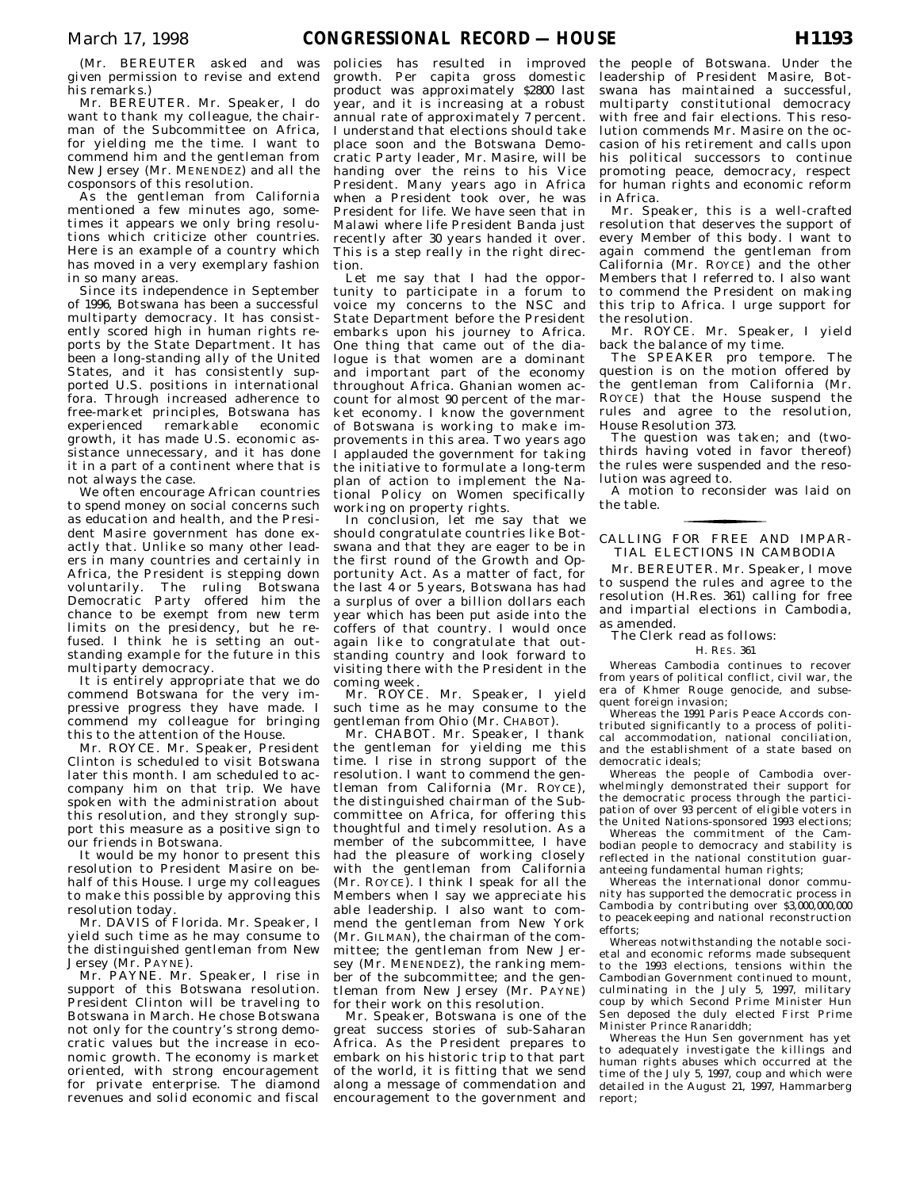(Mr. BEREUTER asked and was given permission to revise and extend his remarks.)

Mr. BEREUTER. Mr. Speaker, I do want to thank my colleague, the chairman of the Subcommittee on Africa, for yielding me the time. I want to commend him and the gentleman from New Jersey (Mr. MENENDEZ) and all the cosponsors of this resolution.

As the gentleman from California mentioned a few minutes ago, sometimes it appears we only bring resolutions which criticize other countries. Here is an example of a country which has moved in a very exemplary fashion in so many areas.

Since its independence in September of 1996, Botswana has been a successful multiparty democracy. It has consistently scored high in human rights reports by the State Department. It has been a long-standing ally of the United States, and it has consistently supported U.S. positions in international fora. Through increased adherence to free-market principles, Botswana has experienced remarkable economic growth, it has made U.S. economic assistance unnecessary, and it has done it in a part of a continent where that is not always the case.

We often encourage African countries to spend money on social concerns such as education and health, and the President Masire government has done exactly that. Unlike so many other leaders in many countries and certainly in Africa, the President is stepping down voluntarily. The ruling Botswana Democratic Party offered him the chance to be exempt from new term limits on the presidency, but he refused. I think he is setting an outstanding example for the future in this multiparty democracy.

It is entirely appropriate that we do commend Botswana for the very impressive progress they have made. I commend my colleague for bringing this to the attention of the House.

Mr. ROYCE. Mr. Speaker, President Clinton is scheduled to visit Botswana later this month. I am scheduled to accompany him on that trip. We have spoken with the administration about this resolution, and they strongly support this measure as a positive sign to our friends in Botswana.

It would be my honor to present this resolution to President Masire on behalf of this House. I urge my colleagues to make this possible by approving this resolution today.

Mr. DAVIS of Florida. Mr. Speaker, I yield such time as he may consume to the distinguished gentleman from New Jersey (Mr. PAYNE).

Mr. PAYNE. Mr. Speaker, I rise in support of this Botswana resolution. President Clinton will be traveling to Botswana in March. He chose Botswana not only for the country's strong democratic values but the increase in economic growth. The economy is market oriented, with strong encouragement for private enterprise. The diamond revenues and solid economic and fiscal

policies has resulted in improved growth. Per capita gross domestic product was approximately \$2800 last year, and it is increasing at a robust annual rate of approximately 7 percent. I understand that elections should take place soon and the Botswana Democratic Party leader, Mr. Masire, will be handing over the reins to his Vice President. Many years ago in Africa when a President took over, he was President for life. We have seen that in Malawi where life President Banda just recently after 30 years handed it over. This is a step really in the right direction.

Let me say that I had the opportunity to participate in a forum to voice my concerns to the NSC and State Department before the President embarks upon his journey to Africa. One thing that came out of the dialogue is that women are a dominant and important part of the economy throughout Africa. Ghanian women account for almost 90 percent of the market economy. I know the government of Botswana is working to make improvements in this area. Two years ago I applauded the government for taking the initiative to formulate a long-term plan of action to implement the National Policy on Women specifically working on property rights.

In conclusion, let me say that we should congratulate countries like Botswana and that they are eager to be in the first round of the Growth and Opportunity Act. As a matter of fact, for the last 4 or 5 years, Botswana has had a surplus of over a billion dollars each year which has been put aside into the coffers of that country. I would once again like to congratulate that outstanding country and look forward to visiting there with the President in the coming week.

Mr. ROYCE. Mr. Speaker, I yield such time as he may consume to the gentleman from Ohio (Mr. CHABOT).

Mr. CHABOT. Mr. Speaker, I thank the gentleman for yielding me this time. I rise in strong support of the resolution. I want to commend the gentleman from California (Mr. ROYCE), the distinguished chairman of the Subcommittee on Africa, for offering this thoughtful and timely resolution. As a member of the subcommittee, I have had the pleasure of working closely with the gentleman from California (Mr. ROYCE). I think I speak for all the Members when I say we appreciate his able leadership. I also want to commend the gentleman from New York (Mr. GILMAN), the chairman of the committee; the gentleman from New Jersey (Mr. MENENDEZ), the ranking member of the subcommittee; and the gentleman from New Jersey (Mr. PAYNE) for their work on this resolution.

Mr. Speaker, Botswana is one of the great success stories of sub-Saharan Africa. As the President prepares to embark on his historic trip to that part of the world, it is fitting that we send along a message of commendation and encouragement to the government and

the people of Botswana. Under the leadership of President Masire, Botswana has maintained a successful, multiparty constitutional democracy with free and fair elections. This resolution commends Mr. Masire on the occasion of his retirement and calls upon his political successors to continue promoting peace, democracy, respect for human rights and economic reform in Africa.

Mr. Speaker, this is a well-crafted resolution that deserves the support of every Member of this body. I want to again commend the gentleman from California (Mr. ROYCE) and the other Members that I referred to. I also want to commend the President on making this trip to Africa. I urge support for the resolution.

Mr. ROYCE. Mr. Speaker, I yield back the balance of my time.

The SPEAKER pro tempore. The question is on the motion offered by the gentleman from California (Mr. ROYCE) that the House suspend the rules and agree to the resolution, House Resolution 373.

The question was taken; and (twothirds having voted in favor thereof) the rules were suspended and the resolution was agreed to.

A motion to reconsider was laid on the table. for the control of the control of

#### CALLING FOR FREE AND IMPAR-TIAL ELECTIONS IN CAMBODIA

Mr. BEREUTER. Mr. Speaker, I move to suspend the rules and agree to the resolution (H.Res. 361) calling for free and impartial elections in Cambodia, as amended.

The Clerk read as follows:

#### H. RES. 361

Whereas Cambodia continues to recover from years of political conflict, civil war, the era of Khmer Rouge genocide, and subsequent foreign invasion;

Whereas the 1991 Paris Peace Accords contributed significantly to a process of political accommodation, national conciliation, and the establishment of a state based on democratic ideals;

Whereas the people of Cambodia overwhelmingly demonstrated their support for the democratic process through the participation of over 93 percent of eligible voters in the United Nations-sponsored 1993 elections;

Whereas the commitment of the Cambodian people to democracy and stability is reflected in the national constitution guaranteeing fundamental human rights;

Whereas the international donor community has supported the democratic process in Cambodia by contributing over \$3,000,000,000 to peacekeeping and national reconstruction efforts;

Whereas notwithstanding the notable societal and economic reforms made subsequent to the 1993 elections, tensions within the Cambodian Government continued to mount, culminating in the July 5, 1997, military coup by which Second Prime Minister Hun Sen deposed the duly elected First Prime Minister Prince Ranariddh;

Whereas the Hun Sen government has yet to adequately investigate the killings and human rights abuses which occurred at the time of the July 5, 1997, coup and which were detailed in the August 21, 1997, Hammarberg report;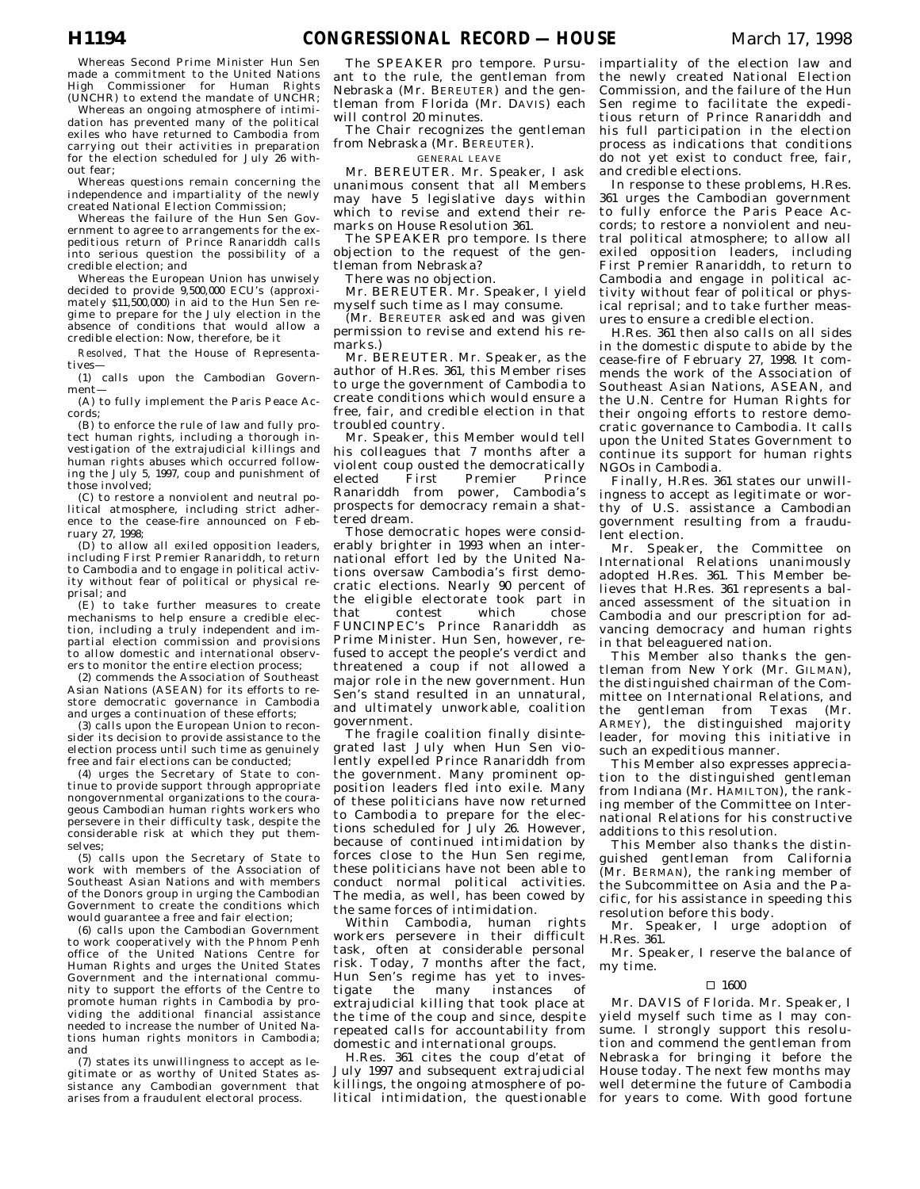Whereas Second Prime Minister Hun Sen made a commitment to the United Nations High Commissioner for Human Rights (UNCHR) to extend the mandate of UNCHR;

Whereas an ongoing atmosphere of intimidation has prevented many of the political exiles who have returned to Cambodia from carrying out their activities in preparation for the election scheduled for July 26 without fear;

Whereas questions remain concerning the independence and impartiality of the newly created National Election Commission;

Whereas the failure of the Hun Sen Government to agree to arrangements for the expeditious return of Prince Ranariddh calls into serious question the possibility of a credible election; and

Whereas the European Union has unwisely decided to provide 9,500,000 ECU's (approximately \$11,500,000) in aid to the Hun Sen regime to prepare for the July election in the absence of conditions that would allow a credible election: Now, therefore, be it

*Resolved*, That the House of Representatives—

(1) calls upon the Cambodian Government—

(A) to fully implement the Paris Peace Accords;

(B) to enforce the rule of law and fully protect human rights, including a thorough investigation of the extrajudicial killings and human rights abuses which occurred following the July 5, 1997, coup and punishment of those involved;

(C) to restore a nonviolent and neutral political atmosphere, including strict adherence to the cease-fire announced on February 27, 1998;

(D) to allow all exiled opposition leaders, including First Premier Ranariddh, to return to Cambodia and to engage in political activity without fear of political or physical reprisal; and

(E) to take further measures to create mechanisms to help ensure a credible election, including a truly independent and impartial election commission and provisions to allow domestic and international observers to monitor the entire election process;

(2) commends the Association of Southeast Asian Nations (ASEAN) for its efforts to restore democratic governance in Cambodia and urges a continuation of these efforts;

(3) calls upon the European Union to reconsider its decision to provide assistance to the election process until such time as genuinely free and fair elections can be conducted;

(4) urges the Secretary of State to continue to provide support through appropriate nongovernmental organizations to the courageous Cambodian human rights workers who persevere in their difficulty task, despite the considerable risk at which they put themselves;

(5) calls upon the Secretary of State to work with members of the Association of Southeast Asian Nations and with members of the Donors group in urging the Cambodian Government to create the conditions which would guarantee a free and fair election;

(6) calls upon the Cambodian Government to work cooperatively with the Phnom Penh office of the United Nations Centre for Human Rights and urges the United States Government and the international community to support the efforts of the Centre to promote human rights in Cambodia by providing the additional financial assistance needed to increase the number of United Nations human rights monitors in Cambodia; and

(7) states its unwillingness to accept as legitimate or as worthy of United States assistance any Cambodian government that arises from a fraudulent electoral process.

The SPEAKER pro tempore. Pursuant to the rule, the gentleman from Nebraska (Mr. BEREUTER) and the gentleman from Florida (Mr. DAVIS) each will control 20 minutes.

The Chair recognizes the gentleman from Nebraska (Mr. BEREUTER).

GENERAL LEAVE

Mr. BEREUTER. Mr. Speaker, I ask unanimous consent that all Members may have 5 legislative days within which to revise and extend their remarks on House Resolution 361.

The SPEAKER pro tempore. Is there objection to the request of the gentleman from Nebraska?

There was no objection.

Mr. BEREUTER. Mr. Speaker, I yield myself such time as I may consume.

(Mr. BEREUTER asked and was given permission to revise and extend his remarks.)

Mr. BEREUTER. Mr. Speaker, as the author of H.Res. 361, this Member rises to urge the government of Cambodia to create conditions which would ensure a free, fair, and credible election in that troubled country.

Mr. Speaker, this Member would tell his colleagues that 7 months after a violent coup ousted the democratically elected First Premier Prince Ranariddh from power, Cambodia's prospects for democracy remain a shattered dream.

Those democratic hopes were considerably brighter in 1993 when an international effort led by the United Nations oversaw Cambodia's first democratic elections. Nearly 90 percent of the eligible electorate took part in that contest which chose FUNCINPEC's Prince Ranariddh as Prime Minister. Hun Sen, however, refused to accept the people's verdict and threatened a coup if not allowed a major role in the new government. Hun Sen's stand resulted in an unnatural, and ultimately unworkable, coalition government.

The fragile coalition finally disintegrated last July when Hun Sen violently expelled Prince Ranariddh from the government. Many prominent opposition leaders fled into exile. Many of these politicians have now returned to Cambodia to prepare for the elections scheduled for July 26. However, because of continued intimidation by forces close to the Hun Sen regime, these politicians have not been able to conduct normal political activities. The media, as well, has been cowed by the same forces of intimidation.

Within Cambodia, human rights workers persevere in their difficult task, often at considerable personal risk. Today, 7 months after the fact, Hun Sen's regime has yet to inves-<br>tigate the many instances of tigate the many instances of extrajudicial killing that took place at the time of the coup and since, despite repeated calls for accountability from domestic and international groups.

H.Res. 361 cites the coup d'etat of July 1997 and subsequent extrajudicial killings, the ongoing atmosphere of political intimidation, the questionable

impartiality of the election law and the newly created National Election Commission, and the failure of the Hun Sen regime to facilitate the expeditious return of Prince Ranariddh and his full participation in the election process as indications that conditions do not yet exist to conduct free, fair, and credible elections.

In response to these problems, H.Res. 361 urges the Cambodian government to fully enforce the Paris Peace Accords; to restore a nonviolent and neutral political atmosphere; to allow all exiled opposition leaders, including First Premier Ranariddh, to return to Cambodia and engage in political activity without fear of political or physical reprisal; and to take further measures to ensure a credible election.

H.Res. 361 then also calls on all sides in the domestic dispute to abide by the cease-fire of February 27, 1998. It commends the work of the Association of Southeast Asian Nations, ASEAN, and the U.N. Centre for Human Rights for their ongoing efforts to restore democratic governance to Cambodia. It calls upon the United States Government to continue its support for human rights NGOs in Cambodia.

Finally, H.Res. 361 states our unwillingness to accept as legitimate or worthy of U.S. assistance a Cambodian government resulting from a fraudulent election.

Mr. Speaker, the Committee on International Relations unanimously adopted H.Res. 361. This Member believes that H.Res. 361 represents a balanced assessment of the situation in Cambodia and our prescription for advancing democracy and human rights in that beleaguered nation.

This Member also thanks the gentleman from New York (Mr. GILMAN), the distinguished chairman of the Committee on International Relations, and the gentleman from Texas (Mr. ARMEY), the distinguished majority leader, for moving this initiative in such an expeditious manner.

This Member also expresses appreciation to the distinguished gentleman from Indiana (Mr. HAMILTON), the ranking member of the Committee on International Relations for his constructive additions to this resolution.

This Member also thanks the distinguished gentleman from California (Mr. BERMAN), the ranking member of the Subcommittee on Asia and the Pacific, for his assistance in speeding this resolution before this body.

Mr. Speaker, I urge adoption of H.Res. 361.

Mr. Speaker, I reserve the balance of my time.

#### $\square$  1600

Mr. DAVIS of Florida. Mr. Speaker, I yield myself such time as I may consume. I strongly support this resolution and commend the gentleman from Nebraska for bringing it before the House today. The next few months may well determine the future of Cambodia for years to come. With good fortune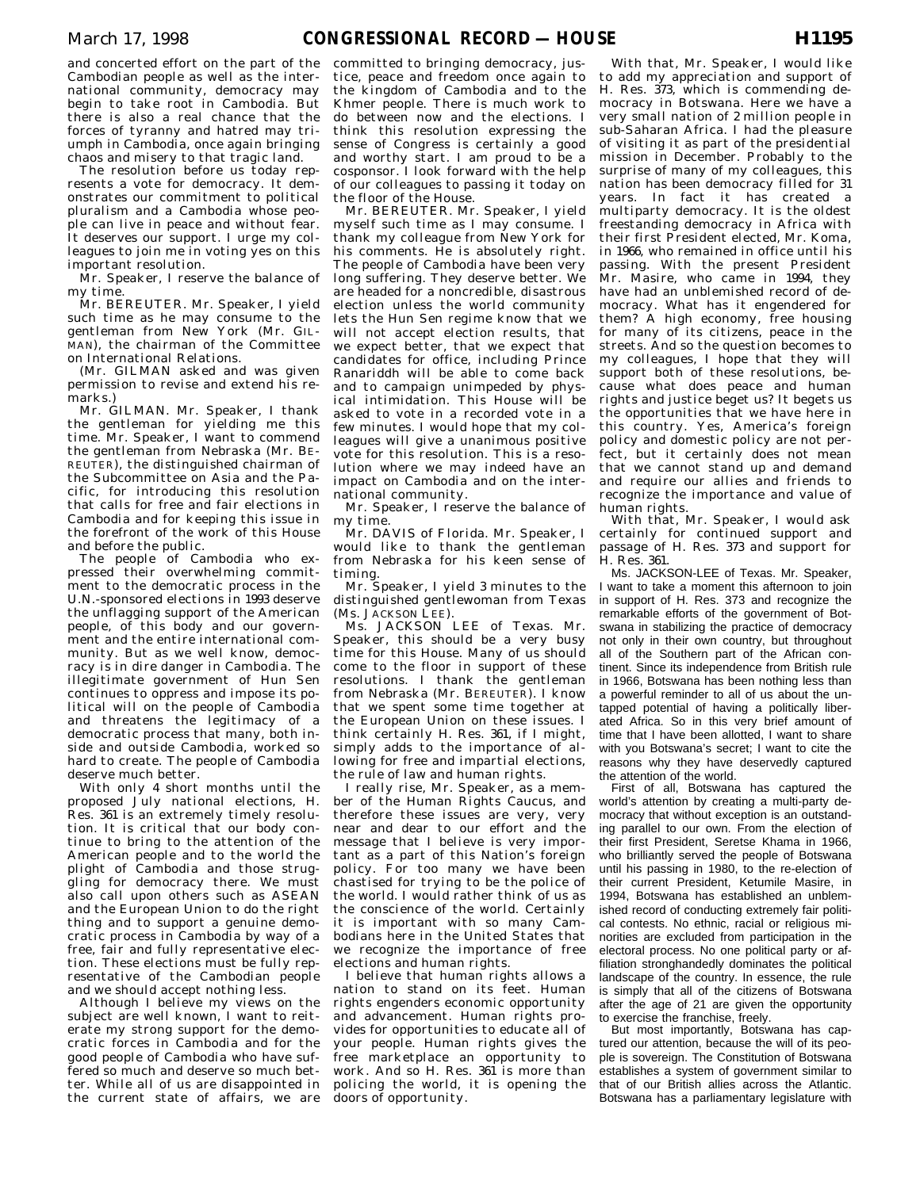and concerted effort on the part of the Cambodian people as well as the international community, democracy may begin to take root in Cambodia. But there is also a real chance that the forces of tyranny and hatred may triumph in Cambodia, once again bringing chaos and misery to that tragic land.

The resolution before us today represents a vote for democracy. It demonstrates our commitment to political pluralism and a Cambodia whose people can live in peace and without fear. It deserves our support. I urge my colleagues to join me in voting yes on this important resolution.

Mr. Speaker, I reserve the balance of my time.

Mr. BEREUTER. Mr. Speaker, I yield such time as he may consume to the gentleman from New York (Mr. GIL-MAN), the chairman of the Committee on International Relations.

(Mr. GILMAN asked and was given permission to revise and extend his remarks.)

Mr. GILMAN. Mr. Speaker, I thank the gentleman for yielding me this time. Mr. Speaker, I want to commend the gentleman from Nebraska (Mr. BE-REUTER), the distinguished chairman of the Subcommittee on Asia and the Pacific, for introducing this resolution that calls for free and fair elections in Cambodia and for keeping this issue in the forefront of the work of this House and before the public.

The people of Cambodia who expressed their overwhelming commitment to the democratic process in the U.N.-sponsored elections in 1993 deserve the unflagging support of the American people, of this body and our government and the entire international community. But as we well know, democracy is in dire danger in Cambodia. The illegitimate government of Hun Sen continues to oppress and impose its political will on the people of Cambodia and threatens the legitimacy of a democratic process that many, both inside and outside Cambodia, worked so hard to create. The people of Cambodia deserve much better.

With only 4 short months until the proposed July national elections, H. Res. 361 is an extremely timely resolution. It is critical that our body continue to bring to the attention of the American people and to the world the plight of Cambodia and those struggling for democracy there. We must also call upon others such as ASEAN and the European Union to do the right thing and to support a genuine democratic process in Cambodia by way of a free, fair and fully representative election. These elections must be fully representative of the Cambodian people and we should accept nothing less.

Although I believe my views on the subject are well known, I want to reiterate my strong support for the democratic forces in Cambodia and for the good people of Cambodia who have suffered so much and deserve so much better. While all of us are disappointed in the current state of affairs, we are

committed to bringing democracy, justice, peace and freedom once again to the kingdom of Cambodia and to the Khmer people. There is much work to do between now and the elections. I think this resolution expressing the sense of Congress is certainly a good and worthy start. I am proud to be a cosponsor. I look forward with the help of our colleagues to passing it today on the floor of the House.

Mr. BEREUTER. Mr. Speaker, I yield myself such time as I may consume. I thank my colleague from New York for his comments. He is absolutely right. The people of Cambodia have been very long suffering. They deserve better. We are headed for a noncredible, disastrous election unless the world community lets the Hun Sen regime know that we will not accept election results, that we expect better, that we expect that candidates for office, including Prince Ranariddh will be able to come back and to campaign unimpeded by physical intimidation. This House will be asked to vote in a recorded vote in a few minutes. I would hope that my colleagues will give a unanimous positive vote for this resolution. This is a resolution where we may indeed have an impact on Cambodia and on the international community.

Mr. Speaker, I reserve the balance of my time.

Mr. DAVIS of Florida. Mr. Speaker, I would like to thank the gentleman from Nebraska for his keen sense of timing.

Mr. Speaker, I yield 3 minutes to the distinguished gentlewoman from Texas (Ms. JACKSON LEE).

Ms. JACKSON LEE of Texas. Mr. Speaker, this should be a very busy time for this House. Many of us should come to the floor in support of these resolutions. I thank the gentleman from Nebraska (Mr. BEREUTER). I know that we spent some time together at the European Union on these issues. I think certainly H. Res. 361, if I might, simply adds to the importance of allowing for free and impartial elections, the rule of law and human rights.

I really rise, Mr. Speaker, as a member of the Human Rights Caucus, and therefore these issues are very, very near and dear to our effort and the message that I believe is very important as a part of this Nation's foreign policy. For too many we have been chastised for trying to be the police of the world. I would rather think of us as the conscience of the world. Certainly it is important with so many Cambodians here in the United States that we recognize the importance of free elections and human rights.

I believe that human rights allows a nation to stand on its feet. Human rights engenders economic opportunity and advancement. Human rights provides for opportunities to educate all of your people. Human rights gives the free marketplace an opportunity to work. And so H. Res. 361 is more than policing the world, it is opening the doors of opportunity.

With that, Mr. Speaker, I would like to add my appreciation and support of H. Res. 373, which is commending democracy in Botswana. Here we have a very small nation of 2 million people in sub-Saharan Africa. I had the pleasure of visiting it as part of the presidential mission in December. Probably to the surprise of many of my colleagues, this nation has been democracy filled for 31 years. In fact it has created a multiparty democracy. It is the oldest freestanding democracy in Africa with their first President elected, Mr. Koma, in 1966, who remained in office until his passing. With the present President Mr. Masire, who came in 1994, they have had an unblemished record of democracy. What has it engendered for them? A high economy, free housing for many of its citizens, peace in the streets. And so the question becomes to my colleagues, I hope that they will support both of these resolutions, because what does peace and human rights and justice beget us? It begets us the opportunities that we have here in this country. Yes, America's foreign policy and domestic policy are not perfect, but it certainly does not mean that we cannot stand up and demand and require our allies and friends to recognize the importance and value of human rights.

With that, Mr. Speaker, I would ask certainly for continued support and passage of H. Res. 373 and support for H. Res. 361.

Ms. JACKSON-LEE of Texas. Mr. Speaker, I want to take a moment this afternoon to join in support of H. Res. 373 and recognize the remarkable efforts of the government of Botswana in stabilizing the practice of democracy not only in their own country, but throughout all of the Southern part of the African continent. Since its independence from British rule in 1966, Botswana has been nothing less than a powerful reminder to all of us about the untapped potential of having a politically liberated Africa. So in this very brief amount of time that I have been allotted, I want to share with you Botswana's secret; I want to cite the reasons why they have deservedly captured the attention of the world.

First of all, Botswana has captured the world's attention by creating a multi-party democracy that without exception is an outstanding parallel to our own. From the election of their first President, Seretse Khama in 1966, who brilliantly served the people of Botswana until his passing in 1980, to the re-election of their current President, Ketumile Masire, in 1994, Botswana has established an unblemished record of conducting extremely fair political contests. No ethnic, racial or religious minorities are excluded from participation in the electoral process. No one political party or affiliation stronghandedly dominates the political landscape of the country. In essence, the rule is simply that all of the citizens of Botswana after the age of 21 are given the opportunity to exercise the franchise, freely.

But most importantly, Botswana has captured our attention, because the will of its people is sovereign. The Constitution of Botswana establishes a system of government similar to that of our British allies across the Atlantic. Botswana has a parliamentary legislature with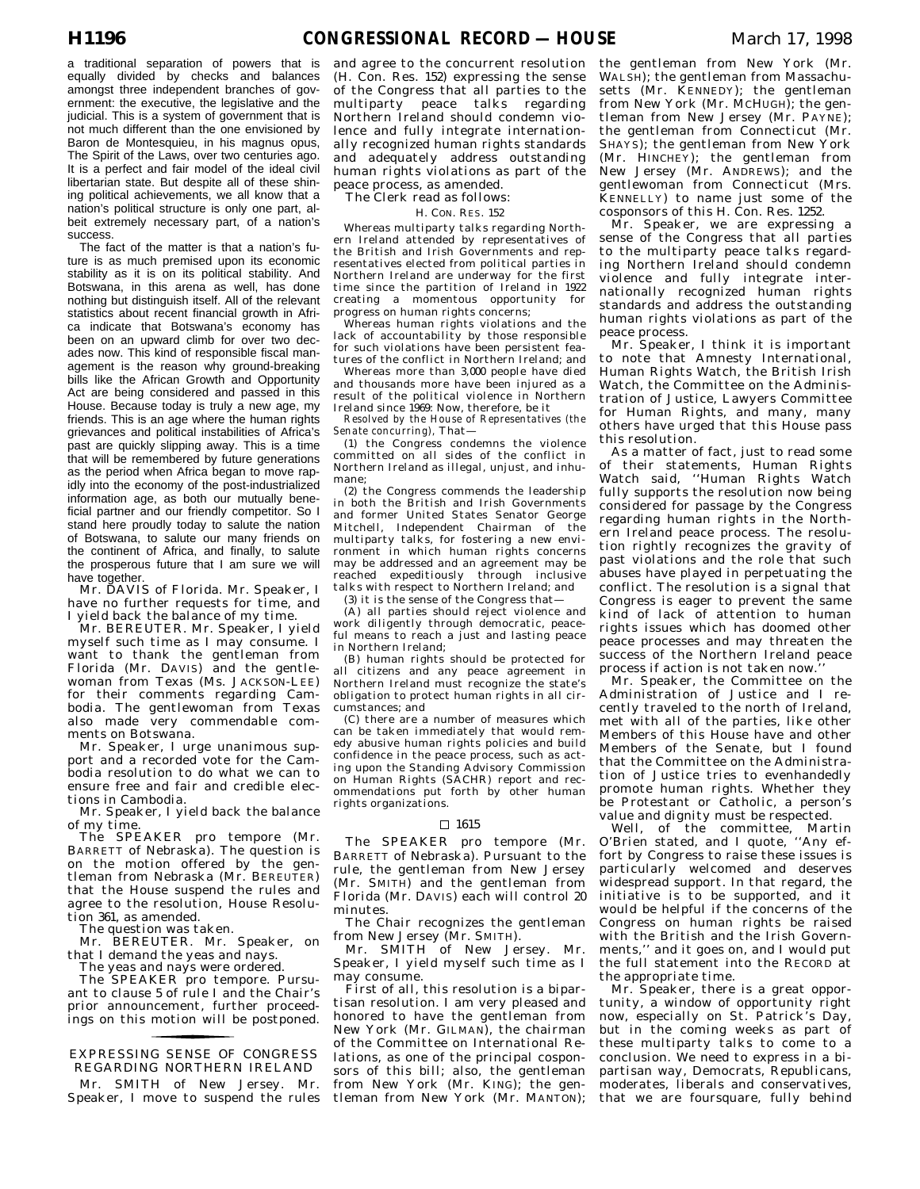a traditional separation of powers that is equally divided by checks and balances amongst three independent branches of government: the executive, the legislative and the judicial. This is a system of government that is not much different than the one envisioned by Baron de Montesquieu, in his magnus opus, The Spirit of the Laws, over two centuries ago. It is a perfect and fair model of the ideal civil libertarian state. But despite all of these shining political achievements, we all know that a nation's political structure is only one part, albeit extremely necessary part, of a nation's success.

The fact of the matter is that a nation's future is as much premised upon its economic stability as it is on its political stability. And Botswana, in this arena as well, has done nothing but distinguish itself. All of the relevant statistics about recent financial growth in Africa indicate that Botswana's economy has been on an upward climb for over two decades now. This kind of responsible fiscal management is the reason why ground-breaking bills like the African Growth and Opportunity Act are being considered and passed in this House. Because today is truly a new age, my friends. This is an age where the human rights grievances and political instabilities of Africa's past are quickly slipping away. This is a time that will be remembered by future generations as the period when Africa began to move rapidly into the economy of the post-industrialized information age, as both our mutually beneficial partner and our friendly competitor. So I stand here proudly today to salute the nation of Botswana, to salute our many friends on the continent of Africa, and finally, to salute the prosperous future that I am sure we will have together.

Mr. DAVIS of Florida. Mr. Speaker, I have no further requests for time, and I yield back the balance of my time.

Mr. BEREUTER. Mr. Speaker, I yield myself such time as I may consume. I want to thank the gentleman from Florida (Mr. DAVIS) and the gentlewoman from Texas (Ms. JACKSON-LEE) for their comments regarding Cambodia. The gentlewoman from Texas also made very commendable comments on Botswana.

Mr. Speaker, I urge unanimous support and a recorded vote for the Cambodia resolution to do what we can to ensure free and fair and credible elections in Cambodia.

Mr. Speaker, I yield back the balance of my time.

The SPEAKER pro tempore (Mr. BARRETT of Nebraska). The question is on the motion offered by the gentleman from Nebraska (Mr. BEREUTER) that the House suspend the rules and agree to the resolution, House Resolution 361, as amended.

The question was taken.

Mr. BEREUTER. Mr. Speaker, on that I demand the yeas and nays.

The yeas and nays were ordered.

The SPEAKER pro tempore. Pursuant to clause 5 of rule I and the Chair's prior announcement, further proceedings on this motion will be postponed.

EXPRESSING SENSE OF CONGRESS REGARDING NORTHERN IRELAND for the control of the control of

Mr. SMITH of New Jersey. Mr. Speaker, I move to suspend the rules

and agree to the concurrent resolution (H. Con. Res. 152) expressing the sense of the Congress that all parties to the multiparty peace talks regarding Northern Ireland should condemn violence and fully integrate internationally recognized human rights standards and adequately address outstanding human rights violations as part of the peace process, as amended.

The Clerk read as follows:

H. CON. RES. 152

Whereas multiparty talks regarding Northern Ireland attended by representatives of the British and Irish Governments and representatives elected from political parties in Northern Ireland are underway for the first time since the partition of Ireland in 1922 creating a momentous opportunity for progress on human rights concerns;

Whereas human rights violations and the lack of accountability by those responsible for such violations have been persistent features of the conflict in Northern Ireland; and

Whereas more than 3,000 people have died and thousands more have been injured as a result of the political violence in Northern Ireland since 1969: Now, therefore, be it

*Resolved by the House of Representatives (the Senate concurring),* That—

(1) the Congress condemns the violence committed on all sides of the conflict in Northern Ireland as illegal, unjust, and inhumane;

(2) the Congress commends the leadership in both the British and Irish Governments and former United States Senator George Mitchell, Independent Chairman of the multiparty talks, for fostering a new environment in which human rights concerns may be addressed and an agreement may be reached expeditiously through inclusive talks with respect to Northern Ireland; and

(3) it is the sense of the Congress that—

(A) all parties should reject violence and work diligently through democratic, peaceful means to reach a just and lasting peace in Northern Ireland;

(B) human rights should be protected for all citizens and any peace agreement in Northern Ireland must recognize the state's obligation to protect human rights in all circumstances; and

(C) there are a number of measures which can be taken immediately that would remedy abusive human rights policies and build confidence in the peace process, such as acting upon the Standing Advisory Commission on Human Rights (SACHR) report and recommendations put forth by other human rights organizations.

#### $\square$  1615

The SPEAKER pro tempore (Mr. BARRETT of Nebraska). Pursuant to the rule, the gentleman from New Jersey (Mr. SMITH) and the gentleman from Florida (Mr. DAVIS) each will control 20 minutes.

The Chair recognizes the gentleman from New Jersey (Mr. SMITH).

Mr. SMITH of New Jersey. Mr. Speaker, I yield myself such time as I may consume.

First of all, this resolution is a bipartisan resolution. I am very pleased and honored to have the gentleman from New York (Mr. GILMAN), the chairman of the Committee on International Relations, as one of the principal cosponsors of this bill; also, the gentleman from New York (Mr. KING); the gentleman from New York (Mr. MANTON);

the gentleman from New York (Mr. WALSH); the gentleman from Massachusetts (Mr. KENNEDY); the gentleman from New York (Mr. MCHUGH); the gentleman from New Jersey (Mr. PAYNE); the gentleman from Connecticut (Mr. SHAYS); the gentleman from New York (Mr. HINCHEY); the gentleman from New Jersey (Mr. ANDREWS); and the gentlewoman from Connecticut (Mrs. KENNELLY) to name just some of the cosponsors of this H. Con. Res. 1252.

Mr. Speaker, we are expressing a sense of the Congress that all parties to the multiparty peace talks regarding Northern Ireland should condemn violence and fully integrate internationally recognized human rights standards and address the outstanding human rights violations as part of the peace process.

Mr. Speaker, I think it is important to note that Amnesty International, Human Rights Watch, the British Irish Watch, the Committee on the Administration of Justice, Lawyers Committee for Human Rights, and many, many others have urged that this House pass this resolution.

As a matter of fact, just to read some of their statements, Human Rights Watch said, ''Human Rights Watch fully supports the resolution now being considered for passage by the Congress regarding human rights in the Northern Ireland peace process. The resolution rightly recognizes the gravity of past violations and the role that such abuses have played in perpetuating the conflict. The resolution is a signal that Congress is eager to prevent the same kind of lack of attention to human rights issues which has doomed other peace processes and may threaten the success of the Northern Ireland peace process if action is not taken now.

Mr. Speaker, the Committee on the Administration of Justice and I recently traveled to the north of Ireland, met with all of the parties, like other Members of this House have and other Members of the Senate, but I found that the Committee on the Administration of Justice tries to evenhandedly promote human rights. Whether they be Protestant or Catholic, a person's value and dignity must be respected.

Well, of the committee, Martin O'Brien stated, and I quote, ''Any effort by Congress to raise these issues is particularly welcomed and deserves widespread support. In that regard, the initiative is to be supported, and it would be helpful if the concerns of the Congress on human rights be raised with the British and the Irish Governments,'' and it goes on, and I would put the full statement into the RECORD at the appropriate time.

Mr. Speaker, there is a great opportunity, a window of opportunity right now, especially on St. Patrick's Day, but in the coming weeks as part of these multiparty talks to come to a conclusion. We need to express in a bipartisan way, Democrats, Republicans, moderates, liberals and conservatives, that we are foursquare, fully behind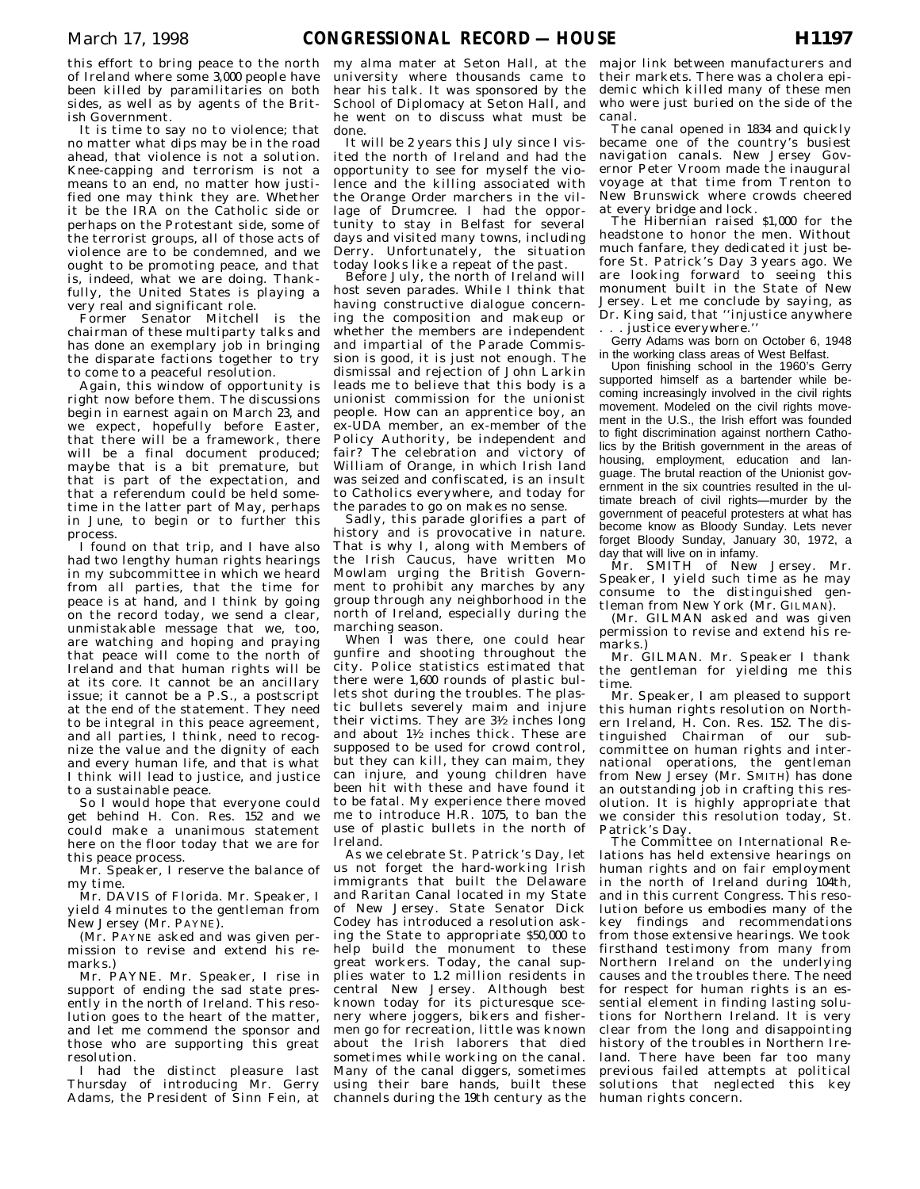this effort to bring peace to the north of Ireland where some 3,000 people have been killed by paramilitaries on both sides, as well as by agents of the British Government.

It is time to say no to violence; that no matter what dips may be in the road ahead, that violence is not a solution. Knee-capping and terrorism is not a means to an end, no matter how justified one may think they are. Whether it be the IRA on the Catholic side or perhaps on the Protestant side, some of the terrorist groups, all of those acts of violence are to be condemned, and we ought to be promoting peace, and that is, indeed, what we are doing. Thankfully, the United States is playing a very real and significant role.

Former Senator Mitchell is the chairman of these multiparty talks and has done an exemplary job in bringing the disparate factions together to try to come to a peaceful resolution.

Again, this window of opportunity is right now before them. The discussions begin in earnest again on March 23, and we expect, hopefully before Easter, that there will be a framework, there will be a final document produced; maybe that is a bit premature, but that is part of the expectation, and that a referendum could be held sometime in the latter part of May, perhaps in June, to begin or to further this process.

I found on that trip, and I have also had two lengthy human rights hearings in my subcommittee in which we heard from all parties, that the time for peace is at hand, and I think by going on the record today, we send a clear, unmistakable message that we, too, are watching and hoping and praying that peace will come to the north of Ireland and that human rights will be at its core. It cannot be an ancillary issue; it cannot be a P.S., a postscript at the end of the statement. They need to be integral in this peace agreement, and all parties, I think, need to recognize the value and the dignity of each and every human life, and that is what I think will lead to justice, and justice to a sustainable peace.

So I would hope that everyone could get behind H. Con. Res. 152 and we could make a unanimous statement here on the floor today that we are for this peace process.

Mr. Speaker, I reserve the balance of my time.

Mr. DAVIS of Florida. Mr. Speaker, I yield 4 minutes to the gentleman from New Jersey (Mr. PAYNE).

(Mr. PAYNE asked and was given permission to revise and extend his remarks.)

Mr. PAYNE. Mr. Speaker, I rise in support of ending the sad state presently in the north of Ireland. This resolution goes to the heart of the matter, and let me commend the sponsor and those who are supporting this great resolution.

I had the distinct pleasure last Thursday of introducing Mr. Gerry Adams, the President of Sinn Fein, at my alma mater at Seton Hall, at the university where thousands came to hear his talk. It was sponsored by the School of Diplomacy at Seton Hall, and he went on to discuss what must be done.

It will be 2 years this July since I visited the north of Ireland and had the opportunity to see for myself the violence and the killing associated with the Orange Order marchers in the village of Drumcree. I had the opportunity to stay in Belfast for several days and visited many towns, including Derry. Unfortunately, the situation today looks like a repeat of the past.

Before July, the north of Ireland will host seven parades. While I think that having constructive dialogue concerning the composition and makeup or whether the members are independent and impartial of the Parade Commission is good, it is just not enough. The dismissal and rejection of John Larkin leads me to believe that this body is a unionist commission for the unionist people. How can an apprentice boy, an ex-UDA member, an ex-member of the Policy Authority, be independent and fair? The celebration and victory of William of Orange, in which Irish land was seized and confiscated, is an insult to Catholics everywhere, and today for the parades to go on makes no sense.

Sadly, this parade glorifies a part of history and is provocative in nature. That is why I, along with Members of the Irish Caucus, have written Mo Mowlam urging the British Government to prohibit any marches by any group through any neighborhood in the north of Ireland, especially during the marching season.

When I was there, one could hear gunfire and shooting throughout the city. Police statistics estimated that there were 1,600 rounds of plastic bullets shot during the troubles. The plastic bullets severely maim and injure their victims. They are 31⁄2 inches long and about  $1\frac{1}{2}$  inches thick. These are supposed to be used for crowd control, but they can kill, they can maim, they can injure, and young children have been hit with these and have found it to be fatal. My experience there moved me to introduce H.R. 1075, to ban the use of plastic bullets in the north of Ireland.

As we celebrate St. Patrick's Day, let us not forget the hard-working Irish immigrants that built the Delaware and Raritan Canal located in my State of New Jersey. State Senator Dick Codey has introduced a resolution asking the State to appropriate \$50,000 to help build the monument to these great workers. Today, the canal supplies water to 1.2 million residents in central New Jersey. Although best known today for its picturesque scenery where joggers, bikers and fishermen go for recreation, little was known about the Irish laborers that died sometimes while working on the canal. Many of the canal diggers, sometimes using their bare hands, built these channels during the 19th century as the

major link between manufacturers and their markets. There was a cholera epidemic which killed many of these men who were just buried on the side of the canal.

The canal opened in 1834 and quickly became one of the country's busiest navigation canals. New Jersey Governor Peter Vroom made the inaugural voyage at that time from Trenton to New Brunswick where crowds cheered at every bridge and lock.

The Hibernian raised \$1,000 for the headstone to honor the men. Without much fanfare, they dedicated it just before St. Patrick's Day 3 years ago. We are looking forward to seeing this monument built in the State of New Jersey. Let me conclude by saying, as Dr. King said, that ''injustice anywhere . . . justice everywhere.''

Gerry Adams was born on October 6, 1948 in the working class areas of West Belfast.

Upon finishing school in the 1960's Gerry supported himself as a bartender while becoming increasingly involved in the civil rights movement. Modeled on the civil rights movement in the U.S., the Irish effort was founded to fight discrimination against northern Catholics by the British government in the areas of housing, employment, education and language. The brutal reaction of the Unionist government in the six countries resulted in the ultimate breach of civil rights—murder by the government of peaceful protesters at what has become know as Bloody Sunday. Lets never forget Bloody Sunday, January 30, 1972, a day that will live on in infamy.

Mr. SMITH of New Jersey. Mr. Speaker, I yield such time as he may consume to the distinguished gentleman from New York (Mr. GILMAN).

(Mr. GILMAN asked and was given permission to revise and extend his remarks.)

Mr. GILMAN. Mr. Speaker I thank the gentleman for yielding me this time.

Mr. Speaker, I am pleased to support this human rights resolution on Northern Ireland, H. Con. Res. 152. The distinguished Chairman of our subcommittee on human rights and international operations, the gentleman from New Jersey (Mr. SMITH) has done an outstanding job in crafting this resolution. It is highly appropriate that we consider this resolution today, St. Patrick's Day.

The Committee on International Relations has held extensive hearings on human rights and on fair employment in the north of Ireland during 104th, and in this current Congress. This resolution before us embodies many of the key findings and recommendations from those extensive hearings. We took firsthand testimony from many from Northern Ireland on the underlying causes and the troubles there. The need for respect for human rights is an essential element in finding lasting solutions for Northern Ireland. It is very clear from the long and disappointing history of the troubles in Northern Ireland. There have been far too many previous failed attempts at political solutions that neglected this key human rights concern.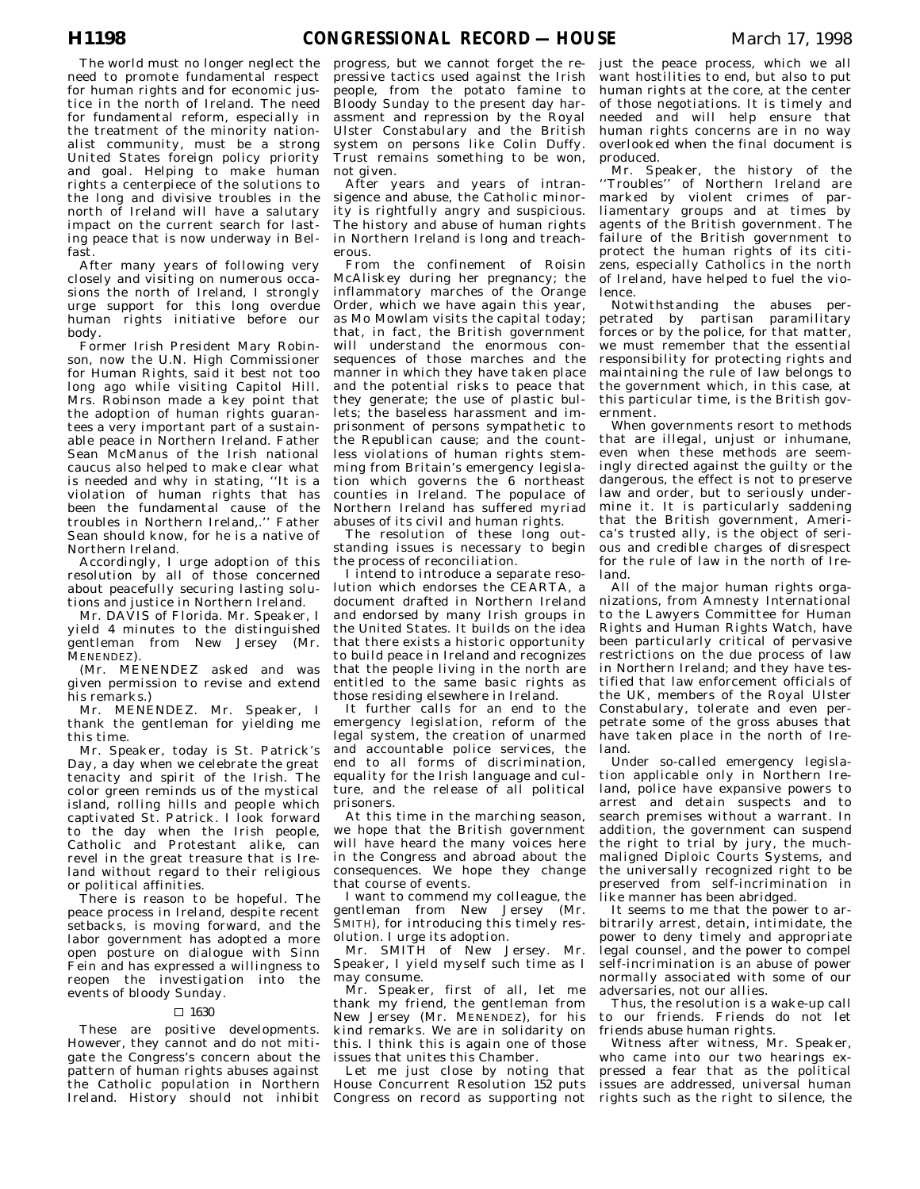The world must no longer neglect the need to promote fundamental respect for human rights and for economic justice in the north of Ireland. The need for fundamental reform, especially in the treatment of the minority nationalist community, must be a strong United States foreign policy priority and goal. Helping to make human rights a centerpiece of the solutions to the long and divisive troubles in the north of Ireland will have a salutary impact on the current search for lasting peace that is now underway in Belfast.

After many years of following very closely and visiting on numerous occasions the north of Ireland, I strongly urge support for this long overdue human rights initiative before our body.

Former Irish President Mary Robinson, now the U.N. High Commissioner for Human Rights, said it best not too long ago while visiting Capitol Hill. Mrs. Robinson made a key point that the adoption of human rights guarantees a very important part of a sustainable peace in Northern Ireland. Father Sean McManus of the Irish national caucus also helped to make clear what is needed and why in stating, ''It is a violation of human rights that has been the fundamental cause of the troubles in Northern Ireland,.'' Father Sean should know, for he is a native of Northern Ireland.

Accordingly, I urge adoption of this resolution by all of those concerned about peacefully securing lasting solutions and justice in Northern Ireland.

Mr. DAVIS of Florida. Mr. Speaker, I yield 4 minutes to the distinguished gentleman from New Jersey (Mr. MENENDEZ).

(Mr. MENENDEZ asked and was given permission to revise and extend his remarks.)

Mr. MENENDEZ. Mr. Speaker, I thank the gentleman for yielding me this time.

Mr. Speaker, today is St. Patrick's Day, a day when we celebrate the great tenacity and spirit of the Irish. The color green reminds us of the mystical island, rolling hills and people which captivated St. Patrick. I look forward to the day when the Irish people, Catholic and Protestant alike, can revel in the great treasure that is Ireland without regard to their religious or political affinities.

There is reason to be hopeful. The peace process in Ireland, despite recent setbacks, is moving forward, and the labor government has adopted a more open posture on dialogue with Sinn Fein and has expressed a willingness to reopen the investigation into the events of bloody Sunday.

#### $\Box$  1630

These are positive developments. However, they cannot and do not mitigate the Congress's concern about the pattern of human rights abuses against the Catholic population in Northern Ireland. History should not inhibit

progress, but we cannot forget the repressive tactics used against the Irish people, from the potato famine to Bloody Sunday to the present day harassment and repression by the Royal Ulster Constabulary and the British system on persons like Colin Duffy. Trust remains something to be won, not given.

After years and years of intransigence and abuse, the Catholic minority is rightfully angry and suspicious. The history and abuse of human rights in Northern Ireland is long and treacherous.

From the confinement of Roisin McAliskey during her pregnancy; the inflammatory marches of the Orange Order, which we have again this year, as Mo Mowlam visits the capital today; that, in fact, the British government will understand the enormous consequences of those marches and the manner in which they have taken place and the potential risks to peace that they generate; the use of plastic bullets; the baseless harassment and imprisonment of persons sympathetic to the Republican cause; and the countless violations of human rights stemming from Britain's emergency legislation which governs the 6 northeast counties in Ireland. The populace of Northern Ireland has suffered myriad abuses of its civil and human rights.

The resolution of these long outstanding issues is necessary to begin the process of reconciliation.

I intend to introduce a separate resolution which endorses the CEARTA, a document drafted in Northern Ireland and endorsed by many Irish groups in the United States. It builds on the idea that there exists a historic opportunity to build peace in Ireland and recognizes that the people living in the north are entitled to the same basic rights as those residing elsewhere in Ireland.

It further calls for an end to the emergency legislation, reform of the legal system, the creation of unarmed and accountable police services, the end to all forms of discrimination, equality for the Irish language and culture, and the release of all political prisoners.

At this time in the marching season, we hope that the British government will have heard the many voices here in the Congress and abroad about the consequences. We hope they change that course of events.

I want to commend my colleague, the gentleman from New Jersey (Mr. SMITH), for introducing this timely resolution. I urge its adoption.

Mr. SMITH of New Jersey. Mr. Speaker, I yield myself such time as I may consume.

Mr. Speaker, first of all, let me thank my friend, the gentleman from New Jersey (Mr. MENENDEZ), for his kind remarks. We are in solidarity on this. I think this is again one of those issues that unites this Chamber.

Let me just close by noting that House Concurrent Resolution 152 puts Congress on record as supporting not just the peace process, which we all want hostilities to end, but also to put human rights at the core, at the center of those negotiations. It is timely and needed and will help ensure that human rights concerns are in no way overlooked when the final document is produced.

Mr. Speaker, the history of the ''Troubles'' of Northern Ireland are marked by violent crimes of parliamentary groups and at times by agents of the British government. The failure of the British government to protect the human rights of its citizens, especially Catholics in the north of Ireland, have helped to fuel the violence.

Notwithstanding the abuses perpetrated by partisan paramilitary forces or by the police, for that matter, we must remember that the essential responsibility for protecting rights and maintaining the rule of law belongs to the government which, in this case, at this particular time, is the British government.

When governments resort to methods that are illegal, unjust or inhumane, even when these methods are seemingly directed against the guilty or the dangerous, the effect is not to preserve law and order, but to seriously undermine it. It is particularly saddening that the British government, America's trusted ally, is the object of serious and credible charges of disrespect for the rule of law in the north of Ireland.

All of the major human rights organizations, from Amnesty International to the Lawyers Committee for Human Rights and Human Rights Watch, have been particularly critical of pervasive restrictions on the due process of law in Northern Ireland; and they have testified that law enforcement officials of the UK, members of the Royal Ulster Constabulary, tolerate and even perpetrate some of the gross abuses that have taken place in the north of Ireland.

Under so-called emergency legislation applicable only in Northern Ireland, police have expansive powers to arrest and detain suspects and to search premises without a warrant. In addition, the government can suspend the right to trial by jury, the muchmaligned Diploic Courts Systems, and the universally recognized right to be preserved from self-incrimination in like manner has been abridged.

It seems to me that the power to arbitrarily arrest, detain, intimidate, the power to deny timely and appropriate legal counsel, and the power to compel self-incrimination is an abuse of power normally associated with some of our adversaries, not our allies.

Thus, the resolution is a wake-up call to our friends. Friends do not let friends abuse human rights.

Witness after witness, Mr. Speaker, who came into our two hearings expressed a fear that as the political issues are addressed, universal human rights such as the right to silence, the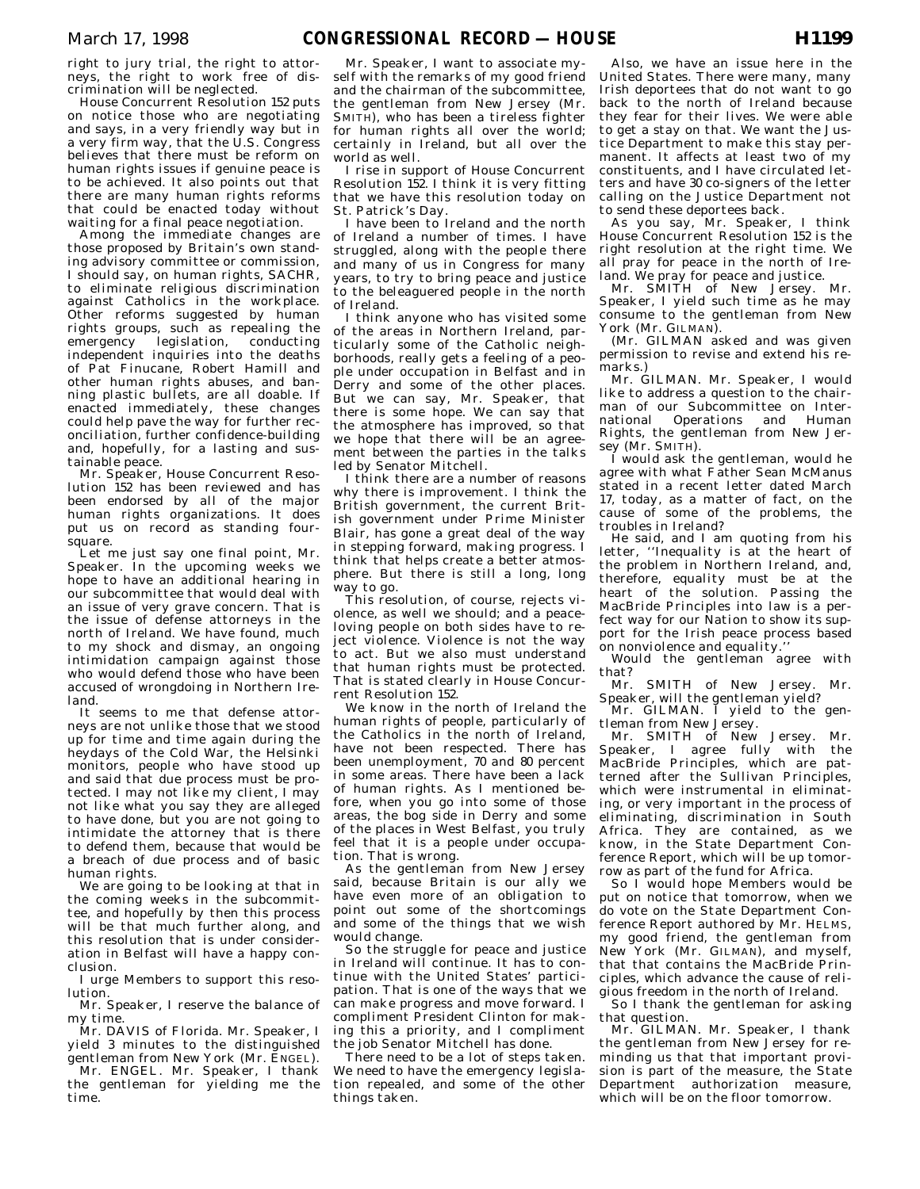right to jury trial, the right to attorneys, the right to work free of discrimination will be neglected.

House Concurrent Resolution 152 puts on notice those who are negotiating and says, in a very friendly way but in a very firm way, that the U.S. Congress believes that there must be reform on human rights issues if genuine peace is to be achieved. It also points out that there are many human rights reforms that could be enacted today without waiting for a final peace negotiation.

Among the immediate changes are those proposed by Britain's own standing advisory committee or commission, I should say, on human rights, SACHR, to eliminate religious discrimination against Catholics in the workplace. Other reforms suggested by human rights groups, such as repealing the emergency legislation, conducting independent inquiries into the deaths of Pat Finucane, Robert Hamill and other human rights abuses, and banning plastic bullets, are all doable. If enacted immediately, these changes could help pave the way for further reconciliation, further confidence-building and, hopefully, for a lasting and sustainable peace.

Mr. Speaker, House Concurrent Resolution 152 has been reviewed and has been endorsed by all of the major human rights organizations. It does put us on record as standing foursquare.

Let me just say one final point, Mr. Speaker. In the upcoming weeks we hope to have an additional hearing in our subcommittee that would deal with an issue of very grave concern. That is the issue of defense attorneys in the north of Ireland. We have found, much to my shock and dismay, an ongoing intimidation campaign against those who would defend those who have been accused of wrongdoing in Northern Ireland.

It seems to me that defense attorneys are not unlike those that we stood up for time and time again during the heydays of the Cold War, the Helsinki monitors, people who have stood up and said that due process must be protected. I may not like my client, I may not like what you say they are alleged to have done, but you are not going to intimidate the attorney that is there to defend them, because that would be a breach of due process and of basic human rights.

We are going to be looking at that in the coming weeks in the subcommittee, and hopefully by then this process will be that much further along, and this resolution that is under consideration in Belfast will have a happy conclusion.

I urge Members to support this resolution.

Mr. Speaker, I reserve the balance of my time.

Mr. DAVIS of Florida. Mr. Speaker, I yield 3 minutes to the distinguished gentleman from New York (Mr. ENGEL). Mr. ENGEL. Mr. Speaker, I thank the gentleman for yielding me the time.

Mr. Speaker, I want to associate myself with the remarks of my good friend and the chairman of the subcommittee, the gentleman from New Jersey (Mr. SMITH), who has been a tireless fighter for human rights all over the world; certainly in Ireland, but all over the world as well.

I rise in support of House Concurrent Resolution  $152.$  I think it is very fitting that we have this resolution today on St. Patrick's Day.

I have been to Ireland and the north of Ireland a number of times. I have struggled, along with the people there and many of us in Congress for many years, to try to bring peace and justice to the beleaguered people in the north of Ireland.

I think anyone who has visited some of the areas in Northern Ireland, particularly some of the Catholic neighborhoods, really gets a feeling of a people under occupation in Belfast and in Derry and some of the other places. But we can say, Mr. Speaker, that there is some hope. We can say that the atmosphere has improved, so that we hope that there will be an agreement between the parties in the talks led by Senator Mitchell.

I think there are a number of reasons why there is improvement. I think the British government, the current British government under Prime Minister Blair, has gone a great deal of the way in stepping forward, making progress. I think that helps create a better atmosphere. But there is still a long, long way to go.

This resolution, of course, rejects violence, as well we should; and a peaceloving people on both sides have to reject violence. Violence is not the way to act. But we also must understand that human rights must be protected. That is stated clearly in House Concurrent Resolution 152.

We know in the north of Ireland the human rights of people, particularly of the Catholics in the north of Ireland, have not been respected. There has been unemployment, 70 and 80 percent in some areas. There have been a lack of human rights. As I mentioned before, when you go into some of those areas, the bog side in Derry and some of the places in West Belfast, you truly feel that it is a people under occupation. That is wrong.

As the gentleman from New Jersey said, because Britain is our ally we have even more of an obligation to point out some of the shortcomings and some of the things that we wish would change.

So the struggle for peace and justice in Ireland will continue. It has to continue with the United States' participation. That is one of the ways that we can make progress and move forward. I compliment President Clinton for making this a priority, and I compliment the job Senator Mitchell has done.

There need to be a lot of steps taken. We need to have the emergency legislation repealed, and some of the other things taken.

Also, we have an issue here in the United States. There were many, many Irish deportees that do not want to go back to the north of Ireland because they fear for their lives. We were able to get a stay on that. We want the Justice Department to make this stay permanent. It affects at least two of my constituents, and I have circulated letters and have 30 co-signers of the letter calling on the Justice Department not to send these deportees back.

As you say, Mr. Speaker, I think House Concurrent Resolution 152 is the right resolution at the right time. We all pray for peace in the north of Ireland. We pray for peace and justice.

Mr. SMITH of New Jersey. Mr. Speaker, I yield such time as he may consume to the gentleman from New York (Mr. GILMAN).

(Mr. GILMAN asked and was given permission to revise and extend his remarks.)

Mr. GILMAN. Mr. Speaker, I would like to address a question to the chairman of our Subcommittee on International Operations and Human Rights, the gentleman from New Jersey (Mr. SMITH).

I would ask the gentleman, would he agree with what Father Sean McManus stated in a recent letter dated March 17, today, as a matter of fact, on the cause of some of the problems, the troubles in Ireland?

He said, and I am quoting from his letter, "Inequality is at the heart of the problem in Northern Ireland, and, therefore, equality must be at the heart of the solution. Passing the MacBride Principles into law is a perfect way for our Nation to show its support for the Irish peace process based on nonviolence and equality.''

Would the gentleman agree with that?

Mr. SMITH of New Jersey. Mr. Speaker, will the gentleman yield?

Mr. GILMAN. I yield to the gentleman from New Jersey.

Mr. SMITH of New Jersey. Mr. Speaker, I agree fully with the MacBride Principles, which are patterned after the Sullivan Principles, which were instrumental in eliminating, or very important in the process of eliminating, discrimination in South Africa. They are contained, as we know, in the State Department Conference Report, which will be up tomorrow as part of the fund for Africa.

So I would hope Members would be put on notice that tomorrow, when we do vote on the State Department Conference Report authored by Mr. HELMS, my good friend, the gentleman from New York (Mr. GILMAN), and myself, that that contains the MacBride Principles, which advance the cause of religious freedom in the north of Ireland.

So I thank the gentleman for asking that question.

Mr. GILMAN. Mr. Speaker, I thank the gentleman from New Jersey for reminding us that that important provision is part of the measure, the State Department authorization measure, which will be on the floor tomorrow.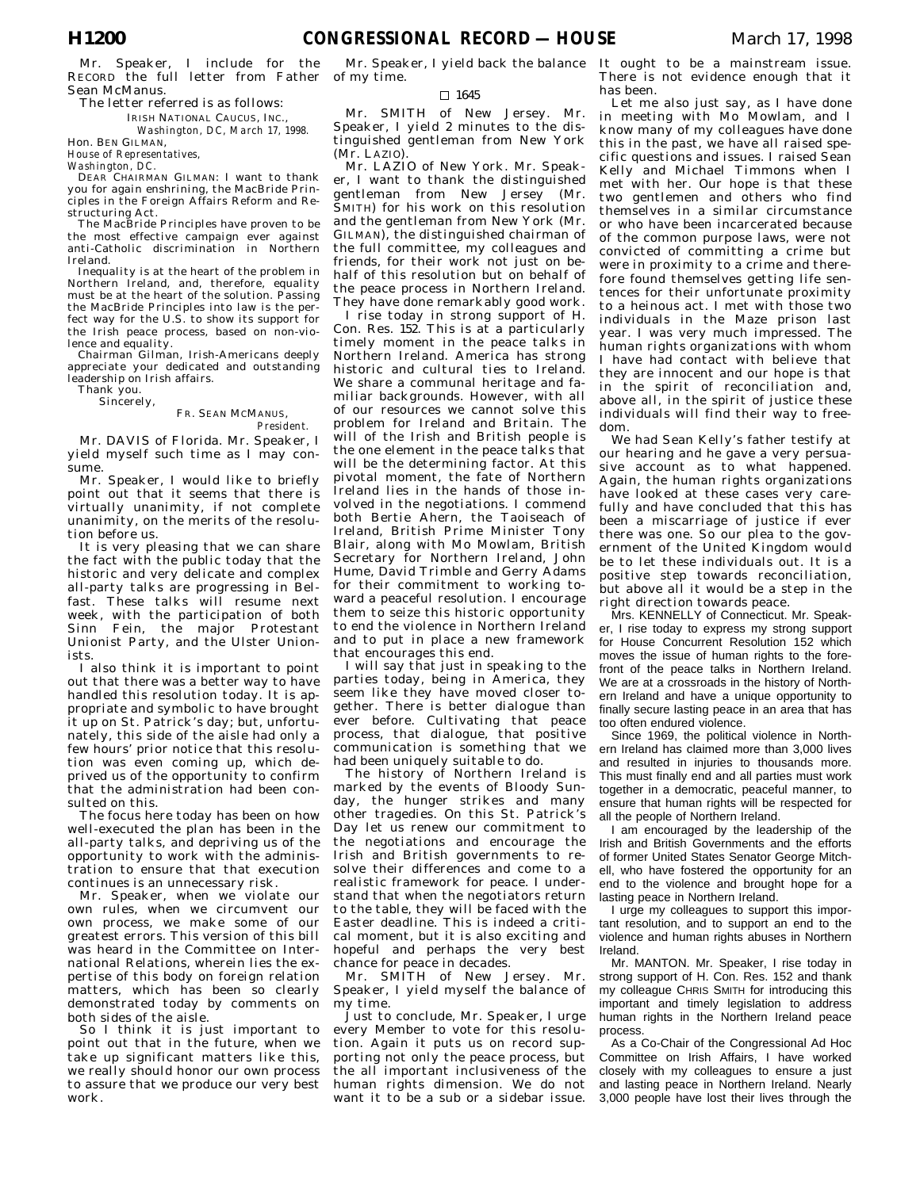Mr. Speaker, I include for the RECORD the full letter from Father Sean McManus.

The letter referred is as follows:

IRISH NATIONAL CAUCUS, INC., *Washington, DC, March 17, 1998.*

Hon. BEN GILMAN, *House of Representatives,*

*Washington, DC.*

DEAR CHAIRMAN GILMAN: I want to thank you for again enshrining, the MacBride Principles in the Foreign Affairs Reform and Restructuring Act.

The MacBride Principles have proven to be the most effective campaign ever against anti-Catholic discrimination in Northern Ireland.

Inequality is at the heart of the problem in Northern Ireland, and, therefore, equality must be at the heart of the solution. Passing the MacBride Principles into law is the perfect way for the U.S. to show its support for the Irish peace process, based on non-violence and equality.

Chairman Gilman, Irish-Americans deeply appreciate your dedicated and outstanding leadership on Irish affairs.

Thank you.

Sincerely

#### FR. SEAN MCMANUS

*President.*

Mr. DAVIS of Florida. Mr. Speaker, I yield myself such time as I may consume.

Mr. Speaker, I would like to briefly point out that it seems that there is virtually unanimity, if not complete unanimity, on the merits of the resolution before us.

It is very pleasing that we can share the fact with the public today that the historic and very delicate and complex all-party talks are progressing in Belfast. These talks will resume next week, with the participation of both Sinn Fein, the major Protestant Unionist Party, and the Ulster Unionists.

I also think it is important to point out that there was a better way to have handled this resolution today. It is appropriate and symbolic to have brought it up on St. Patrick's day; but, unfortunately, this side of the aisle had only a few hours' prior notice that this resolution was even coming up, which deprived us of the opportunity to confirm that the administration had been consulted on this.

The focus here today has been on how well-executed the plan has been in the all-party talks, and depriving us of the opportunity to work with the administration to ensure that that execution continues is an unnecessary risk.

Mr. Speaker, when we violate our own rules, when we circumvent our own process, we make some of our greatest errors. This version of this bill was heard in the Committee on International Relations, wherein lies the expertise of this body on foreign relation matters, which has been so clearly demonstrated today by comments on both sides of the aisle.

So I think it is just important to point out that in the future, when we take up significant matters like this, we really should honor our own process to assure that we produce our very best work.

Mr. Speaker, I yield back the balance of my time.

#### $\Box$  1645

Mr. SMITH of New Jersey. Mr. Speaker, I yield 2 minutes to the distinguished gentleman from New York (Mr. LAZIO).

Mr. LAZIO of New York. Mr. Speaker, I want to thank the distinguished gentleman from New Jersey (Mr. SMITH) for his work on this resolution and the gentleman from New York (Mr. GILMAN), the distinguished chairman of the full committee, my colleagues and friends, for their work not just on behalf of this resolution but on behalf of the peace process in Northern Ireland. They have done remarkably good work.

I rise today in strong support of H. Con. Res. 152. This is at a particularly timely moment in the peace talks in Northern Ireland. America has strong historic and cultural ties to Ireland. We share a communal heritage and familiar backgrounds. However, with all of our resources we cannot solve this problem for Ireland and Britain. The will of the Irish and British people is the one element in the peace talks that will be the determining factor. At this pivotal moment, the fate of Northern Ireland lies in the hands of those involved in the negotiations. I commend both Bertie Ahern, the Taoiseach of Ireland, British Prime Minister Tony Blair, along with Mo Mowlam, British Secretary for Northern Ireland, John Hume, David Trimble and Gerry Adams for their commitment to working toward a peaceful resolution. I encourage them to seize this historic opportunity to end the violence in Northern Ireland and to put in place a new framework that encourages this end.

I will say that just in speaking to the parties today, being in America, they seem like they have moved closer together. There is better dialogue than ever before. Cultivating that peace process, that dialogue, that positive communication is something that we had been uniquely suitable to do.

The history of Northern Ireland is marked by the events of Bloody Sunday, the hunger strikes and many other tragedies. On this St. Patrick's Day let us renew our commitment to the negotiations and encourage the Irish and British governments to resolve their differences and come to a realistic framework for peace. I understand that when the negotiators return to the table, they will be faced with the Easter deadline. This is indeed a critical moment, but it is also exciting and hopeful and perhaps the very best chance for peace in decades.

Mr. SMITH of New Jersey. Mr. Speaker, I yield myself the balance of my time.

Just to conclude, Mr. Speaker, I urge every Member to vote for this resolution. Again it puts us on record supporting not only the peace process, but the all important inclusiveness of the human rights dimension. We do not want it to be a sub or a sidebar issue. It ought to be a mainstream issue. There is not evidence enough that it has been.

Let me also just say, as I have done in meeting with Mo Mowlam, and I know many of my colleagues have done this in the past, we have all raised specific questions and issues. I raised Sean Kelly and Michael Timmons when I met with her. Our hope is that these two gentlemen and others who find themselves in a similar circumstance or who have been incarcerated because of the common purpose laws, were not convicted of committing a crime but were in proximity to a crime and therefore found themselves getting life sentences for their unfortunate proximity to a heinous act. I met with those two individuals in the Maze prison last year. I was very much impressed. The human rights organizations with whom I have had contact with believe that they are innocent and our hope is that in the spirit of reconciliation and, above all, in the spirit of justice these individuals will find their way to freedom.

We had Sean Kelly's father testify at our hearing and he gave a very persuasive account as to what happened. Again, the human rights organizations have looked at these cases very carefully and have concluded that this has been a miscarriage of justice if ever there was one. So our plea to the government of the United Kingdom would be to let these individuals out. It is a positive step towards reconciliation, but above all it would be a step in the right direction towards peace.

Mrs. KENNELLY of Connecticut. Mr. Speaker, I rise today to express my strong support for House Concurrent Resolution 152 which moves the issue of human rights to the forefront of the peace talks in Northern Ireland. We are at a crossroads in the history of Northern Ireland and have a unique opportunity to finally secure lasting peace in an area that has too often endured violence.

Since 1969, the political violence in Northern Ireland has claimed more than 3,000 lives and resulted in injuries to thousands more. This must finally end and all parties must work together in a democratic, peaceful manner, to ensure that human rights will be respected for all the people of Northern Ireland.

I am encouraged by the leadership of the Irish and British Governments and the efforts of former United States Senator George Mitchell, who have fostered the opportunity for an end to the violence and brought hope for a lasting peace in Northern Ireland.

I urge my colleagues to support this important resolution, and to support an end to the violence and human rights abuses in Northern Ireland.

Mr. MANTON. Mr. Speaker, I rise today in strong support of H. Con. Res. 152 and thank my colleague CHRIS SMITH for introducing this important and timely legislation to address human rights in the Northern Ireland peace process.

As a Co-Chair of the Congressional Ad Hoc Committee on Irish Affairs, I have worked closely with my colleagues to ensure a just and lasting peace in Northern Ireland. Nearly 3,000 people have lost their lives through the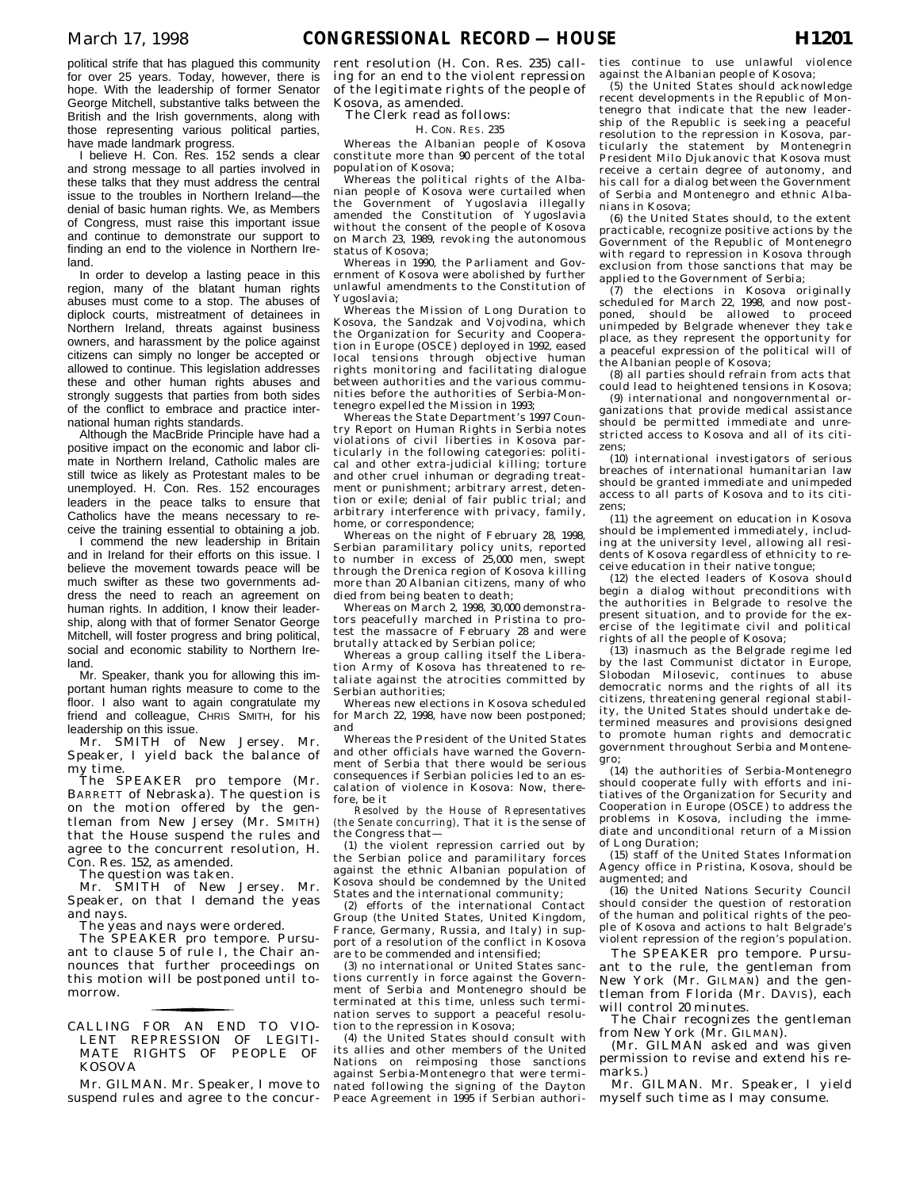political strife that has plagued this community for over 25 years. Today, however, there is hope. With the leadership of former Senator George Mitchell, substantive talks between the British and the Irish governments, along with those representing various political parties, have made landmark progress.

I believe H. Con. Res. 152 sends a clear and strong message to all parties involved in these talks that they must address the central issue to the troubles in Northern Ireland—the denial of basic human rights. We, as Members of Congress, must raise this important issue and continue to demonstrate our support to finding an end to the violence in Northern Ireland.

In order to develop a lasting peace in this region, many of the blatant human rights abuses must come to a stop. The abuses of diplock courts, mistreatment of detainees in Northern Ireland, threats against business owners, and harassment by the police against citizens can simply no longer be accepted or allowed to continue. This legislation addresses these and other human rights abuses and strongly suggests that parties from both sides of the conflict to embrace and practice international human rights standards.

Although the MacBride Principle have had a positive impact on the economic and labor climate in Northern Ireland, Catholic males are still twice as likely as Protestant males to be unemployed. H. Con. Res. 152 encourages leaders in the peace talks to ensure that Catholics have the means necessary to receive the training essential to obtaining a job.

I commend the new leadership in Britain and in Ireland for their efforts on this issue. I believe the movement towards peace will be much swifter as these two governments address the need to reach an agreement on human rights. In addition, I know their leadership, along with that of former Senator George Mitchell, will foster progress and bring political, social and economic stability to Northern Ireland.

Mr. Speaker, thank you for allowing this important human rights measure to come to the floor. I also want to again congratulate my friend and colleague, CHRIS SMITH, for his leadership on this issue.

Mr. SMITH of New Jersey. Mr. Speaker, I yield back the balance of my time.

The SPEAKER pro tempore (Mr. BARRETT of Nebraska). The question is on the motion offered by the gentleman from New Jersey (Mr. SMITH) that the House suspend the rules and agree to the concurrent resolution, H. Con. Res. 152, as amended.

The question was taken.

Mr. SMITH of New Jersey. Mr. Speaker, on that I demand the yeas and nays.

The yeas and nays were ordered.

The SPEAKER pro tempore. Pursuant to clause 5 of rule I, the Chair announces that further proceedings on this motion will be postponed until tomorrow.

for the control of the control of

CALLING FOR AN END TO VIO-LENT REPRESSION OF LEGITI-MATE RIGHTS OF PEOPLE OF KOSOVA

Mr. GILMAN. Mr. Speaker, I move to suspend rules and agree to the concur-

rent resolution (H. Con. Res. 235) calling for an end to the violent repression of the legitimate rights of the people of Kosova, as amended.

The Clerk read as follows:

H. CON. RES. 235

Whereas the Albanian people of Kosova constitute more than 90 percent of the total population of Kosova;

Whereas the political rights of the Albanian people of Kosova were curtailed when the Government of Yugoslavia illegally amended the Constitution of Yugoslavia without the consent of the people of Kosova on March 23, 1989, revoking the autonomous status of Kosova;

Whereas in 1990, the Parliament and Government of Kosova were abolished by further unlawful amendments to the Constitution of Yugoslavia;

Whereas the Mission of Long Duration to Kosova, the Sandzak and Vojvodina, which the Organization for Security and Cooperation in Europe (OSCE) deployed in 1992, eased local tensions through objective human rights monitoring and facilitating dialogue between authorities and the various communities before the authorities of Serbia-Montenegro expelled the Mission in 1993;

Whereas the State Department's 1997 Country Report on Human Rights in Serbia notes violations of civil liberties in Kosova particularly in the following categories: political and other extra-judicial killing; torture and other cruel inhuman or degrading treatment or punishment; arbitrary arrest, detention or exile; denial of fair public trial; and arbitrary interference with privacy, family, home, or correspondence;

Whereas on the night of February 28, 1998, Serbian paramilitary policy units, reported to number in excess of 25,000 men, swept through the Drenica region of Kosova killing more than 20 Albanian citizens, many of who died from being beaten to death;

Whereas on March 2, 1998, 30,000 demonstrators peacefully marched in Pristina to protest the massacre of February 28 and were brutally attacked by Serbian police;

Whereas a group calling itself the Liberation Army of Kosova has threatened to retaliate against the atrocities committed by Serbian authorities;

Whereas new elections in Kosova scheduled for March 22, 1998, have now been postponed; and

Whereas the President of the United States and other officials have warned the Government of Serbia that there would be serious consequences if Serbian policies led to an escalation of violence in Kosova: Now, therefore, be it

*Resolved by the House of Representatives (the Senate concurring),* That it is the sense of the Congress that—

(1) the violent repression carried out by the Serbian police and paramilitary forces against the ethnic Albanian population of Kosova should be condemned by the United States and the international community;

(2) efforts of the international Contact Group (the United States, United Kingdom, France, Germany, Russia, and Italy) in support of a resolution of the conflict in Kosova are to be commended and intensified;

(3) no international or United States sanctions currently in force against the Government of Serbia and Montenegro should be terminated at this time, unless such termination serves to support a peaceful resolution to the repression in Kosova;

(4) the United States should consult with its allies and other members of the United Nations on reimposing those sanctions against Serbia-Montenegro that were terminated following the signing of the Dayton Peace Agreement in 1995 if Serbian authori-

ties continue to use unlawful violence against the Albanian people of Kosova;

(5) the United States should acknowledge recent developments in the Republic of Montenegro that indicate that the new leadership of the Republic is seeking a peaceful resolution to the repression in Kosova, particularly the statement by Montenegrin President Milo Djukanovic that Kosova must receive a certain degree of autonomy, and his call for a dialog between the Government of Serbia and Montenegro and ethnic Albanians in Kosova;

(6) the United States should, to the extent practicable, recognize positive actions by the Government of the Republic of Montenegro with regard to repression in Kosova through exclusion from those sanctions that may be applied to the Government of Serbia;

(7) the elections in Kosova originally scheduled for March 22, 1998, and now postponed, should be allowed to proceed unimpeded by Belgrade whenever they take place, as they represent the opportunity for a peaceful expression of the political will of the Albanian people of Kosova;

(8) all parties should refrain from acts that could lead to heightened tensions in Kosova;

(9) international and nongovernmental organizations that provide medical assistance should be permitted immediate and unrestricted access to Kosova and all of its citizens;

(10) international investigators of serious breaches of international humanitarian law should be granted immediate and unimpeded access to all parts of Kosova and to its citizens;

(11) the agreement on education in Kosova should be implemented immediately, including at the university level, allowing all residents of Kosova regardless of ethnicity to receive education in their native tongue;

(12) the elected leaders of Kosova should begin a dialog without preconditions with the authorities in Belgrade to resolve the present situation, and to provide for the exercise of the legitimate civil and political rights of all the people of Kosova;

 $(13)$  inasmuch as the Belgrade regime led by the last Communist dictator in Europe, Slobodan Milosevic, continues to abuse democratic norms and the rights of all its citizens, threatening general regional stability, the United States should undertake determined measures and provisions designed to promote human rights and democratic government throughout Serbia and Montenegro;

(14) the authorities of Serbia-Montenegro should cooperate fully with efforts and initiatives of the Organization for Security and Cooperation in Europe (OSCE) to address the problems in Kosova, including the immediate and unconditional return of a Mission of Long Duration;

(15) staff of the United States Information Agency office in Pristina, Kosova, should be augmented; and

(16) the United Nations Security Council should consider the question of restoration of the human and political rights of the people of Kosova and actions to halt Belgrade's violent repression of the region's population.

The SPEAKER pro tempore. Pursuant to the rule, the gentleman from New York (Mr. GILMAN) and the gentleman from Florida (Mr. DAVIS), each will control 20 minutes.

The Chair recognizes the gentleman from New York (Mr. GILMAN).

(Mr. GILMAN asked and was given permission to revise and extend his remarks.)

Mr. GILMAN. Mr. Speaker, I yield myself such time as I may consume.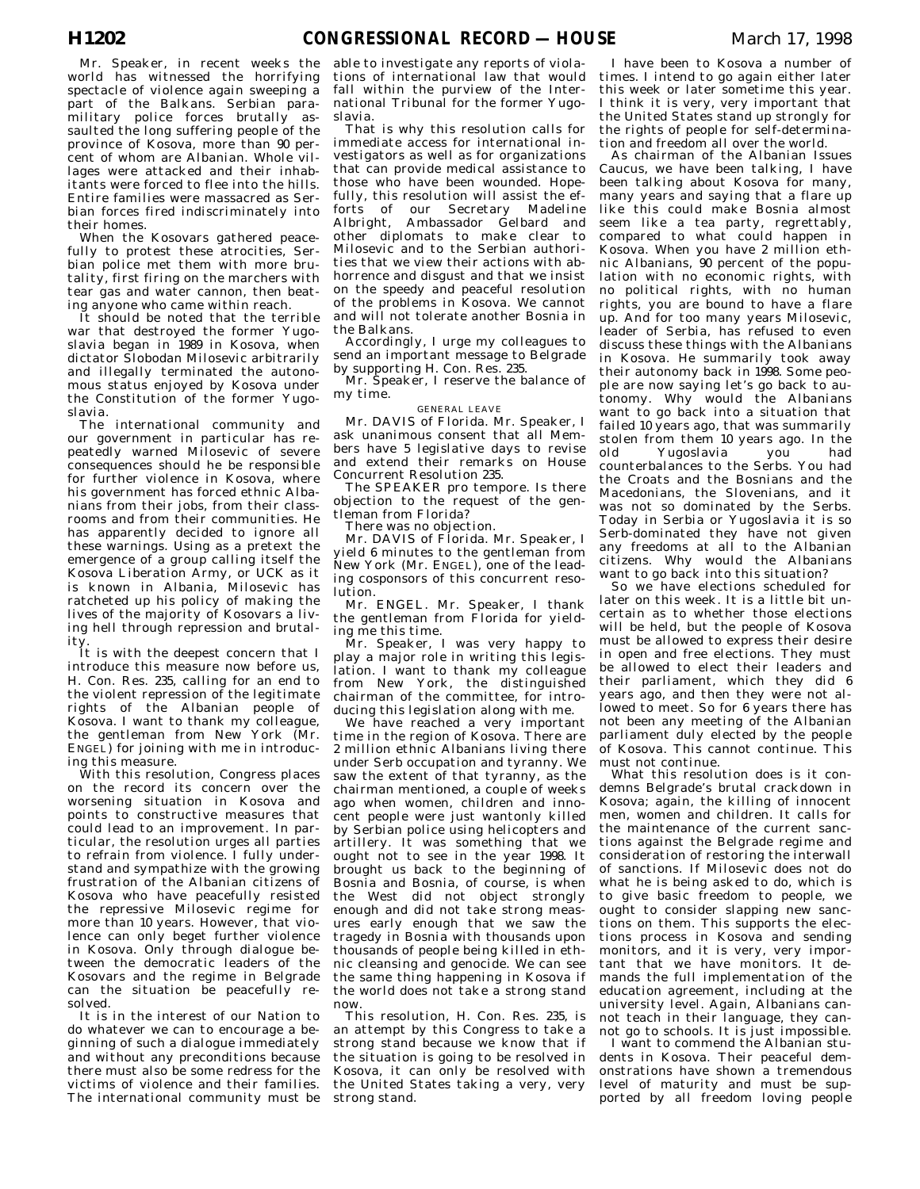Mr. Speaker, in recent weeks the world has witnessed the horrifying spectacle of violence again sweeping a part of the Balkans. Serbian paramilitary police forces brutally assaulted the long suffering people of the province of Kosova, more than 90 percent of whom are Albanian. Whole villages were attacked and their inhabitants were forced to flee into the hills. Entire families were massacred as Serbian forces fired indiscriminately into their homes.

When the Kosovars gathered peacefully to protest these atrocities, Serbian police met them with more brutality, first firing on the marchers with tear gas and water cannon, then beating anyone who came within reach.

It should be noted that the terrible war that destroyed the former Yugoslavia began in 1989 in Kosova, when dictator Slobodan Milosevic arbitrarily and illegally terminated the autonomous status enjoyed by Kosova under the Constitution of the former Yugoslavia.

The international community and our government in particular has repeatedly warned Milosevic of severe consequences should he be responsible for further violence in Kosova, where his government has forced ethnic Albanians from their jobs, from their classrooms and from their communities. He has apparently decided to ignore all these warnings. Using as a pretext the emergence of a group calling itself the Kosova Liberation Army, or UCK as it is known in Albania, Milosevic has ratcheted up his policy of making the lives of the majority of Kosovars a living hell through repression and brutality.

It is with the deepest concern that I introduce this measure now before us, H. Con. Res. 235, calling for an end to the violent repression of the legitimate rights of the Albanian people of Kosova. I want to thank my colleague, the gentleman from New York (Mr. ENGEL) for joining with me in introducing this measure.

With this resolution, Congress places on the record its concern over the worsening situation in Kosova and points to constructive measures that could lead to an improvement. In particular, the resolution urges all parties to refrain from violence. I fully understand and sympathize with the growing frustration of the Albanian citizens of Kosova who have peacefully resisted the repressive Milosevic regime for more than 10 years. However, that violence can only beget further violence in Kosova. Only through dialogue between the democratic leaders of the Kosovars and the regime in Belgrade can the situation be peacefully resolved.

It is in the interest of our Nation to do whatever we can to encourage a beginning of such a dialogue immediately and without any preconditions because there must also be some redress for the victims of violence and their families. The international community must be

able to investigate any reports of violations of international law that would fall within the purview of the International Tribunal for the former Yugoslavia.

That is why this resolution calls for immediate access for international investigators as well as for organizations that can provide medical assistance to those who have been wounded. Hopefully, this resolution will assist the efforts of our Secretary Madeline Albright, Ambassador Gelbard and other diplomats to make clear to Milosevic and to the Serbian authorities that we view their actions with abhorrence and disgust and that we insist on the speedy and peaceful resolution of the problems in Kosova. We cannot and will not tolerate another Bosnia in the Balkans.

Accordingly, I urge my colleagues to send an important message to Belgrade by supporting H. Con. Res. 235.

Mr. Speaker, I reserve the balance of my time.

GENERAL LEAVE

Mr. DAVIS of Florida. Mr. Speaker, I ask unanimous consent that all Members have 5 legislative days to revise and extend their remarks on House Concurrent Resolution 235.

The SPEAKER pro tempore. Is there objection to the request of the gentleman from Florida?

There was no objection.

Mr. DAVIS of Florida. Mr. Speaker, I yield 6 minutes to the gentleman from New York (Mr. ENGEL), one of the leading cosponsors of this concurrent resolution.

Mr. ENGEL. Mr. Speaker, I thank the gentleman from Florida for yielding me this time.

Mr. Speaker, I was very happy to play a major role in writing this legislation. I want to thank my colleague from New York, the distinguished chairman of the committee, for introducing this legislation along with me.

We have reached a very important time in the region of Kosova. There are 2 million ethnic Albanians living there under Serb occupation and tyranny. We saw the extent of that tyranny, as the chairman mentioned, a couple of weeks ago when women, children and innocent people were just wantonly killed by Serbian police using helicopters and artillery. It was something that we ought not to see in the year 1998. It brought us back to the beginning of Bosnia and Bosnia, of course, is when the West did not object strongly enough and did not take strong measures early enough that we saw the tragedy in Bosnia with thousands upon thousands of people being killed in ethnic cleansing and genocide. We can see the same thing happening in Kosova if the world does not take a strong stand now.

This resolution, H. Con. Res. 235, is an attempt by this Congress to take a strong stand because we know that if the situation is going to be resolved in Kosova, it can only be resolved with the United States taking a very, very strong stand.

I have been to Kosova a number of times. I intend to go again either later this week or later sometime this year. I think it is very, very important that the United States stand up strongly for the rights of people for self-determination and freedom all over the world.

As chairman of the Albanian Issues Caucus, we have been talking, I have been talking about Kosova for many, many years and saying that a flare up like this could make Bosnia almost seem like a tea party, regrettably, compared to what could happen in Kosova. When you have 2 million ethnic Albanians, 90 percent of the population with no economic rights, with no political rights, with no human rights, you are bound to have a flare up. And for too many years Milosevic, leader of Serbia, has refused to even discuss these things with the Albanians in Kosova. He summarily took away their autonomy back in 1998. Some people are now saying let's go back to autonomy. Why would the Albanians want to go back into a situation that failed 10 years ago, that was summarily stolen from them 10 years ago. In the<br>old Yugoslavia you had Yugoslavia you had counterbalances to the Serbs. You had the Croats and the Bosnians and the Macedonians, the Slovenians, and it was not so dominated by the Serbs. Today in Serbia or Yugoslavia it is so Serb-dominated they have not given any freedoms at all to the Albanian citizens. Why would the Albanians want to go back into this situation?

So we have elections scheduled for later on this week. It is a little bit uncertain as to whether those elections will be held, but the people of Kosova must be allowed to express their desire in open and free elections. They must be allowed to elect their leaders and their parliament, which they did 6 years ago, and then they were not allowed to meet. So for 6 years there has not been any meeting of the Albanian parliament duly elected by the people of Kosova. This cannot continue. This must not continue.

What this resolution does is it condemns Belgrade's brutal crackdown in Kosova; again, the killing of innocent men, women and children. It calls for the maintenance of the current sanctions against the Belgrade regime and consideration of restoring the interwall of sanctions. If Milosevic does not do what he is being asked to do, which is to give basic freedom to people, we ought to consider slapping new sanctions on them. This supports the elections process in Kosova and sending monitors, and it is very, very important that we have monitors. It demands the full implementation of the education agreement, including at the university level. Again, Albanians cannot teach in their language, they cannot go to schools. It is just impossible.

I want to commend the Albanian students in Kosova. Their peaceful demonstrations have shown a tremendous level of maturity and must be supported by all freedom loving people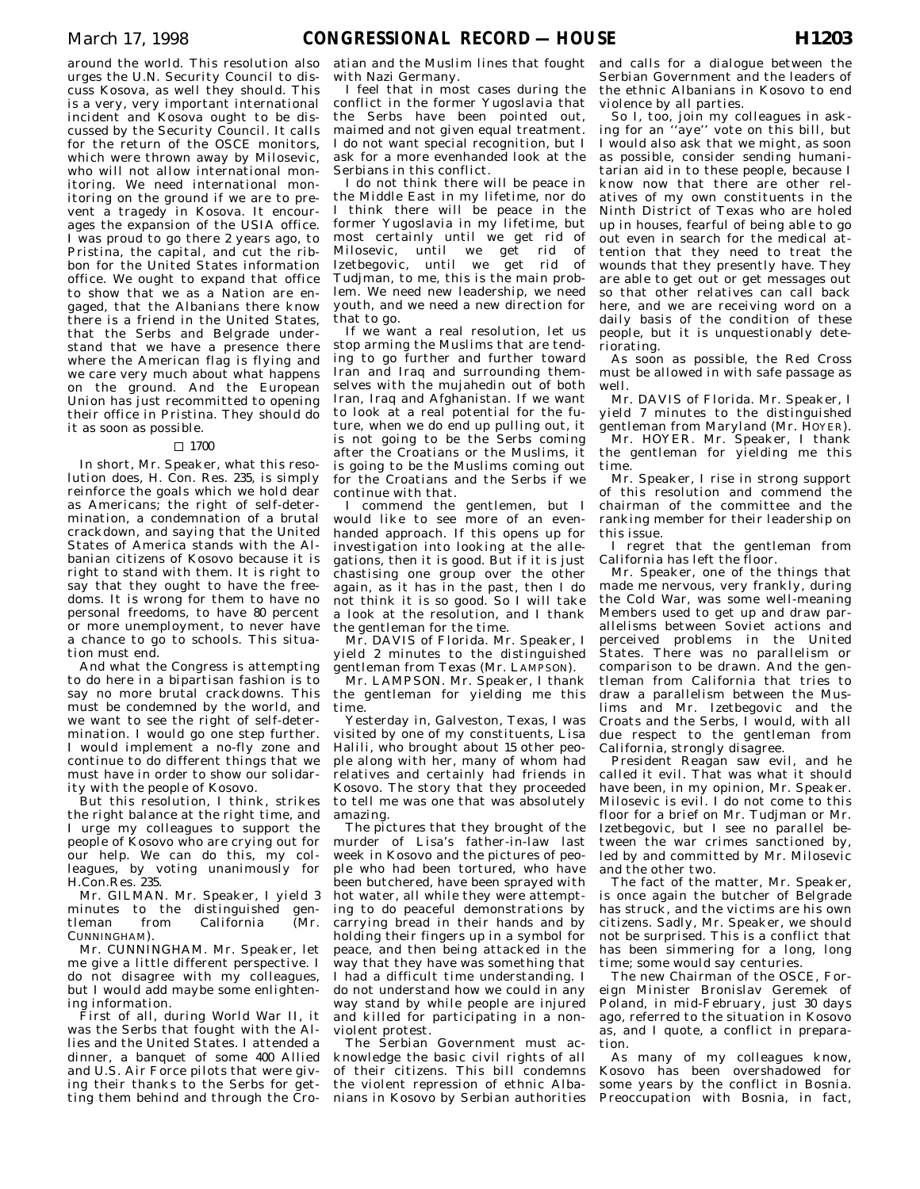around the world. This resolution also urges the U.N. Security Council to discuss Kosova, as well they should. This is a very, very important international incident and Kosova ought to be discussed by the Security Council. It calls for the return of the OSCE monitors. which were thrown away by Milosevic, who will not allow international monitoring. We need international monitoring on the ground if we are to prevent a tragedy in Kosova. It encourages the expansion of the USIA office. I was proud to go there 2 years ago, to Pristina, the capital, and cut the ribbon for the United States information office. We ought to expand that office to show that we as a Nation are engaged, that the Albanians there know there is a friend in the United States, that the Serbs and Belgrade understand that we have a presence there where the American flag is flying and we care very much about what happens on the ground. And the European Union has just recommitted to opening their office in Pristina. They should do it as soon as possible.

#### $\square$  1700

In short, Mr. Speaker, what this resolution does, H. Con. Res. 235, is simply reinforce the goals which we hold dear as Americans; the right of self-determination, a condemnation of a brutal crackdown, and saying that the United States of America stands with the Albanian citizens of Kosovo because it is right to stand with them. It is right to say that they ought to have the freedoms. It is wrong for them to have no personal freedoms, to have 80 percent or more unemployment, to never have a chance to go to schools. This situation must end.

And what the Congress is attempting to do here in a bipartisan fashion is to say no more brutal crackdowns. This must be condemned by the world, and we want to see the right of self-determination. I would go one step further. I would implement a no-fly zone and continue to do different things that we must have in order to show our solidarity with the people of Kosovo.

But this resolution, I think, strikes the right balance at the right time, and I urge my colleagues to support the people of Kosovo who are crying out for our help. We can do this, my colleagues, by voting unanimously for H.Con.Res. 235.

Mr. GILMAN. Mr. Speaker, I yield 3 minutes to the distinguished gen-<br>tleman from California (Mr. California CUNNINGHAM).

Mr. CUNNINGHAM. Mr. Speaker, let me give a little different perspective. I do not disagree with my colleagues, but I would add maybe some enlightening information.

First of all, during World War II, it was the Serbs that fought with the Allies and the United States. I attended a dinner, a banquet of some 400 Allied and U.S. Air Force pilots that were giving their thanks to the Serbs for getting them behind and through the  $\tilde{C}$ ro-

atian and the Muslim lines that fought with Nazi Germany.

I feel that in most cases during the conflict in the former Yugoslavia that the Serbs have been pointed out, maimed and not given equal treatment. I do not want special recognition, but I ask for a more evenhanded look at the Serbians in this conflict.

I do not think there will be peace in the Middle East in my lifetime, nor do I think there will be peace in the former Yugoslavia in my lifetime, but most certainly until we get rid of Milosevic, until we get rid of Izetbegovic, until we get rid of Tudjman, to me, this is the main problem. We need new leadership, we need youth, and we need a new direction for that to go.

If we want a real resolution, let us stop arming the Muslims that are tending to go further and further toward Iran and Iraq and surrounding themselves with the mujahedin out of both Iran, Iraq and Afghanistan. If we want to look at a real potential for the future, when we do end up pulling out, it is not going to be the Serbs coming after the Croatians or the Muslims, it is going to be the Muslims coming out for the Croatians and the Serbs if we continue with that.

I commend the gentlemen, but I would like to see more of an evenhanded approach. If this opens up for investigation into looking at the allegations, then it is good. But if it is just chastising one group over the other again, as it has in the past, then I do not think it is so good. So I will take a look at the resolution, and I thank the gentleman for the time.

Mr. DAVIS of Florida. Mr. Speaker, I yield 2 minutes to the distinguished gentleman from Texas (Mr. LAMPSON).

Mr. LAMPSON. Mr. Speaker, I thank the gentleman for yielding me this time.

Yesterday in, Galveston, Texas, I was visited by one of my constituents, Lisa Halili, who brought about 15 other people along with her, many of whom had relatives and certainly had friends in Kosovo. The story that they proceeded to tell me was one that was absolutely amazing.

The pictures that they brought of the murder of Lisa's father-in-law last week in Kosovo and the pictures of people who had been tortured, who have been butchered, have been sprayed with hot water, all while they were attempting to do peaceful demonstrations by carrying bread in their hands and by holding their fingers up in a symbol for peace, and then being attacked in the way that they have was something that I had a difficult time understanding. I do not understand how we could in any way stand by while people are injured and killed for participating in a nonviolent protest.

The Serbian Government must acknowledge the basic civil rights of all of their citizens. This bill condemns the violent repression of ethnic Albanians in Kosovo by Serbian authorities and calls for a dialogue between the Serbian Government and the leaders of the ethnic Albanians in Kosovo to end violence by all parties.

So I, too, join my colleagues in asking for an ''aye'' vote on this bill, but I would also ask that we might, as soon as possible, consider sending humanitarian aid in to these people, because I know now that there are other relatives of my own constituents in the Ninth District of Texas who are holed up in houses, fearful of being able to go out even in search for the medical attention that they need to treat the wounds that they presently have. They are able to get out or get messages out so that other relatives can call back here, and we are receiving word on a daily basis of the condition of these people, but it is unquestionably deteriorating.

As soon as possible, the Red Cross must be allowed in with safe passage as well.

Mr. DAVIS of Florida. Mr. Speaker, I yield 7 minutes to the distinguished gentleman from Maryland (Mr. HOYER).

Mr. HOYER. Mr. Speaker, I thank the gentleman for yielding me this time.

Mr. Speaker, I rise in strong support of this resolution and commend the chairman of the committee and the ranking member for their leadership on this issue.

I regret that the gentleman from California has left the floor.

Mr. Speaker, one of the things that made me nervous, very frankly, during the Cold War, was some well-meaning Members used to get up and draw parallelisms between Soviet actions and perceived problems in the United States. There was no parallelism or comparison to be drawn. And the gentleman from California that tries to draw a parallelism between the Muslims and Mr. Izetbegovic and the Croats and the Serbs, I would, with all due respect to the gentleman from California, strongly disagree.

President Reagan saw evil, and he called it evil. That was what it should have been, in my opinion, Mr. Speaker. Milosevic is evil. I do not come to this floor for a brief on Mr. Tudjman or Mr. Izetbegovic, but I see no parallel between the war crimes sanctioned by, led by and committed by Mr. Milosevic and the other two.

The fact of the matter, Mr. Speaker, is once again the butcher of Belgrade has struck, and the victims are his own citizens. Sadly, Mr. Speaker, we should not be surprised. This is a conflict that has been simmering for a long, long time; some would say centuries.

The new Chairman of the OSCE, Foreign Minister Bronislav Geremek of Poland, in mid-February, just 30 days ago, referred to the situation in Kosovo as, and I quote, a conflict in preparation.

As many of my colleagues know, Kosovo has been overshadowed for some years by the conflict in Bosnia. Preoccupation with Bosnia, in fact,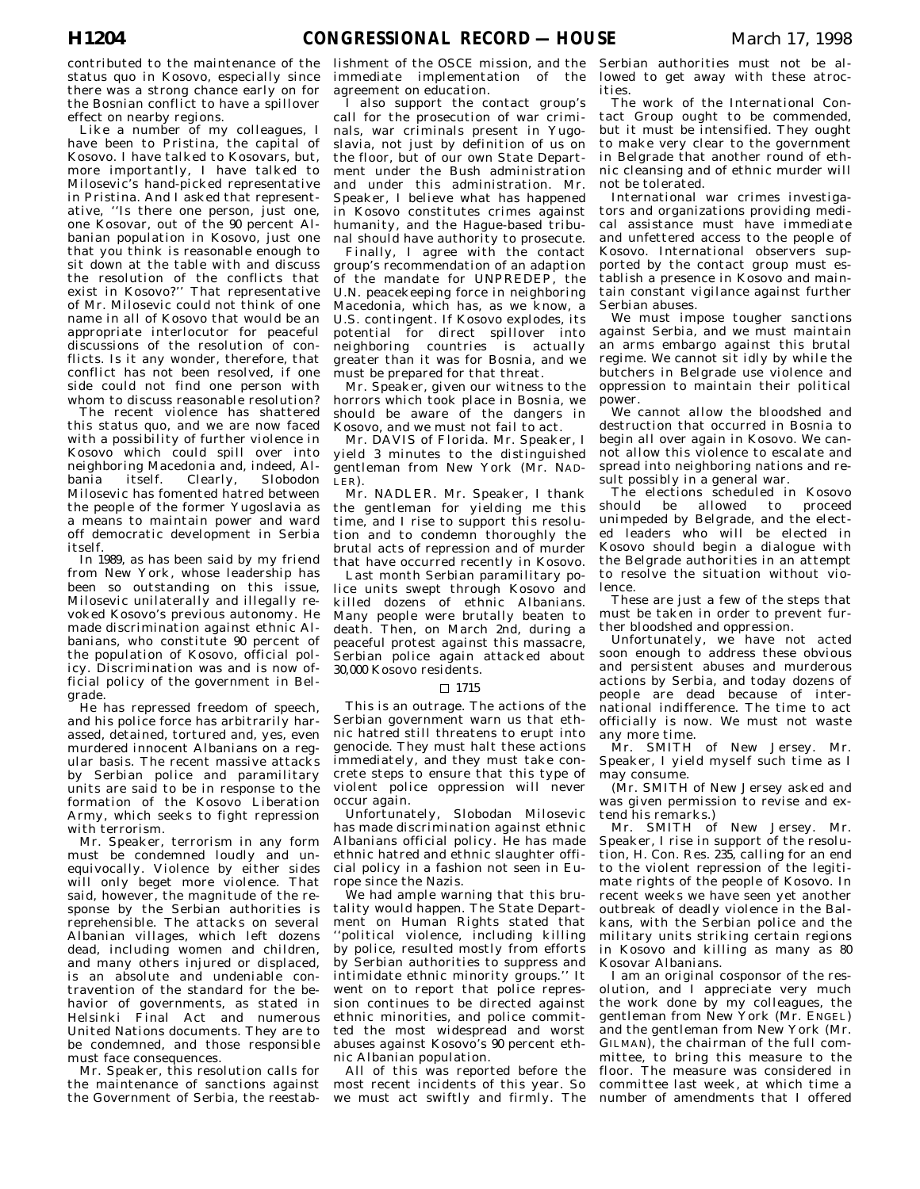effect on nearby regions. Like a number of my colleagues, I have been to Pristina, the capital of Kosovo. I have talked to Kosovars, but, more importantly, I have talked to Milosevic's hand-picked representative in Pristina. And I asked that representative, ''Is there one person, just one, one Kosovar, out of the 90 percent Albanian population in Kosovo, just one that you think is reasonable enough to sit down at the table with and discuss the resolution of the conflicts that exist in Kosovo?'' That representative of Mr. Milosevic could not think of one name in all of Kosovo that would be an appropriate interlocutor for peaceful discussions of the resolution of conflicts. Is it any wonder, therefore, that conflict has not been resolved, if one side could not find one person with whom to discuss reasonable resolution?

the Bosnian conflict to have a spillover

The recent violence has shattered this status quo, and we are now faced with a possibility of further violence in Kosovo which could spill over into neighboring Macedonia and, indeed, Albania itself. Clearly, Slobodon Milosevic has fomented hatred between the people of the former Yugoslavia as a means to maintain power and ward off democratic development in Serbia itself.

In 1989, as has been said by my friend from New York, whose leadership has been so outstanding on this issue, Milosevic unilaterally and illegally revoked Kosovo's previous autonomy. He made discrimination against ethnic Albanians, who constitute 90 percent of the population of Kosovo, official policy. Discrimination was and is now official policy of the government in Belgrade.

He has repressed freedom of speech, and his police force has arbitrarily harassed, detained, tortured and, yes, even murdered innocent Albanians on a regular basis. The recent massive attacks by Serbian police and paramilitary units are said to be in response to the formation of the Kosovo Liberation Army, which seeks to fight repression with terrorism.

Mr. Speaker, terrorism in any form must be condemned loudly and unequivocally. Violence by either sides will only beget more violence. That said, however, the magnitude of the response by the Serbian authorities is reprehensible. The attacks on several Albanian villages, which left dozens dead, including women and children, and many others injured or displaced, is an absolute and undeniable contravention of the standard for the behavior of governments, as stated in Helsinki Final Act and numerous United Nations documents. They are to be condemned, and those responsible must face consequences.

Mr. Speaker, this resolution calls for the maintenance of sanctions against the Government of Serbia, the reestab-

lishment of the OSCE mission, and the immediate implementation of the agreement on education.

I also support the contact group's call for the prosecution of war criminals, war criminals present in Yugoslavia, not just by definition of us on the floor, but of our own State Department under the Bush administration and under this administration. Mr. Speaker, I believe what has happened in Kosovo constitutes crimes against humanity, and the Hague-based tribunal should have authority to prosecute.

Finally, I agree with the contact group's recommendation of an adaption of the mandate for UNPREDEP, the U.N. peacekeeping force in neighboring Macedonia, which has, as we know, a U.S. contingent. If Kosovo explodes, its potential for direct spillover into neighboring countries is actually greater than it was for Bosnia, and we must be prepared for that threat.

Mr. Speaker, given our witness to the horrors which took place in Bosnia, we should be aware of the dangers in Kosovo, and we must not fail to act.

Mr. DAVIS of Florida. Mr. Speaker, I yield 3 minutes to the distinguished gentleman from New York (Mr. NAD-LER).

Mr. NADLER. Mr. Speaker, I thank the gentleman for yielding me this time, and I rise to support this resolution and to condemn thoroughly the brutal acts of repression and of murder that have occurred recently in Kosovo.

Last month Serbian paramilitary police units swept through Kosovo and killed dozens of ethnic Albanians. Many people were brutally beaten to death. Then, on March 2nd, during a peaceful protest against this massacre, Serbian police again attacked about 30,000 Kosovo residents.

#### $\Box$  1715

This is an outrage. The actions of the Serbian government warn us that ethnic hatred still threatens to erupt into genocide. They must halt these actions immediately, and they must take concrete steps to ensure that this type of violent police oppression will never occur again.

Unfortunately, Slobodan Milosevic has made discrimination against ethnic Albanians official policy. He has made ethnic hatred and ethnic slaughter official policy in a fashion not seen in Europe since the Nazis.

We had ample warning that this brutality would happen. The State Department on Human Rights stated that 'political violence, including killing by police, resulted mostly from efforts by Serbian authorities to suppress and intimidate ethnic minority groups.'' It went on to report that police repression continues to be directed against ethnic minorities, and police committed the most widespread and worst abuses against Kosovo's 90 percent ethnic Albanian population.

All of this was reported before the most recent incidents of this year. So we must act swiftly and firmly. The

Serbian authorities must not be allowed to get away with these atrocities.

The work of the International Contact Group ought to be commended, but it must be intensified. They ought to make very clear to the government in Belgrade that another round of ethnic cleansing and of ethnic murder will not be tolerated.

International war crimes investigators and organizations providing medical assistance must have immediate and unfettered access to the people of Kosovo. International observers supported by the contact group must establish a presence in Kosovo and maintain constant vigilance against further Serbian abuses.

We must impose tougher sanctions against Serbia, and we must maintain an arms embargo against this brutal regime. We cannot sit idly by while the butchers in Belgrade use violence and oppression to maintain their political power.

We cannot allow the bloodshed and destruction that occurred in Bosnia to begin all over again in Kosovo. We cannot allow this violence to escalate and spread into neighboring nations and result possibly in a general war.

The elections scheduled in Kosovo should be allowed to proceed unimpeded by Belgrade, and the elected leaders who will be elected in Kosovo should begin a dialogue with the Belgrade authorities in an attempt to resolve the situation without violence.

These are just a few of the steps that must be taken in order to prevent further bloodshed and oppression.

Unfortunately, we have not acted soon enough to address these obvious and persistent abuses and murderous actions by Serbia, and today dozens of people are dead because of international indifference. The time to act officially is now. We must not waste any more time.

Mr. SMITH of New Jersey. Mr. Speaker, I yield myself such time as I may consume.

(Mr. SMITH of New Jersey asked and was given permission to revise and extend his remarks.)

Mr. SMITH of New Jersey. Mr. Speaker, I rise in support of the resolution, H. Con. Res. 235, calling for an end to the violent repression of the legitimate rights of the people of Kosovo. In recent weeks we have seen yet another outbreak of deadly violence in the Balkans, with the Serbian police and the military units striking certain regions in Kosovo and killing as many as 80 Kosovar Albanians.

I am an original cosponsor of the resolution, and I appreciate very much the work done by my colleagues, the gentleman from New York (Mr. ENGEL) and the gentleman from New York (Mr. GILMAN), the chairman of the full committee, to bring this measure to the floor. The measure was considered in committee last week, at which time a number of amendments that I offered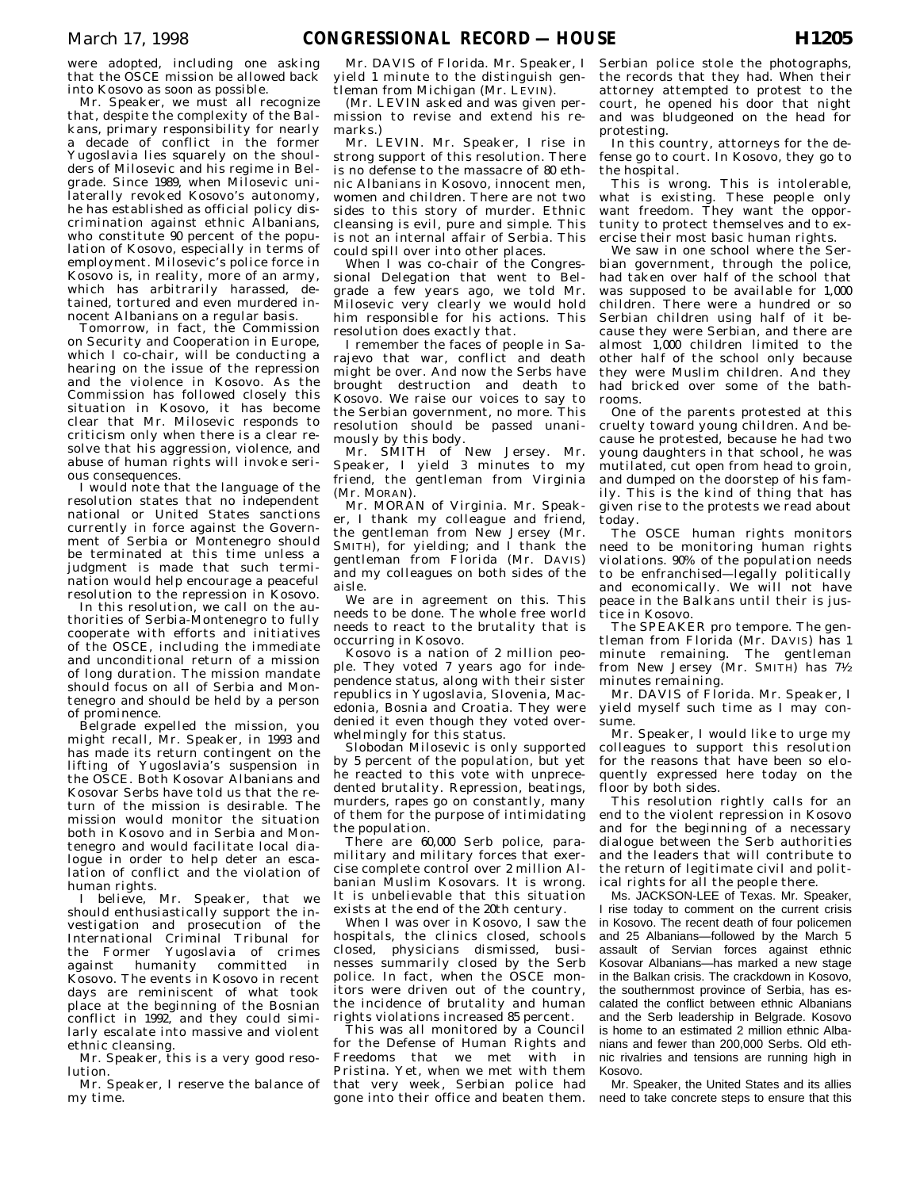were adopted, including one asking that the OSCE mission be allowed back into Kosovo as soon as possible.

Mr. Speaker, we must all recognize that, despite the complexity of the Balkans, primary responsibility for nearly a decade of conflict in the former Yugoslavia lies squarely on the shoulders of Milosevic and his regime in Belgrade. Since 1989, when Milosevic unilaterally revoked Kosovo's autonomy, he has established as official policy discrimination against ethnic Albanians, who constitute 90 percent of the population of Kosovo, especially in terms of employment. Milosevic's police force in Kosovo is, in reality, more of an army, which has arbitrarily harassed, detained, tortured and even murdered innocent Albanians on a regular basis.

Tomorrow, in fact, the Commission on Security and Cooperation in Europe, which I co-chair, will be conducting a hearing on the issue of the repression and the violence in Kosovo. As the Commission has followed closely this situation in Kosovo, it has become clear that Mr. Milosevic responds to criticism only when there is a clear resolve that his aggression, violence, and abuse of human rights will invoke serious consequences.

I would note that the language of the resolution states that no independent national or United States sanctions currently in force against the Government of Serbia or Montenegro should be terminated at this time unless a judgment is made that such termination would help encourage a peaceful resolution to the repression in Kosovo.

In this resolution, we call on the authorities of Serbia-Montenegro to fully cooperate with efforts and initiatives of the OSCE, including the immediate and unconditional return of a mission of long duration. The mission mandate should focus on all of Serbia and Montenegro and should be held by a person of prominence.

Belgrade expelled the mission, you might recall, Mr. Speaker, in 1993 and has made its return contingent on the lifting of Yugoslavia's suspension in the OSCE. Both Kosovar Albanians and Kosovar Serbs have told us that the return of the mission is desirable. The mission would monitor the situation both in Kosovo and in Serbia and Montenegro and would facilitate local dialogue in order to help deter an escalation of conflict and the violation of human rights.

I believe, Mr. Speaker, that we should enthusiastically support the investigation and prosecution of the International Criminal Tribunal for the Former Yugoslavia of crimes against humanity committed in Kosovo. The events in Kosovo in recent days are reminiscent of what took place at the beginning of the Bosnian conflict in 1992, and they could similarly escalate into massive and violent ethnic cleansing.

Mr. Speaker, this is a very good resolution.

Mr. Speaker, I reserve the balance of my time.

Mr. DAVIS of Florida. Mr. Speaker, I yield 1 minute to the distinguish gentleman from Michigan (Mr. LEVIN).

(Mr. LEVIN asked and was given permission to revise and extend his remarks.)

Mr. LEVIN. Mr. Speaker, I rise in strong support of this resolution. There is no defense to the massacre of 80 ethnic Albanians in Kosovo, innocent men, women and children. There are not two sides to this story of murder. Ethnic cleansing is evil, pure and simple. This is not an internal affair of Serbia. This could spill over into other places.

When I was co-chair of the Congressional Delegation that went to Belgrade a few years ago, we told Mr. Milosevic very clearly we would hold him responsible for his actions. This resolution does exactly that.

I remember the faces of people in Sarajevo that war, conflict and death might be over. And now the Serbs have brought destruction and death to Kosovo. We raise our voices to say to the Serbian government, no more. This resolution should be passed unanimously by this body.

Mr. SMITH of New Jersey. Mr. Speaker, I yield 3 minutes to my friend, the gentleman from Virginia (Mr. MORAN).

Mr. MORAN of Virginia. Mr. Speaker, I thank my colleague and friend, the gentleman from New Jersey (Mr. SMITH), for yielding; and I thank the gentleman from Florida (Mr. DAVIS) and my colleagues on both sides of the aisle.

We are in agreement on this. This needs to be done. The whole free world needs to react to the brutality that is occurring in Kosovo.

Kosovo is a nation of 2 million people. They voted 7 years ago for independence status, along with their sister republics in Yugoslavia, Slovenia, Macedonia, Bosnia and Croatia. They were denied it even though they voted overwhelmingly for this status.

Slobodan Milosevic is only supported by 5 percent of the population, but yet he reacted to this vote with unprecedented brutality. Repression, beatings, murders, rapes go on constantly, many of them for the purpose of intimidating the population.

There are 60,000 Serb police, paramilitary and military forces that exercise complete control over 2 million Albanian Muslim Kosovars. It is wrong. It is unbelievable that this situation exists at the end of the 20th century.

When I was over in Kosovo, I saw the hospitals, the clinics closed, schools closed, physicians dismissed, businesses summarily closed by the Serb police. In fact, when the OSCE monitors were driven out of the country, the incidence of brutality and human rights violations increased 85 percent.

This was all monitored by a Council for the Defense of Human Rights and Freedoms that we met with in Pristina. Yet, when we met with them that very week, Serbian police had gone into their office and beaten them.

Serbian police stole the photographs, the records that they had. When their attorney attempted to protest to the court, he opened his door that night and was bludgeoned on the head for protesting.

In this country, attorneys for the defense go to court. In Kosovo, they go to the hospital.

This is wrong. This is intolerable, what is existing. These people only want freedom. They want the opportunity to protect themselves and to exercise their most basic human rights.

We saw in one school where the Serbian government, through the police, had taken over half of the school that was supposed to be available for 1,000 children. There were a hundred or so Serbian children using half of it because they were Serbian, and there are almost 1,000 children limited to the other half of the school only because they were Muslim children. And they had bricked over some of the bathrooms.

One of the parents protested at this cruelty toward young children. And because he protested, because he had two young daughters in that school, he was mutilated, cut open from head to groin, and dumped on the doorstep of his family. This is the kind of thing that has given rise to the protests we read about today.

The OSCE human rights monitors need to be monitoring human rights violations. 90% of the population needs to be enfranchised—legally politically and economically. We will not have peace in the Balkans until their is justice in Kosovo.

The SPEAKER pro tempore. The gentleman from Florida (Mr. DAVIS) has 1 minute remaining. The gentleman from New Jersey (Mr. SMITH) has  $7\frac{1}{2}$ minutes remaining.

Mr. DAVIS of Florida. Mr. Speaker, I yield myself such time as I may consume.

Mr. Speaker, I would like to urge my colleagues to support this resolution for the reasons that have been so eloquently expressed here today on the floor by both sides.

This resolution rightly calls for an end to the violent repression in Kosovo and for the beginning of a necessary dialogue between the Serb authorities and the leaders that will contribute to the return of legitimate civil and political rights for all the people there.

Ms. JACKSON-LEE of Texas. Mr. Speaker, I rise today to comment on the current crisis in Kosovo. The recent death of four policemen and 25 Albanians—followed by the March 5 assault of Servian forces against ethnic Kosovar Albanians—has marked a new stage in the Balkan crisis. The crackdown in Kosovo, the southernmost province of Serbia, has escalated the conflict between ethnic Albanians and the Serb leadership in Belgrade. Kosovo is home to an estimated 2 million ethnic Albanians and fewer than 200,000 Serbs. Old ethnic rivalries and tensions are running high in Kosovo.

Mr. Speaker, the United States and its allies need to take concrete steps to ensure that this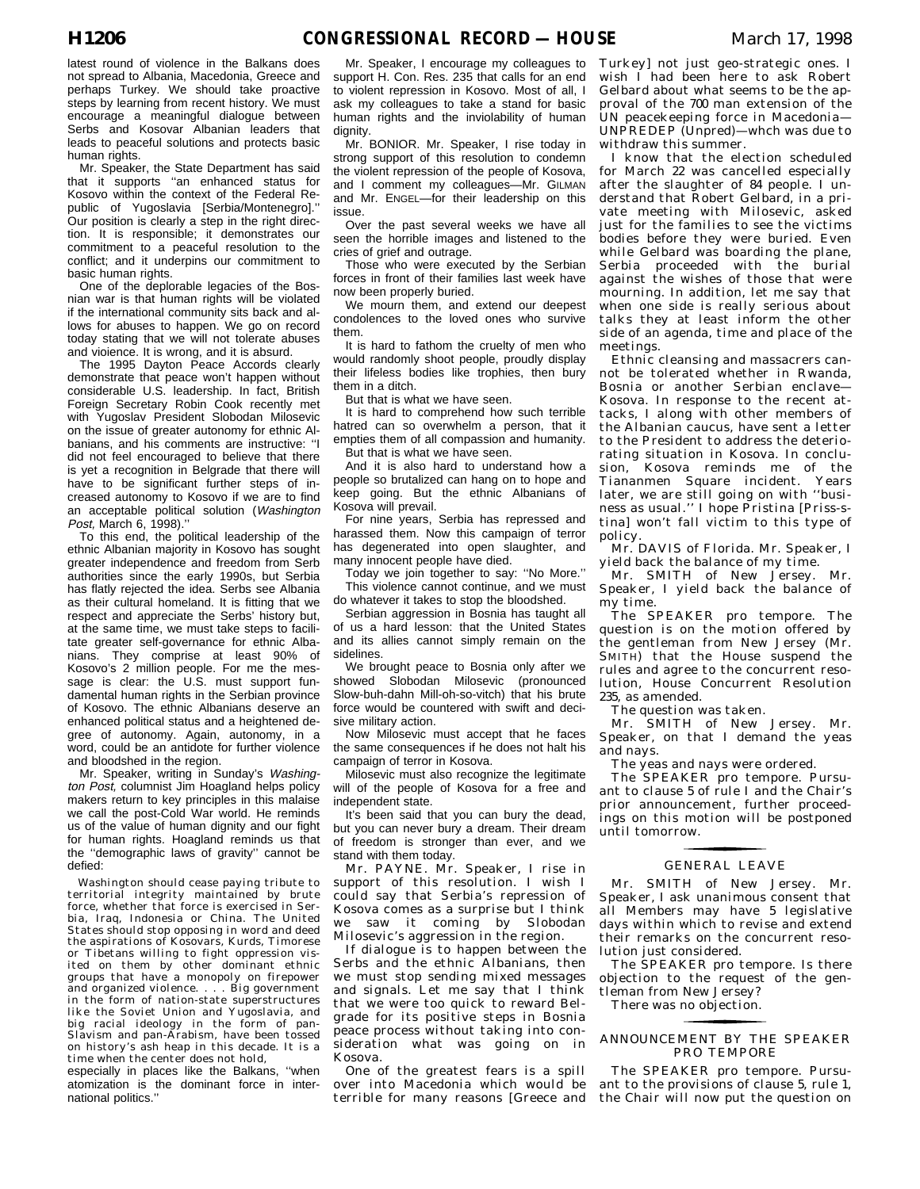latest round of violence in the Balkans does not spread to Albania, Macedonia, Greece and perhaps Turkey. We should take proactive steps by learning from recent history. We must encourage a meaningful dialogue between Serbs and Kosovar Albanian leaders that leads to peaceful solutions and protects basic human rights.

Mr. Speaker, the State Department has said that it supports ''an enhanced status for Kosovo within the context of the Federal Republic of Yugoslavia [Serbia/Montenegro].'' Our position is clearly a step in the right direction. It is responsible; it demonstrates our commitment to a peaceful resolution to the conflict; and it underpins our commitment to basic human rights.

One of the deplorable legacies of the Bosnian war is that human rights will be violated if the international community sits back and allows for abuses to happen. We go on record today stating that we will not tolerate abuses and vioience. It is wrong, and it is absurd.

The 1995 Dayton Peace Accords clearly demonstrate that peace won't happen without considerable U.S. leadership. In fact, British Foreign Secretary Robin Cook recently met with Yugoslav President Slobodan Milosevic on the issue of greater autonomy for ethnic Albanians, and his comments are instructive: ''I did not feel encouraged to believe that there is yet a recognition in Belgrade that there will have to be significant further steps of increased autonomy to Kosovo if we are to find an acceptable political solution (Washington Post, March 6, 1998).''

To this end, the political leadership of the ethnic Albanian majority in Kosovo has sought greater independence and freedom from Serb authorities since the early 1990s, but Serbia has flatly rejected the idea. Serbs see Albania as their cultural homeland. It is fitting that we respect and appreciate the Serbs' history but, at the same time, we must take steps to facilitate greater self-governance for ethnic Albanians. They comprise at least 90% of Kosovo's 2 million people. For me the message is clear: the U.S. must support fundamental human rights in the Serbian province of Kosovo. The ethnic Albanians deserve an enhanced political status and a heightened degree of autonomy. Again, autonomy, in a word, could be an antidote for further violence and bloodshed in the region.

Mr. Speaker, writing in Sunday's Washington Post, columnist Jim Hoagland helps policy makers return to key principles in this malaise we call the post-Cold War world. He reminds us of the value of human dignity and our fight for human rights. Hoagland reminds us that the ''demographic laws of gravity'' cannot be defied:

Washington should cease paying tribute to territorial integrity maintained by brute force, whether that force is exercised in Serbia, Iraq, Indonesia or China. The United States should stop opposing in word and deed the aspirations of Kosovars, Kurds, Timorese or Tibetans willing to fight oppression visited on them by other dominant ethnic groups that have a monopoly on firepower and organized violence. . . . Big government in the form of nation-state superstructures like the Soviet Union and Yugoslavia, and big racial ideology in the form of pan-Slavism and pan-Arabism, have been tossed on history's ash heap in this decade. It is a time when the center does not hold,

especially in places like the Balkans, ''when atomization is the dominant force in international politics.''

Mr. Speaker, I encourage my colleagues to support H. Con. Res. 235 that calls for an end to violent repression in Kosovo. Most of all, I ask my colleagues to take a stand for basic human rights and the inviolability of human dignity.

Mr. BONIOR. Mr. Speaker, I rise today in strong support of this resolution to condemn the violent repression of the people of Kosova, and I comment my colleagues-Mr. GILMAN and Mr. ENGEL—for their leadership on this issue.

Over the past several weeks we have all seen the horrible images and listened to the cries of grief and outrage.

Those who were executed by the Serbian forces in front of their families last week have now been properly buried.

We mourn them, and extend our deepest condolences to the loved ones who survive them.

It is hard to fathom the cruelty of men who would randomly shoot people, proudly display their lifeless bodies like trophies, then bury them in a ditch.

But that is what we have seen.

It is hard to comprehend how such terrible hatred can so overwhelm a person, that it empties them of all compassion and humanity. But that is what we have seen.

And it is also hard to understand how a people so brutalized can hang on to hope and keep going. But the ethnic Albanians of Kosova will prevail.

For nine years, Serbia has repressed and harassed them. Now this campaign of terror has degenerated into open slaughter, and many innocent people have died.

Today we join together to say: ''No More.'' This violence cannot continue, and we must do whatever it takes to stop the bloodshed.

Serbian aggression in Bosnia has taught all of us a hard lesson: that the United States and its allies cannot simply remain on the sidelines.

We brought peace to Bosnia only after we showed Slobodan Milosevic (pronounced Slow-buh-dahn Mill-oh-so-vitch) that his brute force would be countered with swift and decisive military action.

Now Milosevic must accept that he faces the same consequences if he does not halt his campaign of terror in Kosova.

Milosevic must also recognize the legitimate will of the people of Kosova for a free and independent state.

It's been said that you can bury the dead, but you can never bury a dream. Their dream of freedom is stronger than ever, and we stand with them today.

Mr. PAYNE. Mr. Speaker, I rise in support of this resolution. I wish I could say that Serbia's repression of Kosova comes as a surprise but I think we saw it coming by Slobodan Milosevic's aggression in the region.

If dialogue is to happen between the Serbs and the ethnic Albanians, then we must stop sending mixed messages and signals. Let me say that I think that we were too quick to reward Belgrade for its positive steps in Bosnia peace process without taking into consideration what was going on in Kosova.

One of the greatest fears is a spill over into Macedonia which would be terrible for many reasons [Greece and

Turkey] not just geo-strategic ones. I wish I had been here to ask Robert Gelbard about what seems to be the approval of the 700 man extension of the UN peacekeeping force in Macedonia— UNPREDEP (Unpred)—whch was due to withdraw this summer.

I know that the election scheduled for March 22 was cancelled especially after the slaughter of 84 people. I understand that Robert Gelbard, in a private meeting with Milosevic, asked just for the families to see the victims bodies before they were buried. Even while Gelbard was boarding the plane, Serbia proceeded with the burial against the wishes of those that were mourning. In addition, let me say that when one side is really serious about talks they at least inform the other side of an agenda, time and place of the meetings.

Ethnic cleansing and massacrers cannot be tolerated whether in Rwanda, Bosnia or another Serbian enclave— Kosova. In response to the recent attacks, I along with other members of the Albanian caucus, have sent a letter to the President to address the deteriorating situation in Kosova. In conclusion, Kosova reminds me of the Tiananmen Square incident. Years later, we are still going on with ''business as usual.'' I hope Pristina [Priss-stina] won't fall victim to this type of policy.

Mr. DAVIS of Florida. Mr. Speaker, I yield back the balance of my time.

Mr. SMITH of New Jersey. Mr. Speaker, I yield back the balance of my time.

The SPEAKER pro tempore. The question is on the motion offered by the gentleman from New Jersey (Mr. SMITH) that the House suspend the rules and agree to the concurrent resolution, House Concurrent Resolution 235, as amended.

The question was taken.

Mr. SMITH of New Jersey. Mr. Speaker, on that I demand the yeas and nays.

The yeas and nays were ordered.

The SPEAKER pro tempore. Pursuant to clause 5 of rule I and the Chair's prior announcement, further proceedings on this motion will be postponed until tomorrow.

#### GENERAL LEAVE for the control of the control of

Mr. SMITH of New Jersey. Mr. Speaker, I ask unanimous consent that all Members may have 5 legislative days within which to revise and extend their remarks on the concurrent resolution just considered.

The SPEAKER pro tempore. Is there objection to the request of the gentleman from New Jersey?

There was no objection. for the control of the control of

#### ANNOUNCEMENT BY THE SPEAKER PRO TEMPORE

The SPEAKER pro tempore. Pursuant to the provisions of clause 5, rule 1, the Chair will now put the question on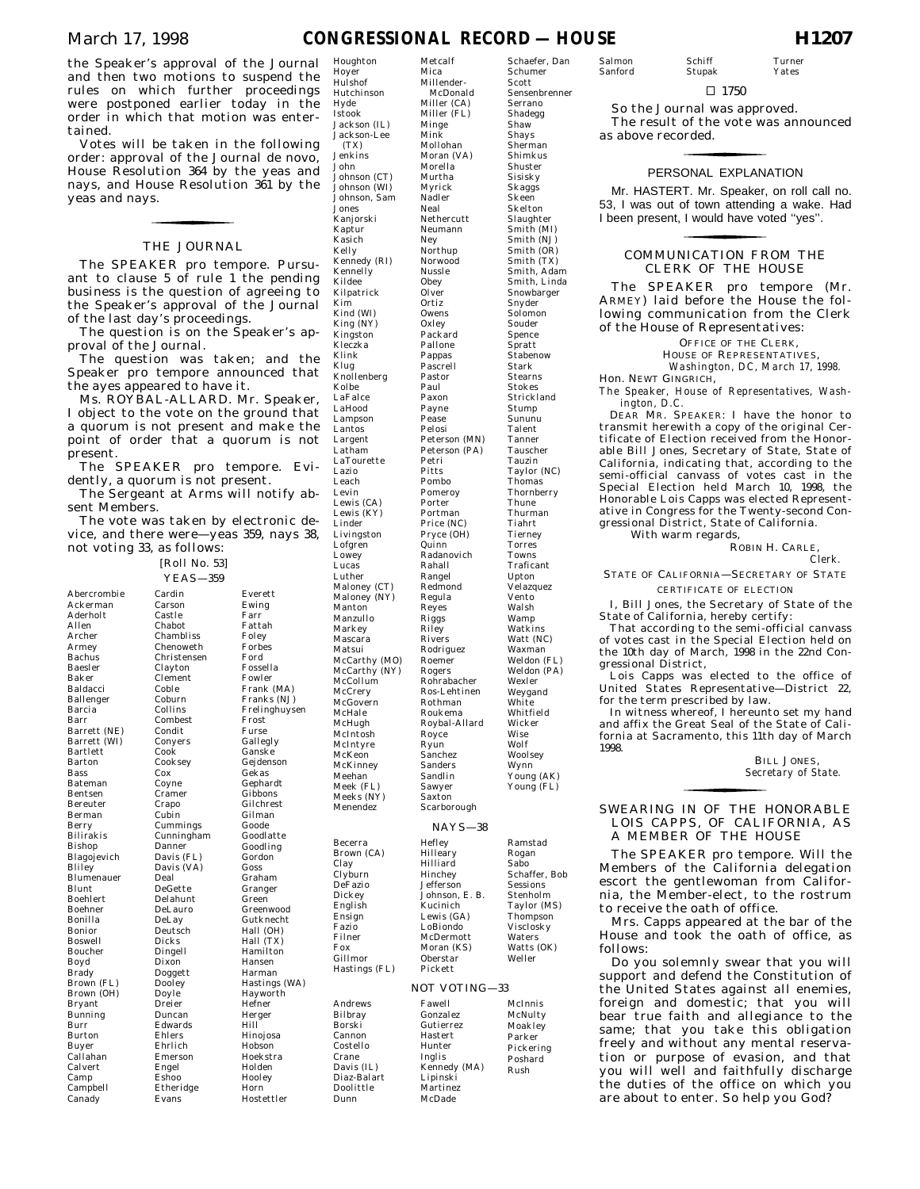#### *March 17, 1998* **CONGRESSIONAL RECORD — HOUSE H1207**

the Speaker's approval of the Journal and then two motions to suspend the rules on which further proceedings were postponed earlier today in the order in which that motion was entertained.

Votes will be taken in the following order: approval of the Journal de novo, House Resolution 364 by the yeas and nays, and House Resolution 361 by the yeas and nays.

## THE JOURNAL for the contract of the contract of

The SPEAKER pro tempore. Pursuant to clause 5 of rule 1 the pending business is the question of agreeing to the Speaker's approval of the Journal of the last day's proceedings.

The question is on the Speaker's approval of the Journal.

The question was taken; and the Speaker pro tempore announced that the ayes appeared to have it.

Ms. ROYBAL-ALLARD. Mr. Speaker, I object to the vote on the ground that a quorum is not present and make the point of order that a quorum is not present.

The SPEAKER pro tempore. Evidently, a quorum is not present.

The Sergeant at Arms will notify absent Members.

The vote was taken by electronic device, and there were—yeas 359, nays 38, not voting 33, as follows:

Abercrombie Ackerman Aderholt Allen Archer Armey Bachus Baesler Baker Baldacci Ballenger **Barcia** Barr Barrett (NE) Barrett (WI) Bartlett Barton Bass Bateman Bentsen Bereuter Berman Berry Bilirakis Bishop Blagojevich Bliley **Blumenauer** Blunt Boehlert Boehner Bonilla Bonior Boswell Boucher Boyd Brady Brown (FL) Brown (OH) Bryant Bunning Burr Burton Buyer Callahan Calvert Camp Campbell Cardin Carson Castle Chabot Clayton Clement Coble Coburn Collins Combest Condit Conyers Cook Cooksey Cox Coyne Cramer Crapo Cubin Danner Deal DeGette Delahunt DeLauro DeLay Deutsch Dicks Dingell Dixon Doggett Dooley Doyle Dreier Duncan Edwards Ehlers Ehrlich Emerson Engel Eshoo

Canady

Evans

[Roll No. 53] YEAS—359 Chambliss Chenoweth Christensen Cummings Cunningham Davis (FL) Davis (VA) E<sub>theridge</sub> Everett Ewing Farr Fattah Foley Forbes Ford Fossella Fowler Frank (MA) Franks (NJ) Frelinghuysen Frost Furse Gallegly Ganske Geidenson Gekas Gephardt Gibbons Gilchrest Gilman Goode Goodlatte Goodling Gordon Goss Graham Granger Green Greenwood Gutknecht Hall (OH) Hall (TX) Hamilton Hansen Harman Hastings (WA) Hayworth Hefner Herger Hill Hinojosa Hobson Hoekstra Holden Hooley Horn Hostettler

Hulshof Hutchinson Hyde Istook Jackson (IL) Jackson-Lee (TX) Jenkins John Johnson (CT) Johnson (WI) Johnson, Sam Jones Kanjorski Kaptur Kasich Kelly Kennedy (RI) Kennelly Kildee Kilpatrick Kim Kind (WI) King (NY) Kingston Kleczka Klink Klug Knollenberg Kolbe LaFalce LaHood Lampson Lantos Largent Latham LaTourette Lazio Leach Levin Lewis (CA) Lewis (KY) Linder Livingston Lofgren Lowey Lucas Luther Maloney (CT) Maloney (NY) Manton Manzullo Markey Mascara Matsui McCarthy (MO) McCarthy (NY) McCollum **McCrery** McGovern McHale McHugh McIntosh McIntyre McKeon McKinney Meehan Meek (FL) Meeks (NY) Menendez Becerra Brown (CA) Clay Clyburn DeFazio Dickey English Ensign Fazio Filner Fox Gillmor Hastings (FL) Andrews Bilbray Borski Cannon Costello Crane Davis (IL) Diaz-Balart

> Doolittle Dunn

Houghton Hoyer

Metcalf Mica Millender-McDonald Miller (CA) Miller (FL) Minge Mink Mollohan Moran (VA) Morella Murtha Myrick Nadler Neal Nethercutt Neumann Ney Northup Norwood Nussle Obey Olver Ortiz Owens Oxley Packard Pallone Pappas Pascrell Pastor Paul Paxon Payne Pease Pelosi Peterson (MN) Peterson (PA) Petri Pitts Pombo Pomeroy Porter Portman Price (NC) Pryce (OH) Quinn Radanovich Rahall Rangel Redmond Regula Reyes Riggs Riley Rivers Rodriguez Roemer Rogers Rohrabacher Ros-Lehtinen Rothman Roukema Roybal-Allard Royce Ryun Sanchez **Sanders** Sandlin Sawyer Saxton Scarborough Hefley **Hilleary** Hilliard Hinchey Jefferson Johnson, E. B. Kucinich Lewis (GA) LoBiondo McDermott Moran (KS) Oberstar Pickett Fawell Gonzalez

Schumer Scott Sensenbrenner Serrano Shadegg Shaw Shays Sherman Shimkus Shuster Sisisky Skaggs **Skeen** Skelton Slaughter Smith (MI) Smith (NJ) Smith (OR) Smith (TX) Smith, Adam Smith, Linda Snowbarger Snyder Solomon Souder Spence Spratt **Stabenow** Stark Stearns Stokes Strickland Stump Sununu Talent Tanner Tauscher Tauzin Taylor (NC) Thomas Thornberry Thune Thurman Tiahrt Tierney Torres Towns Traficant Upton Velazquez Vento Walsh Wamp Watkins Watt (NC) Waxman Weldon (FL) Weldon (PA) Wexler Weygand White Whitfield Wicker Wise Wolf **Woolsey** Wynn Young (AK) Young (FL)

#### NAYS—38

Ramstad Rogan Sabo Schaffer, Bob Sessions Stenholm Taylor (MS) **Thompson** Visclosky Waters Watts (OK) Weller

#### NOT VOTING—33

| Fawell       | McInnis   |
|--------------|-----------|
| Gonzalez     | McNulty   |
| Gutierrez    | Moakley   |
| Hastert      | Parker    |
| Hunter       | Pickering |
| Inglis       | Poshard   |
| Kennedy (MA) | Rush      |
| Lipinski     |           |
| Martinez     |           |
| McDade       |           |
|              |           |

Salmon Sanford

Schaefer, Dan

Schiff Stupak

Turner Yates

 $\square$  1750

So the Journal was approved. The result of the vote was announced as above recorded.

#### PERSONAL EXPLANATION for the control of the control of

Mr. HASTERT. Mr. Speaker, on roll call no. 53, I was out of town attending a wake. Had I been present, I would have voted ''yes''.

#### COMMUNICATION FROM THE CLERK OF THE HOUSE for the control of the control of

The SPEAKER pro tempore (Mr. ARMEY) laid before the House the following communication from the Clerk of the House of Representatives:

OFFICE OF THE CLERK,

HOUSE OF REPRESENTATIVES, *Washington, DC, March 17, 1998.*

Hon. NEWT GINGRICH, *The Speaker, House of Representatives, Wash-*

*ington, D.C.* DEAR MR. SPEAKER: I have the honor to transmit herewith a copy of the original Certificate of Election received from the Honorable Bill Jones, Secretary of State, State of California, indicating that, according to the semi-official canvass of votes cast in the Special Election held March 10, 1998, the

Honorable Lois Capps was elected Represent-

ative in Congress for the Twenty-second Congressional District, State of California.

With warm regards,

ROBIN H. CARLE, *Clerk.*

STATE OF CALIFORNIA—SECRETARY OF STATE

CERTIFICATE OF ELECTION

I, Bill Jones, the Secretary of State of the State of California, hereby certify:

That according to the semi-official canvass of votes cast in the Special Election held on the 10th day of March, 1998 in the 22nd Congressional District,

Lois Capps was elected to the office of United States Representative—District 22, for the term prescribed by law.

In witness whereof, I hereunto set my hand and affix the Great Seal of the State of California at Sacramento, this 11th day of March 1998.

> BILL JONES, f*Secretary of State.*

#### SWEARING IN OF THE HONORABLE LOIS CAPPS, OF CALIFORNIA, AS A MEMBER OF THE HOUSE

The SPEAKER pro tempore. Will the Members of the California delegation escort the gentlewoman from California, the Member-elect, to the rostrum to receive the oath of office.

Mrs. Capps appeared at the bar of the House and took the oath of office, as follows:

Do you solemnly swear that you will support and defend the Constitution of the United States against all enemies, foreign and domestic; that you will bear true faith and allegiance to the same; that you take this obligation freely and without any mental reservation or purpose of evasion, and that you will well and faithfully discharge the duties of the office on which you are about to enter. So help you God?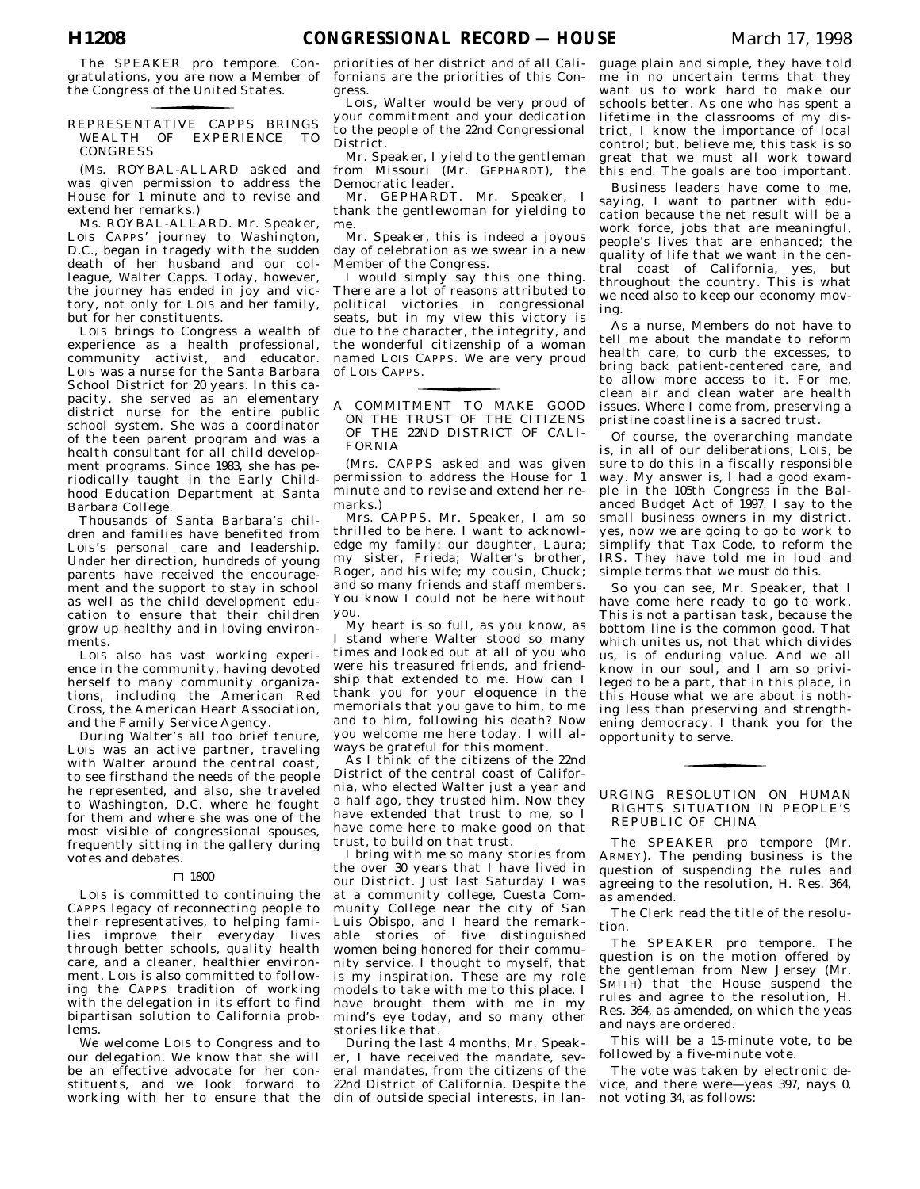The SPEAKER pro tempore. Congratulations, you are now a Member of the Congress of the United States. for the control of the control of

#### REPRESENTATIVE CAPPS BRINGS WEALTH OF EXPERIENCE TO **CONGRESS**

(Ms. ROYBAL-ALLARD asked and was given permission to address the House for 1 minute and to revise and extend her remarks.)

Ms. ROYBAL-ALLARD. Mr. Speaker, LOIS CAPPS' journey to Washington, D.C., began in tragedy with the sudden death of her husband and our colleague, Walter Capps. Today, however, the journey has ended in joy and victory, not only for LOIS and her family, but for her constituents.

LOIS brings to Congress a wealth of experience as a health professional, community activist, and educator. LOIS was a nurse for the Santa Barbara School District for 20 years. In this capacity, she served as an elementary district nurse for the entire public school system. She was a coordinator of the teen parent program and was a health consultant for all child development programs. Since 1983, she has periodically taught in the Early Childhood Education Department at Santa Barbara College.

Thousands of Santa Barbara's children and families have benefited from LOIS's personal care and leadership. Under her direction, hundreds of young parents have received the encouragement and the support to stay in school as well as the child development education to ensure that their children grow up healthy and in loving environments.

LOIS also has vast working experience in the community, having devoted herself to many community organizations, including the American Red Cross, the American Heart Association, and the Family Service Agency.

During Walter's all too brief tenure, LOIS was an active partner, traveling with Walter around the central coast, to see firsthand the needs of the people he represented, and also, she traveled to Washington, D.C. where he fought for them and where she was one of the most visible of congressional spouses, frequently sitting in the gallery during votes and debates.

#### $\Box$  1800

LOIS is committed to continuing the CAPPS legacy of reconnecting people to their representatives, to helping families improve their everyday lives through better schools, quality health care, and a cleaner, healthier environment. LOIS is also committed to following the CAPPS tradition of working with the delegation in its effort to find bipartisan solution to California problems.

We welcome LOIS to Congress and to our delegation. We know that she will be an effective advocate for her constituents, and we look forward to working with her to ensure that the

priorities of her district and of all Californians are the priorities of this Congress.

LOIS, Walter would be very proud of your commitment and your dedication to the people of the 22nd Congressional District.

Mr. Speaker, I yield to the gentleman from Missouri (Mr. GEPHARDT), the Democratic leader.

Mr. GEPHARDT. Mr. Speaker, I thank the gentlewoman for yielding to me.

Mr. Speaker, this is indeed a joyous day of celebration as we swear in a new Member of the Congress.

I would simply say this one thing. There are a lot of reasons attributed to political victories in congressional seats, but in my view this victory is due to the character, the integrity, and the wonderful citizenship of a woman named LOIS CAPPS. We are very proud of LOIS CAPPS  $\ddot{\phantom{a}}$ 

#### A COMMITMENT TO MAKE GOOD ON THE TRUST OF THE CITIZENS OF THE 22ND DISTRICT OF CALI-FORNIA

(Mrs. CAPPS asked and was given permission to address the House for 1 minute and to revise and extend her remarks.)

Mrs. CAPPS. Mr. Speaker, I am so thrilled to be here. I want to acknowledge my family: our daughter, Laura; my sister, Frieda; Walter's brother, Roger, and his wife; my cousin, Chuck; and so many friends and staff members. You know I could not be here without you.

My heart is so full, as you know, as I stand where Walter stood so many times and looked out at all of you who were his treasured friends, and friendship that extended to me. How can I thank you for your eloquence in the memorials that you gave to him, to me and to him, following his death? Now you welcome me here today. I will always be grateful for this moment.

As I think of the citizens of the 22nd District of the central coast of California, who elected Walter just a year and a half ago, they trusted him. Now they have extended that trust to me, so I have come here to make good on that trust, to build on that trust.

I bring with me so many stories from the over 30 years that I have lived in our District. Just last Saturday I was at a community college, Cuesta Community College near the city of San Luis Obispo, and I heard the remarkable stories of five distinguished women being honored for their community service. I thought to myself, that is my inspiration. These are my role models to take with me to this place. I have brought them with me in my mind's eye today, and so many other stories like that.

During the last 4 months, Mr. Speaker, I have received the mandate, several mandates, from the citizens of the 22nd District of California. Despite the din of outside special interests, in lan-

guage plain and simple, they have told me in no uncertain terms that they want us to work hard to make our schools better. As one who has spent a lifetime in the classrooms of my district, I know the importance of local control; but, believe me, this task is so great that we must all work toward this end. The goals are too important.

Business leaders have come to me, saying, I want to partner with education because the net result will be a work force, jobs that are meaningful, people's lives that are enhanced; the quality of life that we want in the central coast of California, yes, but throughout the country. This is what we need also to keep our economy moving.

As a nurse, Members do not have to tell me about the mandate to reform health care, to curb the excesses, to bring back patient-centered care, and to allow more access to it. For me, clean air and clean water are health issues. Where I come from, preserving a pristine coastline is a sacred trust.

Of course, the overarching mandate is, in all of our deliberations, LOIS, be sure to do this in a fiscally responsible way. My answer is, I had a good example in the 105th Congress in the Balanced Budget Act of 1997. I say to the small business owners in my district, yes, now we are going to go to work to simplify that Tax Code, to reform the IRS. They have told me in loud and simple terms that we must do this.

So you can see, Mr. Speaker, that I have come here ready to go to work. This is not a partisan task, because the bottom line is the common good. That which unites us, not that which divides us, is of enduring value. And we all know in our soul, and I am so privileged to be a part, that in this place, in this House what we are about is nothing less than preserving and strengthening democracy. I thank you for the opportunity to serve.

#### URGING RESOLUTION ON HUMAN RIGHTS SITUATION IN PEOPLE'S REPUBLIC OF CHINA

for the control of the control of

The SPEAKER pro tempore (Mr. ARMEY). The pending business is the question of suspending the rules and agreeing to the resolution, H. Res. 364, as amended.

The Clerk read the title of the resolution.

The SPEAKER pro tempore. The question is on the motion offered by the gentleman from New Jersey (Mr. SMITH) that the House suspend the rules and agree to the resolution, H. Res. 364, as amended, on which the yeas and nays are ordered.

This will be a 15-minute vote, to be followed by a five-minute vote.

The vote was taken by electronic device, and there were—yeas 397, nays 0, not voting 34, as follows: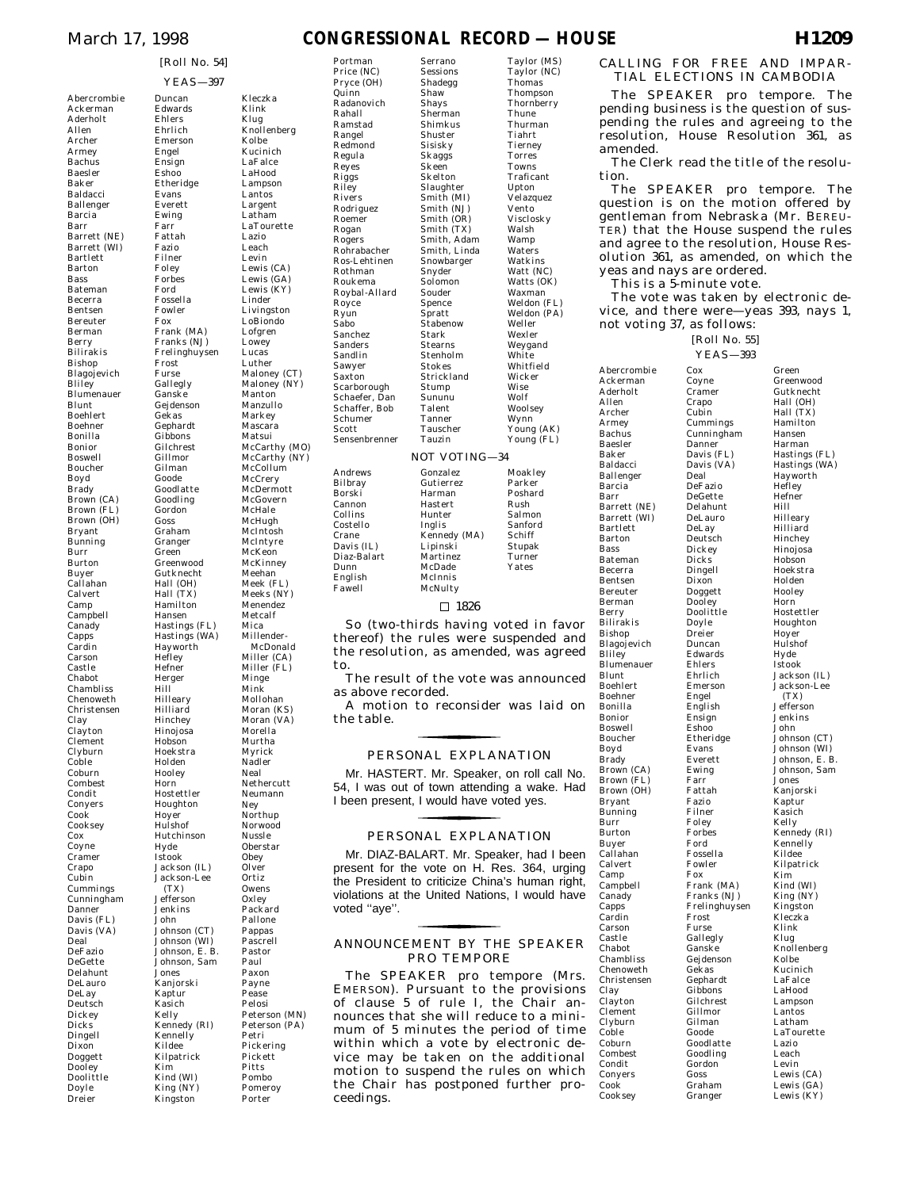## *March 17, 1998* **CONGRESSIONAL RECORD — HOUSE H1209**

## [Roll No. 54]

Farr

Ford

Fox

Goss

Hill

Kim

Abercrombie Ackerman Aderholt Allen Archer Armey Bachus Baesler Baker Baldacci Ballenger Barcia Barr Barrett (NE) Barrett (WI) Bartlett Barton Bass Bateman Becerra Bentsen Bereuter Berman Berry Bilirakis Bishop Blagojevich Bliley Blumenauer Blunt Boehlert Boehner Bonilla Bonior Boswell **Boucher** Boyd Brady Brown (CA) Brown (FL) Brown (OH) Bryant **Bunning** Burr Burton Buyer Callahan Calvert Camp Campbell Canady Capps Cardin<sub></sub> Carson Castle Chabot Chambliss Chenoweth Christensen Clay Clayton Clement Clyburn Coble Coburn Combest Condit Conyers Cook Cooksey Cox Coyne Cramer Crapo Cubin Cummings Cunningham Danner Davis (FL) Davis (VA) Deal DeFazio DeGette Delahunt DeLauro DeLay Deutsch Dickey Dicks Dingell Dixon Doggett Dooley Doolittle Doyle Dreier

YEAS—397 Duncan Edwards Ehlers Ehrlich Emerson Engel Ensign Eshoo Etheridge Evans Everett Ewing Fattah Fazio Filner Foley Forbes Fossella Fowler Frank (MA) Franks (NJ) Frelinghuysen Frost Furse Gallegly Ganske Gejdenson Gekas Gephardt Gibbons Gilchrest Gillmor Gilman Goode Goodlatte Goodling Gordon Graham Granger Green Greenwood Gutknecht Hall (OH) Hall (TX) Hamilton Hansen Hastings (FL) Hastings (WA) Hayworth Hefley Hefner Herger Hilleary Hilliard Hinchey Hinojosa Hobson Hoekstra Holden Hooley Horn Hostettler Houghton Hoyer Hulshof Hutchinson Hyde Istook Jackson (IL) Jackson-Lee (TX) Jefferson Jenkins John Johnson (CT) Johnson (WI) Johnson, E. B. Johnson, Sam Jones Kanjorski Kaptur Kasich Kelly Kennedy (RI) Kennelly Kildee Kilpatrick Kind (WI) King (NY) Kingston Kleczka Klink Klug Knollenberg Kolbe Kucinich LaFalce LaHood Lampson Lantos Largent Latham LaTourette Lazio Leach Levin Lewis (CA) Lewis (GA) Lewis (KY) Linder Livingston LoBiondo Lofgren Lowey Lucas Luther Maloney (CT) Maloney (NY) Manton Manzullo Markey Mascara Matsui McCarthy (MO) McCarthy (NY) McCollum **McCrery McDermott** McGovern McHale McHugh McIntosh McIntyre McKeon McKinney Meehan Meek (FL) Meeks (NY) Menendez Metcalf Mica Millender-McDonald Miller (CA) Miller (FL) Minge Mink Mollohan Moran (KS) Moran (VA) Morella Murtha Myrick Nadler Neal Nethercutt Neumann Ney Northup Norwood Nussle Oberstar Obey Olver Ortiz Owens Oxley Packard Pallone Pappas Pascrell Pastor Paul Paxon Payne Pease Pelosi Peterson (MN) Peterson (PA) Petri Pickering Pickett Pitts Pombo Pomeroy Porter

#### Portman Price (NC) Pryce (OH) Quinn Radanovich Rahall Ramstad Rangel Redmond Regula Reyes Riggs Riley Rivers Rodriguez Roemer Rogan Rogers Rohrabacher Ros-Lehtinen Rothman Roukema Roybal-Allard Royce Ryun Sabo Sanchez Sanders Sandlin Sawyer Saxton Scarborough Schaefer, Dan Schaffer, Bob Schumer Scott Sensenbrenner Andrews Bilbray

| Shaw                 | Thompson    |
|----------------------|-------------|
| Shays                | Thornberry  |
| Sherman              | Thune       |
| Shimkus              | Thurman     |
| Shuster              | Tiahrt      |
| Sisisky              | Tierney     |
| Skaggs               | Torres      |
| Skeen                | Towns       |
| Skelton              | Traficant   |
| Slaughter            | Upton       |
| Smith (MI)           | Velazquez   |
| Smith (NJ)           | Vento       |
| Smith (OR)           | Visclosky   |
| Smith (TX)           | Walsh       |
| Smith, Adam          | Wamp        |
| Smith, Linda         | Waters      |
| Snowbarger           | Watkins     |
| Snyder               | Watt (NC)   |
| Solomon              | Watts (OK)  |
| Souder               | Waxman      |
| Spence               | Weldon (FL) |
| Spratt               | Weldon (PA) |
| Stabenow             | Weller      |
| Stark                | Wexler      |
| <b>Stearns</b>       | Weygand     |
| Stenholm             | White       |
| <b>Stokes</b>        | Whitfield   |
| Strickland           | Wicker      |
| Stump                | Wise        |
| Sununu               | Wolf        |
| Talent               | Woolsey     |
| Tanner               | Wynn        |
| Tauscher             | Young (AK)  |
| Tauzin               | Young (FL)  |
| <b>IOT VOTING-34</b> |             |
| Gonzalez             | Moakley     |
| Gutierrez            | Parker      |
| Harman               | Poshard     |
| Hastert              | Rush        |
| Hunter               | Salmon      |
|                      |             |

Taylor (MS) Taylor (NC) Thomas

Serrano Sessions Shadegg

#### $NC$ Borski Cannon Collins Costello Crane Davis (IL) Diaz-Balart Dunn English Fawell Gonzalez Gutierrez Harman Hastert Hunter Inglis Kennedy (MA) Lipinski Martinez McDade McInnis McNulty Sanford **Schiff** Stupak Turner Yates

#### $\square$  1826

So (two-thirds having voted in favor thereof) the rules were suspended and the resolution, as amended, was agreed to.

The result of the vote was announced as above recorded.

A motion to reconsider was laid on the table. for the control of the control of

#### PERSONAL EXPLANATION

Mr. HASTERT. Mr. Speaker, on roll call No. 54, I was out of town attending a wake. Had I been present, I would have voted yes.

#### PERSONAL EXPLANATION for the control of the control of

Mr. DIAZ-BALART. Mr. Speaker, had I been present for the vote on H. Res. 364, urging the President to criticize China's human right, violations at the United Nations, I would have voted ''aye''.

#### ANNOUNCEMENT BY THE SPEAKER PRO TEMPORE for the control of the control of

The SPEAKER pro tempore (Mrs. EMERSON). Pursuant to the provisions of clause 5 of rule I, the Chair announces that she will reduce to a minimum of 5 minutes the period of time within which a vote by electronic device may be taken on the additional motion to suspend the rules on which the Chair has postponed further proceedings.

#### CALLING FOR FREE AND IMPAR-TIAL ELECTIONS IN CAMBODIA

The SPEAKER pro tempore. The pending business is the question of suspending the rules and agreeing to the resolution, House Resolution 361, as amended.

The Clerk read the title of the resolution.

The SPEAKER pro tempore. The question is on the motion offered by gentleman from Nebraska (Mr. BEREU-TER) that the House suspend the rules and agree to the resolution, House Resolution 361, as amended, on which the yeas and nays are ordered.

This is a 5-minute vote.

Ackerman Aderholt Allen Archer Armey Bachus Baesler Baker Baldacci Ballenger Barcia Barr

Bartlett Barton Bass Bateman Becerra Bentsen Bereuter Berman Berry Bilirakis Bishop Blagojevich **Bliley** Blumenauer Blunt Boehlert Boehner Bonilla Bonior Boswell Boucher Boyd Brady Brown (CA) Brown (FL) Brown (OH) Bryant Bunning Burr Burton Buyer Callahan Calvert Camp Campbell Canady Capps Cardin Carson Castle Chabot Chambliss Chenoweth Christensen Clay Clayton Clement Clyburn Coble Coburn Combest Condit Conyers Cook **Cooksey** 

The vote was taken by electronic device, and there were—yeas 393, nays 1, not voting 37, as follows:

#### [Roll No. 55]

YEAS—393 Abercrombie Barrett (NE) Barrett (WI) Cox Coyne Cramer Crapo Cubin Cummings Cunningham Danner Davis (FL) Davis (VA) Deal DeFazio DeGette Delahunt DeLauro DeLay Deutsch Dickey Dicks Dingell Dixon Doggett Dooley Doolittle Doyle Dreier Duncan Edwards Ehlers Ehrlich Emerson Engel English Ensign Eshoo Etheridge Evans Everett Ewing Farr Fattah Fazio Filner Foley Forbes Ford Fossella Fowler Fox Frank (MA) Franks (NJ) Frelinghuysen Frost Furse Gallegly Ganske Gejdenson Gekas Gephardt Gibbons Gilchrest Gillmor Gilman Goode Goodlatte Goodling Gordon Goss Graham Granger Green Greenwood Gutknecht Hall (OH) Hall (TX) Hamilton Hansen Harman Hastings (FL) Hastings (WA) **Hayworth** Hefley Hefner Hill Hilleary Hilliard Hinchey Hinojosa Hobson Hoekstra Holden Hooley Horn Hostettler Houghton Hoyer Hulshof Hyde Istook Jackson (IL) Jackson-Lee  $(TX)$ Jefferson Jenkins John Johnson (CT) Johnson (WI) Johnson, E. B. Johnson, Sam Jones Kanjorski Kaptur Kasich Kelly Kennedy (RI) Kennelly Kildee Kilpatrick Kim Kind (WI) King (NY) Kingston Kleczka Klink Klug Knollenberg Kolbe Kucinich LaFalce LaHood Lampson Lantos Latham LaTourette Lazio Leach Levin Lewis (CA) Lewis (GA) Lewis (KY)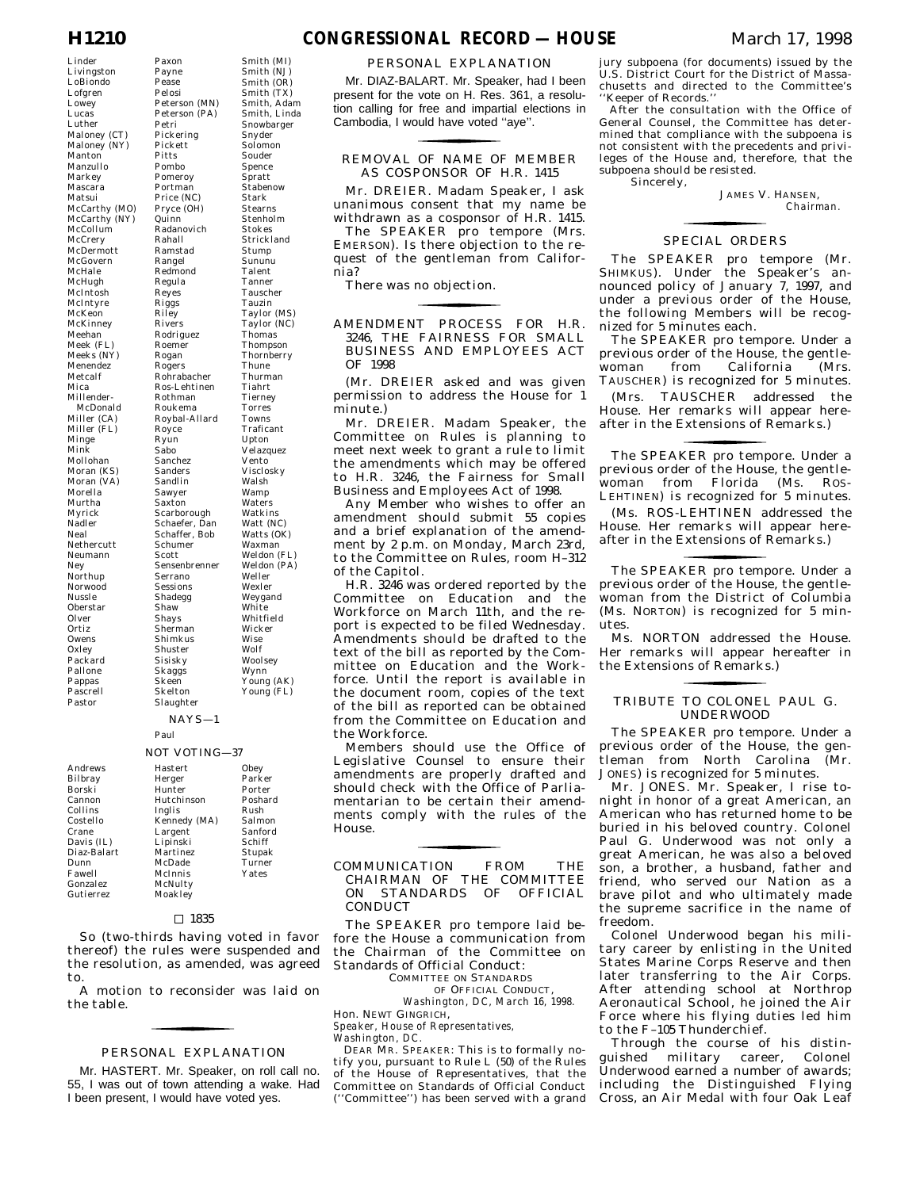Pease

Riggs Riley

Ryun Sabo

Linder Livingston LoBiondo Lofgren Lowey Lucas Luther Maloney (CT) Maloney (NY) Manton Manzullo Markey Mascara Matsui McCarthy (MO) McCarthy (NY) McCollum **McCrery** McDermott McGovern McHale McHugh McIntosh McIntyre McKeon McKinney Meehan Meek (FL) Meeks (NY) Menendez Metcalf Mica Millender-McDonald Miller (CA) Miller (FL) Minge Mink Mollohan Moran (KS) Moran (VA) Morella Murtha Myrick Nadler Neal **Nethercutt** Neumann Ney Northup Norwood Nussle Oberstar Olver Ortiz Owens Oxley Packard Pallone Pappas Pascrell

Pastor

Paxon Payne Pelosi Peterson (MN) Peterson (PA) Petri Pickering Pickett Pitts Pombo Pomeroy Portman Price (NC) Pryce (OH) Quinn Radanovich Rahall Ramstad Rangel Redmond Regula Reyes Rivers Rodriguez Roemer Rogan Rogers Rohrabacher Ros-Lehtinen Rothman Roukema Roybal-Allard Royce Sanchez Sanders Sandlin Sawyer Saxton Scarborough Schaefer, Dan Schaffer, Bob Schumer Scott Sensenbrenner Serrano Sessions Shadegg Shaw Shays Sherman Shimkus Shuster Sisisky Skaggs Skeen Smith (MI) Smith (NJ) Smith (OR) Smith (TX) Smith, Adam Smith, Linda Snowbarger Snyder Solomon Souder Spence Spratt Stabenow Stark Stearns Stenholm Stokes Strickland Stump Sununu Talent Tanner Tauscher Tauzin Taylor (MS) Taylor (NC) Thomas Thompson Thornberry Thune Thurman Tiahrt **Tierney** Torres Towns Traficant Upton Velazquez Vento Visclosky Walsh Wamp Waters Watkins Watt (NC) Watts (OK) Waxman Weldon (FL) Weldon (PA) Weller Wexler Weygand **White** Whitfield Wicker Wise Wolf Woolsey Wynn Young (AK)

Slaughter NAYS—1 Young (FL)

Skelton

#### Paul

|             | NOT VOTING-37 |         |
|-------------|---------------|---------|
| Andrews     | Hastert       | Obey    |
| Bilbray     | Herger        | Parker  |
| Borski      | Hunter        | Porter  |
| Cannon      | Hutchinson    | Poshard |
| Collins     | Inglis        | Rush    |
| Costello    | Kennedy (MA)  | Salmon  |
| Crane       | Largent       | Sanford |
| Davis (IL)  | Lipinski      | Schiff  |
| Diaz-Balart | Martinez      | Stupak  |
| Dunn        | McDade        | Turner  |
| Fawell      | McInnis       | Yates   |
| Gonzalez    | McNulty       |         |
| Gutierrez   | Moaklev       |         |

#### $\square$  1835

So (two-thirds having voted in favor thereof) the rules were suspended and the resolution, as amended, was agreed to.

A motion to reconsider was laid on the table.

### PERSONAL EXPLANATION for the contract of the contract of

Mr. HASTERT. Mr. Speaker, on roll call no. 55, I was out of town attending a wake. Had I been present, I would have voted yes.

#### PERSONAL EXPLANATION

Mr. DIAZ-BALART. Mr. Speaker, had I been present for the vote on H. Res. 361, a resolution calling for free and impartial elections in Cambodia, I would have voted ''aye''.

#### REMOVAL OF NAME OF MEMBER AS COSPONSOR OF H.R. 1415 for the control of the control of

Mr. DREIER. Madam Speaker, I ask unanimous consent that my name be

withdrawn as a cosponsor of H.R. 1415. The SPEAKER pro tempore (Mrs. EMERSON). Is there objection to the re-

quest of the gentleman from California?

There was no objection.

AMENDMENT PROCESS FOR H.R. 3246, THE FAIRNESS FOR SMALL BUSINESS AND EMPLOYEES ACT OF 1998

for the control of the control of

(Mr. DREIER asked and was given permission to address the House for 1 minute.)

Mr. DREIER. Madam Speaker, the Committee on Rules is planning to meet next week to grant a rule to limit the amendments which may be offered to H.R. 3246, the Fairness for Small Business and Employees Act of 1998.

Any Member who wishes to offer an amendment should submit 55 copies and a brief explanation of the amendment by 2 p.m. on Monday, March 23rd. to the Committee on Rules, room H–312 of the Capitol.

H.R. 3246 was ordered reported by the Committee on Education and the Workforce on March 11th, and the report is expected to be filed Wednesday. Amendments should be drafted to the text of the bill as reported by the Committee on Education and the Workforce. Until the report is available in the document room, copies of the text of the bill as reported can be obtained from the Committee on Education and the Workforce.

Members should use the Office of Legislative Counsel to ensure their amendments are properly drafted and should check with the Office of Parliamentarian to be certain their amendments comply with the rules of the House.

COMMUNICATION FROM THE CHAIRMAN OF THE COMMITTEE ON STANDARDS OF OFFICIAL **CONDUCT** 

for the contract of the contract of

The SPEAKER pro tempore laid before the House a communication from the Chairman of the Committee on Standards of Official Conduct:

#### COMMITTEE ON STANDARDS

OF OFFICIAL CONDUCT, *Washington, DC, March 16, 1998.* Hon. NEWT GINGRICH,

*Speaker, House of Representatives,*

*Washington, DC.*

DEAR MR. SPEAKER: This is to formally notify you, pursuant to Rule  $L$  (50) of the Rules of the House of Representatives, that the Committee on Standards of Official Conduct (''Committee'') has been served with a grand

jury subpoena (for documents) issued by the U.S. District Court for the District of Massachusetts and directed to the Committee's ''Keeper of Records.''

After the consultation with the Office of General Counsel, the Committee has determined that compliance with the subpoena is not consistent with the precedents and privileges of the House and, therefore, that the subpoena should be resisted. Sincerely,

JAMES V. HANSEN,

Chairman.

#### SPECIAL ORDERS

The SPEAKER pro tempore (Mr. SHIMKUS). Under the Speaker's announced policy of January 7, 1997, and under a previous order of the House, the following Members will be recognized for 5 minutes each.

The SPEAKER pro tempore. Under a previous order of the House, the gentlewoman from California (Mrs. TAUSCHER) is recognized for 5 minutes.

(Mrs. TAUSCHER addressed the House. Her remarks will appear hereafter in the Extensions of Remarks.) for the control of the control of

previous order of the House, the gentle-The SPEAKER pro tempore. Under a woman from Florida (Ms. ROS-LEHTINEN) is recognized for 5 minutes.

(Ms. ROS-LEHTINEN addressed the House. Her remarks will appear hereafter in the Extensions of Remarks.) for the control of the control of

previous order of the House, the gentle-The SPEAKER pro tempore. Under a woman from the District of Columbia (Ms. NORTON) is recognized for 5 minutes.

Ms. NORTON addressed the House. Her remarks will appear hereafter in the Extensions of Remarks.)

#### TRIBUTE TO COLONEL PAUL G. UNDERWOOD for the control of the control of

The SPEAKER pro tempore. Under a previous order of the House, the gentleman from North Carolina (Mr. JONES) is recognized for 5 minutes.

Mr. JONES. Mr. Speaker, I rise tonight in honor of a great American, an American who has returned home to be buried in his beloved country. Colonel Paul G. Underwood was not only a great American, he was also a beloved son, a brother, a husband, father and friend, who served our Nation as a brave pilot and who ultimately made the supreme sacrifice in the name of freedom.

Colonel Underwood began his military career by enlisting in the United States Marine Corps Reserve and then later transferring to the Air Corps. After attending school at Northrop Aeronautical School, he joined the Air Force where his flying duties led him to the F–105 Thunderchief.

Through the course of his distinguished military career, Colonel Underwood earned a number of awards; including the Distinguished Flying Cross, an Air Medal with four Oak Leaf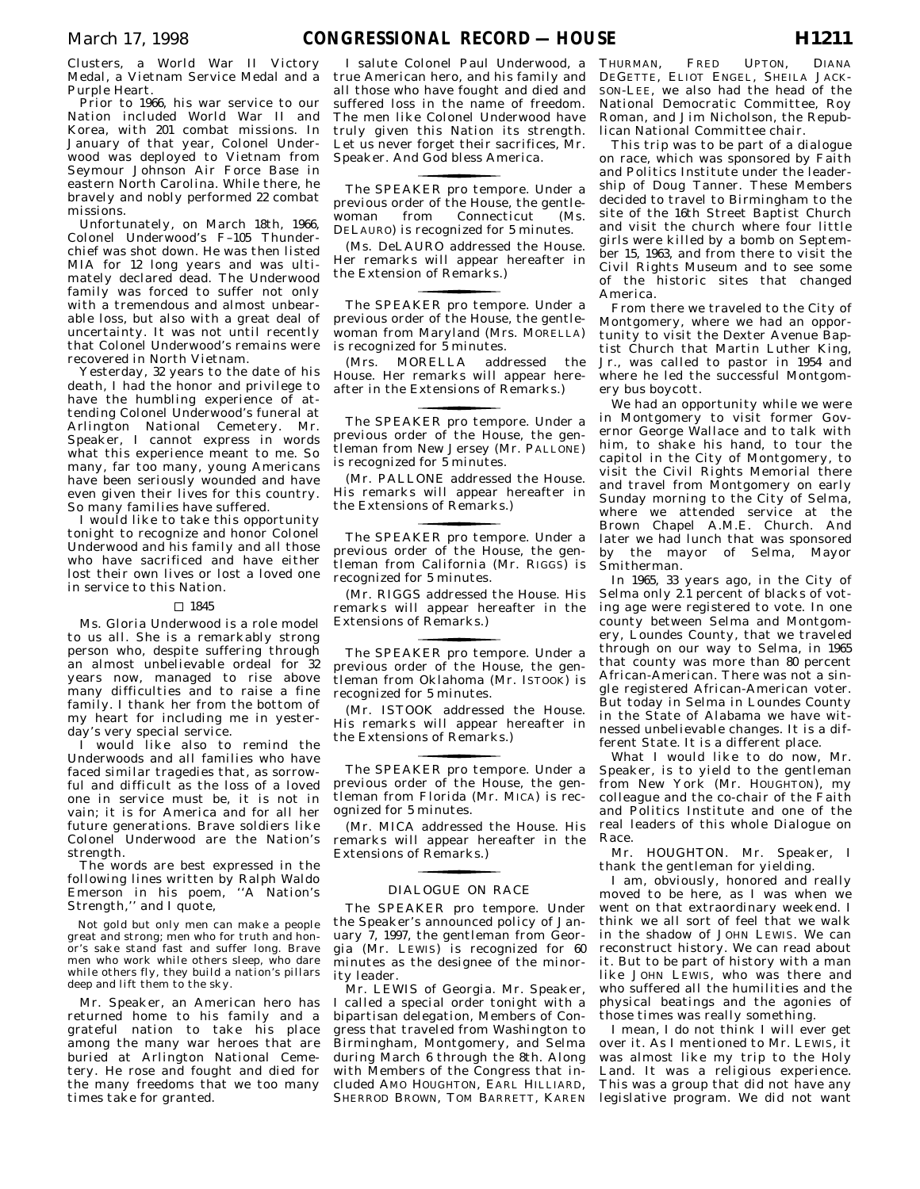Clusters, a World War II Victory Medal, a Vietnam Service Medal and a Purple Heart.

Prior to 1966, his war service to our Nation included World War II and Korea, with 201 combat missions. In January of that year, Colonel Underwood was deployed to Vietnam from Seymour Johnson Air Force Base in eastern North Carolina. While there, he bravely and nobly performed 22 combat missions.

Unfortunately, on March 18th, 1966, Colonel Underwood's F–105 Thunderchief was shot down. He was then listed MIA for 12 long years and was ultimately declared dead. The Underwood family was forced to suffer not only with a tremendous and almost unbearable loss, but also with a great deal of uncertainty. It was not until recently that Colonel Underwood's remains were recovered in North Vietnam.

Yesterday, 32 years to the date of his death, I had the honor and privilege to have the humbling experience of attending Colonel Underwood's funeral at Arlington National Cemetery. Mr. Speaker, I cannot express in words what this experience meant to me. So many, far too many, young Americans have been seriously wounded and have even given their lives for this country. So many families have suffered.

I would like to take this opportunity tonight to recognize and honor Colonel Underwood and his family and all those who have sacrificed and have either lost their own lives or lost a loved one in service to this Nation.

#### $\Box$  1845

Ms. Gloria Underwood is a role model to us all. She is a remarkably strong person who, despite suffering through an almost unbelievable ordeal for 32 years now, managed to rise above many difficulties and to raise a fine family. I thank her from the bottom of my heart for including me in yesterday's very special service.

I would like also to remind the Underwoods and all families who have faced similar tragedies that, as sorrowful and difficult as the loss of a loved one in service must be, it is not in vain; it is for America and for all her future generations. Brave soldiers like Colonel<sup> Underwood are the Nation's</sup> strength.

The words are best expressed in the following lines written by Ralph Waldo Emerson in his poem, "A Nation's Strength," and I quote,

Not gold but only men can make a people great and strong; men who for truth and honor's sake stand fast and suffer long. Brave men who work while others sleep, who dare while others fly, they build a nation's pillars deep and lift them to the sky.

Mr. Speaker, an American hero has returned home to his family and a grateful nation to take his place among the many war heroes that are buried at Arlington National Cemetery. He rose and fought and died for the many freedoms that we too many times take for granted.

I salute Colonel Paul Underwood, a true American hero, and his family and all those who have fought and died and suffered loss in the name of freedom. The men like Colonel Underwood have truly given this Nation its strength. Let us never forget their sacrifices, Mr. Speaker. And God bless America.

previous order of the House, the gentle-The SPEAKER pro tempore. Under a woman from Connecticut (Ms. DELAURO) is recognized for 5 minutes.

for the control of the control of

(Ms. DeLAURO addressed the House. Her remarks will appear hereafter in the Extension of Remarks.) for the control of the control of

previous order of the House, the gentle-The SPEAKER pro tempore. Under a woman from Maryland (Mrs. MORELLA) is recognized for 5 minutes.

(Mrs. MORELLA addressed the House. Her remarks will appear hereafter in the Extensions of Remarks.) for the control of the control of

previous order of the House, the gen-The SPEAKER pro tempore. Under a tleman from New Jersey (Mr. PALLONE) is recognized for 5 minutes.

(Mr. PALLONE addressed the House. His remarks will appear hereafter in the Extensions of Remarks.) for the control of the control of

previous order of the House, the gen-The SPEAKER pro tempore. Under a tleman from California (Mr. RIGGS) is recognized for 5 minutes.

(Mr. RIGGS addressed the House. His remarks will appear hereafter in the Extensions of Remarks.) for the control of the control of

previous order of the House, the gen-The SPEAKER pro tempore. Under a tleman from Oklahoma (Mr. ISTOOK) is recognized for 5 minutes.

(Mr. ISTOOK addressed the House. His remarks will appear hereafter in the Extensions of Remarks.) for the control of the control of

previous order of the House, the gen-The SPEAKER pro tempore. Under a tleman from Florida (Mr. MICA) is recognized for 5 minutes.

(Mr. MICA addressed the House. His remarks will appear hereafter in the Extensions of Remarks.)

#### DIALOGUE ON RACE for the control of the control of

The SPEAKER pro tempore. Under the Speaker's announced policy of January 7, 1997, the gentleman from Georgia (Mr. LEWIS) is recognized for 60 minutes as the designee of the minority leader.

Mr. LEWIS of Georgia. Mr. Speaker, I called a special order tonight with a bipartisan delegation, Members of Congress that traveled from Washington to Birmingham, Montgomery, and Selma during March 6 through the 8th. Along with Members of the Congress that included AMO HOUGHTON, EARL HILLIARD, SHERROD BROWN, TOM BARRETT, KAREN

THURMAN, FRED UPTON, DIANA DEGETTE, ELIOT ENGEL, SHEILA JACK-SON-LEE, we also had the head of the National Democratic Committee, Roy Roman, and Jim Nicholson, the Republican National Committee chair.

This trip was to be part of a dialogue on race, which was sponsored by Faith and Politics Institute under the leadership of Doug Tanner. These Members decided to travel to Birmingham to the site of the 16th Street Baptist Church and visit the church where four little girls were killed by a bomb on September 15, 1963, and from there to visit the Civil Rights Museum and to see some of the historic sites that changed America.

From there we traveled to the City of Montgomery, where we had an opportunity to visit the Dexter Avenue Baptist Church that Martin Luther King, Jr., was called to pastor in 1954 and where he led the successful Montgomery bus boycott.

We had an opportunity while we were in Montgomery to visit former Governor George Wallace and to talk with him, to shake his hand, to tour the capitol in the City of Montgomery, to visit the Civil Rights Memorial there and travel from Montgomery on early Sunday morning to the City of Selma, where we attended service at the Brown Chapel A.M.E. Church. And later we had lunch that was sponsored by the mayor of Selma, Mayor Smitherman.

In 1965, 33 years ago, in the City of Selma only 2.1 percent of blacks of voting age were registered to vote. In one county between Selma and Montgomery, Loundes County, that we traveled through on our way to Selma, in 1965 that county was more than 80 percent African-American. There was not a single registered African-American voter. But today in Selma in Loundes County in the State of Alabama we have witnessed unbelievable changes. It is a different State. It is a different place.

What I would like to do now, Mr. Speaker, is to yield to the gentleman from New York (Mr. HOUGHTON), my colleague and the co-chair of the Faith and Politics Institute and one of the real leaders of this whole Dialogue on Race.

Mr. HOUGHTON. Mr. Speaker, I thank the gentleman for yielding.

I am, obviously, honored and really moved to be here, as I was when we went on that extraordinary weekend. I think we all sort of feel that we walk in the shadow of JOHN LEWIS. We can reconstruct history. We can read about it. But to be part of history with a man like JOHN LEWIS, who was there and who suffered all the humilities and the physical beatings and the agonies of those times was really something.

I mean, I do not think I will ever get over it. As I mentioned to Mr. LEWIS, it was almost like my trip to the Holy Land. It was a religious experience. This was a group that did not have any legislative program. We did not want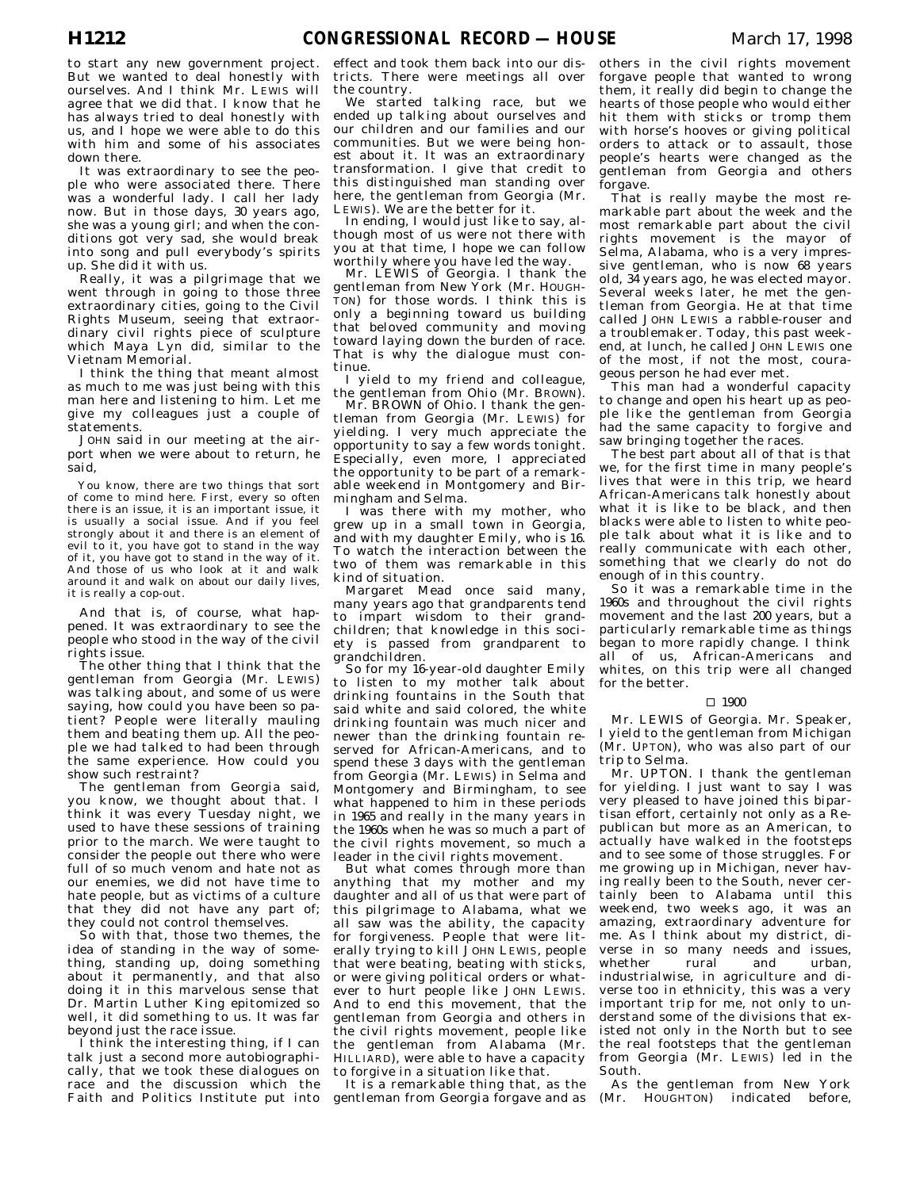to start any new government project. But we wanted to deal honestly with ourselves. And I think Mr. LEWIS will agree that we did that. I know that he has always tried to deal honestly with us, and I hope we were able to do this with him and some of his associates down there.

It was extraordinary to see the people who were associated there. There was a wonderful lady. I call her lady now. But in those days, 30 years ago, she was a young girl; and when the conditions got very sad, she would break into song and pull everybody's spirits up. She did it with us.

Really, it was a pilgrimage that we went through in going to those three extraordinary cities, going to the Civil Rights Museum, seeing that extraordinary civil rights piece of sculpture which Maya Lyn did, similar to the Vietnam Memorial.

I think the thing that meant almost as much to me was just being with this man here and listening to him. Let me give my colleagues just a couple of statements.

JOHN said in our meeting at the airport when we were about to return, he said,

You know, there are two things that sort of come to mind here. First, every so often there is an issue, it is an important issue, it is usually a social issue. And if you feel strongly about it and there is an element of evil to it, you have got to stand in the way of it, you have got to stand in the way of it. And those of us who look at it and walk around it and walk on about our daily lives, it is really a cop-out.

And that is, of course, what happened. It was extraordinary to see the people who stood in the way of the civil rights issue.

The other thing that I think that the gentleman from Georgia (Mr. LEWIS) was talking about, and some of us were saying, how could you have been so patient? People were literally mauling them and beating them up. All the people we had talked to had been through the same experience. How could you show such restraint?

The gentleman from Georgia said, you know, we thought about that. I think it was every Tuesday night, we used to have these sessions of training prior to the march. We were taught to consider the people out there who were full of so much venom and hate not as our enemies, we did not have time to hate people, but as victims of a culture that they did not have any part of; they could not control themselves.

So with that, those two themes, the idea of standing in the way of something, standing up, doing something about it permanently, and that also doing it in this marvelous sense that Dr. Martin Luther King epitomized so well, it did something to us. It was far beyond just the race issue.

I think the interesting thing, if I can talk just a second more autobiographically, that we took these dialogues on race and the discussion which the Faith and Politics Institute put into

effect and took them back into our districts. There were meetings all over the country.

We started talking race, but we ended up talking about ourselves and our children and our families and our communities. But we were being honest about it. It was an extraordinary transformation. I give that credit to this distinguished man standing over here, the gentleman from Georgia (Mr. LEWIS). We are the better for it.

In ending, I would just like to say, although most of us were not there with you at that time, I hope we can follow worthily where you have led the way.

Mr. LEWIS of Georgia. I thank the gentleman from New York (Mr. HOUGH-TON) for those words. I think this is only a beginning toward us building that beloved community and moving toward laying down the burden of race. That is why the dialogue must continue.

I yield to my friend and colleague, the gentleman from Ohio (Mr. BROWN).

Mr. BROWN of Ohio. I thank the gentleman from Georgia (Mr. LEWIS) for yielding. I very much appreciate the opportunity to say a few words tonight. Especially, even more, I appreciated the opportunity to be part of a remarkable weekend in Montgomery and Birmingham and Selma.

I was there with my mother, who grew up in a small town in Georgia, and with my daughter Emily, who is 16. To watch the interaction between the two of them was remarkable in this kind of situation.

Margaret Mead once said many, many years ago that grandparents tend to impart wisdom to their grandchildren; that knowledge in this society is passed from grandparent to grandchildren.

So for my 16-year-old daughter Emily to listen to my mother talk about drinking fountains in the South that said white and said colored, the white drinking fountain was much nicer and newer than the drinking fountain reserved for African-Americans, and to spend these 3 days with the gentleman from Georgia (Mr. LEWIS) in Selma and Montgomery and Birmingham, to see what happened to him in these periods in 1965 and really in the many years in the 1960s when he was so much a part of the civil rights movement, so much a leader in the civil rights movement.

But what comes through more than anything that my mother and my daughter and all of us that were part of this pilgrimage to Alabama, what we all saw was the ability, the capacity for forgiveness. People that were literally trying to kill JOHN LEWIS, people that were beating, beating with sticks, or were giving political orders or whatever to hurt people like JOHN LEWIS. And to end this movement, that the gentleman from Georgia and others in the civil rights movement, people like the gentleman from Alabama (Mr. HILLIARD), were able to have a capacity to forgive in a situation like that.

It is a remarkable thing that, as the gentleman from Georgia forgave and as

others in the civil rights movement forgave people that wanted to wrong them, it really did begin to change the hearts of those people who would either hit them with sticks or tromp them with horse's hooves or giving political orders to attack or to assault, those people's hearts were changed as the gentleman from Georgia and others forgave.

That is really maybe the most remarkable part about the week and the most remarkable part about the civil rights movement is the mayor of Selma, Alabama, who is a very impressive gentleman, who is now 68 years old, 34 years ago, he was elected mayor. Several weeks later, he met the gentleman from Georgia. He at that time called JOHN LEWIS a rabble-rouser and a troublemaker. Today, this past weekend, at lunch, he called JOHN LEWIS one of the most, if not the most, courageous person he had ever met.

This man had a wonderful capacity to change and open his heart up as people like the gentleman from Georgia had the same capacity to forgive and saw bringing together the races.

The best part about all of that is that we, for the first time in many people's lives that were in this trip, we heard African-Americans talk honestly about what it is like to be black, and then blacks were able to listen to white people talk about what it is like and to really communicate with each other, something that we clearly do not do enough of in this country.

So it was a remarkable time in the 1960s and throughout the civil rights movement and the last 200 years, but a particularly remarkable time as things began to more rapidly change. I think all of us, African-Americans and whites, on this trip were all changed for the better.

#### $\square$  1900

Mr. LEWIS of Georgia. Mr. Speaker, I yield to the gentleman from Michigan (Mr. UPTON), who was also part of our trip to Selma.

Mr. UPTON. I thank the gentleman for yielding. I just want to say I was very pleased to have joined this bipartisan effort, certainly not only as a Republican but more as an American, to actually have walked in the footsteps and to see some of those struggles. For me growing up in Michigan, never having really been to the South, never certainly been to Alabama until this weekend, two weeks ago, it was an amazing, extraordinary adventure for me. As I think about my district, diverse in so many needs and issues, whether rural and urban, industrialwise, in agriculture and diverse too in ethnicity, this was a very important trip for me, not only to understand some of the divisions that existed not only in the North but to see the real footsteps that the gentleman from Georgia (Mr. LEWIS) led in the South.

As the gentleman from New York (Mr. HOUGHTON) indicated before,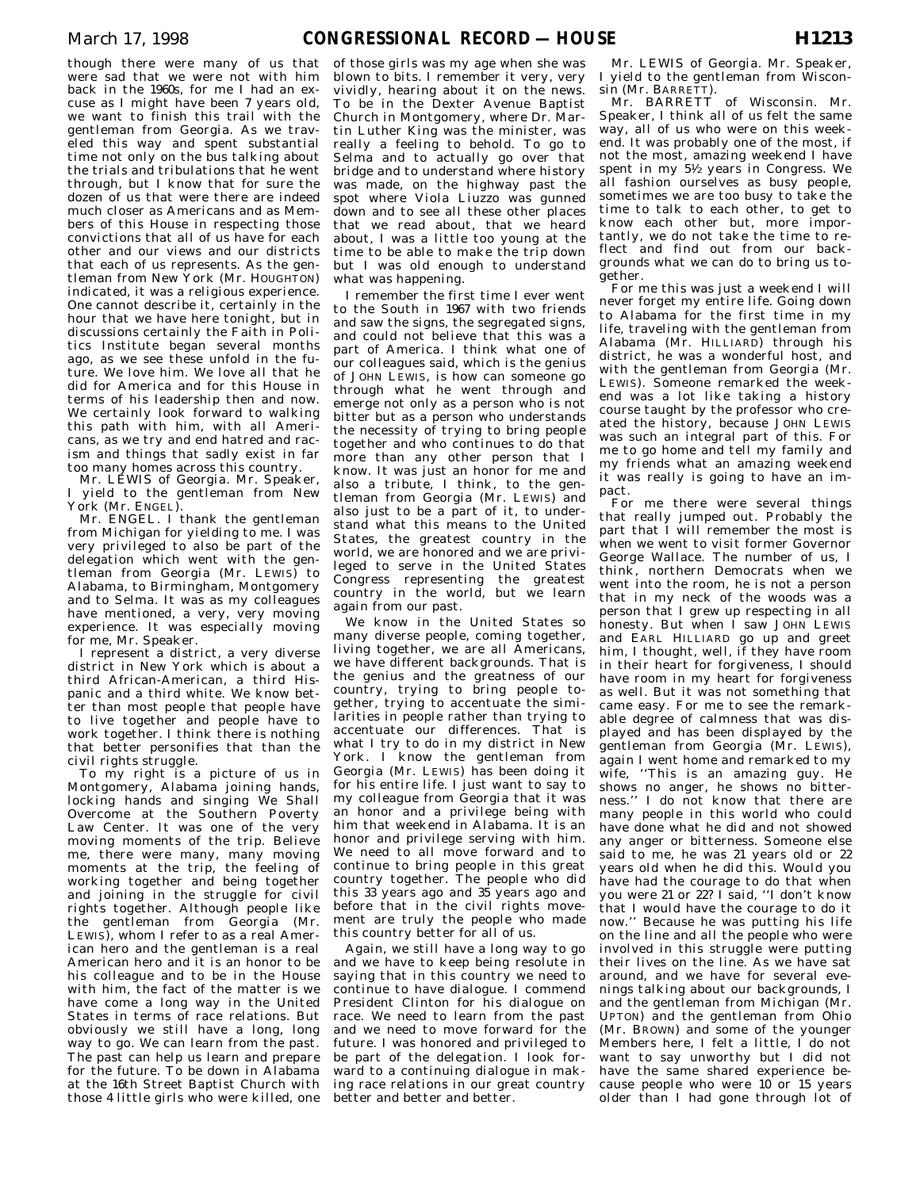though there were many of us that were sad that we were not with him back in the 1960s, for me I had an excuse as I might have been 7 years old, we want to finish this trail with the gentleman from Georgia. As we traveled this way and spent substantial time not only on the bus talking about the trials and tribulations that he went through, but I know that for sure the dozen of us that were there are indeed much closer as Americans and as Members of this House in respecting those convictions that all of us have for each other and our views and our districts that each of us represents. As the gentleman from New York (Mr. HOUGHTON) indicated, it was a religious experience. One cannot describe it, certainly in the hour that we have here tonight, but in discussions certainly the Faith in Politics Institute began several months ago, as we see these unfold in the future. We love him. We love all that he did for America and for this House in terms of his leadership then and now. We certainly look forward to walking this path with him, with all Americans, as we try and end hatred and racism and things that sadly exist in far too many homes across this country.

Mr. LEWIS of Georgia. Mr. Speaker, I yield to the gentleman from New York (Mr. ENGEL).

Mr. ENGEL. I thank the gentleman from Michigan for yielding to me. I was very privileged to also be part of the delegation which went with the gentleman from Georgia (Mr. LEWIS) to Alabama, to Birmingham, Montgomery and to Selma. It was as my colleagues have mentioned, a very, very moving experience. It was especially moving for me, Mr. Speaker.

I represent a district, a very diverse district in New York which is about a third African-American, a third Hispanic and a third white. We know better than most people that people have to live together and people have to work together. I think there is nothing that better personifies that than the civil rights struggle.

To my right is a picture of us in Montgomery, Alabama joining hands, locking hands and singing We Shall Overcome at the Southern Poverty Law Center. It was one of the very moving moments of the trip. Believe me, there were many, many moving moments at the trip, the feeling of working together and being together and joining in the struggle for civil rights together. Although people like the gentleman from Georgia (Mr. LEWIS), whom I refer to as a real American hero and the gentleman is a real American hero and it is an honor to be his colleague and to be in the House with him, the fact of the matter is we have come a long way in the United States in terms of race relations. But obviously we still have a long, long way to go. We can learn from the past. The past can help us learn and prepare for the future. To be down in Alabama at the 16th Street Baptist Church with those 4 little girls who were killed, one

of those girls was my age when she was blown to bits. I remember it very, very vividly, hearing about it on the news. To be in the Dexter Avenue Baptist Church in Montgomery, where Dr. Martin Luther King was the minister, was really a feeling to behold. To go to Selma and to actually go over that bridge and to understand where history was made, on the highway past the spot where Viola Liuzzo was gunned down and to see all these other places that we read about, that we heard about, I was a little too young at the time to be able to make the trip down but I was old enough to understand what was happening.

I remember the first time I ever went to the South in 1967 with two friends and saw the signs, the segregated signs, and could not believe that this was a part of America. I think what one of our colleagues said, which is the genius of JOHN LEWIS, is how can someone go through what he went through and emerge not only as a person who is not bitter but as a person who understands the necessity of trying to bring people together and who continues to do that more than any other person that I know. It was just an honor for me and also a tribute, I think, to the gentleman from Georgia (Mr. LEWIS) and also just to be a part of it, to understand what this means to the United States, the greatest country in the world, we are honored and we are privileged to serve in the United States Congress representing the greatest country in the world, but we learn again from our past.

We know in the United States so many diverse people, coming together, living together, we are all Americans, we have different backgrounds. That is the genius and the greatness of our country, trying to bring people together, trying to accentuate the similarities in people rather than trying to accentuate our differences. That is what I try to do in my district in New York. I know the gentleman from Georgia (Mr. LEWIS) has been doing it for his entire life. I just want to say to my colleague from Georgia that it was an honor and a privilege being with him that weekend in Alabama. It is an honor and privilege serving with him. We need to all move forward and to continue to bring people in this great country together. The people who did this 33 years ago and 35 years ago and before that in the civil rights movement are truly the people who made this country better for all of us.

Again, we still have a long way to go and we have to keep being resolute in saying that in this country we need to continue to have dialogue. I commend President Clinton for his dialogue on race. We need to learn from the past and we need to move forward for the future. I was honored and privileged to be part of the delegation. I look forward to a continuing dialogue in making race relations in our great country better and better and better.

Mr. LEWIS of Georgia. Mr. Speaker, I yield to the gentleman from Wisconsin (Mr. BARRETT).<br>Mr. BARRETT

of Wisconsin. Mr. Speaker, I think all of us felt the same way, all of us who were on this weekend. It was probably one of the most, if not the most, amazing weekend I have spent in my 51⁄2 years in Congress. We all fashion ourselves as busy people, sometimes we are too busy to take the time to talk to each other, to get to know each other but, more importantly, we do not take the time to reflect and find out from our backgrounds what we can do to bring us together.

For me this was just a weekend I will never forget my entire life. Going down to Alabama for the first time in my life, traveling with the gentleman from Alabama (Mr. HILLIARD) through his district, he was a wonderful host, and with the gentleman from Georgia (Mr. LEWIS). Someone remarked the weekend was a lot like taking a history course taught by the professor who created the history, because JOHN LEWIS was such an integral part of this. For me to go home and tell my family and my friends what an amazing weekend it was really is going to have an impact.

For me there were several things that really jumped out. Probably the part that I will remember the most is when we went to visit former Governor George Wallace. The number of us, I think, northern Democrats when we went into the room, he is not a person that in my neck of the woods was a person that I grew up respecting in all honesty. But when  $\overline{I}$  saw JOHN LEWIS and EARL HILLIARD go up and greet him, I thought, well, if they have room in their heart for forgiveness, I should have room in my heart for forgiveness as well. But it was not something that came easy. For me to see the remarkable degree of calmness that was displayed and has been displayed by the gentleman from Georgia (Mr. LEWIS), again I went home and remarked to my wife, ''This is an amazing guy. He shows no anger, he shows no bitterness.'' I do not know that there are many people in this world who could have done what he did and not showed any anger or bitterness. Someone else said to me, he was 21 years old or 22 years old when he did this. Would you have had the courage to do that when you were 21 or 22? I said, ''I don't know that I would have the courage to do it now.'' Because he was putting his life on the line and all the people who were involved in this struggle were putting their lives on the line. As we have sat around, and we have for several evenings talking about our backgrounds, I and the gentleman from Michigan (Mr. UPTON) and the gentleman from Ohio (Mr. BROWN) and some of the younger Members here, I felt a little, I do not want to say unworthy but I did not have the same shared experience because people who were 10 or 15 years older than I had gone through lot of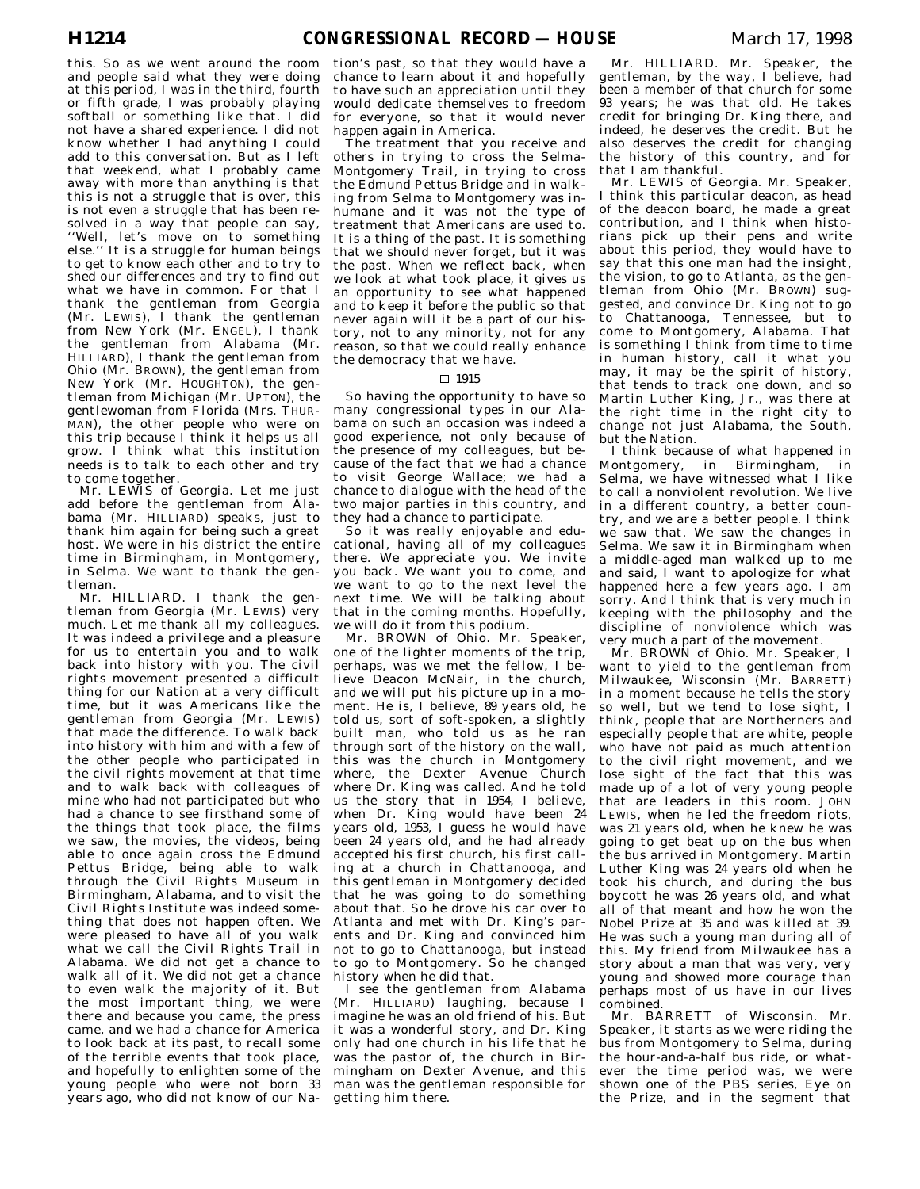this. So as we went around the room and people said what they were doing at this period, I was in the third, fourth or fifth grade, I was probably playing softball or something like that. I did not have a shared experience. I did not know whether I had anything I could add to this conversation. But as I left that weekend, what I probably came away with more than anything is that this is not a struggle that is over, this is not even a struggle that has been resolved in a way that people can say, ''Well, let's move on to something else.'' It is a struggle for human beings to get to know each other and to try to shed our differences and try to find out what we have in common. For that I thank the gentleman from Georgia (Mr. LEWIS), I thank the gentleman from New York (Mr. ENGEL), I thank the gentleman from Alabama (Mr. HILLIARD), I thank the gentleman from Ohio (Mr. BROWN), the gentleman from New York (Mr. HOUGHTON), the gentleman from Michigan (Mr. UPTON), the gentlewoman from Florida (Mrs. THUR-MAN), the other people who were on this trip because  $\overline{I}$  think it helps us all grow. I think what this institution needs is to talk to each other and try to come together.

Mr. LEWIS of Georgia. Let me just add before the gentleman from Alabama (Mr. HILLIARD) speaks, just to thank him again for being such a great host. We were in his district the entire time in Birmingham, in Montgomery, in Selma. We want to thank the gentleman.

Mr. HILLIARD. I thank the gentleman from Georgia (Mr. LEWIS) very much. Let me thank all my colleagues. It was indeed a privilege and a pleasure for us to entertain you and to walk back into history with you. The civil rights movement presented a difficult thing for our Nation at a very difficult time, but it was Americans like the gentleman from Georgia (Mr. LEWIS) that made the difference. To walk back into history with him and with a few of the other people who participated in the civil rights movement at that time and to walk back with colleagues of mine who had not participated but who had a chance to see firsthand some of the things that took place, the films we saw, the movies, the videos, being able to once again cross the Edmund Pettus Bridge, being able to walk through the Civil Rights Museum in Birmingham, Alabama, and to visit the Civil Rights Institute was indeed something that does not happen often. We were pleased to have all of you walk what we call the Civil Rights Trail in Alabama. We did not get a chance to walk all of it. We did not get a chance to even walk the majority of it. But the most important thing, we were there and because you came, the press came, and we had a chance for America to look back at its past, to recall some of the terrible events that took place, and hopefully to enlighten some of the young people who were not born 33 years ago, who did not know of our Na-

tion's past, so that they would have a chance to learn about it and hopefully to have such an appreciation until they would dedicate themselves to freedom for everyone, so that it would never happen again in America.

The treatment that you receive and others in trying to cross the Selma-Montgomery Trail, in trying to cross the Edmund Pettus Bridge and in walking from Selma to Montgomery was inhumane and it was not the type of treatment that Americans are used to. It is a thing of the past. It is something that we should never forget, but it was the past. When we reflect back, when we look at what took place, it gives us an opportunity to see what happened and to keep it before the public so that never again will it be a part of our history, not to any minority, not for any reason, so that we could really enhance the democracy that we have.

#### $\Box$  1915

So having the opportunity to have so many congressional types in our Alabama on such an occasion was indeed a good experience, not only because of the presence of my colleagues, but because of the fact that we had a chance to visit George Wallace; we had a chance to dialogue with the head of the two major parties in this country, and they had a chance to participate.

So it was really enjoyable and educational, having all of my colleagues there. We appreciate you. We invite you back. We want you to come, and we want to go to the next level the next time. We will be talking about that in the coming months. Hopefully, we will do it from this podium.

Mr. BROWN of Ohio. Mr. Speaker, one of the lighter moments of the trip, perhaps, was we met the fellow, I believe Deacon McNair, in the church, and we will put his picture up in a moment. He is, I believe, 89 years old, he told us, sort of soft-spoken, a slightly built man, who told us as he ran through sort of the history on the wall, this was the church in Montgomery where, the Dexter Avenue Church where Dr. King was called. And he told us the story that in 1954, I believe, when Dr. King would have been 24 years old, 1953, I guess he would have been 24 years old, and he had already accepted his first church, his first calling at a church in Chattanooga, and this gentleman in Montgomery decided that he was going to do something about that. So he drove his car over to Atlanta and met with Dr. King's parents and Dr. King and convinced him not to go to Chattanooga, but instead to go to Montgomery. So he changed history when he did that.

I see the gentleman from Alabama (Mr. HILLIARD) laughing, because I imagine he was an old friend of his. But it was a wonderful story, and Dr. King only had one church in his life that he was the pastor of, the church in Birmingham on Dexter Avenue, and this man was the gentleman responsible for getting him there.

Mr. HILLIARD. Mr. Speaker, the gentleman, by the way, I believe, had been a member of that church for some 93 years; he was that old. He takes credit for bringing Dr. King there, and indeed, he deserves the credit. But he also deserves the credit for changing the history of this country, and for that I am thankful.

Mr. LEWIS of Georgia. Mr. Speaker, I think this particular deacon, as head of the deacon board, he made a great contribution, and I think when historians pick up their pens and write about this period, they would have to say that this one man had the insight, the vision, to go to Atlanta, as the gentleman from Ohio (Mr. BROWN) suggested, and convince Dr. King not to go to Chattanooga, Tennessee, but to come to Montgomery, Alabama. That is something I think from time to time in human history, call it what you may, it may be the spirit of history, that tends to track one down, and so Martin Luther King, Jr., was there at the right time in the right city to change not just Alabama, the South, but the Nation.

I think because of what happened in Montgomery, in Birmingham, in Selma, we have witnessed what I like to call a nonviolent revolution. We live in a different country, a better country, and we are a better people. I think we saw that. We saw the changes in Selma. We saw it in Birmingham when a middle-aged man walked up to me and said, I want to apologize for what happened here a few years ago. I am sorry. And I think that is very much in keeping with the philosophy and the discipline of nonviolence which was very much a part of the movement.

Mr. BROWN of Ohio. Mr. Speaker, I want to yield to the gentleman from Milwaukee, Wisconsin (Mr. BARRETT) in a moment because he tells the story so well, but we tend to lose sight, I think, people that are Northerners and especially people that are white, people who have not paid as much attention to the civil right movement, and we lose sight of the fact that this was made up of a lot of very young people that are leaders in this room. JOHN LEWIS, when he led the freedom riots, was 21 years old, when he knew he was going to get beat up on the bus when the bus arrived in Montgomery. Martin Luther King was 24 years old when he took his church, and during the bus boycott he was 26 years old, and what all of that meant and how he won the Nobel Prize at 35 and was killed at 39. He was such a young man during all of this. My friend from Milwaukee has a story about a man that was very, very young and showed more courage than perhaps most of us have in our lives combined.

Mr. BARRETT of Wisconsin. Mr. Speaker, it starts as we were riding the bus from Montgomery to Selma, during the hour-and-a-half bus ride, or whatever the time period was, we were shown one of the PBS series, Eye on the Prize, and in the segment that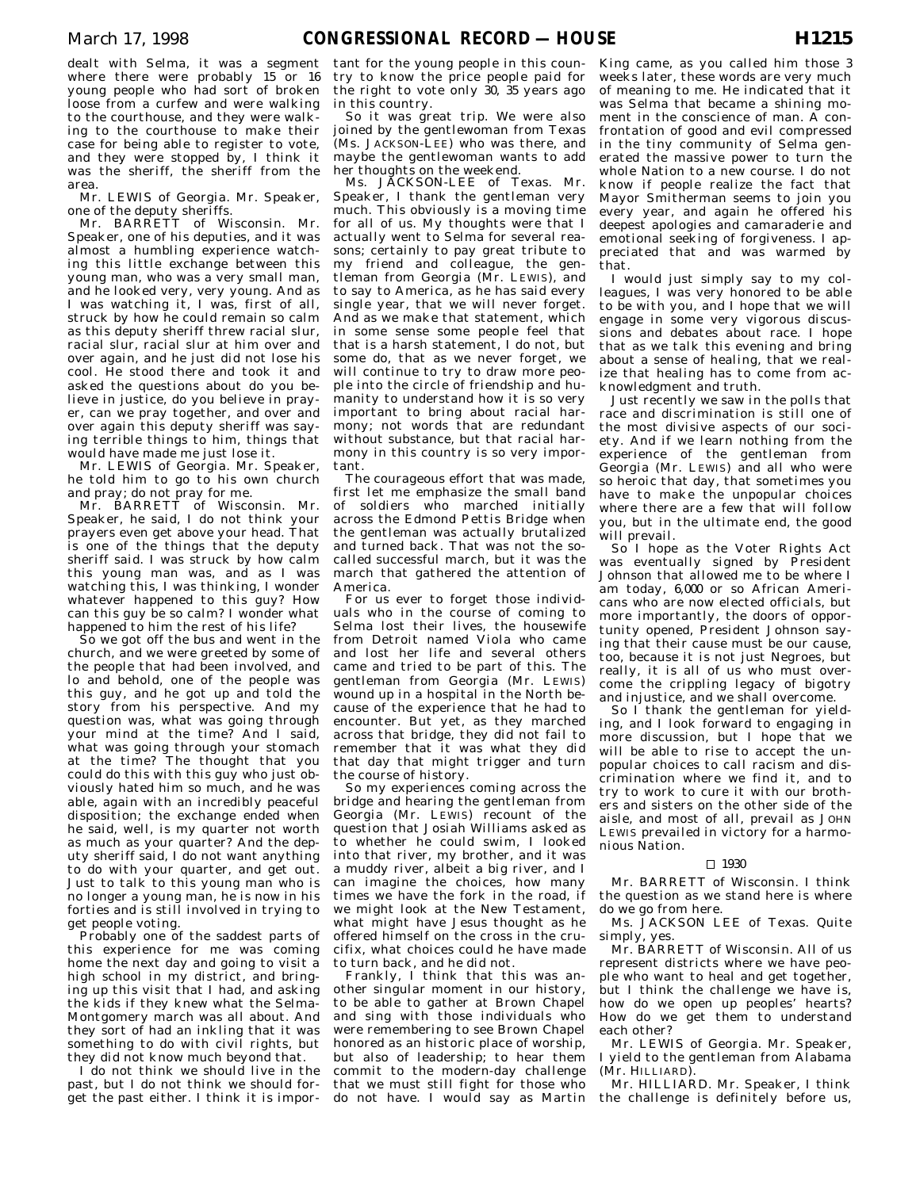area. Mr. LEWIS of Georgia. Mr. Speaker, one of the deputy sheriffs.

Mr. BARRETT of Wisconsin. Mr. Speaker, one of his deputies, and it was almost a humbling experience watching this little exchange between this young man, who was a very small man, and he looked very, very young. And as I was watching it, I was, first of all, struck by how he could remain so calm as this deputy sheriff threw racial slur, racial slur, racial slur at him over and over again, and he just did not lose his cool. He stood there and took it and asked the questions about do you believe in justice, do you believe in prayer, can we pray together, and over and over again this deputy sheriff was saying terrible things to him, things that would have made me just lose it.

Mr. LEWIS of Georgia. Mr. Speaker, he told him to go to his own church and pray; do not pray for me.

Mr. BARRETT of Wisconsin. Mr. Speaker, he said, I do not think your prayers even get above your head. That is one of the things that the deputy sheriff said. I was struck by how calm this young man was, and as I was watching this, I was thinking, I wonder whatever happened to this guy? How can this guy be so calm? I wonder what happened to him the rest of his life?

So we got off the bus and went in the church, and we were greeted by some of the people that had been involved, and lo and behold, one of the people was this guy, and he got up and told the story from his perspective. And my question was, what was going through your mind at the time? And I said, what was going through your stomach at the time? The thought that you could do this with this guy who just obviously hated him so much, and he was able, again with an incredibly peaceful disposition; the exchange ended when he said, well, is my quarter not worth as much as your quarter? And the deputy sheriff said, I do not want anything to do with your quarter, and get out. Just to talk to this young man who is no longer a young man, he is now in his forties and is still involved in trying to get people voting.

Probably one of the saddest parts of this experience for me was coming home the next day and going to visit a high school in my district, and bringing up this visit that I had, and asking the kids if they knew what the Selma-Montgomery march was all about. And they sort of had an inkling that it was something to do with civil rights, but they did not know much beyond that.

I do not think we should live in the past, but I do not think we should forget the past either. I think it is impor-

tant for the young people in this country to know the price people paid for the right to vote only 30, 35 years ago in this country.

So it was great trip. We were also joined by the gentlewoman from Texas (Ms. JACKSON-LEE) who was there, and maybe the gentlewoman wants to add her thoughts on the weekend.

Ms. JACKSON-LEE of Texas. Mr. Speaker, I thank the gentleman very much. This obviously is a moving time for all of us. My thoughts were that I actually went to Selma for several reasons; certainly to pay great tribute to my friend and colleague, the gentleman from Georgia (Mr. LEWIS), and to say to America, as he has said every single year, that we will never forget. And as we make that statement, which in some sense some people feel that that is a harsh statement, I do not, but some do, that as we never forget, we will continue to try to draw more people into the circle of friendship and humanity to understand how it is so very important to bring about racial harmony; not words that are redundant without substance, but that racial harmony in this country is so very important.

The courageous effort that was made, first let me emphasize the small band of soldiers who marched initially across the Edmond Pettis Bridge when the gentleman was actually brutalized and turned back. That was not the socalled successful march, but it was the march that gathered the attention of America.

For us ever to forget those individuals who in the course of coming to Selma lost their lives, the housewife from Detroit named Viola who came and lost her life and several others came and tried to be part of this. The gentleman from Georgia (Mr. LEWIS) wound up in a hospital in the North because of the experience that he had to encounter. But yet, as they marched across that bridge, they did not fail to remember that it was what they did that day that might trigger and turn the course of history.

So my experiences coming across the bridge and hearing the gentleman from Georgia (Mr. LEWIS) recount of the question that Josiah Williams asked as to whether he could swim, I looked into that river, my brother, and it was a muddy river, albeit a big river, and I can imagine the choices, how many times we have the fork in the road, if we might look at the New Testament, what might have Jesus thought as he offered himself on the cross in the crucifix, what choices could he have made to turn back, and he did not.

Frankly, I think that this was another singular moment in our history, to be able to gather at Brown Chapel and sing with those individuals who were remembering to see Brown Chapel honored as an historic place of worship, but also of leadership; to hear them commit to the modern-day challenge that we must still fight for those who do not have. I would say as Martin

King came, as you called him those 3 weeks later, these words are very much of meaning to me. He indicated that it was Selma that became a shining moment in the conscience of man. A confrontation of good and evil compressed in the tiny community of Selma generated the massive power to turn the whole Nation to a new course. I do not know if people realize the fact that Mayor Smitherman seems to join you every year, and again he offered his deepest apologies and camaraderie and emotional seeking of forgiveness. I appreciated that and was warmed by that.

I would just simply say to my colleagues, I was very honored to be able to be with you, and I hope that we will engage in some very vigorous discussions and debates about race. I hope that as we talk this evening and bring about a sense of healing, that we realize that healing has to come from acknowledgment and truth.

Just recently we saw in the polls that race and discrimination is still one of the most divisive aspects of our society. And if we learn nothing from the experience of the gentleman from Georgia (Mr. LEWIS) and all who were so heroic that day, that sometimes you have to make the unpopular choices where there are a few that will follow you, but in the ultimate end, the good will prevail.

So I hope as the Voter Rights Act was eventually signed by President Johnson that allowed me to be where I am today, 6,000 or so African Americans who are now elected officials, but more importantly, the doors of opportunity opened, President Johnson saying that their cause must be our cause, too, because it is not just Negroes, but really, it is all of us who must overcome the crippling legacy of bigotry and injustice, and we shall overcome.

So  $I$  thank the gentleman for yielding, and I look forward to engaging in more discussion, but I hope that we will be able to rise to accept the unpopular choices to call racism and discrimination where we find it, and to try to work to cure it with our brothers and sisters on the other side of the aisle, and most of all, prevail as JOHN LEWIS prevailed in victory for a harmonious Nation.

#### $\Box$  1930

Mr. BARRETT of Wisconsin. I think the question as we stand here is where do we go from here.

Ms. JACKSON LEE of Texas. Quite simply, yes.

Mr. BARRETT of Wisconsin. All of us represent districts where we have people who want to heal and get together, but I think the challenge we have is, how do we open up peoples' hearts? How do we get them to understand each other?

Mr. LEWIS of Georgia. Mr. Speaker, I yield to the gentleman from Alabama (Mr. HILLIARD).

Mr. HILLIARD. Mr. Speaker, I think the challenge is definitely before us,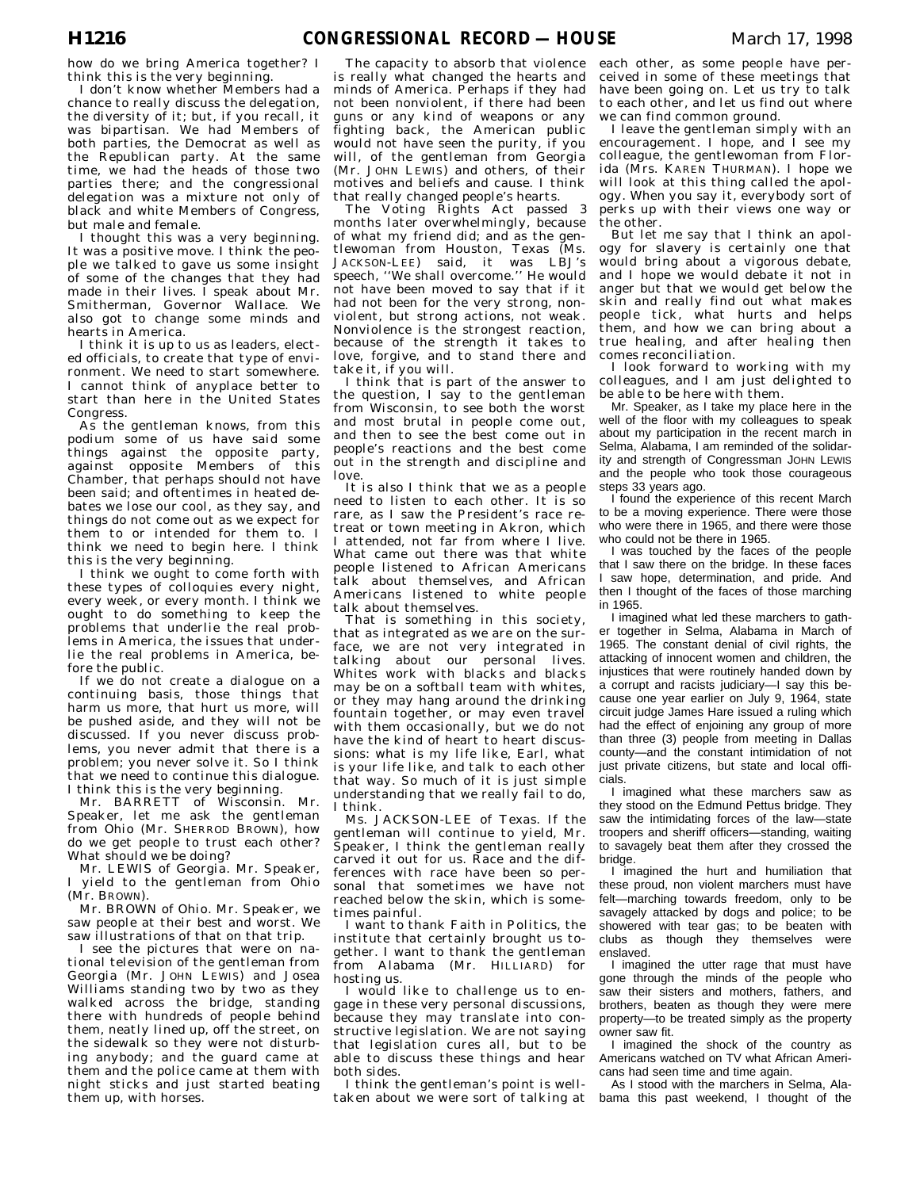how do we bring America together? I think this is the very beginning.

I don't know whether Members had a chance to really discuss the delegation, the diversity of it; but, if you recall, it was bipartisan. We had Members of both parties, the Democrat as well as the Republican party. At the same time, we had the heads of those two parties there; and the congressional delegation was a mixture not only of black and white Members of Congress. but male and female.

I thought this was a very beginning. It was a positive move. I think the people we talked to gave us some insight of some of the changes that they had made in their lives.  $\tilde{I}$  speak about Mr. Smitherman, Governor Wallace. We also got to change some minds and hearts in America.

I think it is up to us as leaders, elected officials, to create that type of environment. We need to start somewhere. I cannot think of anyplace better to start than here in the United States Congress.

As the gentleman knows, from this podium some of us have said some things against the opposite party, against opposite Members of this Chamber, that perhaps should not have been said; and oftentimes in heated debates we lose our cool, as they say, and things do not come out as we expect for them to or intended for them to. I think we need to begin here. I think this is the very beginning.

I think we ought to come forth with these types of colloquies every night, every week, or every month. I think we ought to do something to keep the problems that underlie the real problems in America, the issues that underlie the real problems in America, before the public.

If we do not create a dialogue on a continuing basis, those things that harm us more, that hurt us more, will be pushed aside, and they will not be discussed. If you never discuss problems, you never admit that there is a problem; you never solve it. So I think that we need to continue this dialogue. I think this is the very beginning.

Mr. BARRETT of Wisconsin. Mr. Speaker, let me ask the gentleman from Ohio (Mr. SHERROD BROWN), how do we get people to trust each other? What should we be doing?

Mr. LEWIS of Georgia. Mr. Speaker, I yield to the gentleman from Ohio (Mr. BROWN).

Mr. BROWN of Ohio. Mr. Speaker, we saw people at their best and worst. We saw illustrations of that on that trip.

I see the pictures that were on national television of the gentleman from Georgia (Mr. JOHN LEWIS) and Josea Williams standing two by two as they walked across the bridge, standing there with hundreds of people behind them, neatly lined up, off the street, on the sidewalk so they were not disturbing anybody; and the guard came at them and the police came at them with night sticks and just started beating them up, with horses.

The capacity to absorb that violence is really what changed the hearts and minds of America. Perhaps if they had not been nonviolent, if there had been guns or any kind of weapons or any fighting back, the American public would not have seen the purity, if you will, of the gentleman from Georgia (Mr. JOHN LEWIS) and others, of their motives and beliefs and cause. I think that really changed people's hearts.

The Voting Rights Act passed 3 months later overwhelmingly, because of what my friend did; and as the gentlewoman from Houston, Texas (Ms. JACKSON-LEE) said, it was LBJ's speech, ''We shall overcome.'' He would not have been moved to say that if it had not been for the very strong, nonviolent, but strong actions, not weak. Nonviolence is the strongest reaction, because of the strength it takes to love, forgive, and to stand there and take it, if you will.

I think that is part of the answer to the question, I say to the gentleman from Wisconsin, to see both the worst and most brutal in people come out, and then to see the best come out in people's reactions and the best come out in the strength and discipline and love.

It is also I think that we as a people need to listen to each other. It is so rare, as I saw the President's race retreat or town meeting in Akron, which I attended, not far from where I live. What came out there was that white people listened to African Americans talk about themselves, and African Americans listened to white people talk about themselves.

That is something in this society, that as integrated as we are on the surface, we are not very integrated in talking about our personal lives. Whites work with blacks and blacks may be on a softball team with whites, or they may hang around the drinking fountain together, or may even travel with them occasionally, but we do not have the kind of heart to heart discussions: what is my life like, Earl, what is your life like, and talk to each other that way. So much of it is just simple understanding that we really fail to do, I think.

Ms. JACKSON-LEE of Texas. If the gentleman will continue to yield, Mr. Speaker, I think the gentleman really carved it out for us. Race and the differences with race have been so personal that sometimes we have not reached below the skin, which is sometimes painful.

I want to thank Faith in Politics, the institute that certainly brought us together. I want to thank the gentleman from Alabama (Mr. HILLIARD) for hosting us.

I would like to challenge us to engage in these very personal discussions, because they may translate into constructive legislation. We are not saying that legislation cures all, but to be able to discuss these things and hear both sides.

I think the gentleman's point is welltaken about we were sort of talking at

each other, as some people have perceived in some of these meetings that have been going on. Let us try to talk to each other, and let us find out where we can find common ground.

I leave the gentleman simply with an encouragement. I hope, and I see my colleague, the gentlewoman from Florida (Mrs. KAREN THURMAN). I hope we will look at this thing called the apology. When you say it, everybody sort of perks up with their views one way or the other.

But let me say that I think an apology for slavery is certainly one that would bring about a vigorous debate, and I hope we would debate it not in anger but that we would get below the skin and really find out what makes people tick, what hurts and helps them, and how we can bring about a true healing, and after healing then comes reconciliation.

I look forward to working with my colleagues, and I am just delighted to be able to be here with them.

Mr. Speaker, as I take my place here in the well of the floor with my colleagues to speak about my participation in the recent march in Selma, Alabama, I am reminded of the solidarity and strength of Congressman JOHN LEWIS and the people who took those courageous steps 33 years ago.

I found the experience of this recent March to be a moving experience. There were those who were there in 1965, and there were those who could not be there in 1965.

I was touched by the faces of the people that I saw there on the bridge. In these faces I saw hope, determination, and pride. And then I thought of the faces of those marching in 1965.

I imagined what led these marchers to gather together in Selma, Alabama in March of 1965. The constant denial of civil rights, the attacking of innocent women and children, the injustices that were routinely handed down by a corrupt and racists judiciary—I say this because one year earlier on July 9, 1964, state circuit judge James Hare issued a ruling which had the effect of enjoining any group of more than three (3) people from meeting in Dallas county—and the constant intimidation of not just private citizens, but state and local officials.

I imagined what these marchers saw as they stood on the Edmund Pettus bridge. They saw the intimidating forces of the law—state troopers and sheriff officers—standing, waiting to savagely beat them after they crossed the bridge.

I imagined the hurt and humiliation that these proud, non violent marchers must have felt—marching towards freedom, only to be savagely attacked by dogs and police; to be showered with tear gas; to be beaten with clubs as though they themselves were enslaved.

I imagined the utter rage that must have gone through the minds of the people who saw their sisters and mothers, fathers, and brothers, beaten as though they were mere property—to be treated simply as the property owner saw fit.

I imagined the shock of the country as Americans watched on TV what African Americans had seen time and time again.

As I stood with the marchers in Selma, Alabama this past weekend, I thought of the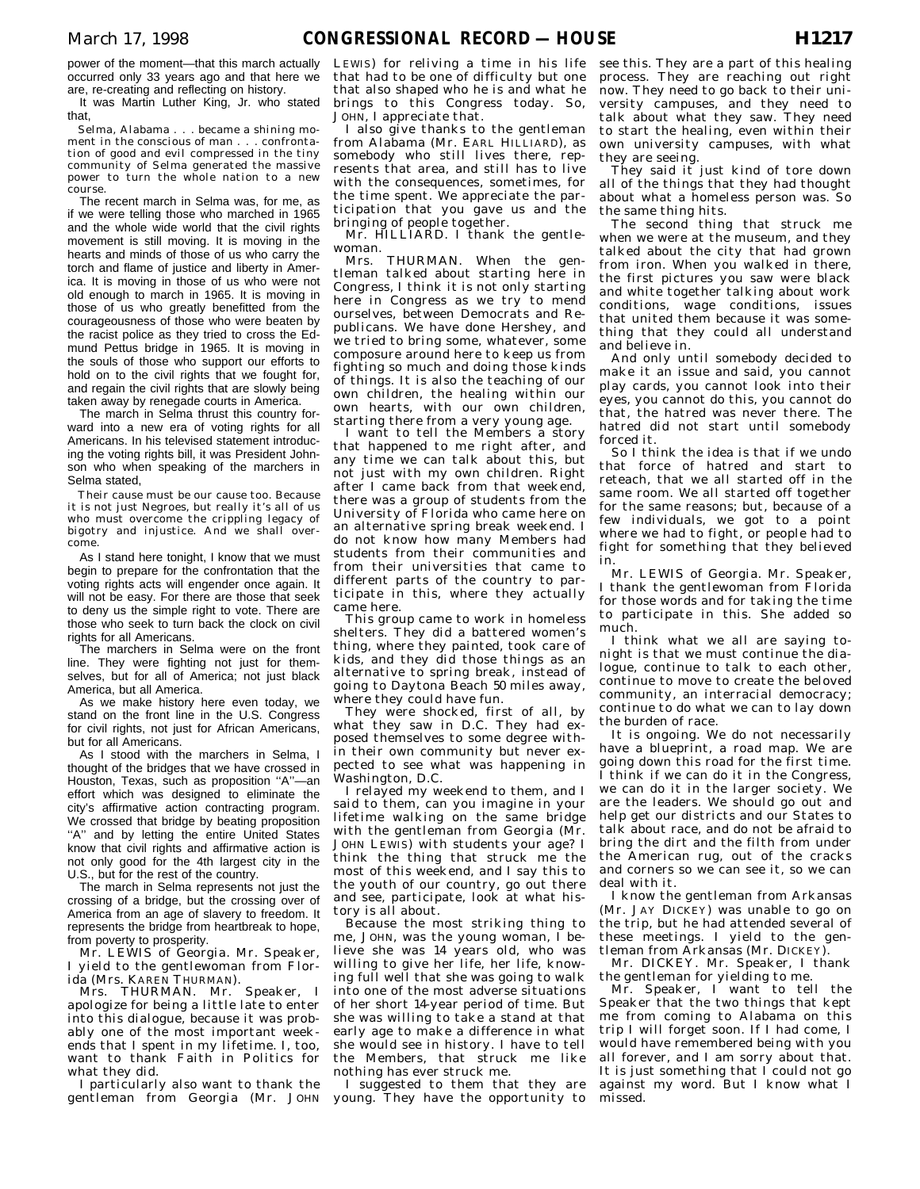power of the moment—that this march actually occurred only 33 years ago and that here we are, re-creating and reflecting on history.

It was Martin Luther King, Jr. who stated that,

Selma, Alabama . . . became a shining moment in the conscious of man . . . confrontation of good and evil compressed in the tiny community of Selma generated the massive power to turn the whole nation to a new course.

The recent march in Selma was, for me, as if we were telling those who marched in 1965 and the whole wide world that the civil rights movement is still moving. It is moving in the hearts and minds of those of us who carry the torch and flame of justice and liberty in America. It is moving in those of us who were not old enough to march in 1965. It is moving in those of us who greatly benefitted from the courageousness of those who were beaten by the racist police as they tried to cross the Edmund Pettus bridge in 1965. It is moving in the souls of those who support our efforts to hold on to the civil rights that we fought for, and regain the civil rights that are slowly being taken away by renegade courts in America.

The march in Selma thrust this country forward into a new era of voting rights for all Americans. In his televised statement introducing the voting rights bill, it was President Johnson who when speaking of the marchers in Selma stated,

Their cause must be our cause too. Because it is not just Negroes, but really it's all of us who must overcome the crippling legacy of bigotry and injustice. And we shall overcome.

As I stand here tonight, I know that we must begin to prepare for the confrontation that the voting rights acts will engender once again. It will not be easy. For there are those that seek to deny us the simple right to vote. There are those who seek to turn back the clock on civil rights for all Americans.

The marchers in Selma were on the front line. They were fighting not just for themselves, but for all of America; not just black America, but all America.

As we make history here even today, we stand on the front line in the U.S. Congress for civil rights, not just for African Americans, but for all Americans.

As I stood with the marchers in Selma, I thought of the bridges that we have crossed in Houston, Texas, such as proposition ''A''—an effort which was designed to eliminate the city's affirmative action contracting program. We crossed that bridge by beating proposition "A" and by letting the entire United States know that civil rights and affirmative action is not only good for the 4th largest city in the U.S., but for the rest of the country.

The march in Selma represents not just the crossing of a bridge, but the crossing over of America from an age of slavery to freedom. It represents the bridge from heartbreak to hope, from poverty to prosperity.

Mr. LEWIS of Georgia. Mr. Speaker, I yield to the gentlewoman from Florida (Mrs. KAREN THURMAN).

Mrs. THURMAN. Mr. Speaker, I apologize for being a little late to enter into this dialogue, because it was probably one of the most important weekends that I spent in my lifetime. I, too, want to thank Faith in Politics for what they did.

I particularly also want to thank the gentleman from Georgia (Mr. JOHN

LEWIS) for reliving a time in his life that had to be one of difficulty but one that also shaped who he is and what he brings to this Congress today. So, JOHN, I appreciate that.

I also give thanks to the gentleman from Alabama (Mr. EARL HILLIARD), as somebody who still lives there, represents that area, and still has to live with the consequences, sometimes, for the time spent. We appreciate the participation that you gave us and the bringing of people together.

Mr. HILLIARD. I thank the gentlewoman.<br>Mrs.

THURMAN. When the gentleman talked about starting here in Congress, I think it is not only starting here in Congress as we try to mend ourselves, between Democrats and Republicans. We have done Hershey, and we tried to bring some, whatever, some composure around here to keep us from fighting so much and doing those kinds of things. It is also the teaching of our own children, the healing within our own hearts, with our own children, starting there from a very young age.

I want to tell the Members a story that happened to me right after, and any time we can talk about this, but not just with my own children. Right after I came back from that weekend, there was a group of students from the University of Florida who came here on an alternative spring break weekend. I do not know how many Members had students from their communities and from their universities that came to different parts of the country to participate in this, where they actually came here.

This group came to work in homeless shelters. They did a battered women's thing, where they painted, took care of kids, and they did those things as an alternative to spring break, instead of going to Daytona Beach 50 miles away, where they could have fun.

They were shocked, first of all, by what they saw in D.C. They had exposed themselves to some degree within their own community but never expected to see what was happening in Washington, D.C.

I relayed my weekend to them, and I said to them, can you imagine in your lifetime walking on the same bridge with the gentleman from Georgia (Mr. JOHN LEWIS) with students your age? I think the thing that struck me the most of this weekend, and I say this to the youth of our country, go out there and see, participate, look at what history is all about.

Because the most striking thing to me, JOHN, was the young woman, I believe she was 14 years old, who was willing to give her life, her life, knowing full well that she was going to walk into one of the most adverse situations of her short 14-year period of time. But she was willing to take a stand at that early age to make a difference in what she would see in history. I have to tell the Members, that struck me like nothing has ever struck me.

I suggested to them that they are young. They have the opportunity to see this. They are a part of this healing process. They are reaching out right now. They need to go back to their university campuses, and they need to talk about what they saw. They need to start the healing, even within their own university campuses, with what they are seeing.

They said it just kind of tore down all of the things that they had thought about what a homeless person was. So the same thing hits.

The second thing that struck me when we were at the museum, and they talked about the city that had grown from iron. When you walked in there, the first pictures you saw were black and white together talking about work conditions, wage conditions, issues that united them because it was something that they could all understand and believe in.

And only until somebody decided to make it an issue and said, you cannot play cards, you cannot look into their eyes, you cannot do this, you cannot do that, the hatred was never there. The hatred did not start until somebody forced it.

So I think the idea is that if we undo that force of hatred and start to reteach, that we all started off in the same room. We all started off together for the same reasons; but, because of a few individuals, we got to a point where we had to fight, or people had to fight for something that they believed in.

Mr. LEWIS of Georgia. Mr. Speaker, I thank the gentlewoman from Florida for those words and for taking the time to participate in this. She added so much.

I think what we all are saying tonight is that we must continue the dialogue, continue to talk to each other, continue to move to create the beloved community, an interracial democracy; continue to do what we can to lay down the burden of race.

It is ongoing. We do not necessarily have a blueprint, a road map. We are going down this road for the first time. I think if we can do it in the Congress, we can do it in the larger society. We are the leaders. We should go out and help get our districts and our States to talk about race, and do not be afraid to bring the dirt and the filth from under the American rug, out of the cracks and corners so we can see it, so we can deal with it.

I know the gentleman from Arkansas (Mr. JAY DICKEY) was unable to go on the trip, but he had attended several of these meetings. I yield to the gentleman from Arkansas (Mr. DICKEY).

Mr. DICKEY. Mr. Speaker, I thank the gentleman for yielding to me.

Mr. Speaker, I want to tell the Speaker that the two things that kept me from coming to Alabama on this trip I will forget soon. If I had come, I would have remembered being with you all forever, and I am sorry about that. It is just something that  $\tilde{I}$  could not go against my word. But I know what I missed.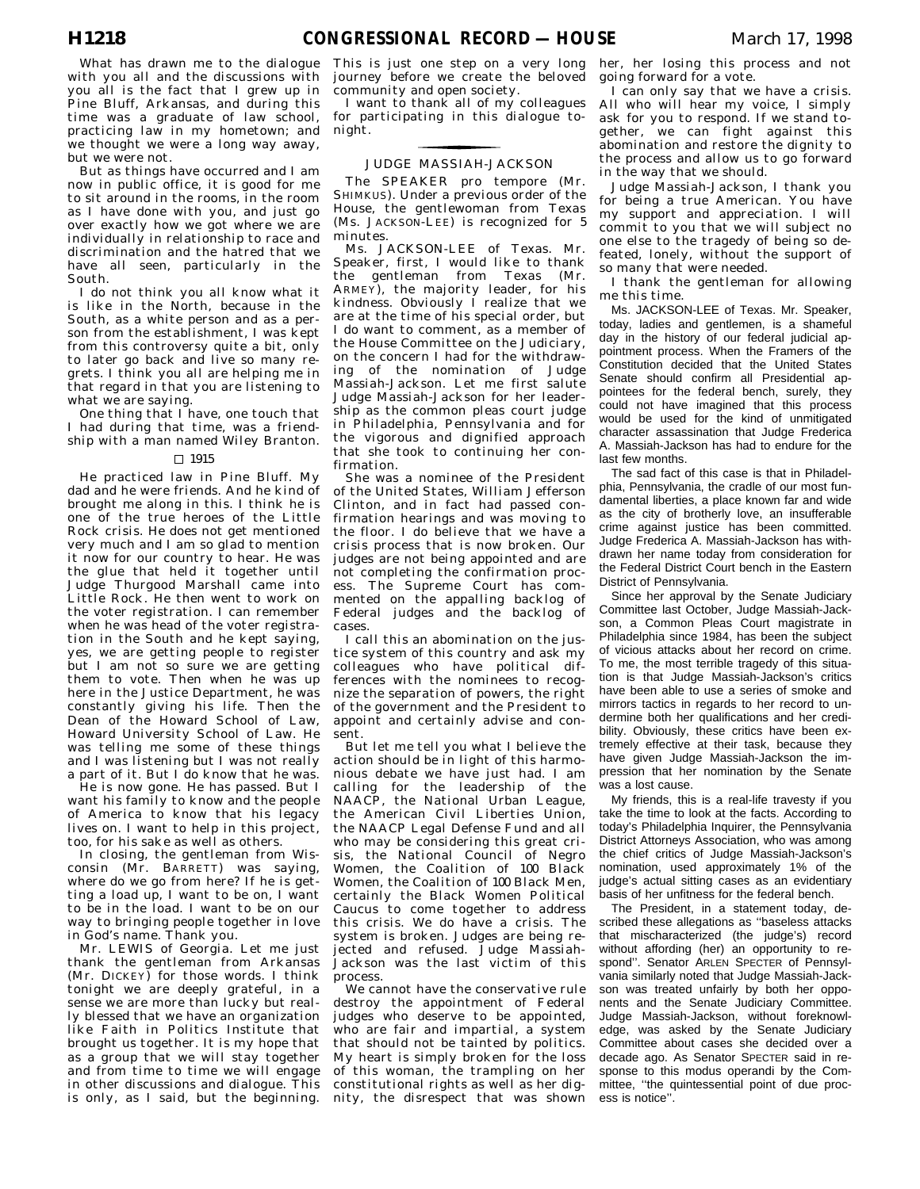What has drawn me to the dialogue with you all and the discussions with you all is the fact that I grew up in Pine Bluff, Arkansas, and during this time was a graduate of law school, practicing law in my hometown; and we thought we were a long way away, but we were not.

But as things have occurred and I am now in public office, it is good for me to sit around in the rooms, in the room as I have done with you, and just go over exactly how we got where we are individually in relationship to race and discrimination and the hatred that we have all seen, particularly in the South.

I do not think you all know what it is like in the North, because in the South, as a white person and as a person from the establishment, I was kept from this controversy quite a bit, only to later go back and live so many regrets. I think you all are helping me in that regard in that you are listening to what we are saying.

One thing that I have, one touch that I had during that time, was a friendship with a man named Wiley Branton.

#### $\square$  1915

He practiced law in Pine Bluff. My dad and he were friends. And he kind of brought me along in this. I think he is one of the true heroes of the Little Rock crisis. He does not get mentioned very much and I am so glad to mention it now for our country to hear. He was the glue that held it together until Judge Thurgood Marshall came into Little Rock. He then went to work on the voter registration. I can remember when he was head of the voter registration in the South and he kept saying, yes, we are getting people to register but I am not so sure we are getting them to vote. Then when he was up here in the Justice Department, he was constantly giving his life. Then the Dean of the Howard School of Law, Howard University School of Law. He was telling me some of these things and I was listening but I was not really a part of it. But I do know that he was.

He is now gone. He has passed. But I want his family to know and the people of America to know that his legacy lives on. I want to help in this project, too, for his sake as well as others.

In closing, the gentleman from Wisconsin (Mr. BARRETT) was saying, where do we go from here? If he is getting a load up, I want to be on, I want to be in the load. I want to be on our way to bringing people together in love in God's name. Thank you.

Mr. LEWIS of Georgia. Let me just thank the gentleman from Arkansas (Mr. DICKEY) for those words. I think tonight we are deeply grateful, in a sense we are more than lucky but really blessed that we have an organization like Faith in Politics Institute that brought us together. It is my hope that as a group that we will stay together and from time to time we will engage in other discussions and dialogue. This is only, as I said, but the beginning.

This is just one step on a very long journey before we create the beloved community and open society.

I want to thank all of my colleagues for participating in this dialogue tonight.

#### JUDGE MASSIAH-JACKSON for the control of the control of

The SPEAKER pro tempore (Mr. SHIMKUS). Under a previous order of the House, the gentlewoman from Texas (Ms. JACKSON-LEE) is recognized for 5 minutes.

Ms. JACKSON-LEE of Texas. Mr. Speaker, first, I would like to thank the gentleman from Texas (Mr. ARMEY), the majority leader, for his kindness. Obviously I realize that we are at the time of his special order, but I do want to comment, as a member of the House Committee on the Judiciary, on the concern I had for the withdrawing of the nomination of Judge Massiah-Jackson. Let me first salute Judge Massiah-Jackson for her leadership as the common pleas court judge in Philadelphia, Pennsylvania and for the vigorous and dignified approach that she took to continuing her confirmation.

She was a nominee of the President of the United States, William Jefferson Clinton, and in fact had passed confirmation hearings and was moving to the floor. I do believe that we have a crisis process that is now broken. Our judges are not being appointed and are not completing the confirmation process. The Supreme Court has commented on the appalling backlog of Federal judges and the backlog of cases.

I call this an abomination on the justice system of this country and ask my colleagues who have political differences with the nominees to recognize the separation of powers, the right of the government and the President to appoint and certainly advise and consent.

But let me tell you what I believe the action should be in light of this harmonious debate we have just had. I am calling for the leadership of the NAACP, the National Urban League, the American Civil Liberties Union, the NAACP Legal Defense Fund and all who may be considering this great crisis, the National Council of Negro Women, the Coalition of 100 Black Women, the Coalition of 100 Black Men, certainly the Black Women Political Caucus to come together to address this crisis. We do have a crisis. The system is broken. Judges are being rejected and refused. Judge Massiah-Jackson was the last victim of this process.

We cannot have the conservative rule destroy the appointment of Federal judges who deserve to be appointed, who are fair and impartial, a system that should not be tainted by politics. My heart is simply broken for the loss of this woman, the trampling on her constitutional rights as well as her dignity, the disrespect that was shown

her, her losing this process and not going forward for a vote.

I can only say that we have a crisis. All who will hear my voice, I simply ask for you to respond. If we stand together, we can fight against this abomination and restore the dignity to the process and allow us to go forward in the way that we should.

Judge Massiah-Jackson, I thank you for being a true American. You have my support and appreciation. I will commit to you that we will subject no one else to the tragedy of being so defeated, lonely, without the support of so many that were needed.

I thank the gentleman for allowing me this time.

Ms. JACKSON-LEE of Texas. Mr. Speaker, today, ladies and gentlemen, is a shameful day in the history of our federal judicial appointment process. When the Framers of the Constitution decided that the United States Senate should confirm all Presidential appointees for the federal bench, surely, they could not have imagined that this process would be used for the kind of unmitigated character assassination that Judge Frederica A. Massiah-Jackson has had to endure for the last few months.

The sad fact of this case is that in Philadelphia, Pennsylvania, the cradle of our most fundamental liberties, a place known far and wide as the city of brotherly love, an insufferable crime against justice has been committed. Judge Frederica A. Massiah-Jackson has withdrawn her name today from consideration for the Federal District Court bench in the Eastern District of Pennsylvania.

Since her approval by the Senate Judiciary Committee last October, Judge Massiah-Jackson, a Common Pleas Court magistrate in Philadelphia since 1984, has been the subject of vicious attacks about her record on crime. To me, the most terrible tragedy of this situation is that Judge Massiah-Jackson's critics have been able to use a series of smoke and mirrors tactics in regards to her record to undermine both her qualifications and her credibility. Obviously, these critics have been extremely effective at their task, because they have given Judge Massiah-Jackson the impression that her nomination by the Senate was a lost cause.

My friends, this is a real-life travesty if you take the time to look at the facts. According to today's Philadelphia Inquirer, the Pennsylvania District Attorneys Association, who was among the chief critics of Judge Massiah-Jackson's nomination, used approximately 1% of the judge's actual sitting cases as an evidentiary basis of her unfitness for the federal bench.

The President, in a statement today, described these allegations as ''baseless attacks that mischaracterized (the judge's) record without affording (her) an opportunity to respond''. Senator ARLEN SPECTER of Pennsylvania similarly noted that Judge Massiah-Jackson was treated unfairly by both her opponents and the Senate Judiciary Committee. Judge Massiah-Jackson, without foreknowledge, was asked by the Senate Judiciary Committee about cases she decided over a decade ago. As Senator SPECTER said in response to this modus operandi by the Committee, ''the quintessential point of due process is notice''.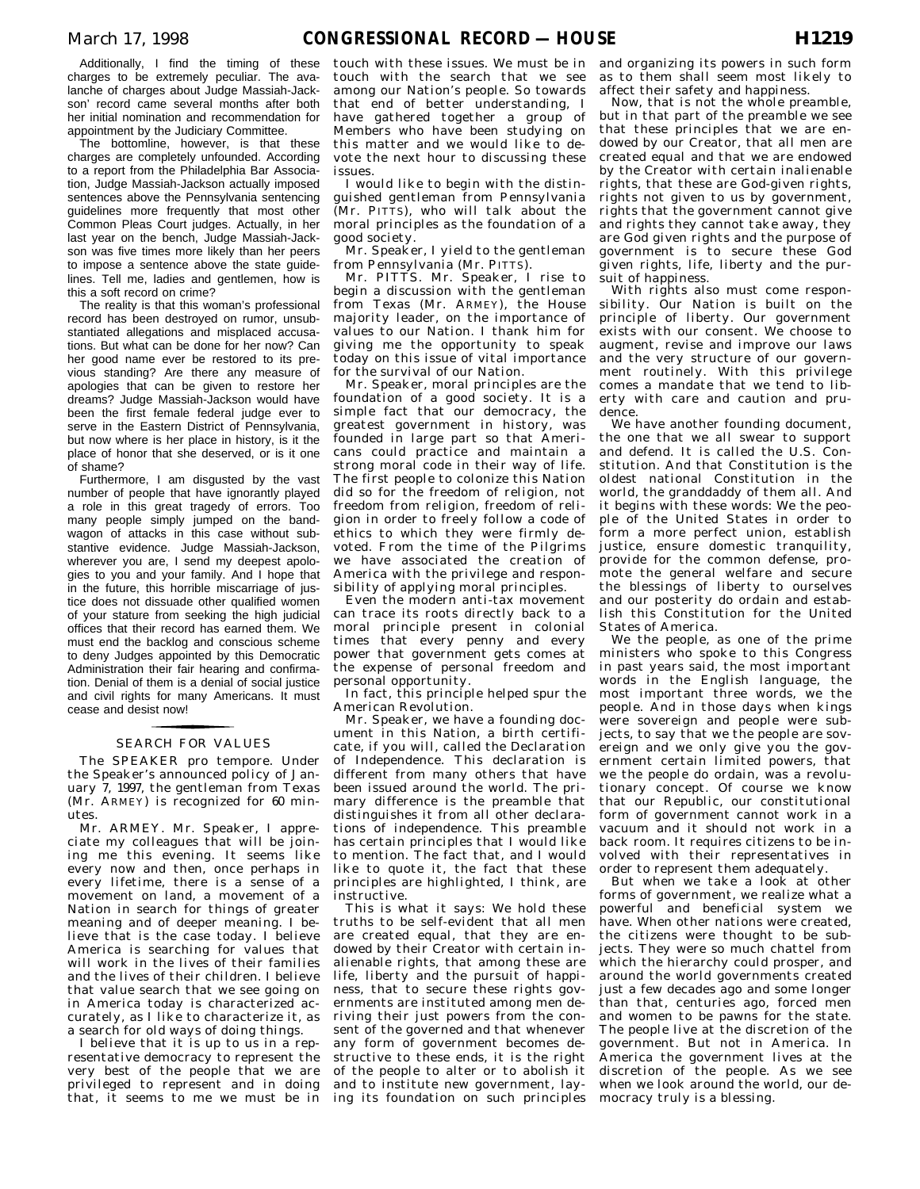Additionally, I find the timing of these charges to be extremely peculiar. The avalanche of charges about Judge Massiah-Jackson' record came several months after both her initial nomination and recommendation for appointment by the Judiciary Committee.

The bottomline, however, is that these charges are completely unfounded. According to a report from the Philadelphia Bar Association, Judge Massiah-Jackson actually imposed sentences above the Pennsylvania sentencing guidelines more frequently that most other Common Pleas Court judges. Actually, in her last year on the bench, Judge Massiah-Jackson was five times more likely than her peers to impose a sentence above the state guidelines. Tell me, ladies and gentlemen, how is this a soft record on crime?

The reality is that this woman's professional record has been destroyed on rumor, unsubstantiated allegations and misplaced accusations. But what can be done for her now? Can her good name ever be restored to its previous standing? Are there any measure of apologies that can be given to restore her dreams? Judge Massiah-Jackson would have been the first female federal judge ever to serve in the Eastern District of Pennsylvania, but now where is her place in history, is it the place of honor that she deserved, or is it one of shame?

Furthermore, I am disgusted by the vast number of people that have ignorantly played a role in this great tragedy of errors. Too many people simply jumped on the bandwagon of attacks in this case without substantive evidence. Judge Massiah-Jackson, wherever you are, I send my deepest apologies to you and your family. And I hope that in the future, this horrible miscarriage of justice does not dissuade other qualified women of your stature from seeking the high judicial offices that their record has earned them. We must end the backlog and conscious scheme to deny Judges appointed by this Democratic Administration their fair hearing and confirmation. Denial of them is a denial of social justice and civil rights for many Americans. It must cease and desist now!

#### SEARCH FOR VALUES for the control of the control of

The SPEAKER pro tempore. Under the Speaker's announced policy of January 7, 1997, the gentleman from Texas (Mr. ARMEY) is recognized for 60 minutes.

Mr. ARMEY. Mr. Speaker, I appreciate my colleagues that will be joining me this evening. It seems like every now and then, once perhaps in every lifetime, there is a sense of a movement on land, a movement of a Nation in search for things of greater meaning and of deeper meaning. I believe that is the case today. I believe America is searching for values that will work in the lives of their families and the lives of their children. I believe that value search that we see going on in America today is characterized accurately, as I like to characterize it, as a search for old ways of doing things.

I believe that it is up to us in a representative democracy to represent the very best of the people that we are privileged to represent and in doing that, it seems to me we must be in

touch with these issues. We must be in touch with the search that we see among our Nation's people. So towards that end of better understanding, I have gathered together a group of Members who have been studying on this matter and we would like to devote the next hour to discussing these issues.

I would like to begin with the distinguished gentleman from Pennsylvania (Mr. PITTS), who will talk about the moral principles as the foundation of a good society.

Mr. Speaker, I yield to the gentleman from Pennsylvania (Mr. PITTS).

Mr. PITTS. Mr. Speaker, I rise to begin a discussion with the gentleman from Texas (Mr. ARMEY), the House majority leader, on the importance of values to our Nation. I thank him for giving me the opportunity to speak today on this issue of vital importance for the survival of our Nation.

Mr. Speaker, moral principles are the foundation of a good society. It is a simple fact that our democracy, the greatest government in history, was founded in large part so that Americans could practice and maintain a strong moral code in their way of life. The first people to colonize this Nation did so for the freedom of religion, not freedom from religion, freedom of religion in order to freely follow a code of ethics to which they were firmly devoted. From the time of the Pilgrims we have associated the creation of America with the privilege and responsibility of applying moral principles.

Even the modern anti-tax movement can trace its roots directly back to a moral principle present in colonial times that every penny and every power that government gets comes at the expense of personal freedom and personal opportunity.

In fact, this principle helped spur the American Revolution.

Mr. Speaker, we have a founding document in this Nation, a birth certificate, if you will, called the Declaration of Independence. This declaration is different from many others that have been issued around the world. The primary difference is the preamble that distinguishes it from all other declarations of independence. This preamble has certain principles that I would like to mention. The fact that, and I would like to quote it, the fact that these principles are highlighted, I think, are instructive.

This is what it says: We hold these truths to be self-evident that all men are created equal, that they are endowed by their Creator with certain inalienable rights, that among these are life, liberty and the pursuit of happiness, that to secure these rights governments are instituted among men deriving their just powers from the consent of the governed and that whenever any form of government becomes destructive to these ends, it is the right of the people to alter or to abolish it and to institute new government, laying its foundation on such principles

and organizing its powers in such form as to them shall seem most likely to affect their safety and happiness.

Now, that is not the whole preamble, but in that part of the preamble we see that these principles that we are endowed by our Creator, that all men are created equal and that we are endowed by the Creator with certain inalienable rights, that these are God-given rights, rights not given to us by government, rights that the government cannot give and rights they cannot take away, they are God given rights and the purpose of government is to secure these God given rights, life, liberty and the pursuit of happiness.

With rights also must come responsibility. Our Nation is built on the principle of liberty. Our government exists with our consent. We choose to augment, revise and improve our laws and the very structure of our government routinely. With this privilege comes a mandate that we tend to liberty with care and caution and prudence.

We have another founding document. the one that we all swear to support and defend. It is called the U.S. Constitution. And that Constitution is the oldest national Constitution in the world, the granddaddy of them all. And it begins with these words: We the people of the United States in order to form a more perfect union, establish justice, ensure domestic tranquility, provide for the common defense, promote the general welfare and secure the blessings of liberty to ourselves and our posterity do ordain and establish this Constitution for the United States of America.

We the people, as one of the prime ministers who spoke to this Congress in past years said, the most important words in the English language, the most important three words, we the people. And in those days when kings were sovereign and people were subjects, to say that we the people are sovereign and we only give you the government certain limited powers, that we the people do ordain, was a revolutionary concept. Of course we know that our Republic, our constitutional form of government cannot work in a vacuum and it should not work in a back room. It requires citizens to be involved with their representatives in order to represent them adequately.

But when we take a look at other forms of government, we realize what a powerful and beneficial system we have. When other nations were created, the citizens were thought to be subjects. They were so much chattel from which the hierarchy could prosper, and around the world governments created just a few decades ago and some longer than that, centuries ago, forced men and women to be pawns for the state. The people live at the discretion of the government. But not in America. In America the government lives at the discretion of the people. As we see when we look around the world, our democracy truly is a blessing.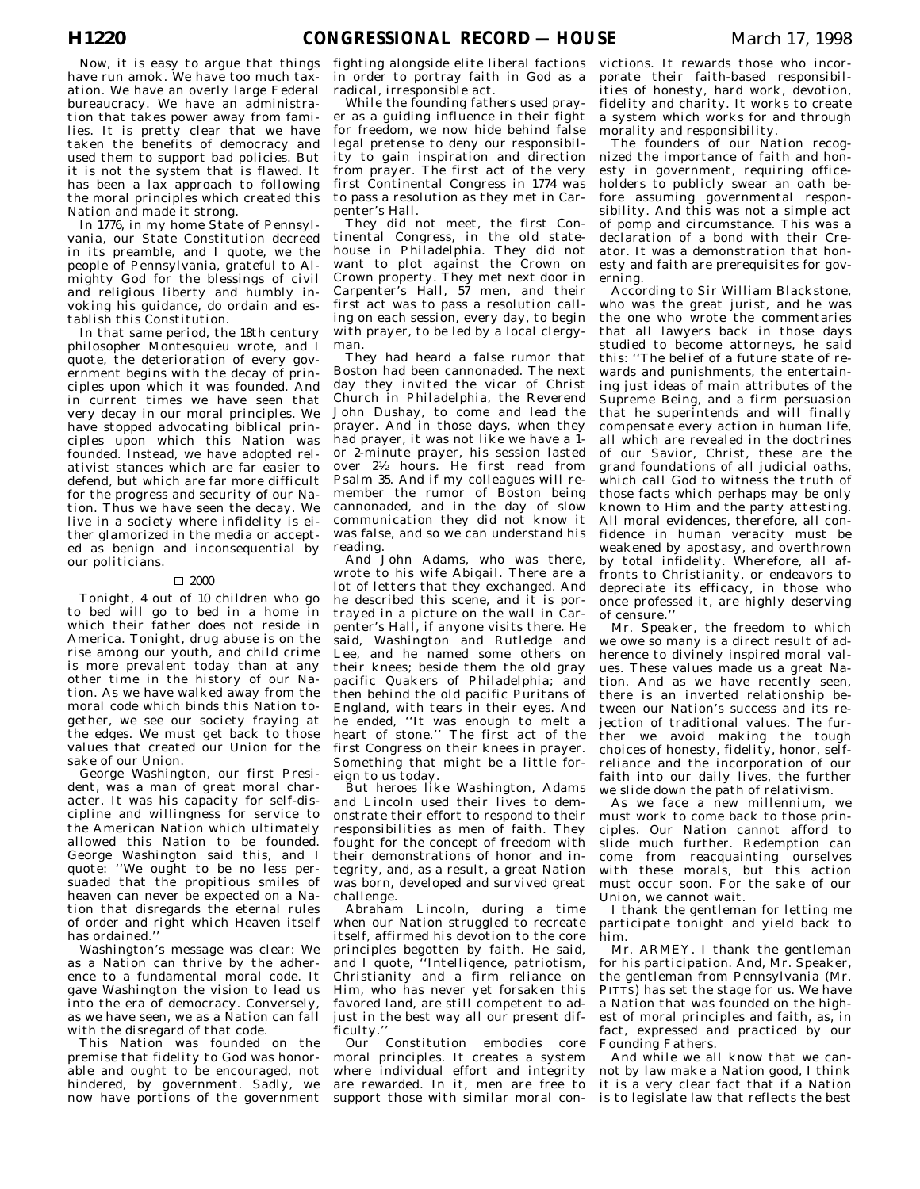Now, it is easy to argue that things have run amok. We have too much taxation. We have an overly large Federal bureaucracy. We have an administration that takes power away from families. It is pretty clear that we have taken the benefits of democracy and used them to support bad policies. But it is not the system that is flawed. It has been a lax approach to following the moral principles which created this Nation and made it strong.

In 1776, in my home State of Pennsylvania, our State Constitution decreed in its preamble, and I quote, we the people of Pennsylvania, grateful to Almighty God for the blessings of civil and religious liberty and humbly invoking his guidance, do ordain and establish this Constitution.

In that same period, the 18th century philosopher Montesquieu wrote, and I quote, the deterioration of every government begins with the decay of principles upon which it was founded. And in current times we have seen that very decay in our moral principles. We have stopped advocating biblical principles upon which this Nation was founded. Instead, we have adopted relativist stances which are far easier to defend, but which are far more difficult for the progress and security of our Nation. Thus we have seen the decay. We live in a society where infidelity is either glamorized in the media or accepted as benign and inconsequential by our politicians.

#### $\Box$  2000

Tonight, 4 out of 10 children who go to bed will go to bed in a home in which their father does not reside in America. Tonight, drug abuse is on the rise among our youth, and child crime is more prevalent today than at any other time in the history of our Nation. As we have walked away from the moral code which binds this Nation together, we see our society fraying at the edges. We must get back to those values that created our Union for the sake of our Union.

George Washington, our first President, was a man of great moral character. It was his capacity for self-discipline and willingness for service to the American Nation which ultimately allowed this Nation to be founded. George Washington said this, and I quote: ''We ought to be no less persuaded that the propitious smiles of heaven can never be expected on a Nation that disregards the eternal rules of order and right which Heaven itself has ordained.''

Washington's message was clear: We as a Nation can thrive by the adherence to a fundamental moral code. It gave Washington the vision to lead us into the era of democracy. Conversely, as we have seen, we as a Nation can fall with the disregard of that code.

This Nation was founded on the premise that fidelity to God was honorable and ought to be encouraged, not hindered, by government. Sadly, we now have portions of the government

fighting alongside elite liberal factions in order to portray faith in God as a radical, irresponsible act.

While the founding fathers used prayer as a guiding influence in their fight for freedom, we now hide behind false legal pretense to deny our responsibility to gain inspiration and direction from prayer. The first act of the very first Continental Congress in 1774 was to pass a resolution as they met in Carpenter's Hall.

They did not meet, the first Continental Congress, in the old statehouse in Philadelphia. They did not want to plot against the Crown on Crown property. They met next door in Carpenter's Hall, 57 men, and their first act was to pass a resolution calling on each session, every day, to begin with prayer, to be led by a local clergyman.

They had heard a false rumor that Boston had been cannonaded. The next day they invited the vicar of Christ Church in Philadelphia, the Reverend John Dushay, to come and lead the prayer. And in those days, when they had prayer, it was not like we have a 1 or 2-minute prayer, his session lasted over 21⁄2 hours. He first read from Psalm 35. And if my colleagues will remember the rumor of Boston being cannonaded, and in the day of slow communication they did not know it was false, and so we can understand his reading.

And John Adams, who was there, wrote to his wife Abigail. There are a lot of letters that they exchanged. And he described this scene, and it is portrayed in a picture on the wall in Carpenter's Hall, if anyone visits there. He said, Washington and Rutledge and Lee, and he named some others on their knees; beside them the old gray pacific Quakers of Philadelphia; and then behind the old pacific Puritans of England, with tears in their eyes. And he ended. "It was enough to melt a heart of stone.'' The first act of the first Congress on their knees in prayer. Something that might be a little foreign to us today.

But heroes like Washington, Adams and Lincoln used their lives to demonstrate their effort to respond to their responsibilities as men of faith. They fought for the concept of freedom with their demonstrations of honor and integrity, and, as a result, a great Nation was born, developed and survived great challenge.

Abraham Lincoln, during a time when our Nation struggled to recreate itself, affirmed his devotion to the core principles begotten by faith. He said, and I quote, ''Intelligence, patriotism, Christianity and a firm reliance on Him, who has never yet forsaken this favored land, are still competent to adjust in the best way all our present difficulty.''

Our Constitution embodies core moral principles. It creates a system where individual effort and integrity are rewarded. In it, men are free to support those with similar moral con-

victions. It rewards those who incorporate their faith-based responsibilities of honesty, hard work, devotion, fidelity and charity. It works to create a system which works for and through morality and responsibility.

The founders of our Nation recognized the importance of faith and honesty in government, requiring officeholders to publicly swear an oath before assuming governmental responsibility. And this was not a simple act of pomp and circumstance. This was a declaration of a bond with their Creator. It was a demonstration that honesty and faith are prerequisites for governing.

According to Sir William Blackstone, who was the great jurist, and he was the one who wrote the commentaries that all lawyers back in those days studied to become attorneys, he said this: ''The belief of a future state of rewards and punishments, the entertaining just ideas of main attributes of the Supreme Being, and a firm persuasion that he superintends and will finally compensate every action in human life, all which are revealed in the doctrines of our Savior, Christ, these are the grand foundations of all judicial oaths, which call God to witness the truth of those facts which perhaps may be only known to Him and the party attesting. All moral evidences, therefore, all confidence in human veracity must be weakened by apostasy, and overthrown by total infidelity. Wherefore, all affronts to Christianity, or endeavors to depreciate its efficacy, in those who once professed it, are highly deserving of censure.''

Mr. Speaker, the freedom to which we owe so many is a direct result of adherence to divinely inspired moral values. These values made us a great Nation. And as we have recently seen, there is an inverted relationship between our Nation's success and its rejection of traditional values. The further we avoid making the tough choices of honesty, fidelity, honor, selfreliance and the incorporation of our faith into our daily lives, the further we slide down the path of relativism.

As we face a new millennium, we must work to come back to those principles. Our Nation cannot afford to slide much further. Redemption can come from reacquainting ourselves with these morals, but this action must occur soon. For the sake of our Union, we cannot wait.

I thank the gentleman for letting me participate tonight and yield back to him.

Mr. ARMEY. I thank the gentleman for his participation. And, Mr. Speaker, the gentleman from Pennsylvania (Mr. PITTS) has set the stage for us. We have a Nation that was founded on the highest of moral principles and faith, as, in fact, expressed and practiced by our Founding Fathers.

And while we all know that we cannot by law make a Nation good, I think it is a very clear fact that if a Nation is to legislate law that reflects the best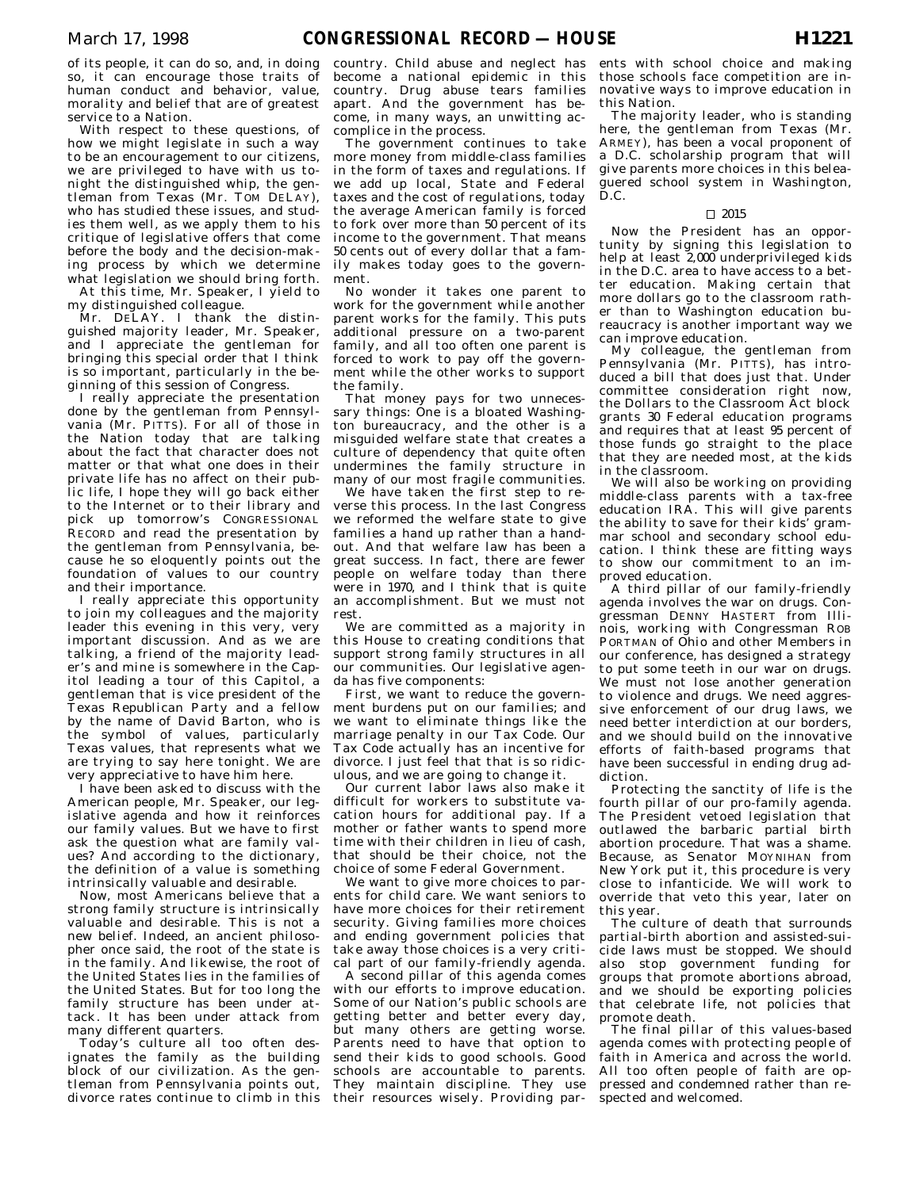of its people, it can do so, and, in doing so, it can encourage those traits of human conduct and behavior, value, morality and belief that are of greatest service to a Nation.

With respect to these questions, of how we might legislate in such a way to be an encouragement to our citizens, we are privileged to have with us tonight the distinguished whip, the gentleman from Texas (Mr. TOM DELAY), who has studied these issues, and studies them well, as we apply them to his critique of legislative offers that come before the body and the decision-making process by which we determine what legislation we should bring forth.

At this time, Mr. Speaker, I yield to my distinguished colleague.

Mr. DELAY. I thank the distinguished majority leader, Mr. Speaker, and I appreciate the gentleman for bringing this special order that I think is so important, particularly in the beginning of this session of Congress.

I really appreciate the presentation done by the gentleman from Pennsylvania (Mr. PITTS). For all of those in the Nation today that are talking about the fact that character does not matter or that what one does in their private life has no affect on their public life, I hope they will go back either to the Internet or to their library and pick up tomorrow's CONGRESSIONAL RECORD and read the presentation by the gentleman from Pennsylvania, because he so eloquently points out the foundation of values to our country and their importance.

I really appreciate this opportunity to join my colleagues and the majority leader this evening in this very, very important discussion. And as we are talking, a friend of the majority leader's and mine is somewhere in the Capitol leading a tour of this Capitol, a gentleman that is vice president of the Texas Republican Party and a fellow by the name of David Barton, who is the symbol of values, particularly Texas values, that represents what we are trying to say here tonight. We are very appreciative to have him here.

I have been asked to discuss with the American people, Mr. Speaker, our legislative agenda and how it reinforces our family values. But we have to first ask the question what are family values? And according to the dictionary, the definition of  $a$  value is something intrinsically valuable and desirable.

Now, most Americans believe that a strong family structure is intrinsically valuable and desirable. This is not a new belief. Indeed, an ancient philosopher once said, the root of the state is in the family. And likewise, the root of the United States lies in the families of the United States. But for too long the family structure has been under attack. It has been under attack from many different quarters.

Today's culture all too often designates the family as the building block of our civilization. As the gentleman from Pennsylvania points out, divorce rates continue to climb in this

country. Child abuse and neglect has become a national epidemic in this country. Drug abuse tears families apart. And the government has become, in many ways, an unwitting accomplice in the process.

The government continues to take more money from middle-class families in the form of taxes and regulations. If we add up local, State and Federal taxes and the cost of regulations, today the average American family is forced to fork over more than 50 percent of its income to the government. That means 50 cents out of every dollar that a family makes today goes to the government.

No wonder it takes one parent to work for the government while another parent works for the family. This puts additional pressure on a two-parent family, and all too often one parent is forced to work to pay off the government while the other works to support the family.

That money pays for two unnecessary things: One is a bloated Washington bureaucracy, and the other is a misguided welfare state that creates a culture of dependency that quite often undermines the family structure in many of our most fragile communities.

We have taken the first step to reverse this process. In the last Congress we reformed the welfare state to give families a hand up rather than a handout. And that welfare law has been a great success. In fact, there are fewer people on welfare today than there were in 1970, and I think that is quite an accomplishment. But we must not rest.

We are committed as a majority in this House to creating conditions that support strong family structures in all our communities. Our legislative agenda has five components:

First, we want to reduce the government burdens put on our families; and we want to eliminate things like the marriage penalty in our Tax Code. Our Tax Code actually has an incentive for divorce. I just feel that that is so ridiculous, and we are going to change it.

Our current labor laws also make it difficult for workers to substitute vacation hours for additional pay. If a mother or father wants to spend more time with their children in lieu of cash, that should be their choice, not the choice of some Federal Government.

We want to give more choices to parents for child care. We want seniors to have more choices for their retirement security. Giving families more choices and ending government policies that take away those choices is a very critical part of our family-friendly agenda.

A second pillar of this agenda comes with our efforts to improve education. Some of our Nation's public schools are getting better and better every day, but many others are getting worse. Parents need to have that option to send their kids to good schools. Good schools are accountable to parents. They maintain discipline. They use their resources wisely. Providing par-

ents with school choice and making those schools face competition are innovative ways to improve education in this Nation.

The majority leader, who is standing here, the gentleman from Texas (Mr. ARMEY), has been a vocal proponent of a D.C. scholarship program that will give parents more choices in this beleaguered school system in Washington, D.C.

#### $\Box$  2015

Now the President has an opportunity by signing this legislation to help at least 2,000 underprivileged kids in the D.C. area to have access to a better education. Making certain that more dollars go to the classroom rather than to Washington education bureaucracy is another important way we can improve education.

My colleague, the gentleman from Pennsylvania (Mr. PITTS), has introduced a bill that does just that. Under committee consideration right now, the Dollars to the Classroom Act block grants 30 Federal education programs and requires that at least 95 percent of those funds go straight to the place that they are needed most, at the kids in the classroom.

We will also be working on providing middle-class parents with a tax-free education IRA. This will give parents the ability to save for their kids' grammar school and secondary school education. I think these are fitting ways to show our commitment to an improved education.

A third pillar of our family-friendly agenda involves the war on drugs. Congressman DENNY HASTERT from Illinois, working with Congressman ROB PORTMAN of Ohio and other Members in our conference, has designed a strategy to put some teeth in our war on drugs. We must not lose another generation to violence and drugs. We need aggressive enforcement of our drug laws, we need better interdiction at our borders, and we should build on the innovative efforts of faith-based programs that have been successful in ending drug addiction.

Protecting the sanctity of life is the fourth pillar of our pro-family agenda. The President vetoed legislation that outlawed the barbaric partial birth abortion procedure. That was a shame. Because, as Senator MOYNIHAN from New York put it, this procedure is very close to infanticide. We will work to override that veto this year, later on this year.

The culture of death that surrounds partial-birth abortion and assisted-suicide laws must be stopped. We should also stop government funding for groups that promote abortions abroad, and we should be exporting policies that celebrate life, not policies that promote death.

The final pillar of this values-based agenda comes with protecting people of faith in America and across the world. All too often people of faith are oppressed and condemned rather than respected and welcomed.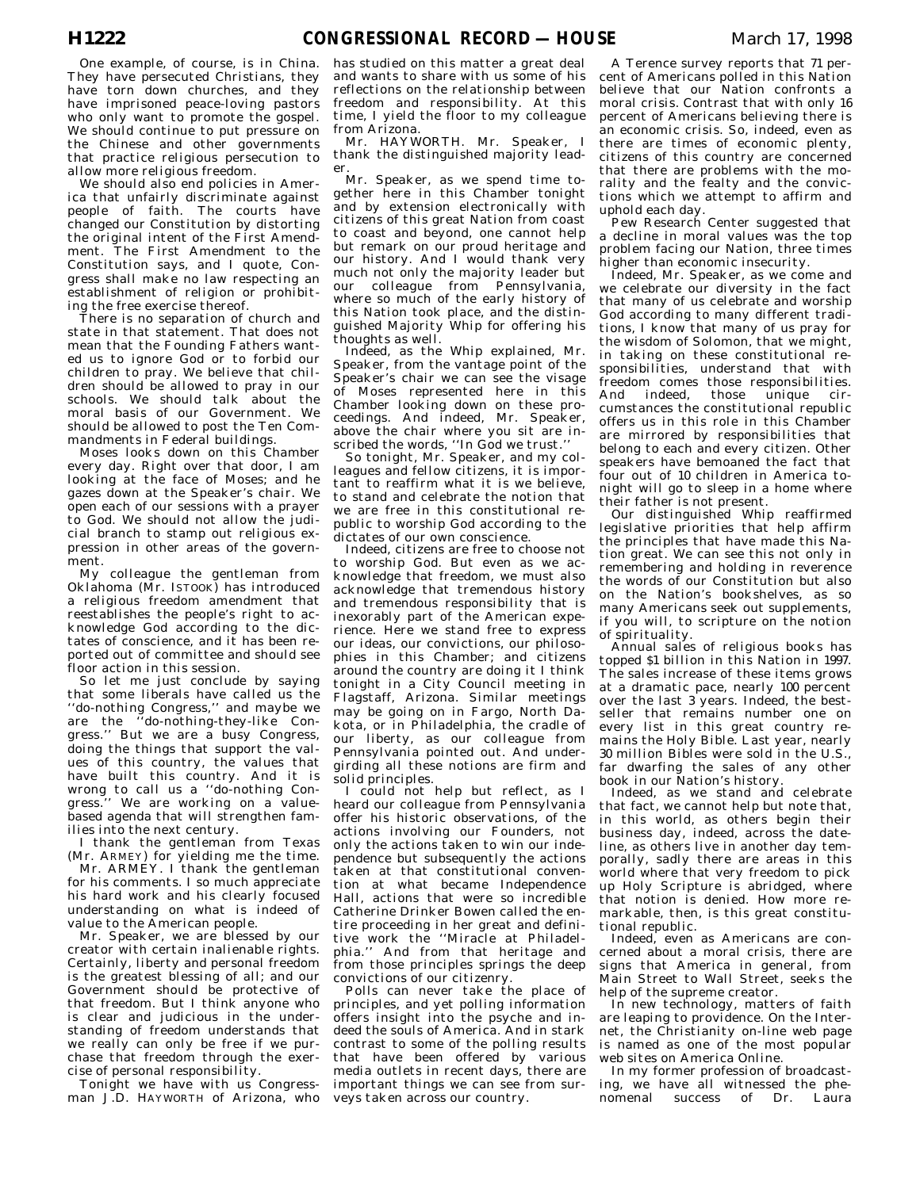One example, of course, is in China. They have persecuted Christians, they have torn down churches, and they have imprisoned peace-loving pastors who only want to promote the gospel. We should continue to put pressure on the Chinese and other governments that practice religious persecution to allow more religious freedom.

We should also end policies in America that unfairly discriminate against people of faith. The courts have changed our Constitution by distorting the original intent of the First Amendment. The First Amendment to the Constitution says, and I quote, Congress shall make no law respecting an establishment of religion or prohibiting the free exercise thereof.

There is no separation of church and state in that statement. That does not mean that the Founding Fathers wanted us to ignore God or to forbid our children to pray. We believe that children should be allowed to pray in our schools. We should talk about the moral basis of our Government. We should be allowed to post the Ten Commandments in Federal buildings.

Moses looks down on this Chamber every day. Right over that door, I am looking at the face of Moses; and he gazes down at the Speaker's chair. We open each of our sessions with a prayer to God. We should not allow the judicial branch to stamp out religious expression in other areas of the government.

My colleague the gentleman from Oklahoma (Mr. ISTOOK) has introduced a religious freedom amendment that reestablishes the people's right to acknowledge God according to the dictates of conscience, and it has been reported out of committee and should see floor action in this session.

So let me just conclude by saying that some liberals have called us the ''do-nothing Congress,'' and maybe we are the ''do-nothing-they-like Congress." But we are a busy Congress, doing the things that support the values of this country, the values that have built this country. And it is wrong to call us a ''do-nothing Congress.'' We are working on a valuebased agenda that will strengthen families into the next century.

I thank the gentleman from Texas (Mr. ARMEY) for yielding me the time. Mr. ARMEY. I thank the gentleman for his comments. I so much appreciate his hard work and his clearly focused understanding on what is indeed of value to the American people.

Mr. Speaker, we are blessed by our creator with certain inalienable rights. Certainly, liberty and personal freedom is the greatest blessing of all; and our Government should be protective of that freedom. But I think anyone who is clear and judicious in the understanding of freedom understands that we really can only be free if we purchase that freedom through the exercise of personal responsibility.

Tonight we have with us Congressman J.D. HAYWORTH of Arizona, who

has studied on this matter a great deal and wants to share with us some of his reflections on the relationship between freedom and responsibility. At this time, I yield the floor to my colleague from Arizona.

Mr. HAYWORTH. Mr. Speaker, I thank the distinguished majority leader.

Mr. Speaker, as we spend time together here in this Chamber tonight and by extension electronically with citizens of this great Nation from coast to coast and beyond, one cannot help but remark on our proud heritage and our history. And I would thank very much not only the majority leader but our colleague from Pennsylvania, where so much of the early history of this Nation took place, and the distinguished Majority Whip for offering his thoughts as well.

Indeed, as the Whip explained, Mr. Speaker, from the vantage point of the Speaker's chair we can see the visage of Moses represented here in this Chamber looking down on these proceedings. And indeed, Mr. Speaker, above the chair where you sit are inscribed the words, ''In God we trust.''

So tonight, Mr. Speaker, and my colleagues and fellow citizens, it is important to reaffirm what it is we believe, to stand and celebrate the notion that we are free in this constitutional republic to worship God according to the dictates of our own conscience.

Indeed, citizens are free to choose not to worship God. But even as we acknowledge that freedom, we must also acknowledge that tremendous history and tremendous responsibility that is inexorably part of the American experience. Here we stand free to express our ideas, our convictions, our philosophies in this Chamber; and citizens around the country are doing it I think tonight in a City Council meeting in Flagstaff, Arizona. Similar meetings may be going on in Fargo, North Dakota, or in Philadelphia, the cradle of our liberty, as our colleague from Pennsylvania pointed out. And undergirding all these notions are firm and solid principles.

I could not help but reflect, as I heard our colleague from Pennsylvania offer his historic observations, of the actions involving our Founders, not only the actions taken to win our independence but subsequently the actions taken at that constitutional convention at what became Independence Hall, actions that were so incredible Catherine Drinker Bowen called the entire proceeding in her great and definitive work the ''Miracle at Philadelphia.'' And from that heritage and from those principles springs the deep convictions of our citizenry.

Polls can never take the place of principles, and yet polling information offers insight into the psyche and indeed the souls of America. And in stark contrast to some of the polling results that have been offered by various media outlets in recent days, there are important things we can see from surveys taken across our country.

A Terence survey reports that 71 percent of Americans polled in this Nation believe that our Nation confronts a moral crisis. Contrast that with only 16 percent of Americans believing there is an economic crisis. So, indeed, even as there are times of economic plenty, citizens of this country are concerned that there are problems with the morality and the fealty and the convictions which we attempt to affirm and uphold each day.

Pew Research Center suggested that a decline in moral values was the top problem facing our Nation, three times higher than economic insecurity.

Indeed, Mr. Speaker, as we come and we celebrate our diversity in the fact that many of us celebrate and worship God according to many different traditions, I know that many of us pray for the wisdom of Solomon, that we might, in taking on these constitutional responsibilities, understand that with freedom comes those responsibilities. And indeed, those unique circumstances the constitutional republic offers us in this role in this Chamber are mirrored by responsibilities that belong to each and every citizen. Other speakers have bemoaned the fact that four out of 10 children in America tonight will go to sleep in a home where their father is not present.

Our distinguished Whip reaffirmed legislative priorities that help affirm the principles that have made this Nation great. We can see this not only in remembering and holding in reverence the words of our Constitution but also on the Nation's bookshelves, as so many Americans seek out supplements, if you will, to scripture on the notion of spirituality.

Annual sales of religious books has topped \$1 billion in this Nation in 1997. The sales increase of these items grows at a dramatic pace, nearly 100 percent over the last 3 years. Indeed, the bestseller that remains number one on every list in this great country remains the Holy Bible. Last year, nearly 30 million Bibles were sold in the U.S., far dwarfing the sales of any other book in our Nation's history.

Indeed, as we stand and celebrate that fact, we cannot help but note that, in this world, as others begin their business day, indeed, across the dateline, as others live in another day temporally, sadly there are areas in this world where that very freedom to pick up Holy Scripture is abridged, where that notion is denied. How more remarkable, then, is this great constitutional republic.

Indeed, even as Americans are concerned about a moral crisis, there are signs that America in general, from Main Street to Wall Street, seeks the help of the supreme creator.

In new technology, matters of faith are leaping to providence. On the Internet, the Christianity on-line web page is named as one of the most popular web sites on America Online.

In my former profession of broadcasting, we have all witnessed the phenomenal success of Dr. Laura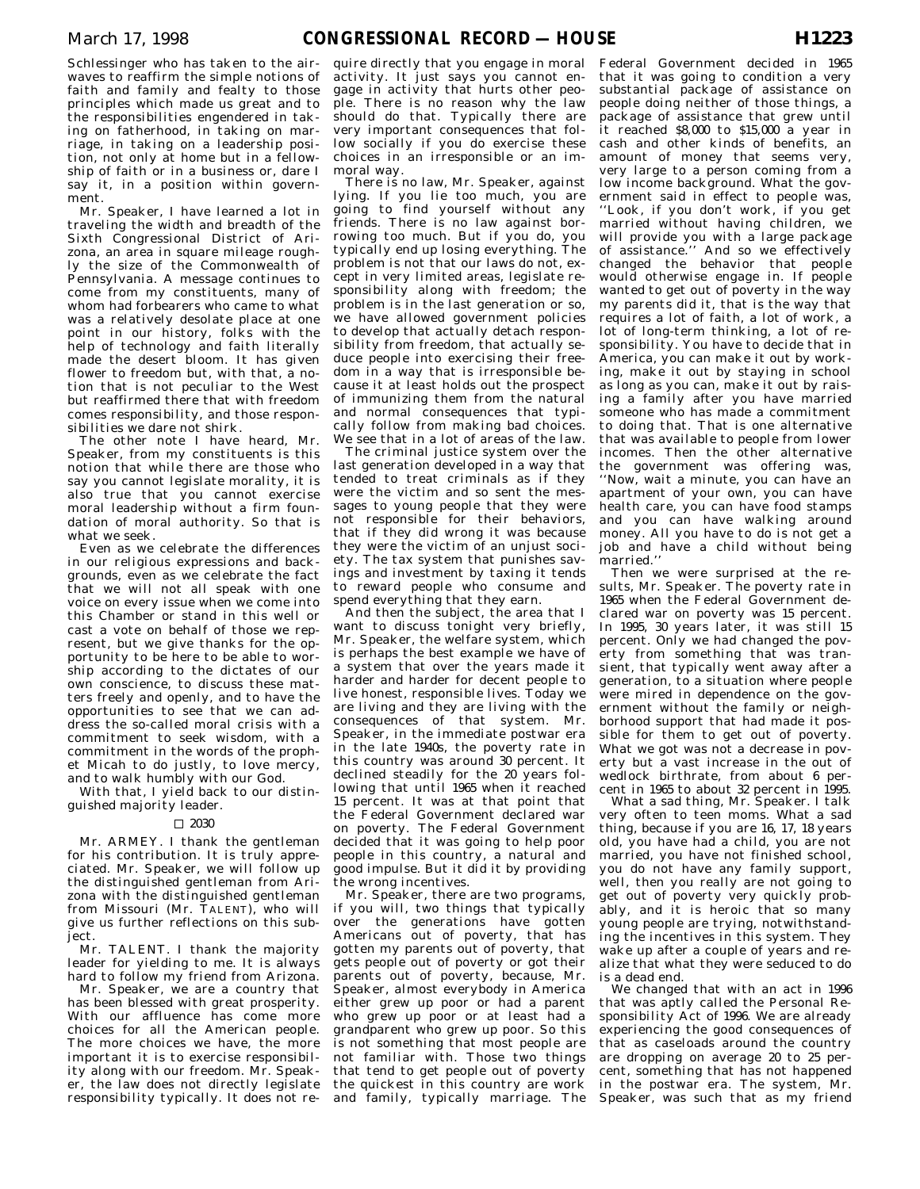Schlessinger who has taken to the airwaves to reaffirm the simple notions of faith and family and fealty to those principles which made us great and to the responsibilities engendered in taking on fatherhood, in taking on marriage, in taking on a leadership position, not only at home but in a fellowship of faith or in a business or, dare I say it, in a position within government.

Mr. Speaker, I have learned a lot in traveling the width and breadth of the Sixth Congressional District of Arizona, an area in square mileage roughly the size of the Commonwealth of Pennsylvania. A message continues to come from my constituents, many of whom had forbearers who came to what was a relatively desolate place at one point in our history, folks with the help of technology and faith literally made the desert bloom. It has given flower to freedom but, with that, a notion that is not peculiar to the West but reaffirmed there that with freedom comes responsibility, and those responsibilities we dare not shirk.

The other note I have heard, Mr. Speaker, from my constituents is this notion that while there are those who say you cannot legislate morality, it is also true that you cannot exercise moral leadership without a firm foundation of moral authority. So that is what we seek.

Even as we celebrate the differences in our religious expressions and backgrounds, even as we celebrate the fact that we will not all speak with one voice on every issue when we come into this Chamber or stand in this well or cast a vote on behalf of those we represent, but we give thanks for the opportunity to be here to be able to worship according to the dictates of our own conscience, to discuss these matters freely and openly, and to have the opportunities to see that we can address the so-called moral crisis with a commitment to seek wisdom, with a commitment in the words of the prophet Micah to do justly, to love mercy, and to walk humbly with our God.

With that, I yield back to our distinguished majority leader.

#### $\square$  2030

Mr. ARMEY. I thank the gentleman for his contribution. It is truly appreciated. Mr. Speaker, we will follow up the distinguished gentleman from Arizona with the distinguished gentleman from Missouri (Mr. TALENT), who will give us further reflections on this subject.

Mr. TALENT. I thank the majority leader for yielding to me. It is always hard to follow my friend from Arizona.

Mr. Speaker, we are a country that has been blessed with great prosperity. With our affluence has come more choices for all the American people. The more choices we have, the more important it is to exercise responsibility along with our freedom. Mr. Speaker, the law does not directly legislate responsibility typically. It does not re-

quire directly that you engage in moral activity. It just says you cannot engage in activity that hurts other people. There is no reason why the law should do that. Typically there are very important consequences that follow socially if you do exercise these choices in an irresponsible or an immoral way.

There is no law, Mr. Speaker, against lying. If you lie too much, you are going to find yourself without any friends. There is no law against borrowing too much. But if you do, you typically end up losing everything. The problem is not that our laws do not, except in very limited areas, legislate responsibility along with freedom; the problem is in the last generation or so, we have allowed government policies to develop that actually detach responsibility from freedom, that actually seduce people into exercising their freedom in a way that is irresponsible because it at least holds out the prospect of immunizing them from the natural and normal consequences that typically follow from making bad choices. We see that in a lot of areas of the law.

The criminal justice system over the last generation developed in a way that tended to treat criminals as if they were the victim and so sent the messages to young people that they were not responsible for their behaviors, that if they did wrong it was because they were the victim of an unjust society. The tax system that punishes savings and investment by taxing it tends to reward people who consume and spend everything that they earn.

And then the subject, the area that I want to discuss tonight very briefly, Mr. Speaker, the welfare system, which is perhaps the best example we have of a system that over the years made it harder and harder for decent people to live honest, responsible lives. Today we are living and they are living with the consequences of that system. Mr. Speaker, in the immediate postwar era in the late 1940s, the poverty rate in this country was around 30 percent. It declined steadily for the 20 years following that until 1965 when it reached 15 percent. It was at that point that the Federal Government declared war on poverty. The Federal Government decided that it was going to help poor people in this country, a natural and good impulse. But it did it by providing the wrong incentives.

Mr. Speaker, there are two programs, if you will, two things that typically over the generations have gotten Americans out of poverty, that has gotten my parents out of poverty, that gets people out of poverty or got their parents out of poverty, because, Mr. Speaker, almost everybody in America either grew up poor or had a parent who grew up poor or at least had a grandparent who grew up poor. So this is not something that most people are not familiar with. Those two things that tend to get people out of poverty the quickest in this country are work and family, typically marriage. The

Federal Government decided in 1965 that it was going to condition a very substantial package of assistance on people doing neither of those things, a package of assistance that grew until it reached \$8,000 to \$15,000 a year in cash and other kinds of benefits, an amount of money that seems very, very large to a person coming from a low income background. What the government said in effect to people was, ''Look, if you don't work, if you get married without having children, we will provide you with a large package of assistance.'' And so we effectively changed the behavior that people would otherwise engage in. If people wanted to get out of poverty in the way my parents did it, that is the way that requires a lot of faith, a lot of work, a lot of long-term thinking, a lot of responsibility. You have to decide that in America, you can make it out by working, make it out by staying in school as long as you can, make it out by raising a family after you have married someone who has made a commitment to doing that. That is one alternative that was available to people from lower incomes. Then the other alternative the government was offering was, ''Now, wait a minute, you can have an apartment of your own, you can have health care, you can have food stamps and you can have walking around money. All you have to do is not get a job and have a child without being married.''

Then we were surprised at the results, Mr. Speaker. The poverty rate in 1965 when the Federal Government declared war on poverty was 15 percent. In 1995, 30 years later, it was still 15 percent. Only we had changed the poverty from something that was transient, that typically went away after a generation, to a situation where people were mired in dependence on the government without the family or neighborhood support that had made it possible for them to get out of poverty. What we got was not a decrease in poverty but a vast increase in the out of wedlock birthrate, from about 6 percent in 1965 to about 32 percent in 1995.

What a sad thing, Mr. Speaker. I talk very often to teen moms. What a sad thing, because if you are 16, 17, 18 years old, you have had a child, you are not married, you have not finished school, you do not have any family support, well, then you really are not going to get out of poverty very quickly probably, and it is heroic that so many young people are trying, notwithstanding the incentives in this system. They wake up after a couple of years and realize that what they were seduced to do is a dead end.

We changed that with an act in 1996 that was aptly called the Personal Responsibility Act of 1996. We are already experiencing the good consequences of that as caseloads around the country are dropping on average 20 to 25 percent, something that has not happened in the postwar era. The system, Mr. Speaker, was such that as my friend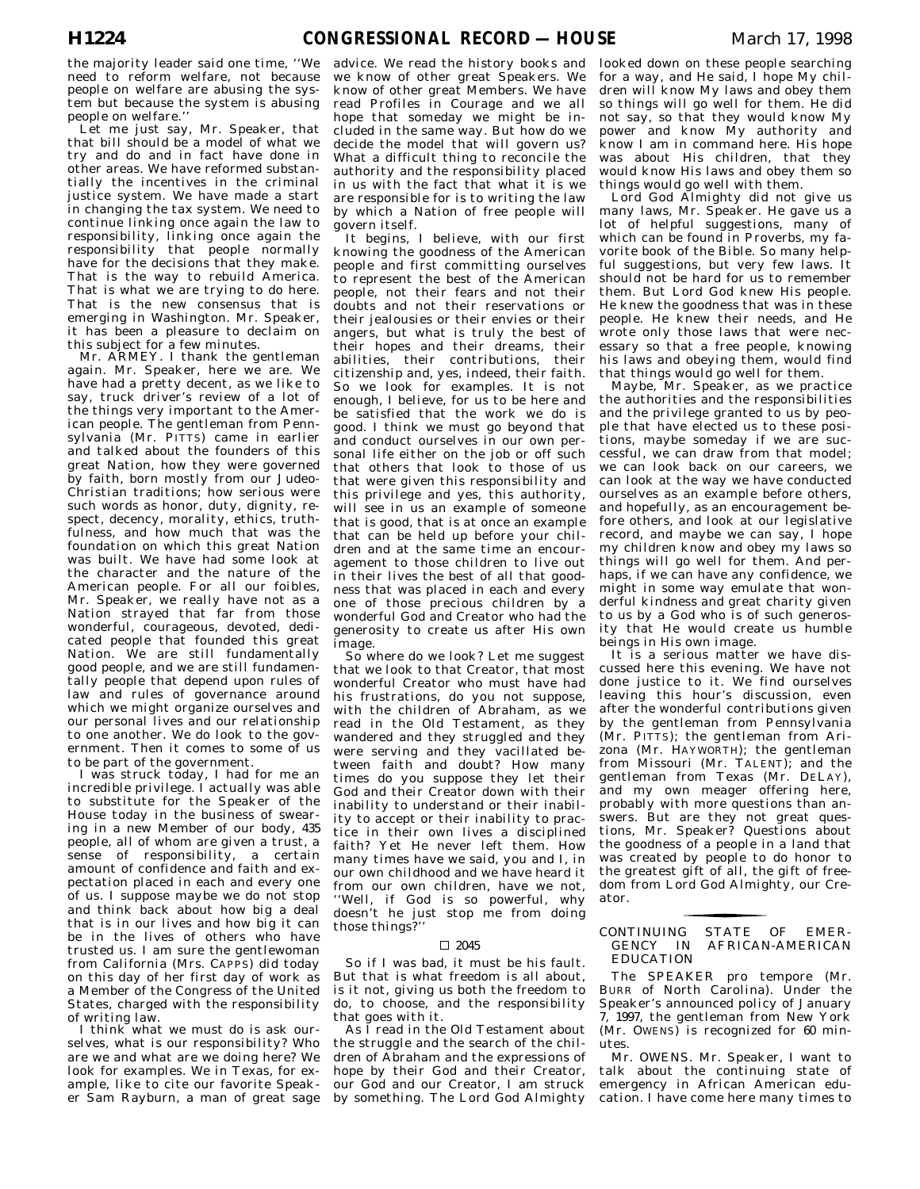the majority leader said one time, ''We need to reform welfare, not because people on welfare are abusing the system but because the system is abusing people on welfare.''

Let me just say, Mr. Speaker, that that bill should be a model of what we try and do and in fact have done in other areas. We have reformed substantially the incentives in the criminal justice system. We have made a start in changing the tax system. We need to continue linking once again the law to responsibility, linking once again the responsibility that people normally have for the decisions that they make. That is the way to rebuild America. That is what we are trying to do here. That is the new consensus that is emerging in Washington. Mr. Speaker, it has been a pleasure to declaim on this subject for a few minutes.

Mr. ARMEY. I thank the gentleman again. Mr. Speaker, here we are. We have had a pretty decent, as we like to say, truck driver's review of a lot of the things very important to the American people. The gentleman from Pennsylvania (Mr. PITTS) came in earlier and talked about the founders of this great Nation, how they were governed by faith, born mostly from our Judeo-Christian traditions; how serious were such words as honor, duty, dignity, respect, decency, morality, ethics, truthfulness, and how much that was the foundation on which this great Nation was built. We have had some look at the character and the nature of the American people. For all our foibles, Mr. Speaker, we really have not as a Nation strayed that far from those wonderful, courageous, devoted, dedicated people that founded this great Nation. We are still fundamentally good people, and we are still fundamentally people that depend upon rules of law and rules of governance around which we might organize ourselves and our personal lives and our relationship to one another. We do look to the government. Then it comes to some of us to be part of the government.

I was struck today, I had for me an incredible privilege. I actually was able to substitute for the Speaker of the House today in the business of swearing in a new Member of our body, 435 people, all of whom are given a trust, a sense of responsibility, a certain amount of confidence and faith and expectation placed in each and every one of us. I suppose maybe we do not stop and think back about how big a deal that is in our lives and how big it can be in the lives of others who have trusted us. I am sure the gentlewoman from California (Mrs. CAPPS) did today on this day of her first day of work as a Member of the Congress of the United States, charged with the responsibility of writing law.

I think what we must do is ask ourselves, what is our responsibility? Who are we and what are we doing here? We look for examples. We in Texas, for example, like to cite our favorite Speaker Sam Rayburn, a man of great sage

advice. We read the history books and we know of other great Speakers. We know of other great Members. We have read Profiles in Courage and we all hope that someday we might be included in the same way. But how do we decide the model that will govern us? What a difficult thing to reconcile the authority and the responsibility placed in us with the fact that what it is we are responsible for is to writing the law by which a Nation of free people will govern itself.

It begins, I believe, with our first knowing the goodness of the American people and first committing ourselves to represent the best of the American people, not their fears and not their doubts and not their reservations or their jealousies or their envies or their angers, but what is truly the best of their hopes and their dreams, their abilities, their contributions, their citizenship and, yes, indeed, their faith. So we look for examples. It is not enough, I believe, for us to be here and be satisfied that the work we do is good. I think we must go beyond that and conduct ourselves in our own personal life either on the job or off such that others that look to those of us that were given this responsibility and this privilege and yes, this authority, will see in us an example of someone that is good, that is at once an example that can be held up before your children and at the same time an encouragement to those children to live out in their lives the best of all that goodness that was placed in each and every one of those precious children by a wonderful God and Creator who had the generosity to create us after His own image.

So where do we look? Let me suggest that we look to that Creator, that most wonderful Creator who must have had his frustrations, do you not suppose, with the children of Abraham, as we read in the Old Testament, as they wandered and they struggled and they were serving and they vacillated between faith and doubt? How many times do you suppose they let their God and their Creator down with their inability to understand or their inability to accept or their inability to practice in their own lives a disciplined faith? Yet He never left them. How many times have we said, you and I, in our own childhood and we have heard it from our own children, have we not, ''Well, if God is so powerful, why doesn't he just stop me from doing those things?''

#### $\Box$  2045

So if I was bad, it must be his fault. But that is what freedom is all about, is it not, giving us both the freedom to do, to choose, and the responsibility that goes with it.

As I read in the Old Testament about the struggle and the search of the children of Abraham and the expressions of hope by their God and their Creator, our God and our Creator, I am struck by something. The Lord God Almighty

looked down on these people searching for a way, and He said, I hope My children will know My laws and obey them so things will go well for them. He did not say, so that they would know My power and know My authority and know I am in command here. His hope was about His children, that they would know His laws and obey them so things would go well with them.

Lord God Almighty did not give us many laws, Mr. Speaker. He gave us a lot of helpful suggestions, many of which can be found in Proverbs, my favorite book of the Bible. So many helpful suggestions, but very few laws. It should not be hard for us to remember them. But Lord God knew His people. He knew the goodness that was in these people. He knew their needs, and He wrote only those laws that were necessary so that a free people, knowing his laws and obeying them, would find that things would go well for them.

Maybe, Mr. Speaker, as we practice the authorities and the responsibilities and the privilege granted to us by people that have elected us to these positions, maybe someday if we are successful, we can draw from that model; we can look back on our careers, we can look at the way we have conducted ourselves as an example before others, and hopefully, as an encouragement before others, and look at our legislative record, and maybe we can say, I hope my children know and obey my laws so things will go well for them. And perhaps, if we can have any confidence, we might in some way emulate that wonderful kindness and great charity given to us by a God who is of such generosity that He would create us humble beings in His own image.

It is a serious matter we have discussed here this evening. We have not done justice to it. We find ourselves leaving this hour's discussion, even after the wonderful contributions given by the gentleman from Pennsylvania (Mr. PITTS); the gentleman from Arizona (Mr. HAYWORTH); the gentleman from Missouri (Mr. TALENT); and the gentleman from Texas (Mr. DELAY), and my own meager offering here, probably with more questions than answers. But are they not great questions, Mr. Speaker? Questions about the goodness of a people in a land that was created by people to do honor to the greatest gift of all, the gift of freedom from Lord God Almighty, our Creator.

#### CONTINUING STATE OF EMER-GENCY IN AFRICAN-AMERICAN EDUCATION

for the control of the control of

The SPEAKER pro tempore (Mr. BURR of North Carolina). Under the Speaker's announced policy of January 7, 1997, the gentleman from New York (Mr. OWENS) is recognized for 60 minutes.

Mr. OWENS. Mr. Speaker, I want to talk about the continuing state of emergency in African American education. I have come here many times to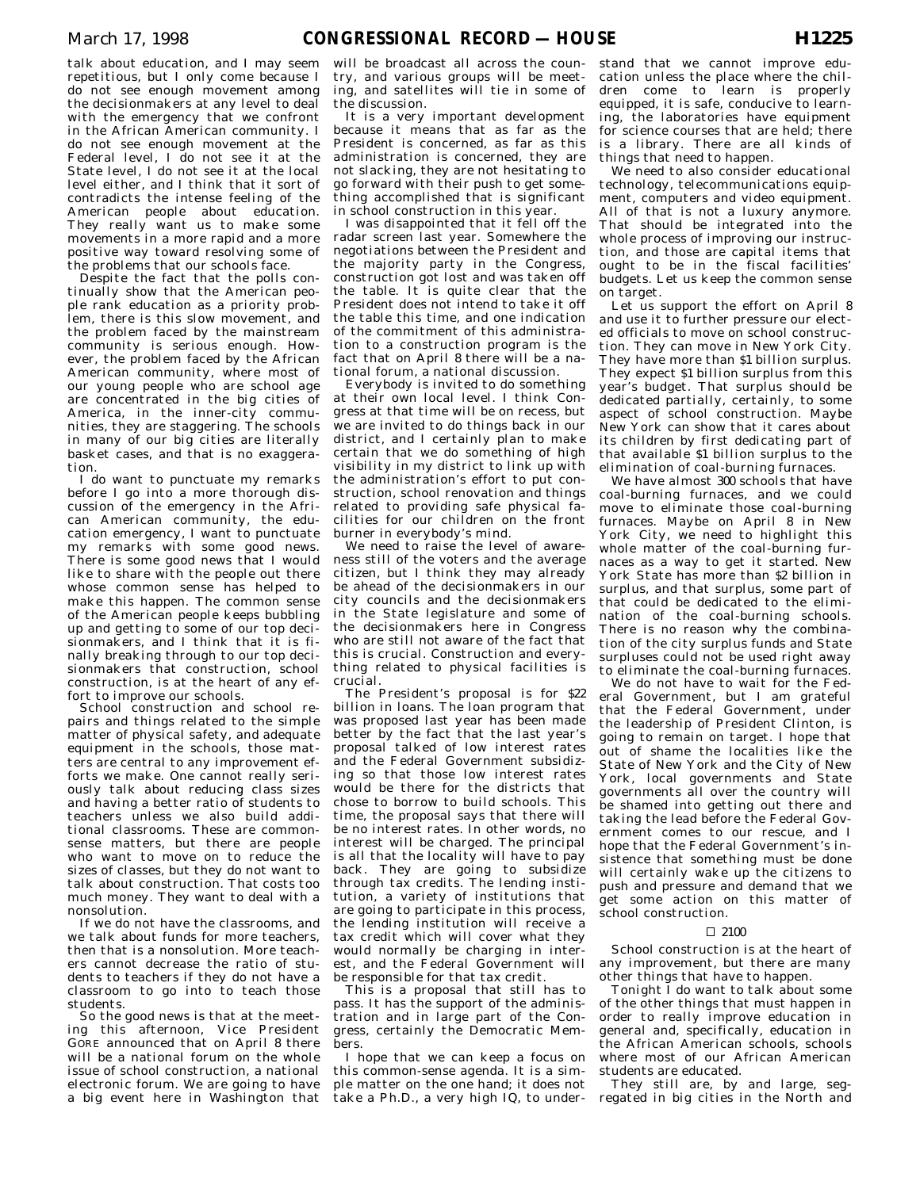talk about education, and I may seem repetitious, but I only come because I do not see enough movement among the decisionmakers at any level to deal with the emergency that we confront in the African American community. I do not see enough movement at the Federal level, I do not see it at the State level, I do not see it at the local level either, and I think that it sort of contradicts the intense feeling of the American people about education. They really want us to make some movements in a more rapid and a more positive way toward resolving some of the problems that our schools face.

Despite the fact that the polls continually show that the American people rank education as a priority problem, there is this slow movement, and the problem faced by the mainstream community is serious enough. However, the problem faced by the African American community, where most of our young people who are school age are concentrated in the big cities of America, in the inner-city communities, they are staggering. The schools in many of our big cities are literally basket cases, and that is no exaggeration.

I do want to punctuate my remarks before I go into a more thorough discussion of the emergency in the African American community, the education emergency, I want to punctuate my remarks with some good news. There is some good news that I would like to share with the people out there whose common sense has helped to make this happen. The common sense of the American people keeps bubbling up and getting to some of our top decisionmakers, and I think that it is finally breaking through to our top decisionmakers that construction, school construction, is at the heart of any effort to improve our schools.

School construction and school repairs and things related to the simple matter of physical safety, and adequate equipment in the schools, those matters are central to any improvement efforts we make. One cannot really seriously talk about reducing class sizes and having a better ratio of students to teachers unless we also build additional classrooms. These are commonsense matters, but there are people who want to move on to reduce the sizes of classes, but they do not want to talk about construction. That costs too much money. They want to deal with a nonsolution.

If we do not have the classrooms, and we talk about funds for more teachers, then that is a nonsolution. More teachers cannot decrease the ratio of students to teachers if they do not have a classroom to go into to teach those students.

So the good news is that at the meeting this afternoon, Vice President GORE announced that on April 8 there will be a national forum on the whole issue of school construction, a national electronic forum. We are going to have a big event here in Washington that

will be broadcast all across the country, and various groups will be meeting, and satellites will tie in some of the discussion.

It is a very important development because it means that as far as the President is concerned, as far as this administration is concerned, they are not slacking, they are not hesitating to go forward with their push to get something accomplished that is significant in school construction in this year.

I was disappointed that it fell off the radar screen last year. Somewhere the negotiations between the President and the majority party in the Congress, construction got lost and was taken off the table. It is quite clear that the President does not intend to take it off the table this time, and one indication of the commitment of this administration to a construction program is the fact that on April 8 there will be a national forum, a national discussion.

Everybody is invited to do something at their own local level. I think Congress at that time will be on recess, but we are invited to do things back in our district, and I certainly plan to make certain that we do something of high visibility in my district to link up with the administration's effort to put construction, school renovation and things related to providing safe physical facilities for our children on the front burner in everybody's mind.

We need to raise the level of awareness still of the voters and the average citizen, but I think they may already be ahead of the decisionmakers in our city councils and the decisionmakers in the State legislature and some of the decisionmakers here in Congress who are still not aware of the fact that this is crucial. Construction and everything related to physical facilities is crucial.

The President's proposal is for \$22 billion in loans. The loan program that was proposed last year has been made better by the fact that the last year's proposal talked of low interest rates and the Federal Government subsidizing so that those low interest rates would be there for the districts that chose to borrow to build schools. This time, the proposal says that there will be no interest rates. In other words, no interest will be charged. The principal is all that the locality will have to pay back. They are going to subsidize through tax credits. The lending institution, a variety of institutions that are going to participate in this process, the lending institution will receive a tax credit which will cover what they would normally be charging in interest, and the Federal Government will be responsible for that tax credit.

This is a proposal that still has to pass. It has the support of the administration and in large part of the Congress, certainly the Democratic Members.

I hope that we can keep a focus on this common-sense agenda. It is a simple matter on the one hand; it does not take a Ph.D., a very high IQ, to understand that we cannot improve education unless the place where the children come to learn is properly equipped, it is safe, conducive to learning, the laboratories have equipment for science courses that are held; there is a library. There are all kinds of things that need to happen.

We need to also consider educational technology, telecommunications equipment, computers and video equipment. All of that is not a luxury anymore. That should be integrated into the whole process of improving our instruction, and those are capital items that ought to be in the fiscal facilities' budgets. Let us keep the common sense on target.

Let us support the effort on April 8 and use it to further pressure our elected officials to move on school construction. They can move in New York City. They have more than \$1 billion surplus. They expect \$1 billion surplus from this year's budget. That surplus should be dedicated partially, certainly, to some aspect of school construction. Maybe New York can show that it cares about its children by first dedicating part of that available \$1 billion surplus to the elimination of coal-burning furnaces.

We have almost 300 schools that have coal-burning furnaces, and we could move to eliminate those coal-burning furnaces. Maybe on April 8 in New York City, we need to highlight this whole matter of the coal-burning furnaces as a way to get it started. New York State has more than \$2 billion in surplus, and that surplus, some part of that could be dedicated to the elimination of the coal-burning schools. There is no reason why the combination of the city surplus funds and State surpluses could not be used right away to eliminate the coal-burning furnaces.

We do not have to wait for the Federal Government, but I am grateful that the Federal Government, under the leadership of President Clinton, is going to remain on target. I hope that out of shame the localities like the State of New York and the City of New York, local governments and State governments all over the country will be shamed into getting out there and taking the lead before the Federal Government comes to our rescue, and I hope that the Federal Government's insistence that something must be done will certainly wake up the citizens to push and pressure and demand that we get some action on this matter of school construction.

#### $\Box$  2100

School construction is at the heart of any improvement, but there are many other things that have to happen.

Tonight I do want to talk about some of the other things that must happen in order to really improve education in general and, specifically, education in the African American schools, schools where most of our African American students are educated.

They still are, by and large, segregated in big cities in the North and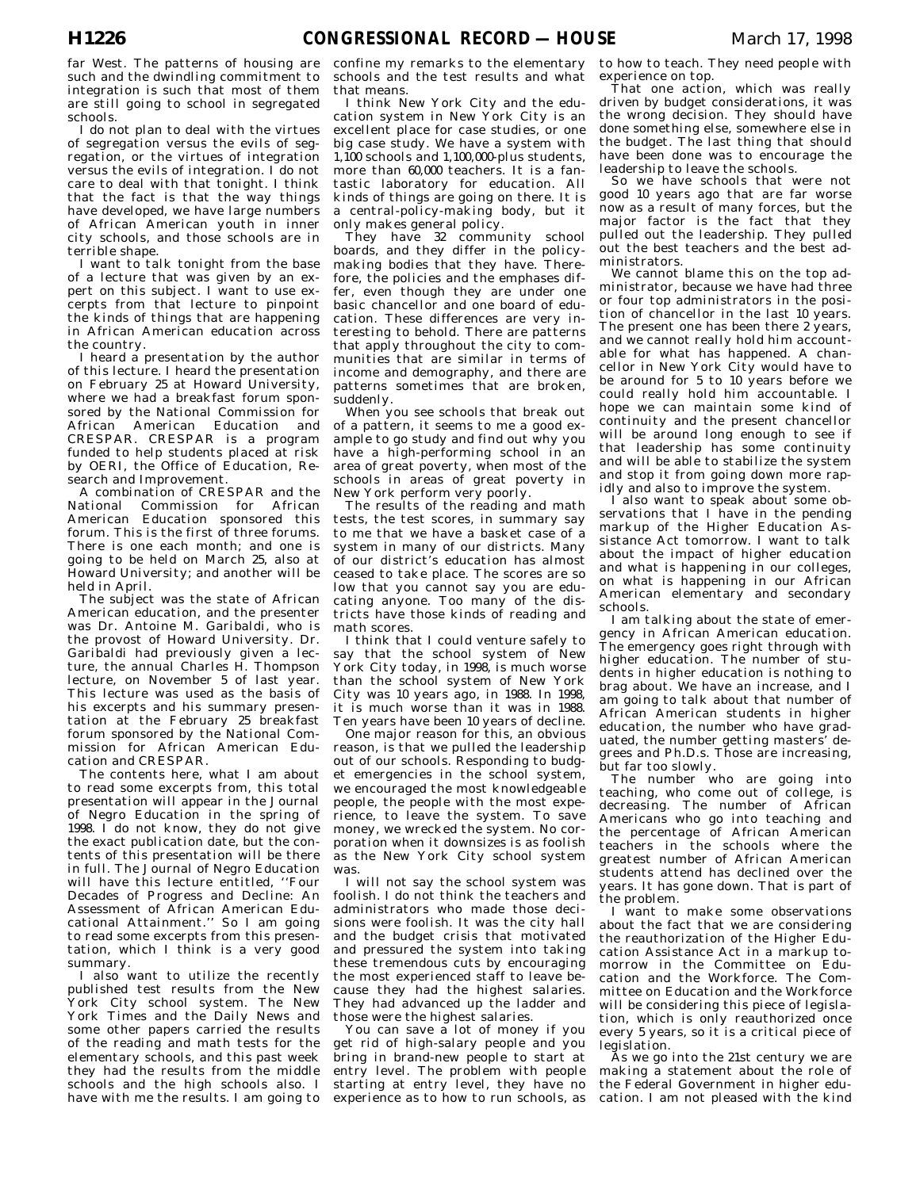far West. The patterns of housing are such and the dwindling commitment to integration is such that most of them are still going to school in segregated schools.

I do not plan to deal with the virtues of segregation versus the evils of segregation, or the virtues of integration versus the evils of integration. I do not care to deal with that tonight. I think that the fact is that the way things have developed, we have large numbers of African American youth in inner city schools, and those schools are in terrible shape.

I want to talk tonight from the base of a lecture that was given by an expert on this subject. I want to use excerpts from that lecture to pinpoint the kinds of things that are happening in African American education across the country.

I heard a presentation by the author of this lecture. I heard the presentation on February 25 at Howard University, where we had a breakfast forum sponsored by the National Commission for African American Education and CRESPAR. CRESPAR is a program funded to help students placed at risk by OERI, the Office of Education, Research and Improvement.

A combination of CRESPAR and the National Commission for African American Education sponsored this forum. This is the first of three forums. There is one each month; and one is going to be held on March 25, also at Howard University; and another will be held in April.

The subject was the state of African American education, and the presenter was Dr. Antoine M. Garibaldi, who is the provost of Howard University. Dr. Garibaldi had previously given a lecture, the annual Charles H. Thompson lecture, on November 5 of last year. This lecture was used as the basis of his excerpts and his summary presentation at the February 25 breakfast forum sponsored by the National Commission for African American Education and CRESPAR.

The contents here, what I am about to read some excerpts from, this total presentation will appear in the Journal of Negro Education in the spring of 1998. I do not know, they do not give the exact publication date, but the contents of this presentation will be there in full. The Journal of Negro Education will have this lecture entitled, ''Four Decades of Progress and Decline: An Assessment of African American Educational Attainment.'' So I am going to read some excerpts from this presentation, which I think is a very good summary.

I also want to utilize the recently published test results from the New York City school system. The New York Times and the Daily News and some other papers carried the results of the reading and math tests for the elementary schools, and this past week they had the results from the middle schools and the high schools also. I have with me the results. I am going to

confine my remarks to the elementary schools and the test results and what that means.

I think New York City and the education system in New York City is an excellent place for case studies, or one big case study. We have a system with 1,100 schools and 1,100,000-plus students, more than 60,000 teachers. It is a fantastic laboratory for education. All kinds of things are going on there. It is a central-policy-making body, but it only makes general policy.

They have 32 community school boards, and they differ in the policymaking bodies that they have. Therefore, the policies and the emphases differ, even though they are under one basic chancellor and one board of education. These differences are very interesting to behold. There are patterns that apply throughout the city to communities that are similar in terms of income and demography, and there are patterns sometimes that are broken, suddenly.

When you see schools that break out of a pattern, it seems to me a good example to go study and find out why you have a high-performing school in an area of great poverty, when most of the schools in areas of great poverty in New York perform very poorly.

The results of the reading and math tests, the test scores, in summary say to me that we have a basket case of a system in many of our districts. Many of our district's education has almost ceased to take place. The scores are so low that you cannot say you are educating anyone. Too many of the districts have those kinds of reading and math scores.

I think that I could venture safely to say that the school system of New York City today, in 1998, is much worse than the school system of New York City was 10 years ago, in 1988. In 1998, it is much worse than it was in 1988. Ten years have been 10 years of decline.

One major reason for this, an obvious reason, is that we pulled the leadership out of our schools. Responding to budget emergencies in the school system, we encouraged the most knowledgeable people, the people with the most experience, to leave the system. To save money, we wrecked the system. No corporation when it downsizes is as foolish as the New York City school system was.

I will not say the school system was foolish. I do not think the teachers and administrators who made those decisions were foolish. It was the city hall and the budget crisis that motivated and pressured the system into taking these tremendous cuts by encouraging the most experienced staff to leave because they had the highest salaries. They had advanced up the ladder and those were the highest salaries.

You can save a lot of money if you get rid of high-salary people and you bring in brand-new people to start at entry level. The problem with people starting at entry level, they have no experience as to how to run schools, as

to how to teach. They need people with experience on top.

That one action, which was really driven by budget considerations, it was the wrong decision. They should have done something else, somewhere else in the budget. The last thing that should have been done was to encourage the leadership to leave the schools.

So we have schools that were not good 10 years ago that are far worse now as a result of many forces, but the major factor is the fact that they pulled out the leadership. They pulled out the best teachers and the best administrators.

We cannot blame this on the top administrator, because we have had three or four top administrators in the position of chancellor in the last 10 years. The present one has been there 2 years, and we cannot really hold him accountable for what has happened. A chancellor in New York City would have to be around for 5 to 10 years before we could really hold him accountable. I hope we can maintain some kind of continuity and the present chancellor will be around long enough to see if that leadership has some continuity and will be able to stabilize the system and stop it from going down more rapidly and also to improve the system.

I also want to speak about some observations that I have in the pending markup of the Higher Education Assistance Act tomorrow. I want to talk about the impact of higher education and what is happening in our colleges, on what is happening in our African American elementary and secondary schools.

I am talking about the state of emergency in African American education. The emergency goes right through with higher education. The number of students in higher education is nothing to brag about. We have an increase, and I am going to talk about that number of African American students in higher education, the number who have graduated, the number getting masters' degrees and Ph.D.s. Those are increasing, but far too slowly.

The number who are going into teaching, who come out of college, is decreasing. The number of African Americans who go into teaching and the percentage of African American teachers in the schools where the greatest number of African American students attend has declined over the years. It has gone down. That is part of the problem.

I want to make some observations about the fact that we are considering the reauthorization of the Higher Education Assistance Act in a markup tomorrow in the Committee on Education and the Workforce. The Committee on Education and the Workforce will be considering this piece of legislation, which is only reauthorized once every 5 years, so it is a critical piece of legislation.

As we go into the 21st century we are making a statement about the role of the Federal Government in higher education. I am not pleased with the kind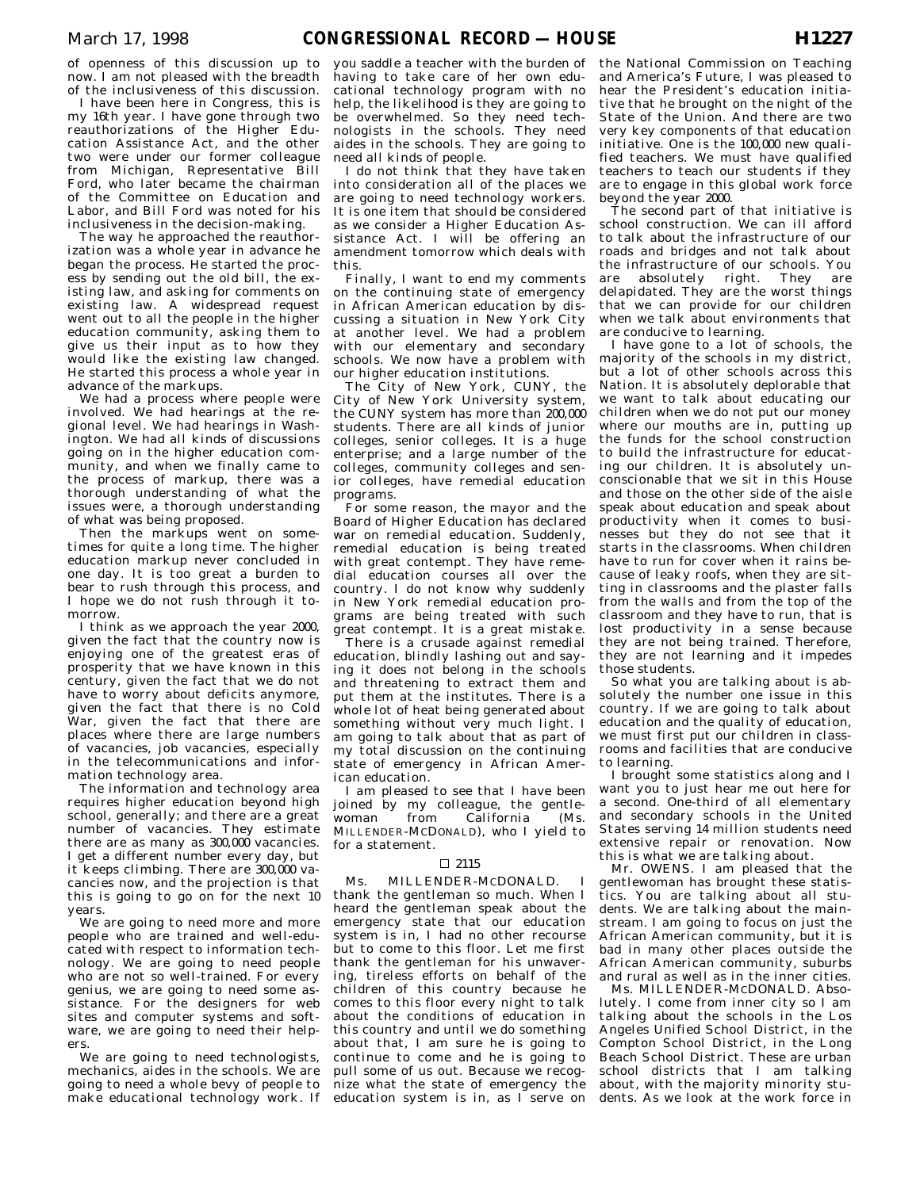of openness of this discussion up to now. I am not pleased with the breadth of the inclusiveness of this discussion.

I have been here in Congress, this is my 16th year. I have gone through two reauthorizations of the Higher Education Assistance Act, and the other two were under our former colleague from Michigan, Representative Bill Ford, who later became the chairman of the Committee on Education and Labor, and Bill Ford was noted for his inclusiveness in the decision-making.

The way he approached the reauthorization was a whole year in advance he began the process. He started the process by sending out the old bill, the existing law, and asking for comments on existing law. A widespread request went out to all the people in the higher education community, asking them to give us their input as to how they would like the existing law changed. He started this process a whole year in advance of the markups.

We had a process where people were involved. We had hearings at the regional level. We had hearings in Washington. We had all kinds of discussions going on in the higher education community, and when we finally came to the process of markup, there was a thorough understanding of what the issues were, a thorough understanding of what was being proposed.

Then the markups went on sometimes for quite a long time. The higher education markup never concluded in one day. It is too great a burden to bear to rush through this process, and I hope we do not rush through it tomorrow.

I think as we approach the year 2000, given the fact that the country now is enjoying one of the greatest eras of prosperity that we have known in this century, given the fact that we do not have to worry about deficits anymore, given the fact that there is no Cold War, given the fact that there are places where there are large numbers of vacancies, job vacancies, especially in the telecommunications and information technology area.

The information and technology area requires higher education beyond high school, generally; and there are a great number of vacancies. They estimate there are as many as  $300,000$  vacancies. I get a different number every day, but it keeps climbing. There are 300,000 vacancies now, and the projection is that this is going to go on for the next 10 years.

We are going to need more and more people who are trained and well-educated with respect to information technology. We are going to need people who are not so well-trained. For every genius, we are going to need some assistance. For the designers for web sites and computer systems and software, we are going to need their helpers.

We are going to need technologists, mechanics, aides in the schools. We are going to need a whole bevy of people to make educational technology work. If

you saddle a teacher with the burden of having to take care of her own educational technology program with no help, the likelihood is they are going to be overwhelmed. So they need technologists in the schools. They need aides in the schools. They are going to need all kinds of people.

I do not think that they have taken into consideration all of the places we are going to need technology workers. It is one item that should be considered as we consider a Higher Education Assistance Act. I will be offering an amendment tomorrow which deals with this.

Finally, I want to end my comments on the continuing state of emergency in African American education by discussing a situation in New York City at another level. We had a problem with our elementary and secondary schools. We now have a problem with our higher education institutions.

The City of New York, CUNY, the City of New York University system, the CUNY system has more than 200,000 students. There are all kinds of junior colleges, senior colleges. It is a huge enterprise; and a large number of the colleges, community colleges and senior colleges, have remedial education programs.

For some reason, the mayor and the Board of Higher Education has declared war on remedial education. Suddenly, remedial education is being treated with great contempt. They have remedial education courses all over the country. I do not know why suddenly in New York remedial education programs are being treated with such great contempt. It is a great mistake.

There is a crusade against remedial education, blindly lashing out and saying it does not belong in the schools and threatening to extract them and put them at the institutes. There is a whole lot of heat being generated about something without very much light. I am going to talk about that as part of my total discussion on the continuing state of emergency in African American education.

I am pleased to see that I have been joined by my colleague, the gentle- $C<sub>a</sub>$ lifornia  $Ms$ . MILLENDER-MCDONALD), who I yield to for a statement.

#### $\square$  2115

Ms. MILLENDER-MCDONALD. I thank the gentleman so much. When I heard the gentleman speak about the emergency state that our education system is in, I had no other recourse but to come to this floor. Let me first thank the gentleman for his unwavering, tireless efforts on behalf of the children of this country because he comes to this floor every night to talk about the conditions of education in this country and until we do something about that, I am sure he is going to continue to come and he is going to pull some of us out. Because we recognize what the state of emergency the education system is in, as I serve on

the National Commission on Teaching and America's Future, I was pleased to hear the President's education initiative that he brought on the night of the State of the Union. And there are two very key components of that education initiative. One is the 100,000 new qualified teachers. We must have qualified teachers to teach our students if they are to engage in this global work force beyond the year 2000.

The second part of that initiative is school construction. We can ill afford to talk about the infrastructure of our roads and bridges and not talk about the infrastructure of our schools. You<br>are absolutely right. They are absolutely right. They are delapidated. They are the worst things that we can provide for our children when we talk about environments that are conducive to learning.

I have gone to a lot of schools, the majority of the schools in my district, but a lot of other schools across this Nation. It is absolutely deplorable that we want to talk about educating our children when we do not put our money where our mouths are in, putting up the funds for the school construction to build the infrastructure for educating our children. It is absolutely unconscionable that we sit in this House and those on the other side of the aisle speak about education and speak about productivity when it comes to businesses but they do not see that it starts in the classrooms. When children have to run for cover when it rains because of leaky roofs, when they are sitting in classrooms and the plaster falls from the walls and from the top of the classroom and they have to run, that is lost productivity in a sense because they are not being trained. Therefore, they are not learning and it impedes those students.

So what you are talking about is absolutely the number one issue in this country. If we are going to talk about education and the quality of education, we must first put our children in classrooms and facilities that are conducive to learning.

I brought some statistics along and I want you to just hear me out here for a second. One-third of all elementary and secondary schools in the United States serving 14 million students need extensive repair or renovation. Now this is what we are talking about.

Mr. OWENS. I am pleased that the gentlewoman has brought these statistics. You are talking about all students. We are talking about the mainstream. I am going to focus on just the African American community, but it is bad in many other places outside the African American community, suburbs and rural as well as in the inner cities.

Ms. MILLENDER-MCDONALD. Absolutely. I come from inner city so I am talking about the schools in the Los Angeles Unified School District, in the Compton School District, in the Long Beach School District. These are urban school districts that I am talking about, with the majority minority students. As we look at the work force in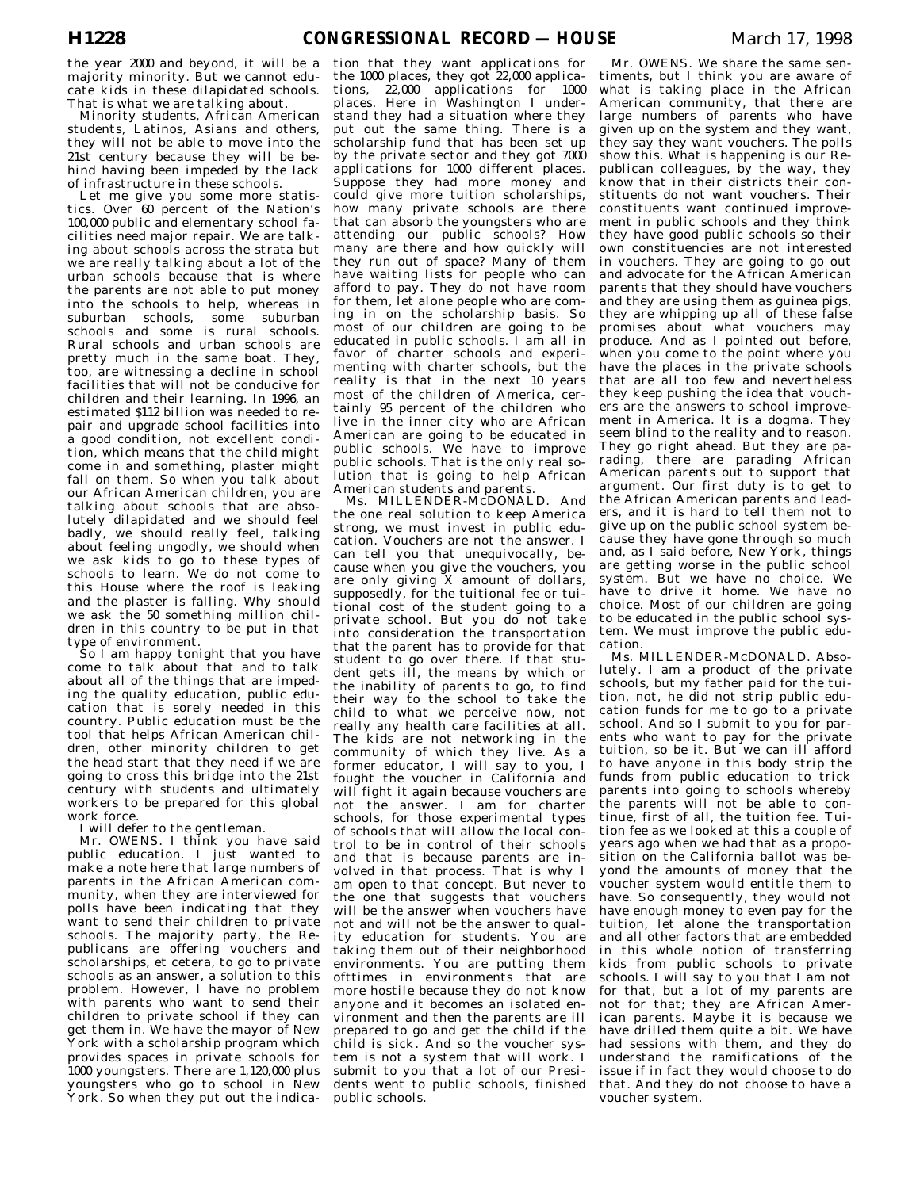the year 2000 and beyond, it will be a majority minority. But we cannot educate kids in these dilapidated schools. That is what we are talking about.

Minority students, African American students, Latinos, Asians and others, they will not be able to move into the 21st century because they will be behind having been impeded by the lack of infrastructure in these schools.

Let me give you some more statistics. Over 60 percent of the Nation's 100,000 public and elementary school facilities need major repair. We are talking about schools across the strata but we are really talking about a lot of the urban schools because that is where the parents are not able to put money into the schools to help, whereas in suburban schools, some suburban schools and some is rural schools. Rural schools and urban schools are pretty much in the same boat. They, too, are witnessing a decline in school facilities that will not be conducive for children and their learning. In 1996, an estimated \$112 billion was needed to repair and upgrade school facilities into a good condition, not excellent condition, which means that the child might come in and something, plaster might fall on them. So when you talk about our African American children, you are talking about schools that are absolutely dilapidated and we should feel badly, we should really feel, talking about feeling ungodly, we should when we ask kids to go to these types of schools to learn. We do not come to this House where the roof is leaking and the plaster is falling. Why should we ask the 50 something million children in this country to be put in that type of environment.

So I am happy tonight that you have come to talk about that and to talk about all of the things that are impeding the quality education, public education that is sorely needed in this country. Public education must be the tool that helps African American children, other minority children to get the head start that they need if we are going to cross this bridge into the 21st century with students and ultimately workers to be prepared for this global work force.

I will defer to the gentleman.

Mr. OWENS. I think you have said public education. I just wanted to make a note here that large numbers of parents in the African American community, when they are interviewed for polls have been indicating that they want to send their children to private schools. The majority party, the Republicans are offering vouchers and scholarships, et cetera, to go to private schools as an answer, a solution to this problem. However, I have no problem with parents who want to send their children to private school if they can get them in. We have the mayor of New York with a scholarship program which provides spaces in private schools for 1000 youngsters. There are 1,120,000 plus youngsters who go to school in New York. So when they put out the indica-

tion that they want applications for the 1000 places, they got 22,000 applications, 22,000 applications for 1000 places. Here in Washington I understand they had a situation where they put out the same thing. There is a scholarship fund that has been set up by the private sector and they got 7000 applications for 1000 different places. Suppose they had more money and could give more tuition scholarships, how many private schools are there that can absorb the youngsters who are attending our public schools? How many are there and how quickly will they run out of space? Many of them have waiting lists for people who can afford to pay. They do not have room for them, let alone people who are coming in on the scholarship basis. So most of our children are going to be educated in public schools. I am all in favor of charter schools and experimenting with charter schools, but the reality is that in the next 10 years most of the children of America, certainly 95 percent of the children who live in the inner city who are African American are going to be educated in public schools. We have to improve public schools. That is the only real solution that is going to help African American students and parents.

Ms. MILLENDER-MCDONALD. And the one real solution to keep America strong, we must invest in public education. Vouchers are not the answer. I can tell you that unequivocally, because when you give the vouchers, you are only giving X amount of dollars, supposedly, for the tuitional fee or tuitional cost of the student going to a private school. But you do not take into consideration the transportation that the parent has to provide for that student to go over there. If that student gets ill, the means by which or the inability of parents to go, to find their way to the school to take the child to what we perceive now, not really any health care facilities at all. The kids are not networking in the community of which they live. As a former educator, I will say to you, I fought the voucher in California and will fight it again because vouchers are not the answer. I am for charter schools, for those experimental types of schools that will allow the local control to be in control of their schools and that is because parents are involved in that process. That is why I am open to that concept. But never to the one that suggests that vouchers will be the answer when vouchers have not and will not be the answer to quality education for students. You are taking them out of their neighborhood environments. You are putting them ofttimes in environments that are more hostile because they do not know anyone and it becomes an isolated environment and then the parents are ill prepared to go and get the child if the child is sick. And so the voucher system is not a system that will work. I submit to you that a lot of our Presidents went to public schools, finished public schools.

Mr. OWENS. We share the same sentiments, but I think you are aware of what is taking place in the African American community, that there are large numbers of parents who have given up on the system and they want, they say they want vouchers. The polls show this. What is happening is our Republican colleagues, by the way, they know that in their districts their constituents do not want vouchers. Their constituents want continued improvement in public schools and they think they have good public schools so their own constituencies are not interested in vouchers. They are going to go out and advocate for the African American parents that they should have vouchers and they are using them as guinea pigs, they are whipping up all of these false promises about what vouchers may produce. And as I pointed out before, when you come to the point where you have the places in the private schools that are all too few and nevertheless they keep pushing the idea that vouchers are the answers to school improvement in America. It is a dogma. They seem blind to the reality and to reason. They go right ahead. But they are parading, there are parading African American parents out to support that argument. Our first duty is to get to the African American parents and leaders, and it is hard to tell them not to give up on the public school system because they have gone through so much and, as I said before, New York, things are getting worse in the public school system. But we have no choice. We have to drive it home. We have no choice. Most of our children are going to be educated in the public school system. We must improve the public education.

Ms. MILLENDER-MCDONALD. Absolutely. I am a product of the private schools, but my father paid for the tuition, not, he did not strip public education funds for me to go to a private school. And so I submit to you for parents who want to pay for the private tuition, so be it. But we can ill afford to have anyone in this body strip the funds from public education to trick parents into going to schools whereby the parents will not be able to continue, first of all, the tuition fee. Tuition fee as we looked at this a couple of years ago when we had that as a proposition on the California ballot was beyond the amounts of money that the voucher system would entitle them to have. So consequently, they would not have enough money to even pay for the tuition, let alone the transportation and all other factors that are embedded in this whole notion of transferring kids from public schools to private schools. I will say to you that I am not for that, but a lot of my parents are not for that; they are African American parents. Maybe it is because we have drilled them quite a bit. We have had sessions with them, and they do understand the ramifications of the issue if in fact they would choose to do that. And they do not choose to have a voucher system.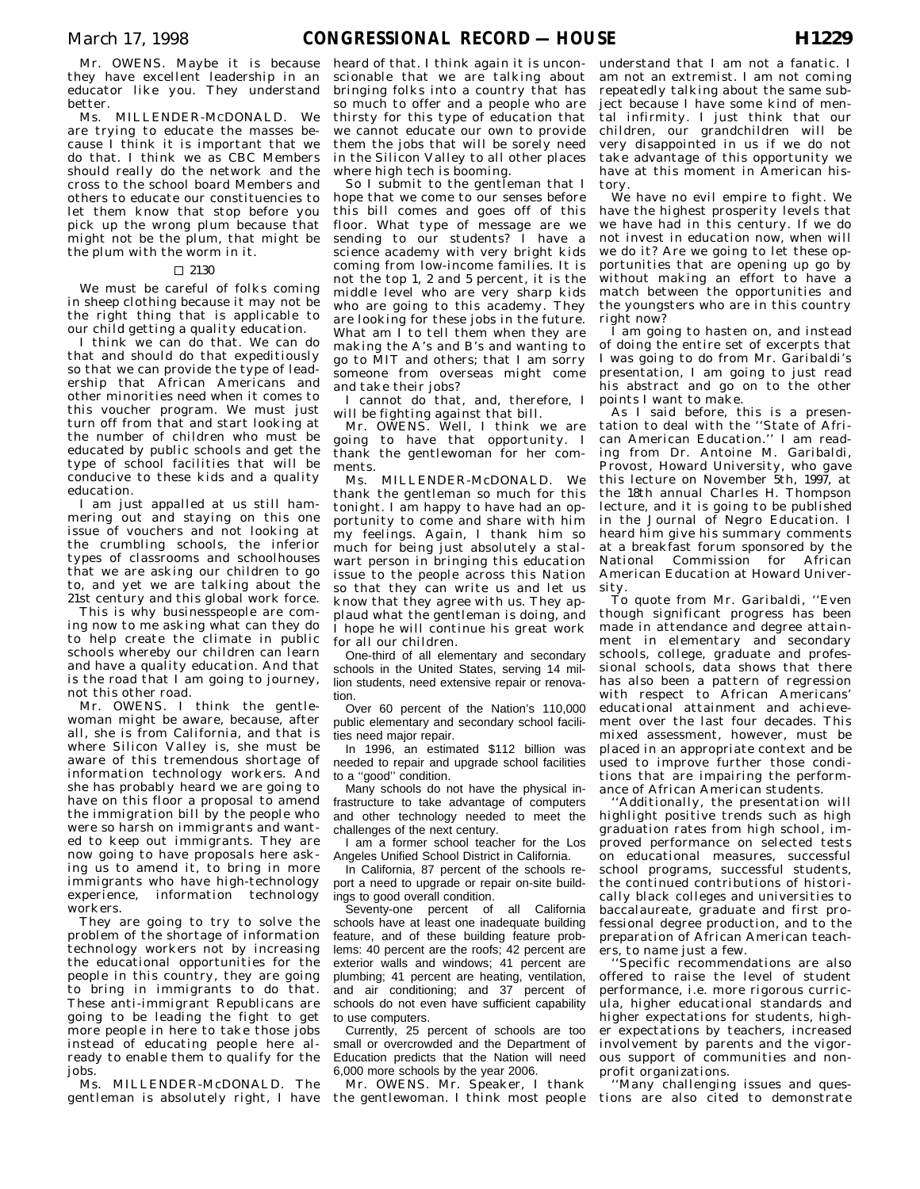Mr. OWENS. Maybe it is because they have excellent leadership in an educator like you. They understand better.

Ms. MILLENDER-MCDONALD. We are trying to educate the masses because I think it is important that we do that. I think we as CBC Members should really do the network and the cross to the school board Members and others to educate our constituencies to let them know that stop before you pick up the wrong plum because that might not be the plum, that might be the plum with the worm in it.

#### $\Box$  2130

We must be careful of folks coming in sheep clothing because it may not be the right thing that is applicable to our child getting a quality education.

I think we can do that. We can do that and should do that expeditiously so that we can provide the type of leadership that African Americans and other minorities need when it comes to this voucher program. We must just turn off from that and start looking at the number of children who must be educated by public schools and get the type of school facilities that will be conducive to these kids and a quality education.

I am just appalled at us still hammering out and staying on this one issue of vouchers and not looking at the crumbling schools, the inferior types of classrooms and schoolhouses that we are asking our children to go to, and yet we are talking about the 21st century and this global work force.

This is why businesspeople are coming now to me asking what can they do to help create the climate in public schools whereby our children can learn and have a quality education. And that is the road that I am going to journey, not this other road.

Mr. OWENS. I think the gentlewoman might be aware, because, after all, she is from California, and that is where Silicon Valley is, she must be aware of this tremendous shortage of information technology workers. And she has probably heard we are going to have on this floor a proposal to amend the immigration bill by the people who were so harsh on immigrants and wanted to keep out immigrants. They are now going to have proposals here asking us to amend it, to bring in more immigrants who have high-technology experience, information technology workers.

They are going to try to solve the problem of the shortage of information technology workers not by increasing the educational opportunities for the people in this country, they are going to bring in immigrants to do that. These anti-immigrant Republicans are going to be leading the fight to get more people in here to take those jobs instead of educating people here already to enable them to qualify for the jobs.

Ms. MILLENDER-McDONALD. The gentleman is absolutely right, I have

heard of that. I think again it is unconscionable that we are talking about bringing folks into a country that has so much to offer and a people who are thirsty for this type of education that we cannot educate our own to provide them the jobs that will be sorely need in the Silicon Valley to all other places where high tech is booming.

So I submit to the gentleman that I hope that we come to our senses before this bill comes and goes off of this floor. What type of message are we sending to our students? I have a science academy with very bright kids coming from low-income families. It is not the top 1, 2 and 5 percent, it is the middle level who are very sharp kids who are going to this academy. They are looking for these jobs in the future. What am  $\tilde{I}$  to tell them when they are making the A's and B's and wanting to go to MIT and others; that I am sorry someone from overseas might come and take their jobs?

I cannot do that, and, therefore, I will be fighting against that bill.

Mr. OWENS. Well, I think we are going to have that opportunity. I thank the gentlewoman for her comments.

Ms. MILLENDER-McDONALD. We thank the gentleman so much for this tonight. I am happy to have had an opportunity to come and share with him my feelings. Again, I thank him so much for being just absolutely a stalwart person in bringing this education issue to the people across this Nation so that they can write us and let us know that they agree with us. They applaud what the gentleman is doing, and I hope he will continue his great work for all our children.

One-third of all elementary and secondary schools in the United States, serving 14 million students, need extensive repair or renovation.

Over 60 percent of the Nation's 110,000 public elementary and secondary school facilities need major repair.

In 1996, an estimated \$112 billion was needed to repair and upgrade school facilities to a ''good'' condition.

Many schools do not have the physical infrastructure to take advantage of computers and other technology needed to meet the challenges of the next century.

I am a former school teacher for the Los Angeles Unified School District in California.

In California, 87 percent of the schools report a need to upgrade or repair on-site buildings to good overall condition.

Seventy-one percent of all California schools have at least one inadequate building feature, and of these building feature problems: 40 percent are the roofs; 42 percent are exterior walls and windows; 41 percent are plumbing; 41 percent are heating, ventilation, and air conditioning; and 37 percent of schools do not even have sufficient capability to use computers.

Currently, 25 percent of schools are too small or overcrowded and the Department of Education predicts that the Nation will need 6,000 more schools by the year 2006.

Mr. OWENS. Mr. Speaker, I thank the gentlewoman. I think most people

understand that I am not a fanatic. I am not an extremist. I am not coming repeatedly talking about the same subject because I have some kind of mental infirmity. I just think that our children, our grandchildren will be very disappointed in us if we do not take advantage of this opportunity we have at this moment in American history.

We have no evil empire to fight. We have the highest prosperity levels that we have had in this century. If we do not invest in education now, when will we do it? Are we going to let these opportunities that are opening up go by without making an effort to have a match between the opportunities and the youngsters who are in this country right now?

I am going to hasten on, and instead of doing the entire set of excerpts that I was going to do from Mr. Garibaldi's presentation, I am going to just read his abstract and go on to the other points I want to make.

As I said before, this is a presentation to deal with the ''State of African American Education.'' I am reading from Dr. Antoine M. Garibaldi, Provost, Howard University, who gave this lecture on November 5th, 1997, at the 18th annual Charles H. Thompson lecture, and it is going to be published in the Journal of Negro Education. I heard him give his summary comments at a breakfast forum sponsored by the National Commission for African American Education at Howard University.

To quote from Mr. Garibaldi, ''Even though significant progress has been made in attendance and degree attainment in elementary and secondary schools, college, graduate and professional schools, data shows that there has also been a pattern of regression with respect to African Americans' educational attainment and achievement over the last four decades. This mixed assessment, however, must be placed in an appropriate context and be used to improve further those conditions that are impairing the performance of African American students.

'Additionally, the presentation will highlight positive trends such as high graduation rates from high school, improved performance on selected tests on educational measures, successful school programs, successful students, the continued contributions of historically black colleges and universities to baccalaureate, graduate and first professional degree production, and to the preparation of African American teachers, to name just a few.

'Specific recommendations are also offered to raise the level of student performance, i.e. more rigorous curricula, higher educational standards and higher expectations for students, higher expectations by teachers, increased involvement by parents and the vigorous support of communities and nonprofit organizations.

''Many challenging issues and questions are also cited to demonstrate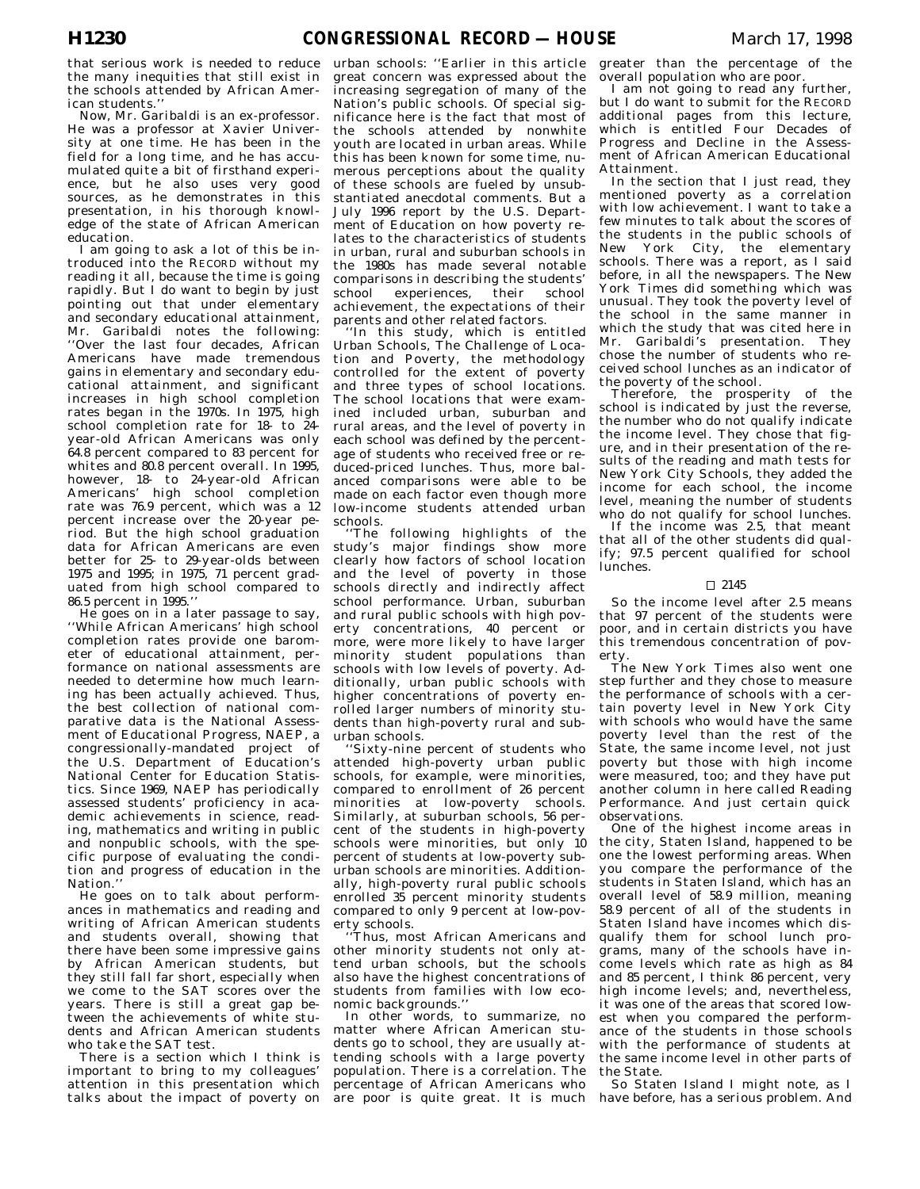that serious work is needed to reduce the many inequities that still exist in the schools attended by African American students.''

Now, Mr. Garibaldi is an ex-professor. He was a professor at Xavier University at one time. He has been in the field for a long time, and he has accumulated quite a bit of firsthand experience, but he also uses very good sources, as he demonstrates in this presentation, in his thorough knowledge of the state of African American education.

I am going to ask a lot of this be introduced into the RECORD without my reading it all, because the time is going rapidly. But I do want to begin by just pointing out that under elementary and secondary educational attainment, Mr. Garibaldi notes the following: ''Over the last four decades, African Americans have made tremendous gains in elementary and secondary educational attainment, and significant increases in high school completion rates began in the 1970s. In 1975, high school completion rate for 18- to 24 year-old African Americans was only 64.8 percent compared to 83 percent for whites and 80.8 percent overall. In 1995, however, 18- to 24-year-old African Americans' high school completion rate was 76.9 percent, which was a 12 percent increase over the 20-year period. But the high school graduation data for African Americans are even better for 25- to 29-year-olds between 1975 and 1995; in 1975, 71 percent graduated from high school compared to 86.5 percent in 1995.''

He goes on in a later passage to say, ''While African Americans' high school completion rates provide one barometer of educational attainment, performance on national assessments are needed to determine how much learning has been actually achieved. Thus, the best collection of national comparative data is the National Assessment of Educational Progress, NAEP, a congressionally-mandated project of the U.S. Department of Education's National Center for Education Statistics. Since 1969, NAEP has periodically assessed students' proficiency in academic achievements in science, reading, mathematics and writing in public and nonpublic schools, with the specific purpose of evaluating the condition and progress of education in the Nation.''

He goes on to talk about performances in mathematics and reading and writing of African American students and students overall, showing that there have been some impressive gains by African American students, but they still fall far short, especially when we come to the SAT scores over the years. There is still a great gap between the achievements of white students and African American students who take the SAT test.

There is a section which I think is important to bring to my colleagues' attention in this presentation which talks about the impact of poverty on

urban schools: ''Earlier in this article great concern was expressed about the increasing segregation of many of the Nation's public schools. Of special significance here is the fact that most of the schools attended by nonwhite youth are located in urban areas. While this has been known for some time, numerous perceptions about the quality of these schools are fueled by unsubstantiated anecdotal comments. But a July 1996 report by the U.S. Department of Education on how poverty relates to the characteristics of students in urban, rural and suburban schools in the 1980s has made several notable comparisons in describing the students' school experiences, their school achievement, the expectations of their parents and other related factors.

''In this study, which is entitled Urban Schools, The Challenge of Location and Poverty, the methodology controlled for the extent of poverty and three types of school locations. The school locations that were examined included urban, suburban and rural areas, and the level of poverty in each school was defined by the percentage of students who received free or reduced-priced lunches. Thus, more balanced comparisons were able to be made on each factor even though more low-income students attended urban schools.

''The following highlights of the study's major findings show more clearly how factors of school location and the level of poverty in those schools directly and indirectly affect school performance. Urban, suburban and rural public schools with high poverty concentrations, 40 percent or more, were more likely to have larger minority student populations than schools with low levels of poverty. Additionally, urban public schools with higher concentrations of poverty enrolled larger numbers of minority students than high-poverty rural and suburban schools.

''Sixty-nine percent of students who attended high-poverty urban public schools, for example, were minorities, compared to enrollment of 26 percent minorities at low-poverty schools. Similarly, at suburban schools, 56 percent of the students in high-poverty schools were minorities, but only 10 percent of students at low-poverty suburban schools are minorities. Additionally, high-poverty rural public schools enrolled 35 percent minority students compared to only 9 percent at low-poverty schools.

Thus, most African Americans and other minority students not only attend urban schools, but the schools also have the highest concentrations of students from families with low economic backgrounds.''

In other words, to summarize, no matter where African American students go to school, they are usually attending schools with a large poverty population. There is a correlation. The percentage of African Americans who are poor is quite great. It is much

greater than the percentage of the overall population who are poor.

I am not going to read any further, but I do want to submit for the RECORD additional pages from this lecture, which is entitled Four Decades of Progress and Decline in the Assessment of African American Educational Attainment.

In the section that I just read, they mentioned poverty as a correlation with low achievement. I want to take a few minutes to talk about the scores of the students in the public schools of New York City, the elementary schools. There was a report, as I said before, in all the newspapers. The New York Times did something which was unusual. They took the poverty level of the school in the same manner in which the study that was cited here in Mr. Garibaldi's presentation. They chose the number of students who received school lunches as an indicator of the poverty of the school.

Therefore, the prosperity of the school is indicated by just the reverse, the number who do not qualify indicate the income level. They chose that figure, and in their presentation of the results of the reading and math tests for New York City Schools, they added the income for each school, the income level, meaning the number of students who do not qualify for school lunches.

If the income was 2.5, that meant that all of the other students did qualify; 97.5 percent qualified for school lunches.

#### $\Box$  2145

So the income level after 2.5 means that 97 percent of the students were poor, and in certain districts you have this tremendous concentration of poverty.

The New York Times also went one step further and they chose to measure the performance of schools with a certain poverty level in New York City with schools who would have the same poverty level than the rest of the State, the same income level, not just poverty but those with high income were measured, too; and they have put another column in here called Reading Performance. And just certain quick observations.

One of the highest income areas in the city, Staten Island, happened to be one the lowest performing areas. When you compare the performance of the students in Staten Island, which has an overall level of 58.9 million, meaning 58.9 percent of all of the students in Staten Island have incomes which disqualify them for school lunch programs, many of the schools have income levels which rate as high as 84 and 85 percent, I think 86 percent, very high income levels; and, nevertheless, it was one of the areas that scored lowest when you compared the performance of the students in those schools with the performance of students at the same income level in other parts of the State.

So Staten Island I might note, as I have before, has a serious problem. And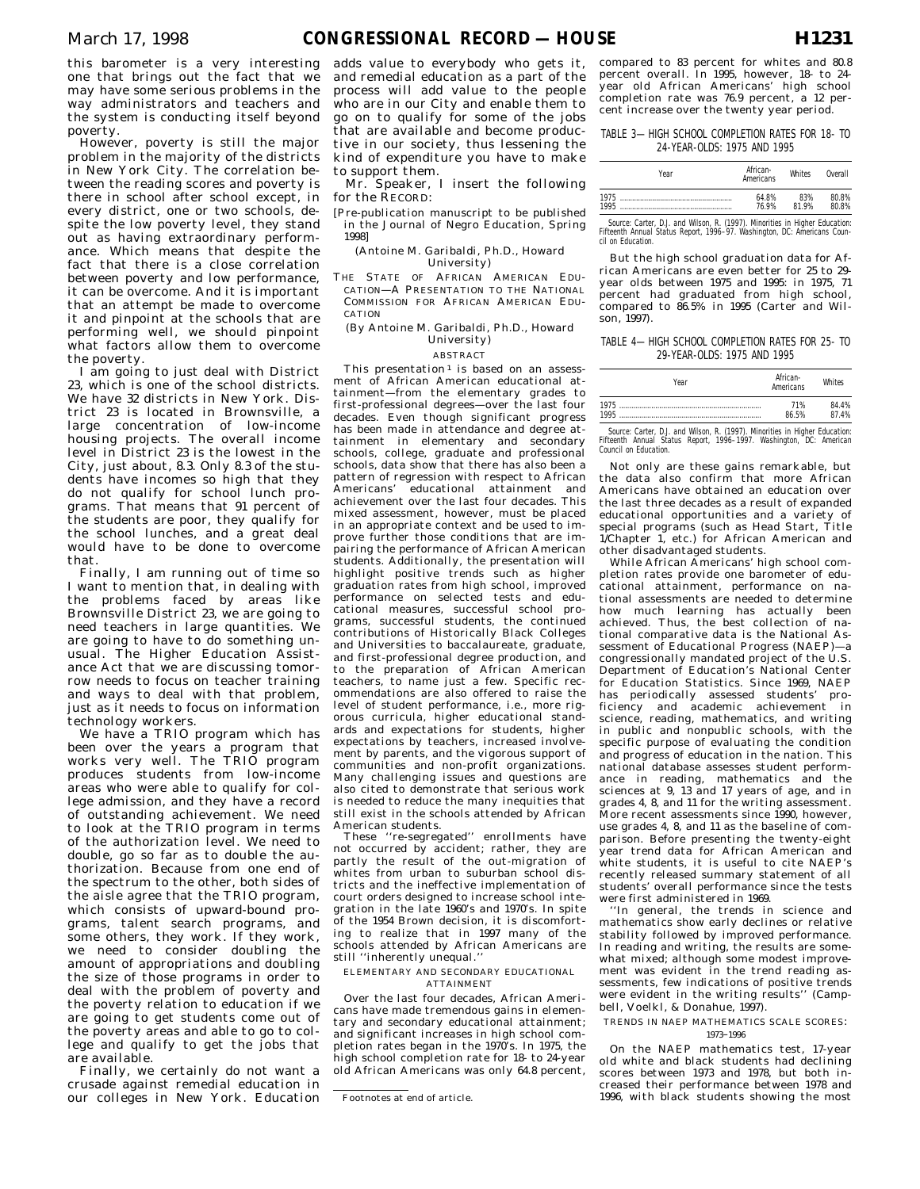this barometer is a very interesting one that brings out the fact that we may have some serious problems in the way administrators and teachers and the system is conducting itself beyond poverty.

However, poverty is still the major problem in the majority of the districts in New York City. The correlation between the reading scores and poverty is there in school after school except, in every district, one or two schools, despite the low poverty level, they stand out as having extraordinary performance. Which means that despite the fact that there is a close correlation between poverty and low performance, it can be overcome. And it is important that an attempt be made to overcome it and pinpoint at the schools that are performing well, we should pinpoint what factors allow them to overcome the poverty.

I am going to just deal with District 23, which is one of the school districts. We have 32 districts in New York. District 23 is located in Brownsville, a large concentration of low-income housing projects. The overall income level in District 23 is the lowest in the City, just about, 8.3. Only 8.3 of the students have incomes so high that they do not qualify for school lunch programs. That means that 91 percent of the students are poor, they qualify for the school lunches, and a great deal would have to be done to overcome that.

Finally, I am running out of time so I want to mention that, in dealing with the problems faced by areas like Brownsville District 23, we are going to need teachers in large quantities. We are going to have to do something unusual. The Higher Education Assistance Act that we are discussing tomorrow needs to focus on teacher training and ways to deal with that problem, just as it needs to focus on information technology workers.

We have a TRIO program which has been over the years a program that works very well. The TRIO program produces students from low-income areas who were able to qualify for college admission, and they have a record of outstanding achievement. We need to look at the TRIO program in terms of the authorization level. We need to double, go so far as to double the authorization. Because from one end of the spectrum to the other, both sides of the aisle agree that the TRIO program, which consists of upward-bound programs, talent search programs, and some others, they work. If they work, we need to consider doubling the amount of appropriations and doubling the size of those programs in order to deal with the problem of poverty and the poverty relation to education if we are going to get students come out of the poverty areas and able to go to college and qualify to get the jobs that are available.

Finally, we certainly do not want a crusade against remedial education in our colleges in New York. Education

adds value to everybody who gets it, and remedial education as a part of the process will add value to the people who are in our City and enable them to go on to qualify for some of the jobs that are available and become productive in our society, thus lessening the kind of expenditure you have to make to support them.

Mr. Speaker, I insert the following for the RECORD:

[Pre-publication manuscript to be published in the Journal of Negro Education, Spring 1998]

(Antoine M. Garibaldi, Ph.D., Howard University)

THE STATE OF AFRICAN AMERICAN EDU-CATION—A PRESENTATION TO THE NATIONAL COMMISSION FOR AFRICAN AMERICAN EDU-CATION

#### (By Antoine M. Garibaldi, Ph.D., Howard University) **ABSTRACT**

This presentation<sup>1</sup> is based on an assessment of African American educational attainment—from the elementary grades to first-professional degrees—over the last four decades. Even though significant progress has been made in attendance and degree attainment in elementary and secondary schools, college, graduate and professional schools, data show that there has also been a pattern of regression with respect to African Americans' educational attainment and achievement over the last four decades. This mixed assessment, however, must be placed in an appropriate context and be used to improve further those conditions that are impairing the performance of African American students. Additionally, the presentation will highlight positive trends such as higher graduation rates from high school, improved performance on selected tests and educational measures, successful school programs, successful students, the continued contributions of Historically Black Colleges and Universities to baccalaureate, graduate, and first-professional degree production, and to the preparation of African American teachers, to name just a few. Specific recommendations are also offered to raise the level of student performance, i.e., more rigorous curricula, higher educational standards and expectations for students, higher expectations by teachers, increased involvement by parents, and the vigorous support of communities and non-profit organizations. Many challenging issues and questions are also cited to demonstrate that serious work is needed to reduce the many inequities that still exist in the schools attended by African American students.

These ''re-segregated'' enrollments have not occurred by accident; rather, they are partly the result of the out-migration of whites from urban to suburban school districts and the ineffective implementation of court orders designed to increase school integration in the late 1960's and 1970's. In spite of the 1954 Brown decision, it is discomforting to realize that in 1997 many of the schools attended by African Americans are still ''inherently unequal.''

#### ELEMENTARY AND SECONDARY EDUCATIONAL ATTAINMENT

Over the last four decades, African Americans have made tremendous gains in elementary and secondary educational attainment; and significant increases in high school completion rates began in the 1970's. In 1975, the high school completion rate for 18- to 24-year old African Americans was only 64.8 percent, compared to 83 percent for whites and 80.8 percent overall. In 1995, however, 18- to 24 year old African Americans' high school completion rate was 76.9 percent, a 12 percent increase over the twenty year period.

TABLE 3—HIGH SCHOOL COMPLETION RATES FOR 18- TO 24-YEAR-OLDS: 1975 AND 1995

| Year         | African-<br>Americans | Whites       | Overall        |
|--------------|-----------------------|--------------|----------------|
| 1975<br>1995 | 64.8%<br>76.9%        | 83%<br>81 9% | 80.8%<br>80.8% |

Source: Carter, D.J. and Wilson, R. (1997). Minorities in Higher Education: Fifteenth Annual Status Report, 1996–97. Washington, DC: Americans Council on Education.

But the high school graduation data for African Americans are even better for 25 to 29 year olds between 1975 and 1995: in 1975, 71 percent had graduated from high school, compared to 86.5% in 1995 (Carter and Wilson, 1997).

TABLE 4—HIGH SCHOOL COMPLETION RATES FOR 25- TO 29-YEAR-OLDS: 1975 AND 1995

| Year | African-<br>Americans | Whites         |
|------|-----------------------|----------------|
| 1995 | 71%<br>86.5%          | 84.4%<br>87.4% |

Source: Carter, D.J. and Wilson, R. (1997). Minorities in Higher Education: Fifteenth Annual Status Report, 1996–1997. Washington, DC: American Council on Education.

Not only are these gains remarkable, but the data also confirm that more African Americans have obtained an education over the last three decades as a result of expanded educational opportunities and a variety of special programs (such as Head Start, Title 1/Chapter 1, etc.) for African American and other disadvantaged students.

While African Americans' high school completion rates provide one barometer of educational attainment, performance on national assessments are needed to determine how much learning has actually been achieved. Thus, the best collection of national comparative data is the National Assessment of Educational Progress (NAEP)—a congressionally mandated project of the U.S. Department of Education's National Center for Education Statistics. Since 1969, NAEP has periodically assessed students' proficiency and academic achievement in science, reading, mathematics, and writing in public and nonpublic schools, with the specific purpose of evaluating the condition and progress of education in the nation. This national database assesses student performance in reading, mathematics and the sciences at 9, 13 and 17 years of age, and in grades 4, 8, and 11 for the writing assessment. More recent assessments since 1990, however use grades 4, 8, and 11 as the baseline of comparison. Before presenting the twenty-eight year trend data for African American and white students, it is useful to cite NAEP's recently released summary statement of all students' overall performance since the tests were first administered in 1969.

''In general, the trends in science and mathematics show early declines or relative stability followed by improved performance. In reading and writing, the results are somewhat mixed; although some modest improvement was evident in the trend reading assessments, few indications of positive trends were evident in the writing results'' (Campbell, Voelkl, & Donahue, 1997).

#### TRENDS IN NAEP MATHEMATICS SCALE SCORES: 1973–1996

On the NAEP mathematics test, 17-year old white and black students had declining scores between 1973 and 1978, but both increased their performance between 1978 and 1996, with black students showing the most

Footnotes at end of article.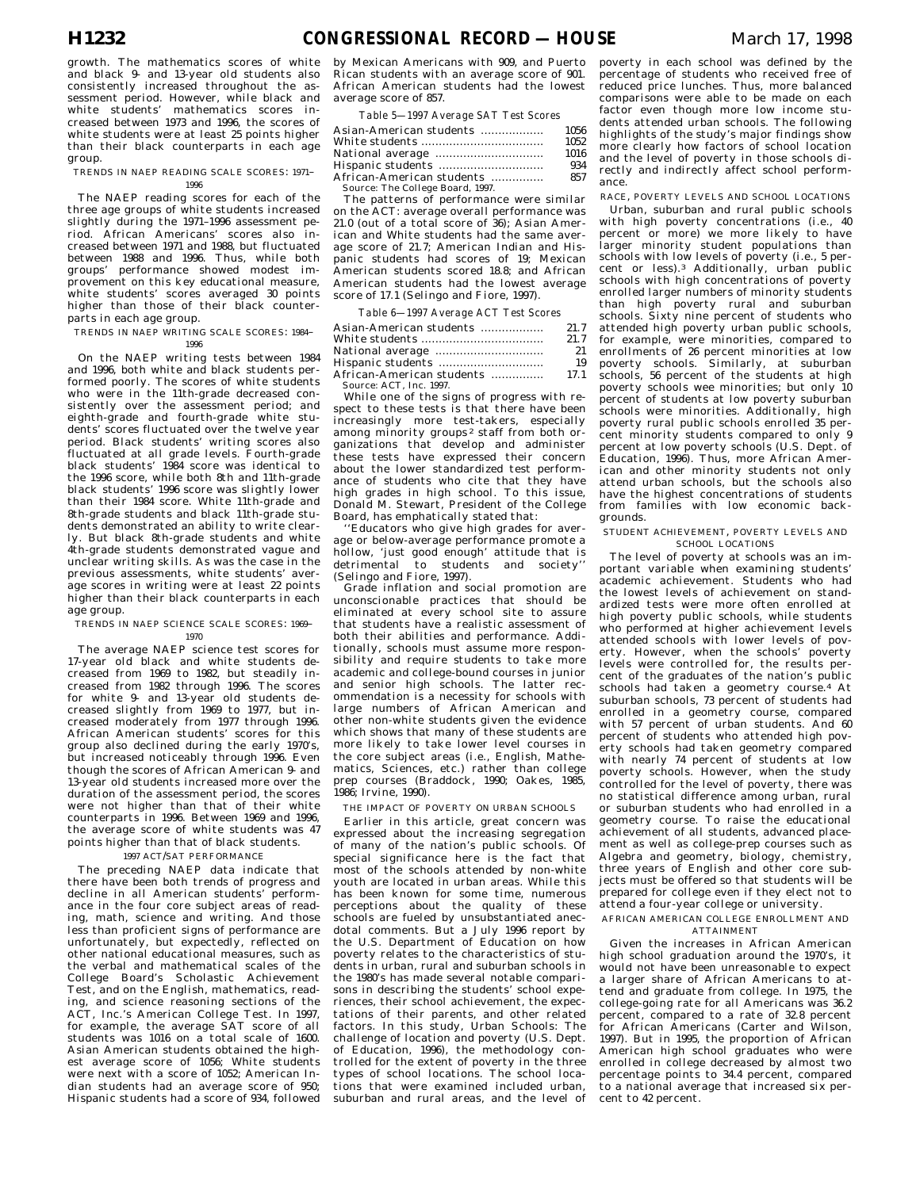growth. The mathematics scores of white and black 9- and 13-year old students also consistently increased throughout the assessment period. However, while black and white students' mathematics scores increased between 1973 and 1996, the scores of white students were at least 25 points higher than their black counterparts in each age group.

TRENDS IN NAEP READING SCALE SCORES: 1971– 1996

The NAEP reading scores for each of the three age groups of white students increased slightly during the 1971–1996 assessment period. African Americans' scores also increased between 1971 and 1988, but fluctuated between 1988 and 1996. Thus, while both groups' performance showed modest improvement on this key educational measure, white students' scores averaged 30 points higher than those of their black counterparts in each age group.

TRENDS IN NAEP WRITING SCALE SCORES: 1984– 1996

On the NAEP writing tests between 1984 and 1996, both white and black students performed poorly. The scores of white students who were in the 11th-grade decreased consistently over the assessment period; and eighth-grade and fourth-grade white students' scores fluctuated over the twelve year period. Black students' writing scores also fluctuated at all grade levels. Fourth-grade black students' 1984 score was identical to the 1996 score, while both 8th and 11th-grade black students' 1996 score was slightly lower than their 1984 score. White 11th-grade and 8th-grade students and black 11th-grade students demonstrated an ability to write clearly. But black 8th-grade students and white 4th-grade students demonstrated vague and unclear writing skills. As was the case in the previous assessments, white students' average scores in writing were at least 22 points higher than their black counterparts in each age group.

#### TRENDS IN NAEP SCIENCE SCALE SCORES: 1969– 1970

The average NAEP science test scores for 17-year old black and white students decreased from 1969 to 1982, but steadily increased from 1982 through 1996. The scores for white 9- and 13-year old students decreased slightly from 1969 to 1977, but increased moderately from 1977 through 1996. African American students' scores for this group also declined during the early 1970's, but increased noticeably through 1996. Even though the scores of African American 9- and 13-year old students increased more over the duration of the assessment period, the scores were not higher than that of their white counterparts in 1996. Between 1969 and 1996, the average score of white students was 47 points higher than that of black students.

#### 1997 ACT/SAT PERFORMANCE

The preceding NAEP data indicate that there have been both trends of progress and decline in all American students' performance in the four core subject areas of reading, math, science and writing. And those less than proficient signs of performance are unfortunately, but expectedly, reflected on other national educational measures, such as the verbal and mathematical scales of the College Board's Scholastic Achievement Test, and on the English, mathematics, reading, and science reasoning sections of the ACT, Inc.'s American College Test. In 1997, for example, the average SAT score of all students was 1016 on a total scale of 1600. Asian American students obtained the highest average score of 1056; White students were next with a score of 1052; American Indian students had an average score of 950; Hispanic students had a score of 934, followed

by Mexican Americans with 909, and Puerto Rican students with an average score of 901. African American students had the lowest average score of 857.

*Table 5—1997 Average SAT Test Scores* Asian-American students .................. 1056

| White students                 | 1052 |
|--------------------------------|------|
| National average               | 1016 |
| Hispanic students              | 934  |
| African-American students      | 857  |
| Source: The College Board 1997 |      |

Source: The College Board, 1997. The patterns of performance were similar on the ACT: average overall performance was 21.0 (out of a total score of 36); Asian American and White students had the same average score of 21.7; American Indian and Hispanic students had scores of 19; Mexican American students scored 18.8; and African American students had the lowest average score of 17.1 (Selingo and Fiore, 1997).

*Table 6—1997 Average ACT Test Scores*

| Asian-American students | 21.7 |
|-------------------------|------|
|                         | 21.7 |
| National average        | 21   |
|                         | 19   |
|                         |      |
| Source: ACT, Inc. 1997. |      |
|                         |      |

While one of the signs of progress with respect to these tests is that there have been increasingly more test-takers, especially among minority groups<sup>2</sup> staff from both or-<br>ganizations that develop and administer these tests have expressed their concern about the lower standardized test performance of students who cite that they have high grades in high school. To this issue, Donald M. Stewart, President of the College Board, has emphatically stated that:

''Educators who give high grades for average or below-average performance promote a hollow, 'just good enough' attitude that is detrimental to students and society'' (Selingo and Fiore, 1997).

Grade inflation and social promotion are unconscionable practices that should be eliminated at every school site to assure that students have a realistic assessment of both their abilities and performance. Additionally, schools must assume more responsibility and require students to take more academic and college-bound courses in junior and senior high schools. The latter recommendation is a necessity for schools with large numbers of African American and other non-white students given the evidence which shows that many of these students are more likely to take lower level courses in the core subject areas (i.e., English, Mathematics, Sciences, etc.) rather than college prep courses (Braddock, 1990; Oakes, 1985, 1986; Irvine, 1990).

#### THE IMPACT OF POVERTY ON URBAN SCHOOLS

Earlier in this article, great concern was expressed about the increasing segregation of many of the nation's public schools. Of special significance here is the fact that most of the schools attended by non-white youth are located in urban areas. While this has been known for some time, numerous perceptions about the quality of these schools are fueled by unsubstantiated anecdotal comments. But a July 1996 report by the U.S. Department of Education on how poverty relates to the characteristics of students in urban, rural and suburban schools in the 1980's has made several notable comparisons in describing the students' school experiences, their school achievement, the expectations of their parents, and other related factors. In this study, Urban Schools: The challenge of location and poverty (U.S. Dept. of Education, 1996), the methodology controlled for the extent of poverty in the three types of school locations. The school locations that were examined included urban, suburban and rural areas, and the level of

poverty in each school was defined by the percentage of students who received free of reduced price lunches. Thus, more balanced comparisons were able to be made on each factor even though more low income students attended urban schools. The following highlights of the study's major findings show more clearly how factors of school location and the level of poverty in those schools directly and indirectly affect school performance.

RACE, POVERTY LEVELS AND SCHOOL LOCATIONS

Urban, suburban and rural public schools with high poverty concentrations (i.e., 40 percent or more) we more likely to have larger minority student populations than schools with low levels of poverty (i.e., 5 percent or less).3 Additionally, urban public schools with high concentrations of poverty enrolled larger numbers of minority students than high poverty rural and suburban schools. Sixty nine percent of students who attended high poverty urban public schools, for example, were minorities, compared to enrollments of 26 percent minorities at low poverty schools. Similarly, at suburban schools, 56 percent of the students at high poverty schools wee minorities; but only 10 percent of students at low poverty suburban schools were minorities. Additionally, high poverty rural public schools enrolled 35 percent minority students compared to only 9 percent at low poverty schools (U.S. Dept. of Education, 1996). Thus, more African American and other minority students not only attend urban schools, but the schools also have the highest concentrations of students from families with low economic backgrounds.

STUDENT ACHIEVEMENT, POVERTY LEVELS AND SCHOOL LOCATIONS

The level of poverty at schools was an important variable when examining students' academic achievement. Students who had the lowest levels of achievement on standardized tests were more often enrolled at high poverty public schools, while students who performed at higher achievement levels attended schools with lower levels of poverty. However, when the schools' poverty levels were controlled for, the results percent of the graduates of the nation's public schools had taken a geometry course.4 At suburban schools, 73 percent of students had enrolled in a geometry course, compared with 57 percent of urban students. And 60 percent of students who attended high poverty schools had taken geometry compared with nearly 74 percent of students at low poverty schools. However, when the study controlled for the level of poverty, there was no statistical difference among urban, rural or suburban students who had enrolled in a geometry course. To raise the educational achievement of all students, advanced placement as well as college-prep courses such as Algebra and geometry, biology, chemistry, three years of English and other core subjects must be offered so that students will be prepared for college even if they elect not to attend a four-year college or university.

AFRICAN AMERICAN COLLEGE ENROLLMENT AND ATTAINMENT

Given the increases in African American high school graduation around the 1970's, it would not have been unreasonable to expect a larger share of African Americans to attend and graduate from college. In 1975, the college-going rate for all Americans was 36.2 percent, compared to a rate of 32.8 percent for African Americans (Carter and Wilson, 1997). But in 1995, the proportion of African American high school graduates who were enrolled in college decreased by almost two percentage points to 34.4 percent, compared to a national average that increased six percent to 42 percent.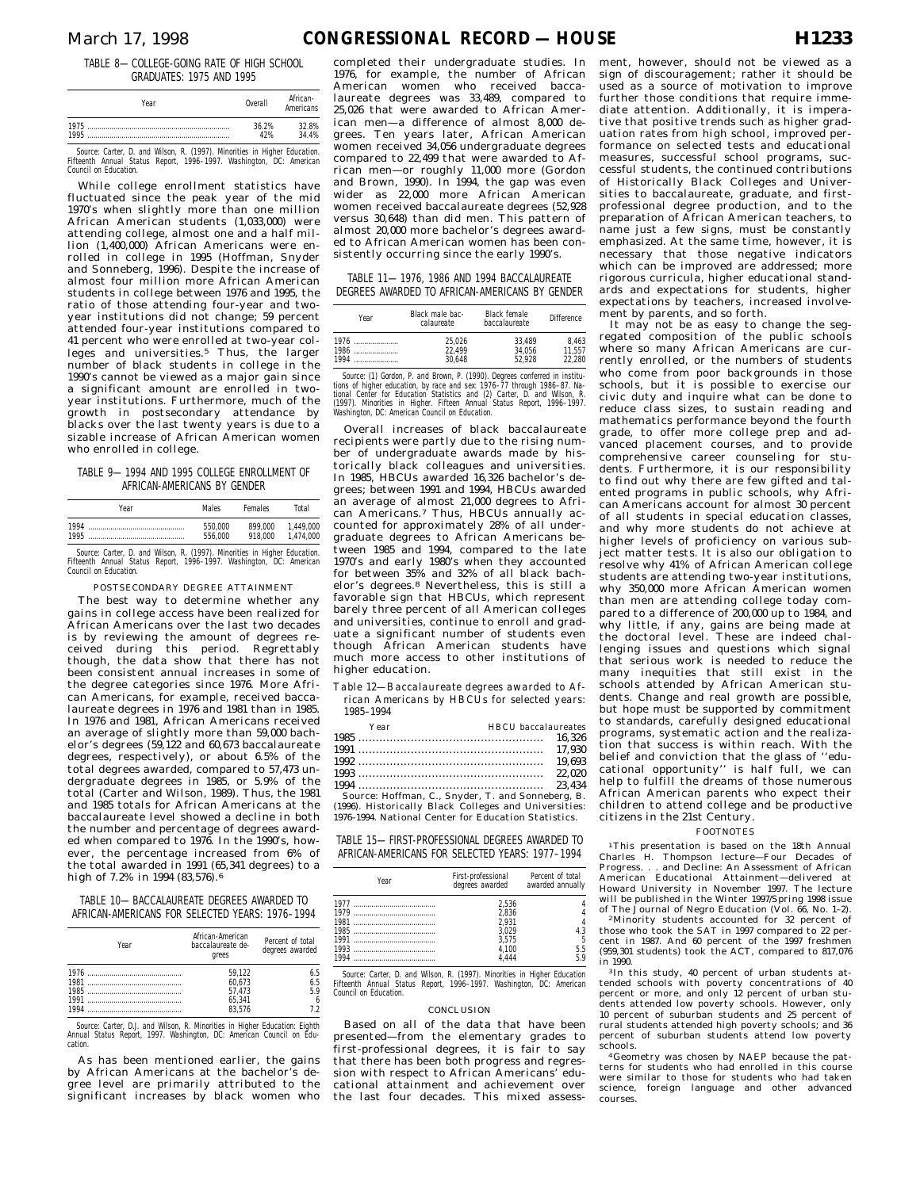#### TABLE 8—COLLEGE-GOING RATE OF HIGH SCHOOL GRADUATES: 1975 AND 1995

| Year               | Overall      | African-<br>Americans |
|--------------------|--------------|-----------------------|
| 1995               | 36.2%<br>42% | 32.8%<br>34 4%        |
| .<br>$\sim$<br>. . |              | . .                   |

Source: Carter, D. and Wilson, R. (1997). Minorities in Higher Education. Fifteenth Annual Status Report, 1996–1997. Washington, DC: American Council on Education.

While college enrollment statistics have fluctuated since the peak year of the mid 1970's when slightly more than one million African American students (1,033,000) were attending college, almost one and a half million (1,400,000) African Americans were enrolled in college in 1995 (Hoffman, Snyder and Sonneberg, 1996). Despite the increase of almost four million more African American students in college between 1976 and 1995, the ratio of those attending four-year and twoyear institutions did not change; 59 percent attended four-year institutions compared to 41 percent who were enrolled at two-year colleges and universities.5 Thus, the larger number of black students in college in the 1990's cannot be viewed as a major gain since a significant amount are enrolled in twoyear institutions. Furthermore, much of the growth in postsecondary attendance by blacks over the last twenty years is due to a sizable increase of African American women who enrolled in college.

#### TABLE 9—1994 AND 1995 COLLEGE ENROLLMENT OF AFRICAN-AMERICANS BY GENDER

|      | Year | Males   | Females | Total     |
|------|------|---------|---------|-----------|
| 1994 |      | 550.000 | 899.000 | 1.449.000 |
| 1995 |      | 556.000 | 918.000 | 1.474.000 |

Source: Carter, D. and Wilson, R. (1997). Minorities in Higher Education. Fifteenth Annual Status Report, 1996–1997. Washington, DC: American Council on Education.

#### POSTSECONDARY DEGREE ATTAINMENT

The best way to determine whether any gains in college access have been realized for African Americans over the last two decades is by reviewing the amount of degrees received during this period. Regrettably though, the data show that there has not been consistent annual increases in some of the degree categories since 1976. More African Americans, for example, received baccalaureate degrees in 1976 and 1981 than in 1985. In 1976 and 1981, African Americans received an average of slightly more than 59,000 bachelor's degrees (59,122 and 60,673 baccalaureate degrees, respectively), or about 6.5% of the total degrees awarded, compared to 57,473 undergraduate degrees in 1985, or 5.9% of the total (Carter and Wilson, 1989). Thus, the 1981 and 1985 totals for African Americans at the baccalaureate level showed a decline in both the number and percentage of degrees awarded when compared to 1976. In the 1990's, however, the percentage increased from 6% of the total awarded in 1991 (65,341 degrees) to a high of 7.2% in 1994 (83,576).<sup>6</sup>

| TABLE 10—BACCALAUREATE DEGREES AWARDED TO       |  |
|-------------------------------------------------|--|
| AFRICAN-AMERICANS FOR SELECTED YEARS: 1976-1994 |  |

| Year | African-American<br>baccalaureate de-<br>grees | Percent of total<br>degrees awarded |
|------|------------------------------------------------|-------------------------------------|
|      | 59.122                                         | 6.5                                 |
|      | 60.673                                         | 6.5                                 |
|      | 57.473                                         | 5.9                                 |
|      | 65.341                                         | 6                                   |
|      | 83.576                                         | 72                                  |

Source: Carter, D.J. and Wilson, R. Minorities in Higher Education: Eighth Annual Status Report, 1997. Washington, DC: American Council on Education.

As has been mentioned earlier, the gains by African Americans at the bachelor's degree level are primarily attributed to the significant increases by black women who

completed their undergraduate studies. In 1976, for example, the number of African American women who received baccalaureate degrees was 33,489, compared to 25,026 that were awarded to African American men—a difference of almost 8,000 degrees. Ten years later, African American women received 34,056 undergraduate degrees compared to 22,499 that were awarded to African men—or roughly 11,000 more (Gordon and Brown, 1990). In 1994, the gap was even wider as 22,000 more African American women received baccalaureate degrees (52,928 versus 30,648) than did men. This pattern of almost 20,000 more bachelor's degrees awarded to African American women has been consistently occurring since the early 1990's.

#### TABLE 11—1976, 1986 AND 1994 BACCALAUREATE DEGREES AWARDED TO AFRICAN-AMERICANS BY GENDER

| Year         | Black male bac-<br>calaureate | Black female<br>baccalaureate | Difference                |
|--------------|-------------------------------|-------------------------------|---------------------------|
| 1976<br>1986 | 25.026<br>22.499<br>30.648    | 33.489<br>34.056<br>52.928    | 8.463<br>11.557<br>22,280 |

Source: (1) Gordon, P. and Brown, P. (1990). Degrees conferred in institutions of higher education, by race and sex 1976–77 through 1986–87. Na-<br>tions of higher education, by race and sex 1976–77 through 1986–87. Na-<br>tiona

Overall increases of black baccalaureate recipients were partly due to the rising number of undergraduate awards made by historically black colleagues and universities. In 1985, HBCUs awarded 16,326 bachelor's degrees; between 1991 and 1994, HBCUs awarded an average of almost 21,000 degrees to African Americans.7 Thus, HBCUs annually accounted for approximately 28% of all undergraduate degrees to African Americans between 1985 and 1994, compared to the late 1970's and early 1980's when they accounted for between 35% and 32% of all black bachelor's degrees.8 Nevertheless, this is still a favorable sign that HBCUs, which represent barely three percent of all American colleges and universities, continue to enroll and graduate a significant number of students even though African American students have much more access to other institutions of higher education.

*Table 12—Baccalaureate degrees awarded to African Americans by HBCUs for selected years: 1985–1994*

| Year | <b>HBCU</b> baccalaureates                            |
|------|-------------------------------------------------------|
|      |                                                       |
|      | 17.930                                                |
|      | 19.693                                                |
|      | 22.020                                                |
|      |                                                       |
|      | Source: Hoffman, C., Snyder, T. and Sonneberg, B.     |
|      | (1996). Historically Black Colleges and Universities: |
|      | 1976-1994. National Center for Education Statistics.  |

TABLE 15—FIRST-PROFESSIONAL DEGREES AWARDED TO AFRICAN-AMERICANS FOR SELECTED YEARS: 1977–1994

| Year | First-professional<br>degrees awarded | Percent of total<br>awarded annually |
|------|---------------------------------------|--------------------------------------|
| 1977 | 2.536                                 |                                      |
|      | 2.836                                 |                                      |
| 1981 | 2.931                                 |                                      |
|      | 3.029                                 | 43                                   |
|      | 3.575                                 | 5                                    |
|      | 4.100                                 | 5.5                                  |
|      | 4 4 4 4                               | 59                                   |

Source: Carter, D. and Wilson, R. (1997). Minorities in Higher Education Fifteenth Annual Status Report, 1996–1997. Washington, DC: American Council on Education.

#### CONCLUSION

Based on all of the data that have been presented—from the elementary grades to first-professional degrees, it is fair to say that there has been both progress and regression with respect to African Americans' educational attainment and achievement over the last four decades. This mixed assess-

ment, however, should not be viewed as a sign of discouragement; rather it should be used as a source of motivation to improve further those conditions that require immediate attention. Additionally, it is imperative that positive trends such as higher graduation rates from high school, improved performance on selected tests and educational measures, successful school programs, successful students, the continued contributions of Historically Black Colleges and Universities to baccalaureate, graduate, and firstprofessional degree production, and to the preparation of African American teachers, to name just a few signs, must be constantly emphasized. At the same time, however, it is necessary that those negative indicators which can be improved are addressed; more rigorous curricula, higher educational standards and expectations for students, higher expectations by teachers, increased involvement by parents, and so forth.

It may not be as easy to change the segregated composition of the public schools where so many African Americans are currently enrolled, or the numbers of students who come from poor backgrounds in those schools, but it is possible to exercise our civic duty and inquire what can be done to reduce class sizes, to sustain reading and mathematics performance beyond the fourth grade, to offer more college prep and advanced placement courses, and to provide comprehensive career counseling for students. Furthermore, it is our responsibility to find out why there are few gifted and talented programs in public schools, why African Americans account for almost 30 percent of all students in special education classes, and why more students do not achieve at higher levels of proficiency on various subject matter tests. It is also our obligation to resolve why 41% of African American college students are attending two-year institutions, why 350,000 more African American women than men are attending college today compared to a difference of 200,000 up to 1984, and why little, if any, gains are being made at the doctoral level. These are indeed challenging issues and questions which signal that serious work is needed to reduce the many inequities that still exist in the schools attended by African American students. Change and real growth are possible, but hope must be supported by commitment to standards, carefully designed educational programs, systematic action and the realization that success is within reach. With the belief and conviction that the glass of ''educational opportunity'' is half full, we can help to fulfill the dreams of those numerous African American parents who expect their children to attend college and be productive citizens in the 21st Century.

#### **FOOTNOTES**

1This presentation is based on the 18th Annual Charles H. Thompson lecture—Four Decades of Progress. . . and Decline: An Assessment of African American Educational Attainment—delivered at Howard University in November 1997. The lecture will be published in the Winter 1997/Spring 1998 issue of The Journal of Negro Education (Vol. 66, No. 1–2). 2Minority students accounted for 32 percent of those who took the SAT in 1997 compared to 22 per-

cent in 1987. And 60 percent of the 1997 freshmen (959,301 students) took the ACT, compared to 817,076 in 1990.

3 In this study, 40 percent of urban students at-tended schools with poverty concentrations of 40 percent or more, and only 12 percent of urban students attended low poverty schools. However, only 10 percent of suburban students and 25 percent of rural students attended high poverty schools; and 36 percent of suburban students attend low poverty .<br>schools.

4 Geometry was chosen by NAEP because the patterns for students who had enrolled in this course were similar to those for students who had taken science, foreign language and other advanced courses.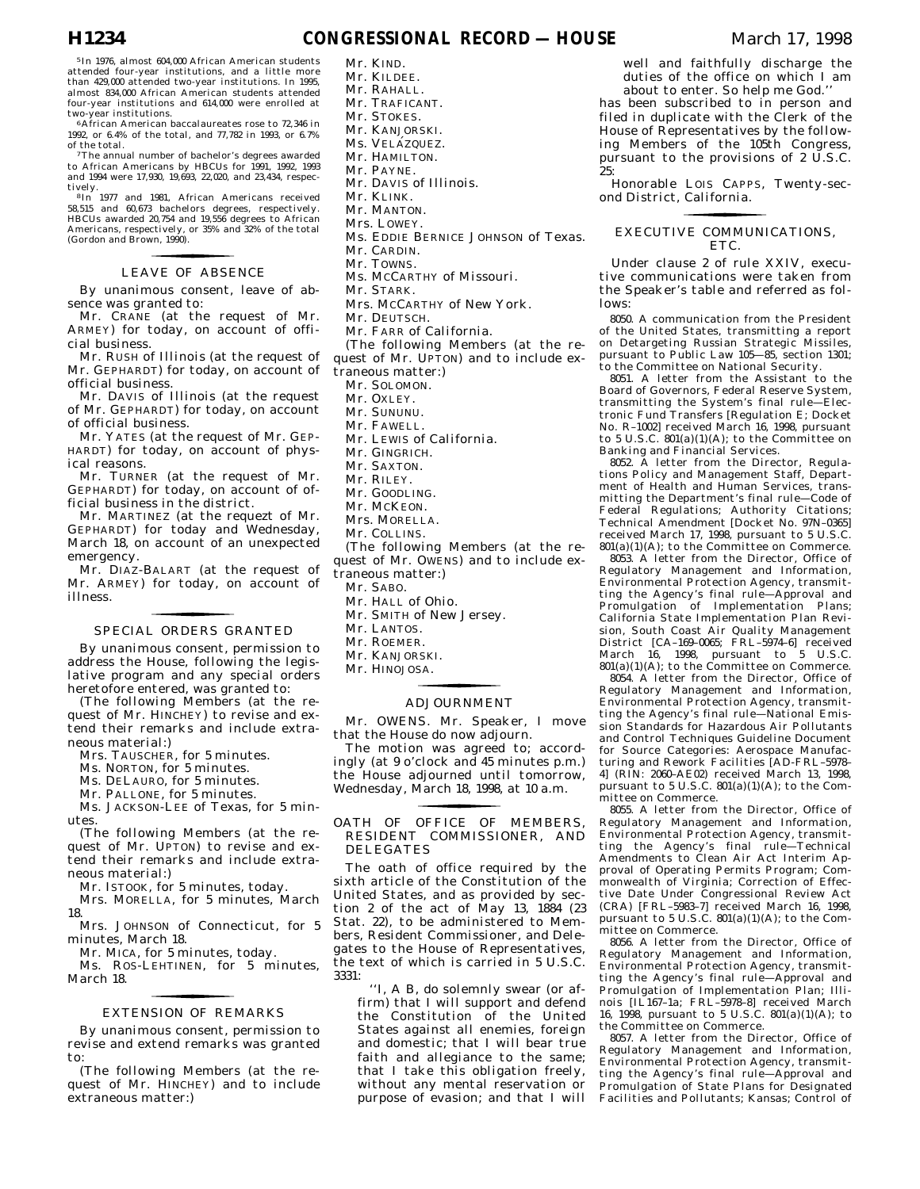5 In 1976, almost 604,000 African American students attended four-year institutions, and a little more than 429,000 attended two-year institutions. In 1995, almost 834,000 African American students attended four-year institutions and 614,000 were enrolled at two-year institutions.<br><sup>6</sup> African American baccalaureates rose to 72,346 in

1992, or 6.4% of the total, and 77,782 in 1993, or 6.7% of the total.

7The annual number of bachelor's degrees awarded to African Americans by HBCUs for 1991, 1992, 1993 and 1994 were 17,930, 19,693, 22,020, and 23,434, respectively.

8 In 1977 and 1981, African Americans received 58,515 and 60,673 bachelors degrees, respectively. HBCUs awarded 20,754 and 19,556 degrees to African Americans, respectively, or 35% and 32% of the total (Gordon and Brown, 1990).

#### LEAVE OF ABSENCE for the control of the control of

By unanimous consent, leave of absence was granted to:

Mr. CRANE (at the request of Mr. ARMEY) for today, on account of official business.

Mr. RUSH of Illinois (at the request of Mr. GEPHARDT) for today, on account of official business.

Mr. DAVIS of Illinois (at the request of Mr. GEPHARDT) for today, on account of official business.

Mr. YATES (at the request of Mr. GEP-HARDT) for today, on account of physical reasons.

Mr. TURNER (at the request of Mr. GEPHARDT) for today, on account of official business in the district.

Mr. MARTINEZ (at the requezt of Mr. GEPHARDT) for today and Wednesday, March 18, on account of an unexpected emergency.

Mr. DIAZ-BALART (at the request of Mr. ARMEY) for today, on account of illness.

#### SPECIAL ORDERS GRANTED for the control of the control of

By unanimous consent, permission to address the House, following the legislative program and any special orders heretofore entered, was granted to:

(The following Members (at the request of Mr. HINCHEY) to revise and extend their remarks and include extraneous material:)

Mrs. TAUSCHER, for 5 minutes.

Ms. NORTON, for 5 minutes.

Ms. DELAURO, for 5 minutes.

Mr. PALLONE, for 5 minutes.

Ms. JACKSON-LEE of Texas, for 5 minutes.

(The following Members (at the request of Mr. UPTON) to revise and extend their remarks and include extraneous material:)

Mr. ISTOOK, for 5 minutes, today.

Mrs. MORELLA, for 5 minutes, March 18.

Mrs. JOHNSON of Connecticut, for 5 minutes, March 18.

Mr. MICA, for 5 minutes, today.

Ms. ROS-LEHTINEN, for 5 minutes, March 18.

#### EXTENSION OF REMARKS for the control of the control of

By unanimous consent, permission to revise and extend remarks was granted to:

(The following Members (at the request of Mr. HINCHEY) and to include extraneous matter:)

- Mr. KIND.
- Mr. KILDEE.
- Mr. RAHALL.
- Mr. TRAFICANT.

Mr. STOKES.

- Mr. KANJORSKI.
- Ms. VELÁZQUEZ.
- Mr. HAMILTON.
- Mr. PAYNE.
- Mr. DAVIS of Illinois.

Mr. KLINK.

Mr. MANTON.

Mrs. LOWEY.

Ms. EDDIE BERNICE JOHNSON of Texas.

Mr. CARDIN.

Mr. TOWNS.

Ms. MCCARTHY of Missouri.

Mr. STARK.

Mrs. MCCARTHY of New York.

Mr. DEUTSCH.

Mr. FARR of California.

(The following Members (at the request of Mr. UPTON) and to include extraneous matter:)

Mr. SOLOMON.

Mr. OXLEY.

Mr. SUNUNU.

Mr. FAWELL.

Mr. LEWIS of California.

Mr. GINGRICH.

Mr. SAXTON.

Mr. RILEY.

Mr. GOODLING.

Mr. MCKEON.

Mrs. MORELLA.

Mr. COLLINS.

(The following Members (at the re-

quest of Mr. OWENS) and to include extraneous matter:)

Mr. SABO.

Mr. HALL of Ohio.

Mr. SMITH of New Jersey.

Mr. LANTOS.

Mr. ROEMER.

- Mr. KANJORSKI.
- Mr. HINOJOSA  $f.A.$

#### ADJOURNMENT

Mr. OWENS. Mr. Speaker, I move that the House do now adjourn.

The motion was agreed to; accordingly (at 9 o'clock and 45 minutes p.m.) the House adjourned until tomorrow, Wednesday, March 18, 1998, at 10 a.m.

#### OATH OF OFFICE OF MEMBERS, RESIDENT COMMISSIONER, AND DELEGATES

for the control of the control of

The oath of office required by the sixth article of the Constitution of the United States, and as provided by section 2 of the act of May 13, 1884 (23 Stat. 22), to be administered to Members, Resident Commissioner, and Delegates to the House of Representatives, the text of which is carried in 5 U.S.C. 3331:

''I, A B, do solemnly swear (or affirm) that I will support and defend the Constitution of the United States against all enemies, foreign and domestic; that I will bear true faith and allegiance to the same; that I take this obligation freely, without any mental reservation or purpose of evasion; and that I will well and faithfully discharge the duties of the office on which I am about to enter. So help me God.''

has been subscribed to in person and filed in duplicate with the Clerk of the House of Representatives by the following Members of the 105th Congress, pursuant to the provisions of 2 U.S.C. 25:

Honorable LOIS CAPPS, Twenty-second District, California. for the control of the control of

#### EXECUTIVE COMMUNICATIONS, ETC.

Under clause 2 of rule XXIV, executive communications were taken from the Speaker's table and referred as follows:

8050. A communication from the President of the United States, transmitting a report on Detargeting Russian Strategic Missiles, pursuant to Public Law 105—85, section 1301; to the Committee on National Security.

8051. A letter from the Assistant to the Board of Governors, Federal Reserve System, transmitting the System's final rule—Electronic Fund Transfers [Regulation E; Docket No. R–1002] received March 16, 1998, pursuant to 5 U.S.C. 801(a)(1)(A); to the Committee on Banking and Financial Services.

8052. A letter from the Director, Regulations Policy and Management Staff, Department of Health and Human Services, transmitting the Department's final rule—Code of Federal Regulations; Authority Citations; Technical Amendment [Docket No. 97N–0365] received March 17, 1998, pursuant to 5 U.S.C. 801(a)(1)(A); to the Committee on Commerce.

8053. A letter from the Director, Office of Regulatory Management and Information, Environmental Protection Agency, transmitting the Agency's final rule—Approval and Promulgation of Implementation Plans; California State Implementation Plan Revision, South Coast Air Quality Management District [CA–169–0065; FRL–5974–6] received March 16, 1998, pursuant to 5 U.S.C.  $801(a)(1)(A);$  to the Committee on Commerce.

8054. A letter from the Director, Office of Regulatory Management and Information, Environmental Protection Agency, transmitting the Agency's final rule—National Emission Standards for Hazardous Air Pollutants and Control Techniques Guideline Document for Source Categories: Aerospace Manufacturing and Rework Facilities [AD-FRL–5978– 4] (RIN: 2060–AE02) received March 13, 1998, pursuant to 5 U.S.C. 801(a)(1)(A); to the Committee on Commerce.

8055. A letter from the Director, Office of Regulatory Management and Information, Environmental Protection Agency, transmit-ting the Agency's final rule—Technical Amendments to Clean Air Act Interim Approval of Operating Permits Program; Commonwealth of Virginia; Correction of Effective Date Under Congressional Review Act (CRA) [FRL–5983–7] received March 16, 1998, pursuant to 5 U.S.C. 801(a)(1)(A); to the Committee on Commerce.

8056. A letter from the Director, Office of Regulatory Management and Information, Environmental Protection Agency, transmitting the Agency's final rule—Approval and Promulgation of Implementation Plan; Illinois [IL167–1a; FRL–5978–8] received March 16, 1998, pursuant to 5 U.S.C. 801(a)(1)(A); to the Committee on Commerce.

8057. A letter from the Director, Office of Regulatory Management and Information, Environmental Protection Agency, transmitting the Agency's final rule—Approval and Promulgation of State Plans for Designated Facilities and Pollutants; Kansas; Control of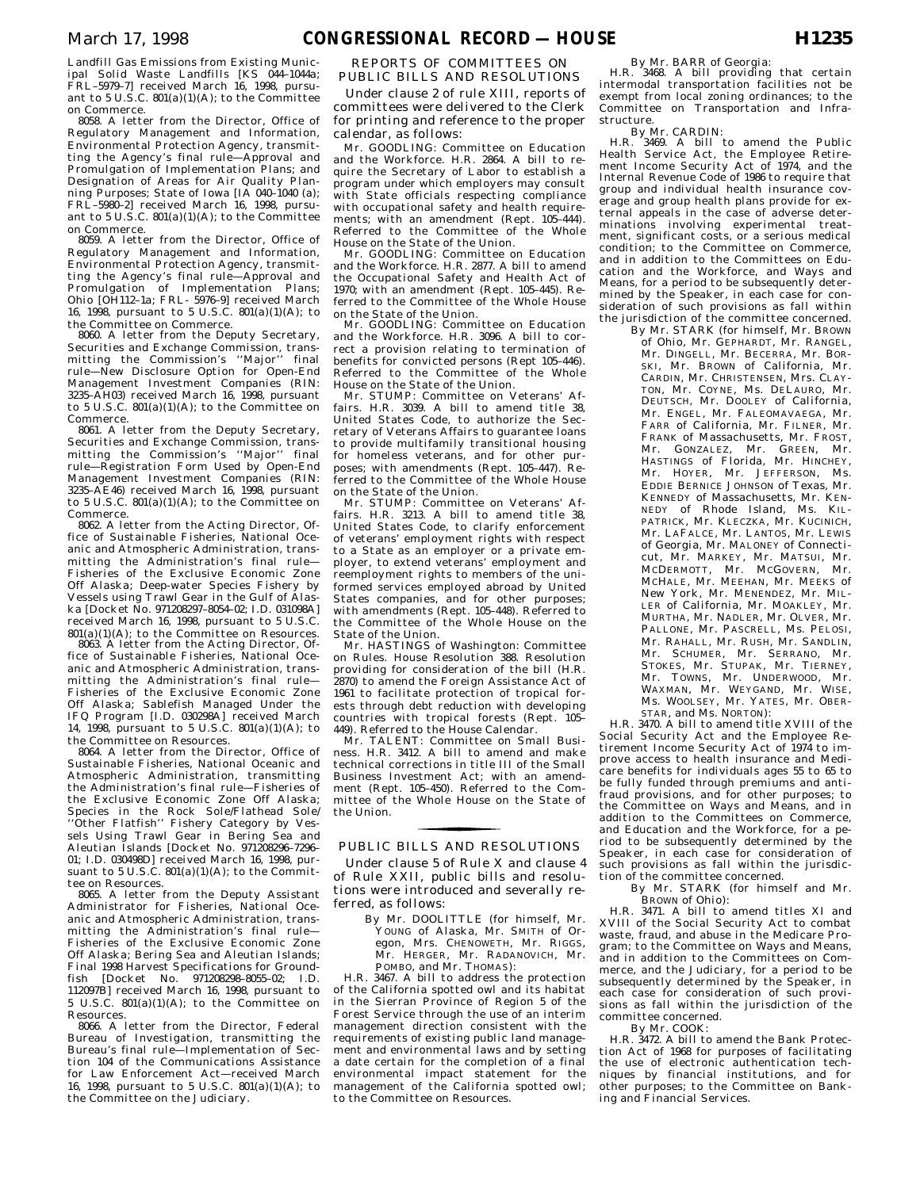Landfill Gas Emissions from Existing Municipal Solid Waste Landfills [KS 044–1044a; FRL–5979–7] received March 16, 1998, pursuant to 5 U.S.C. 801(a)(1)(A); to the Committee on Commerce.

8058. A letter from the Director, Office of Regulatory Management and Information, Environmental Protection Agency, transmitting the Agency's final rule—Approval and Promulgation of Implementation Plans; and Designation of Areas for Air Quality Planning Purposes; State of Iowa [IA 040–1040 (a); FRL–5980–2] received March 16, 1998, pursuant to 5 U.S.C. 801(a)(1)(A); to the Committee on Commerce.

8059. A letter from the Director, Office of Regulatory Management and Information, Environmental Protection Agency, transmitting the Agency's final rule—Approval and Promulgation of Implementation Plans; Ohio [OH112–1a; FRL- 5976–9] received March 16, 1998, pursuant to 5 U.S.C. 801(a)(1)(A); to the Committee on Commerce.

8060. A letter from the Deputy Secretary, Securities and Exchange Commission, transmitting the Commission's ''Major'' final rule—New Disclosure Option for Open-End Management Investment Companies (RIN: 3235–AH03) received March 16, 1998, pursuant to 5 U.S.C.  $801(a)(1)(A)$ ; to the Committee on Commerce.

8061. A letter from the Deputy Secretary, Securities and Exchange Commission, transmitting the Commission's ''Major'' final rule—Registration Form Used by Open-End Management Investment Companies (RIN: 3235–AE46) received March 16, 1998, pursuant to 5 U.S.C. 801(a)(1)(A); to the Committee on Commerce.

8062. A letter from the Acting Director, Office of Sustainable Fisheries, National Oceanic and Atmospheric Administration, transmitting the Administration's final rule— Fisheries of the Exclusive Economic Zone Off Alaska; Deep-water Species Fishery by Vessels using Trawl Gear in the Gulf of Alaska [Docket No. 971208297–8054–02; I.D. 031098A] received March 16, 1998, pursuant to 5 U.S.C.  $801(a)(1)(A)$ ; to the Committee on Resources.

8063. A letter from the Acting Director, Office of Sustainable Fisheries, National Oceanic and Atmospheric Administration, transmitting the Administration's final rule— Fisheries of the Exclusive Economic Zone Off Alaska; Sablefish Managed Under the IFQ Program [I.D. 030298A] received March 14, 1998, pursuant to 5 U.S.C. 801(a)(1)(A); to the Committee on Resources.

8064. A letter from the Director, Office of Sustainable Fisheries, National Oceanic and Atmospheric Administration, transmitting the Administration's final rule—Fisheries of the Exclusive Economic Zone Off Alaska; Species in the Rock Sole/Flathead Sole/ ''Other Flatfish'' Fishery Category by Vessels Using Trawl Gear in Bering Sea and Aleutian Islands [Docket No. 971208296–7296– 01; I.D. 030498D] received March 16, 1998, pursuant to  $5$  U.S.C.  $801(a)(1)(A)$ ; to the Committee on Resources.

8065. A letter from the Deputy Assistant Administrator for Fisheries, National Oceanic and Atmospheric Administration, transmitting the Administration's final rule— Fisheries of the Exclusive Economic Zone Off Alaska; Bering Sea and Aleutian Islands; Final 1998 Harvest Specifications for Groundfish [Docket No. 971208298–8055–02; I.D. 112097B] received March 16, 1998, pursuant to 5 U.S.C. 801(a)(1)(A); to the Committee on Resources.

8066. A letter from the Director, Federal Bureau of Investigation, transmitting the Bureau's final rule—Implementation of Section 104 of the Communications Assistance for Law Enforcement Act—received March 16, 1998, pursuant to 5 U.S.C. 801(a)(1)(A); to the Committee on the Judiciary.

#### REPORTS OF COMMITTEES ON PUBLIC BILLS AND RESOLUTIONS

Under clause 2 of rule XIII, reports of committees were delivered to the Clerk for printing and reference to the proper calendar, as follows:

Mr. GOODLING: Committee on Education and the Workforce. H.R. 2864. A bill to require the Secretary of Labor to establish a program under which employers may consult with State officials respecting compliance with occupational safety and health requirements; with an amendment (Rept. 105–444). Referred to the Committee of the Whole House on the State of the Union.

Mr. GOODLING: Committee on Education and the Workforce. H.R. 2877. A bill to amend the Occupational Safety and Health Act of 1970; with an amendment (Rept. 105–445). Referred to the Committee of the Whole House on the State of the Union.

Mr. GOODLING: Committee on Education and the Workforce. H.R. 3096. A bill to correct a provision relating to termination of benefits for convicted persons (Rept 105–446). Referred to the Committee of the Whole House on the State of the Union.

Mr. STUMP: Committee on Veterans' Affairs. H.R. 3039. A bill to amend title 38, United States Code, to authorize the Secretary of Veterans Affairs to guarantee loans to provide multifamily transitional housing for homeless veterans, and for other purposes; with amendments (Rept. 105–447). Referred to the Committee of the Whole House on the State of the Union.

Mr. STUMP: Committee on Veterans' Affairs. H.R. 3213. A bill to amend title 38, United States Code, to clarify enforcement of veterans' employment rights with respect to a State as an employer or a private employer, to extend veterans' employment and reemployment rights to members of the uniformed services employed abroad by United States companies, and for other purposes; with amendments (Rept. 105–448). Referred to the Committee of the Whole House on the State of the Union.

Mr. HASTINGS of Washington: Committee on Rules. House Resolution 388. Resolution providing for consideration of the bill (H.R. 2870) to amend the Foreign Assistance Act of 1961 to facilitate protection of tropical forests through debt reduction with developing countries with tropical forests (Rept. 105– 449). Referred to the House Calendar.

Mr. TALENT: Committee on Small Business. H.R. 3412. A bill to amend and make technical corrections in title III of the Small Business Investment Act; with an amendment (Rept. 105–450). Referred to the Committee of the Whole House on the State of the Union.

#### PUBLIC BILLS AND RESOLUTIONS for the control of the control of

Under clause 5 of Rule X and clause 4 of Rule XXII, public bills and resolutions were introduced and severally referred, as follows:

By Mr. DOOLITTLE (for himself, Mr. YOUNG of Alaska, Mr. SMITH of Oregon, Mrs. CHENOWETH, Mr. RIGGS, Mr. HERGER, Mr. RADANOVICH, Mr. POMBO, and Mr. THOMAS):

H.R. 3467. A bill to address the protection of the California spotted owl and its habitat in the Sierran Province of Region 5 of the Forest Service through the use of an interim management direction consistent with the requirements of existing public land management and environmental laws and by setting a date certain for the completion of a final environmental impact statement for the management of the California spotted owl; to the Committee on Resources.

By Mr. BARR of Georgia:

H.R. 3468. A bill providing that certain intermodal transportation facilities not be exempt from local zoning ordinances; to the Committee on Transportation and Infrastructure.

By Mr. CARDIN: H.R. 3469. A bill to amend the Public Health Service Act, the Employee Retirement Income Security Act of 1974, and the Internal Revenue Code of 1986 to require that group and individual health insurance coverage and group health plans provide for external appeals in the case of adverse determinations involving experimental treatment, significant costs, or a serious medical condition; to the Committee on Commerce, and in addition to the Committees on Education and the Workforce, and Ways and Means, for a period to be subsequently determined by the Speaker, in each case for consideration of such provisions as fall within the jurisdiction of the committee concerned.

By Mr. STARK (for himself, Mr. BROWN of Ohio, Mr. GEPHARDT, Mr. RANGEL, Mr. DINGELL, Mr. BECERRA, Mr. BOR-SKI, Mr. BROWN of California, Mr. CARDIN, Mr. CHRISTENSEN, Mrs. CLAY-TON, Mr. COYNE, Ms. DELAURO, Mr. DEUTSCH, Mr. DOOLEY of California, Mr. ENGEL, Mr. FALEOMAVAEGA, Mr. FARR of California, Mr. FILNER, Mr. FRANK of Massachusetts, Mr. FROST, Mr. GONZALEZ, Mr. GREEN, Mr. HASTINGS of Florida, Mr. HINCHEY, Mr. HOYER, Mr. JEFFERSON, Ms. EDDIE BERNICE JOHNSON of Texas, Mr. KENNEDY of Massachusetts, Mr. KEN-NEDY of Rhode Island, Ms. KIL-PATRICK, Mr. KLECZKA, Mr. KUCINICH, Mr. LAFALCE, Mr. LANTOS, Mr. LEWIS of Georgia, Mr. MALONEY of Connecticut, Mr. MARKEY, Mr. MATSUI, Mr. MCDERMOTT, Mr. MCGOVERN, Mr. MCHALE, Mr. MEEHAN, Mr. MEEKS of New York, Mr. MENENDEZ, Mr. MIL-LER of California, Mr. MOAKLEY, Mr. MURTHA, Mr. NADLER, Mr. OLVER, Mr. PALLONE, Mr. PASCRELL, Ms. PELOSI, Mr. RAHALL, Mr. RUSH, Mr. SANDLIN, Mr. SCHUMER, Mr. SERRANO, Mr. STOKES, Mr. STUPAK, Mr. TIERNEY, Mr. TOWNS, Mr. UNDERWOOD, Mr. WAXMAN, Mr. WEYGAND, Mr. WISE, Ms. WOOLSEY, Mr. YATES, Mr. OBER-STAR, and Ms. NORTON):

H.R. 3470. A bill to amend title XVIII of the Social Security Act and the Employee Retirement Income Security Act of 1974 to improve access to health insurance and Medicare benefits for individuals ages 55 to 65 to be fully funded through premiums and antifraud provisions, and for other purposes; to the Committee on Ways and Means, and in addition to the Committees on Commerce, and Education and the Workforce, for a period to be subsequently determined by the Speaker, in each case for consideration of such provisions as fall within the jurisdiction of the committee concerned.

By Mr. STARK (for himself and Mr. BROWN of Ohio):

H.R. 3471. A bill to amend titles XI and XVIII of the Social Security Act to combat waste, fraud, and abuse in the Medicare Program; to the Committee on Ways and Means, and in addition to the Committees on Commerce, and the Judiciary, for a period to be subsequently determined by the Speaker, in each case for consideration of such provisions as fall within the jurisdiction of the committee concerned.

By Mr. COOK:

H.R. 3472. A bill to amend the Bank Protection Act of 1968 for purposes of facilitating the use of electronic authentication techniques by financial institutions, and for other purposes; to the Committee on Banking and Financial Services.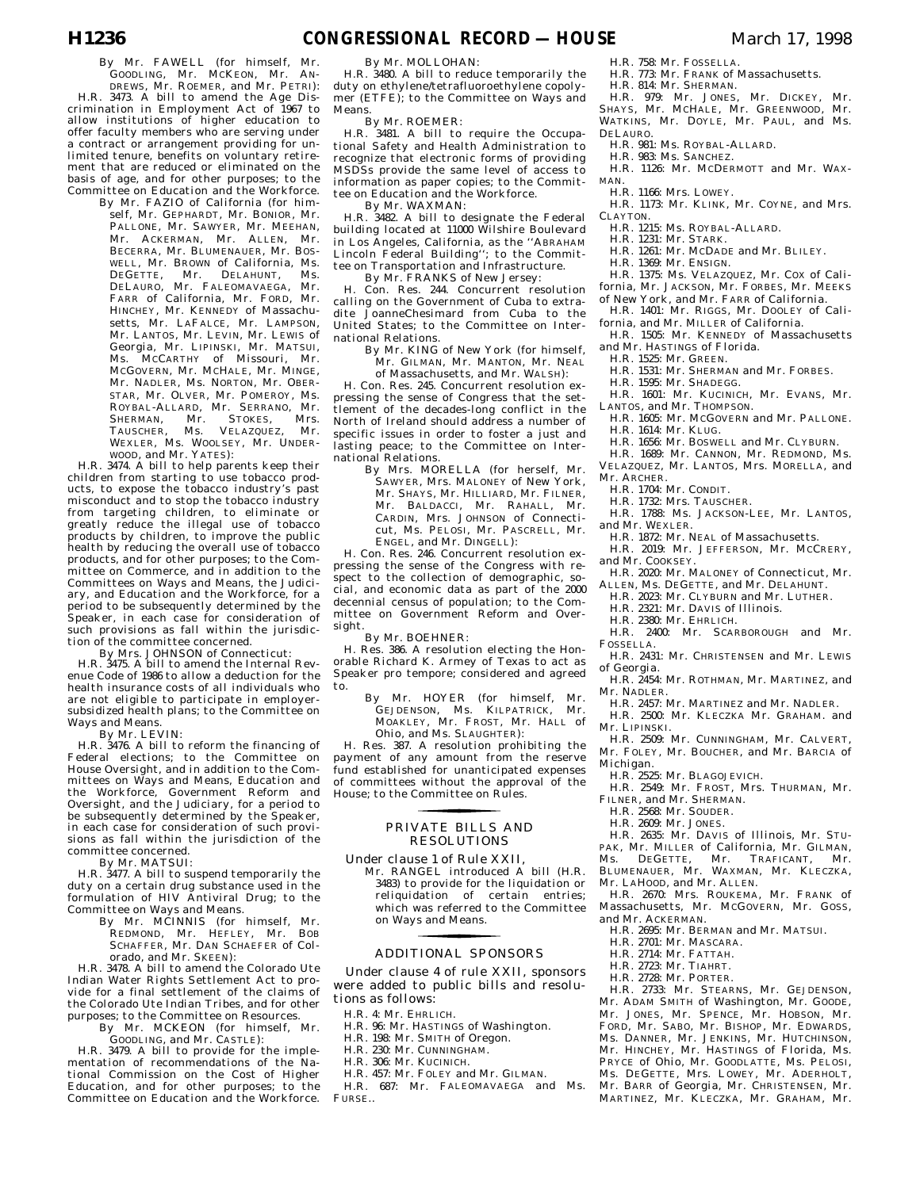By Mr. FAWELL (for himself, Mr. GOODLING, Mr. MCKEON, Mr. AN-

DREWS, Mr. ROEMER, and Mr. PETRI): H.R. 3473. A bill to amend the Age Discrimination in Employment Act of 1967 to allow institutions of higher education to offer faculty members who are serving under a contract or arrangement providing for unlimited tenure, benefits on voluntary retirement that are reduced or eliminated on the basis of age, and for other purposes; to the Committee on Education and the Workforce.

By Mr. FAZIO of California (for himself, Mr. GEPHARDT, Mr. BONIOR, Mr. PALLONE, Mr. SAWYER, Mr. MEEHAN, Mr. ACKERMAN, Mr. ALLEN, Mr. BECERRA, Mr. BLUMENAUER, Mr. BOS-WELL, Mr. BROWN of California, Ms.<br>DECETTE, Mr. DELAHUNT, Ms. Mr. DELAHUNT, Ms. DELAURO, Mr. FALEOMAVAEGA, Mr. FARR of California, Mr. FORD, Mr. HINCHEY, Mr. KENNEDY of Massachusetts, Mr. LAFALCE, Mr. LAMPSON, Mr. LANTOS, Mr. LEVIN, Mr. LEWIS of Georgia, Mr. LIPINSKI, Mr. MATSUI, Ms. MCCARTHY of Missouri, Mr. MCGOVERN, Mr. MCHALE, Mr. MINGE, Mr. NADLER, Ms. NORTON, Mr. OBER-STAR, Mr. OLVER, Mr. POMEROY, Ms. ROYBAL-ALLARD, Mr. SERRANO, Mr. SHERMAN, Mr. STOKES, Mrs.<br>TAUSCHER, Ms. VELAZQUEZ, Mr. VELAZQUEZ, WEXLER, Ms. WOOLSEY, Mr. UNDER-WOOD, and Mr. YATES):

H.R. 3474. A bill to help parents keep their children from starting to use tobacco products, to expose the tobacco industry's past misconduct and to stop the tobacco industry from targeting children, to eliminate or greatly reduce the illegal use of tobacco products by children, to improve the public health by reducing the overall use of tobacco products, and for other purposes; to the Committee on Commerce, and in addition to the Committees on Ways and Means, the Judiciary, and Education and the Workforce, for a period to be subsequently determined by the Speaker, in each case for consideration of such provisions as fall within the jurisdiction of the committee concerned.

By Mrs. JOHNSON of Connecticut:

H.R. 3475. A bill to amend the Internal Revenue Code of 1986 to allow a deduction for the health insurance costs of all individuals who are not eligible to participate in employersubsidized health plans; to the Committee on Ways and Means.

By Mr. LEVIN:

H.R. 3476. A bill to reform the financing of Federal elections; to the Committee on House Oversight, and in addition to the Committees on Ways and Means, Education and the Workforce, Government Reform and Oversight, and the Judiciary, for a period to be subsequently determined by the Speaker, in each case for consideration of such provisions as fall within the jurisdiction of the committee concerned.

By Mr. MATSUI:

H.R. 3477. A bill to suspend temporarily the duty on a certain drug substance used in the formulation of HIV Antiviral Drug; to the Committee on Ways and Means.

By Mr. MCINNIS (for himself, Mr. REDMOND, Mr. HEFLEY, Mr. BOB SCHAFFER, Mr. DAN SCHAEFER of Col-

orado, and Mr. SKEEN): H.R. 3478. A bill to amend the Colorado Ute Indian Water Rights Settlement Act to provide for a final settlement of the claims of the Colorado Ute Indian Tribes, and for other purposes; to the Committee on Resources.

By Mr. MCKEON (for himself, Mr. GOODLING, and Mr. CASTLE):

H.R. 3479. A bill to provide for the implementation of recommendations of the National Commission on the Cost of Higher Education, and for other purposes; to the Committee on Education and the Workforce. By Mr. MOLLOHAN:

H.R. 3480. A bill to reduce temporarily the duty on ethylene/tetrafluoroethylene copolymer (ETFE); to the Committee on Ways and Means.

By Mr. ROEMER:

H.R. 3481. A bill to require the Occupational Safety and Health Administration to recognize that electronic forms of providing MSDSs provide the same level of access to information as paper copies; to the Committee on Education and the Workforce.

By Mr. WAXMAN:

H.R. 3482. A bill to designate the Federal building located at 11000 Wilshire Boulevard in Los Angeles, California, as the ''ABRAHAM Lincoln Federal Building''; to the Committee on Transportation and Infrastructure.

By Mr. FRANKS of New Jersey:

H. Con. Res. 244. Concurrent resolution calling on the Government of Cuba to extradite JoanneChesimard from Cuba to the United States; to the Committee on International Relations.

By Mr. KING of New York (for himself, Mr. GILMAN, Mr. MANTON, Mr. NEAL of Massachusetts, and Mr. WALSH):

H. Con. Res. 245. Concurrent resolution expressing the sense of Congress that the settlement of the decades-long conflict in the North of Ireland should address a number of specific issues in order to foster a just and lasting peace; to the Committee on International Relations.

By Mrs. MORELLA (for herself, Mr. SAWYER, Mrs. MALONEY of New York, Mr. SHAYS, Mr. HILLIARD, Mr. FILNER, Mr. BALDACCI, Mr. RAHALL, Mr. CARDIN, Mrs. JOHNSON of Connecticut, Ms. PELOSI, Mr. PASCRELL, Mr. ENGEL, and Mr. DINGELL):

H. Con. Res. 246. Concurrent resolution expressing the sense of the Congress with respect to the collection of demographic, social, and economic data as part of the 2000 decennial census of population; to the Committee on Government Reform and Oversight.

By Mr. BOEHNER:

H. Res. 386. A resolution electing the Honorable Richard K. Armey of Texas to act as Speaker pro tempore; considered and agreed to.

By Mr. HOYER (for himself, Mr. GEJDENSON, Ms. KILPATRICK, Mr. MOAKLEY, Mr. FROST, Mr. HALL of Ohio, and Ms. SLAUGHTER):

H. Res. 387. A resolution prohibiting the payment of any amount from the reserve fund established for unanticipated expenses of committees without the approval of the House; to the Committee on Rules.

#### PRIVATE BILLS AND RESOLUTIONS for the control of the control of

Under clause 1 of Rule XXII,

Mr. RANGEL introduced A bill (H.R. 3483) to provide for the liquidation or reliquidation of certain entries; which was referred to the Committee on Ways and Means.

#### ADDITIONAL SPONSORS for the control of the control of

Under clause 4 of rule XXII, sponsors were added to public bills and resolutions as follows:

H.R. 4: Mr. EHRLICH.

H.R. 96: Mr. HASTINGS of Washington.

H.R. 198: Mr. SMITH of Oregon.

H.R. 230: Mr. CUNNINGHAM.

H.R. 306: Mr. KUCINICH.

H.R. 457: Mr. FOLEY and Mr. GILMAN.

H.R. 687: Mr. FALEOMAVAEGA and Ms. FURSE..

- H.R. 758: Mr. FOSSELLA.
- H.R. 773: Mr. FRANK of Massachusetts.
- H.R. 814: Mr. SHERMAN.
- H.R. 979: Mr. JONES, Mr. DICKEY, Mr. SHAYS, Mr. MCHALE, Mr. GREENWOOD, Mr.
- WATKINS, Mr. DOYLE, Mr. PAUL, and Ms. DELAURO.
- H.R. 981: Ms. ROYBAL-ALLARD.
- H.R. 983: Ms. SANCHEZ.
- H.R. 1126: Mr. MCDERMOTT and Mr. WAX-MAN.
- H.R. 1166: Mrs. LOWEY.
- H.R. 1173: Mr. KLINK, Mr. COYNE, and Mrs. CLAYTON.
- H.R. 1215: Ms. ROYBAL-ALLARD.
- H.R. 1231: Mr. STARK.
	- H.R. 1261: Mr. MCDADE and Mr. BLILEY.
- H.R. 1369: Mr. ENSIGN.
- H.R. 1375: Ms. VELAZQUEZ, Mr. COX of California, Mr. JACKSON, Mr. FORBES, Mr. MEEKS
- of New York, and Mr. FARR of California.
- H.R. 1401: Mr. RIGGS, Mr. DOOLEY of Cali-
- fornia, and Mr. MILLER of California.
- H.R. 1505: Mr. KENNEDY of Massachusetts and Mr. HASTINGS of Florida.

H.R. 1525: Mr. GREEN.

- H.R. 1531: Mr. SHERMAN and Mr. FORBES.
- H.R. 1595: Mr. SHADEGG.
- H.R. 1601: Mr. KUCINICH, Mr. EVANS, Mr. LANTOS, and Mr. THOMPSON.
	- H.R. 1605: Mr. MCGOVERN and Mr. PALLONE.
	- H.R. 1614: Mr. KLUG.
	- H.R. 1656: Mr. BOSWELL and Mr. CLYBURN.
- H.R. 1689: Mr. CANNON, Mr. REDMOND, Ms. VELAZQUEZ, Mr. LANTOS, Mrs. MORELLA, and
- Mr. ARCHER.
- H.R. 1704: Mr. CONDIT.
- H.R. 1732: Mrs. TAUSCHER.
- H.R. 1788: Ms. JACKSON-LEE, Mr. LANTOS, and Mr. WEXLER.
	- H.R. 1872: Mr. NEAL of Massachusetts.
- H.R. 2019: Mr. JEFFERSON, Mr. MCCRERY, and Mr. COOKSEY.
- H.R. 2020: Mr. MALONEY of Connecticut, Mr. ALLEN, Ms. DEGETTE, and Mr. DELAHUNT.
	- H.R. 2023: Mr. CLYBURN and Mr. LUTHER.
	- H.R. 2321: Mr. DAVIS of Illinois.
	- H.R. 2380: Mr. EHRLICH.
- H.R. 2400: Mr. SCARBOROUGH and Mr. FOSSELLA.
- H.R. 2431: Mr. CHRISTENSEN and Mr. LEWIS of Georgia.
- H.R. 2454: Mr. ROTHMAN, Mr. MARTINEZ, and Mr. NADLER.
- H.R. 2457: Mr. MARTINEZ and Mr. NADLER.
- H.R. 2500: Mr. KLECZKA Mr. GRAHAM. and Mr. LIPINSKI.
- H.R. 2509: Mr. CUNNINGHAM, Mr. CALVERT, Mr. FOLEY, Mr. BOUCHER, and Mr. BARCIA of Michigan.
- H.R. 2525: Mr. BLAGOJEVICH.

H.R. 2549: Mr. FROST, Mrs. THURMAN, Mr. FILNER, and Mr. SHERMAN.

- H.R. 2568: Mr. SOUDER.
- H.R. 2609: Mr. JONES.

H.R. 2635: Mr. DAVIS of Illinois, Mr. STU-

PAK, Mr. MILLER of California, Mr. GILMAN, Ms. DEGETTE, Mr. TRAFICANT, Mr. BLUMENAUER, Mr. WAXMAN, Mr. KLECZKA,

Mr. LAHOOD, and Mr. ALLEN.

H.R. 2670: Mrs. ROUKEMA, Mr. FRANK of Massachusetts, Mr. MCGOVERN, Mr. GOSS, and Mr. ACKERMAN.

H.R. 2733: Mr. STEARNS, Mr. GEJDENSON, Mr. ADAM SMITH of Washington, Mr. GOODE, Mr. JONES, Mr. SPENCE, Mr. HOBSON, Mr. FORD, Mr. SABO, Mr. BISHOP, Mr. EDWARDS, Ms. DANNER, Mr. JENKINS, Mr. HUTCHINSON, Mr. HINCHEY, Mr. HASTINGS of Florida, Ms. PRYCE of Ohio, Mr. GOODLATTE, Ms. PELOSI, Ms. DEGETTE, Mrs. LOWEY, Mr. ADERHOLT, Mr. BARR of Georgia, Mr. CHRISTENSEN, Mr. MARTINEZ, Mr. KLECZKA, Mr. GRAHAM, Mr.

- H.R. 2695: Mr. BERMAN and Mr. MATSUI.
- H.R. 2701: Mr. MASCARA.
- H.R. 2714: Mr. FATTAH.
- H.R. 2723: Mr. TIAHRT.
- H.R. 2728: Mr. PORTER.